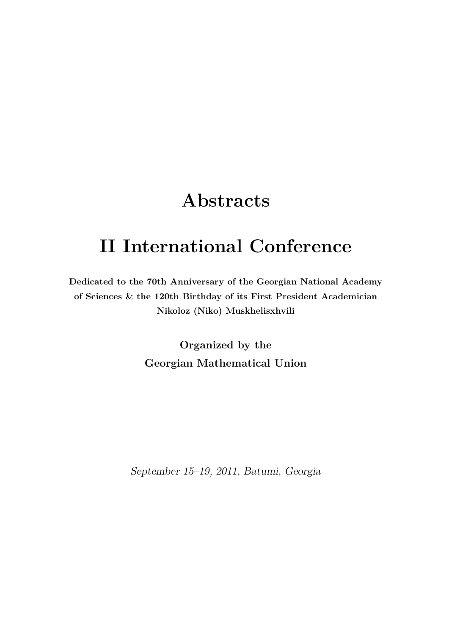# **Abstracts**

# **II International Conference**

**Dedicated to the 70th Anniversary of the Georgian National Academy of Sciences & the 120th Birthday of its First President Academician Nikoloz (Niko) Muskhelisxhvili**

> **Organized by the Georgian Mathematical Union**

*September 15–19, 2011, Batumi, Georgia*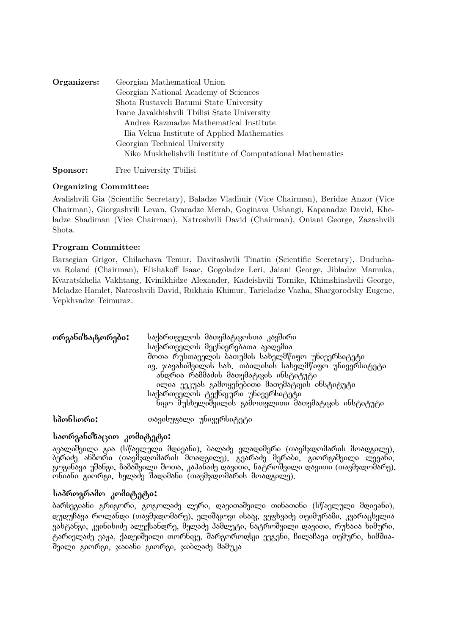| Organizers: | Georgian Mathematical Union                                |
|-------------|------------------------------------------------------------|
|             | Georgian National Academy of Sciences                      |
|             | Shota Rustaveli Batumi State University                    |
|             | Ivane Javakhishvili Tbilisi State University               |
|             | Andrea Razmadze Mathematical Institute                     |
|             | Ilia Vekua Institute of Applied Mathematics                |
|             | Georgian Technical University                              |
|             | Niko Muskhelishvili Institute of Computational Mathematics |
| Sponsor:    | Free University Tbilisi                                    |

#### **Organizing Committee:**

Avalishvili Gia (Scientific Secretary), Baladze Vladimir (Vice Chairman), Beridze Anzor (Vice Chairman), Giorgashvili Levan, Gvaradze Merab, Goginava Ushangi, Kapanadze David, Kheladze Shadiman (Vice Chairman), Natroshvili David (Chairman), Oniani George, Zazashvili Shota.

#### **Program Committee:**

Barsegian Grigor, Chilachava Temur, Davitashvili Tinatin (Scientific Secretary), Duduchava Roland (Chairman), Elishakoff Isaac, Gogoladze Leri, Jaiani George, Jibladze Mamuka, Kvaratskhelia Vakhtang, Kvinikhidze Alexander, Kadeishvili Tornike, Khimshiashvili George, Meladze Hamlet, Natroshvili David, Rukhaia Khimur, Tarieladze Vazha, Shargorodsky Eugene, Vepkhvadze Teimuraz.

| ორგანიზა <sub>(</sub> გორები: | საქართველოს მათემატიკოსთა კავშირი<br>საქართველოს მეცნიერებათა აკადემია<br>შოთა რუსთაველის ბათუმის სახელმწიფო უნივერსიტეტი<br>ივ. ჯავახიშვილის სახ. თბილისის სახელმწიფო უნივერსიტეტი<br>ანდრია რამმაძის მათემატიკის ინსტიტუტი<br>ილია ვეკუას გამოყენებითი მათემატიკის ინსტიტუტი<br>საქართველოს ტექნიკური უნივერსიტეტი |
|-------------------------------|----------------------------------------------------------------------------------------------------------------------------------------------------------------------------------------------------------------------------------------------------------------------------------------------------------------------|
| სპონსორი:                     | ნიკო მუსხელიშვილის გამოთვლითი მათემატიკის ინსტიტუტი<br>თავისუფალი უნივერსიტეტი                                                                                                                                                                                                                                       |

#### საორგანიზაციო კომიტეტი:

ავალიშვილი გია (სწავლული მდივანი), ბალაძე ვლადიმერი (თავმჯდომარის მოადგილე), ბურიძე ანბორი (თავმჯდომარის მოადგილე), გვარაძე მერაბი, გიორგაშვილი ლევანი, გოგინავა უშანგი, ბამაშვილი შოთა, კაპანაძე დავითი, ნატროშვილი დავითი (თავმჯდომარე), ონიანი გიორგი, ხელაძე შაღიმანი (თავმჯდომარის მოაღგილე).

#### ৾საპროგრამო კომიტე<sub>ტ</sub>ი:

ბარსეგიანი გრიგორი, გოგოლაძე ლერი, დავითაშვილი თინათინი (სწავლული მდივანი),  $\alpha$ უდუჩავა როლანდი (თავმჯდომარე), ელიშაკოვი ისააკ, ვეფხვაძე თეიმურაში, კვარაცხელია  $3$ ახტანგი, კვინიხიძე ალექსანდრე, მელაძე ჰამლეტი, ნატროშვილი დავითი, რუხაია ხიმური, ტარიელაძე ვაჟა, ქადეიშვილი თორნიკე, შარგოროდსკი ევგენი, ჩილაჩავა თემური, ხიმშიაშვილი გიორგი, ჯაიანი გიორგი, ჯიბლაძე მამუკა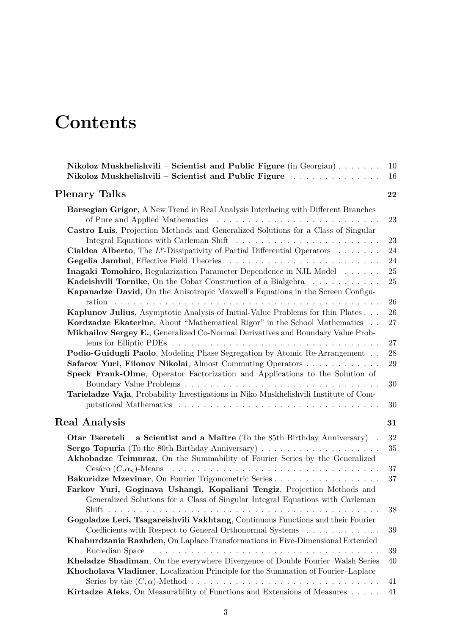# **Contents**

| Nikoloz Muskhelishvili – Scientist and Public Figure (in Georgian)<br>Nikoloz Muskhelishvili – Scientist and Public Figure                                                         | 10<br>16 |
|------------------------------------------------------------------------------------------------------------------------------------------------------------------------------------|----------|
| Plenary Talks                                                                                                                                                                      | 22       |
| Barsegian Grigor, A New Trend in Real Analysis Interlacing with Different Branches                                                                                                 |          |
| Castro Luis, Projection Methods and Generalized Solutions for a Class of Singular                                                                                                  | 23       |
|                                                                                                                                                                                    | 23       |
| <b>Cialdea Alberto</b> , The $L^p$ -Dissipativity of Partial Differential Operators $\ldots \ldots$                                                                                | 24       |
|                                                                                                                                                                                    | 24       |
| <b>Inagaki Tomohiro</b> , Regularization Parameter Dependence in NJL Model                                                                                                         | 25       |
| Kadeishvili Tornike, On the Cobar Construction of a Bialgebra<br><b>Kapanadze David, On the Anisotropic Maxwell's Equations in the Screen Configu-</b>                             | 25       |
|                                                                                                                                                                                    | 26       |
| <b>Kaplunov Julius,</b> Asymptotic Analysis of Initial-Value Problems for thin Plates                                                                                              | 26       |
| Kordzadze Ekaterine, About "Mathematical Rigor" in the School Mathematics<br>Mikhailov Sergey E., Generalized Co-Normal Derivatives and Boundary Value Prob-                       | 27       |
|                                                                                                                                                                                    | 27       |
| <b>Podio-Guidugli Paolo</b> , Modeling Phase Segregation by Atomic Re-Arrangement                                                                                                  | 28       |
| Safarov Yuri, Filonov Nikolai, Almost Commuting Operators<br>Speck Frank-Olme, Operator Factorization and Applications to the Solution of                                          | 29       |
| Tarieladze Vaja, Probability Investigations in Niko Muskhelishvili Institute of Com-                                                                                               | 30       |
|                                                                                                                                                                                    | 30       |
| Real Analysis                                                                                                                                                                      | 31       |
| Otar Tsereteli – a Scientist and a Maître (To the 85th Birthday Anniversary).                                                                                                      | 32       |
| <b>Sergo Topuria</b> (To the 80th Birthday Anniversary) $\ldots \ldots \ldots \ldots \ldots \ldots$<br>Akhobadze Teimuraz, On the Summability of Fourier Series by the Generalized | 35       |
|                                                                                                                                                                                    | 37       |
| Bakuridze Mzevinar, On Fourier Trigonometric Series<br>Farkov Yuri, Goginava Ushangi, Kopaliani Tengiz, Projection Methods and                                                     | 37       |
| Generalized Solutions for a Class of Singular Integral Equations with Carleman                                                                                                     | 38       |
| Gogoladze Leri, Tsagareishvili Vakhtang, Continuous Functions and their Fourier                                                                                                    |          |
| Coefficients with Respect to General Orthonormal Systems                                                                                                                           | 39       |
| Khaburdzania Razhden, On Laplace Transformations in Five-Dimensional Extended                                                                                                      |          |
| Kheladze Shadiman, On the everywhere Divergence of Double Fourier-Walsh Series                                                                                                     | 39<br>40 |
| Khocholava Vladimer, Localization Principle for the Summation of Fourier-Laplace                                                                                                   |          |
| Kirtadze Aleks, On Measurability of Functions and Extensions of Measures                                                                                                           | 41<br>41 |
|                                                                                                                                                                                    |          |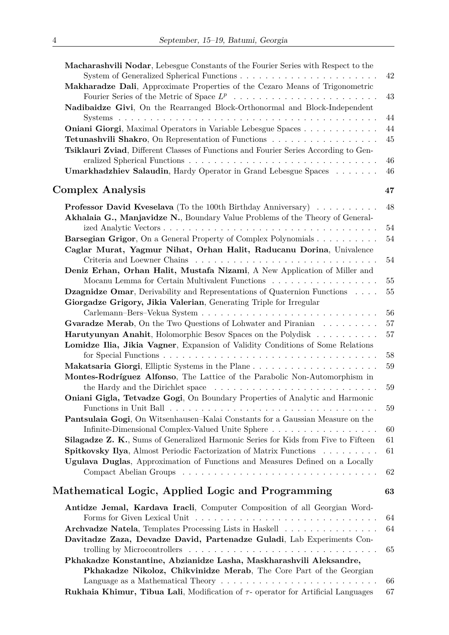| Macharashvili Nodar, Lebesgue Constants of the Fourier Series with Respect to the                            | 42 |
|--------------------------------------------------------------------------------------------------------------|----|
| Makharadze Dali, Approximate Properties of the Cezaro Means of Trigonometric                                 |    |
|                                                                                                              | 43 |
| Nadibaidze Givi, On the Rearranged Block-Orthonormal and Block-Independent                                   |    |
|                                                                                                              | 44 |
| <b>Oniani Giorgi</b> , Maximal Operators in Variable Lebesgue Spaces                                         | 44 |
| <b>Tetunashvili Shakro, On Representation of Functions</b>                                                   | 45 |
| Tsiklauri Zviad, Different Classes of Functions and Fourier Series According to Gen-                         |    |
|                                                                                                              | 46 |
| <b>Umarkhadzhiev Salaudin</b> , Hardy Operator in Grand Lebesgue Spaces                                      | 46 |
| <b>Complex Analysis</b>                                                                                      | 47 |
| <b>Professor David Kveselava</b> (To the 100th Birthday Anniversary)                                         | 48 |
| Akhalaia G., Manjavidze N., Boundary Value Problems of the Theory of General-                                |    |
|                                                                                                              | 54 |
| <b>Barsegian Grigor</b> , On a General Property of Complex Polynomials                                       | 54 |
| Caglar Murat, Yagmur Nihat, Orhan Halit, Raducanu Dorina, Univalence                                         |    |
|                                                                                                              | 54 |
| Deniz Erhan, Orhan Halit, Mustafa Nizami, A New Application of Miller and                                    |    |
| Mocanu Lemma for Certain Multivalent Functions                                                               | 55 |
| Dzagnidze Omar, Derivability and Representations of Quaternion Functions                                     | 55 |
| Giorgadze Grigory, Jikia Valerian, Generating Triple for Irregular                                           |    |
|                                                                                                              | 56 |
| Gvaradze Merab, On the Two Questions of Lohwater and Piranian                                                | 57 |
| <b>Harutyunyan Anahit</b> , Holomorphic Besov Spaces on the Polydisk                                         | 57 |
| Lomidze Ilia, Jikia Vagner, Expansion of Validity Conditions of Some Relations                               |    |
|                                                                                                              | 58 |
|                                                                                                              | 59 |
| Montes-Rodríguez Alfonso, The Lattice of the Parabolic Non-Automorphism in                                   |    |
| the Hardy and the Dirichlet space                                                                            | 59 |
| <b>Oniani Gigla, Tetvadze Gogi, On Boundary Properties of Analytic and Harmonic</b>                          |    |
|                                                                                                              | 59 |
| Pantsulaia Gogi, On Witsenhausen-Kalai Constants for a Gaussian Measure on the                               |    |
| Infinite-Dimensional Complex-Valued Unite Sphere                                                             | 60 |
| Silagadze Z. K., Sums of Generalized Harmonic Series for Kids from Five to Fifteen                           | 61 |
| <b>Spitkovsky Ilya, Almost Periodic Factorization of Matrix Functions </b>                                   | 61 |
| <b>Ugulava Duglas, Approximation of Functions and Measures Defined on a Locally</b>                          |    |
|                                                                                                              | 62 |
| Mathematical Logic, Applied Logic and Programming                                                            | 63 |
| Antidze Jemal, Kardava Iracli, Computer Composition of all Georgian Word-                                    |    |
|                                                                                                              | 64 |
| Archvadze Natela, Templates Processing Lists in Haskell                                                      | 64 |
| Davitadze Zaza, Devadze David, Partenadze Guladi, Lab Experiments Con-                                       |    |
| trolling by Microcontrollers $\dots \dots \dots \dots \dots \dots \dots \dots \dots \dots \dots \dots \dots$ | 65 |
| Pkhakadze Konstantine, Abzianidze Lasha, Maskharashvili Aleksandre,                                          |    |
| Pkhakadze Nikoloz, Chikvinidze Merab, The Core Part of the Georgian                                          |    |
|                                                                                                              | 66 |
| Rukhaia Khimur, Tibua Lali, Modification of $\tau$ - operator for Artificial Languages                       | 67 |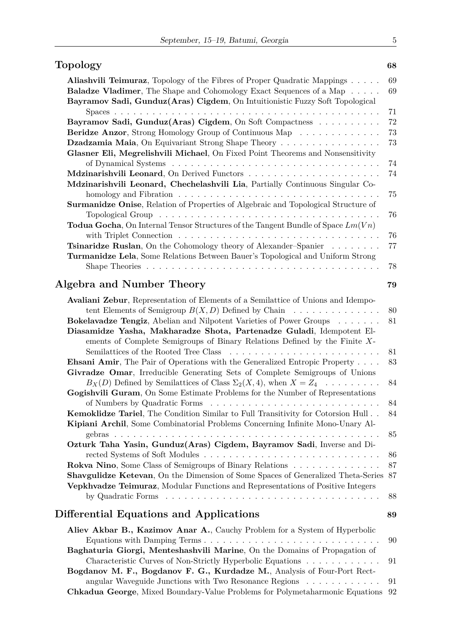| 68 |
|----|
|    |

| <b>Aliashvili Teimuraz</b> , Topology of the Fibres of Proper Quadratic Mappings                        | 69 |
|---------------------------------------------------------------------------------------------------------|----|
| <b>Baladze Vladimer</b> , The Shape and Cohomology Exact Sequences of a Map                             | 69 |
| Bayramov Sadi, Gunduz (Aras) Cigdem, On Intuitionistic Fuzzy Soft Topological                           |    |
|                                                                                                         | 71 |
| Bayramov Sadi, Gunduz(Aras) Cigdem, On Soft Compactness                                                 | 72 |
| Beridze Anzor, Strong Homology Group of Continuous Map                                                  | 73 |
| <b>Dzadzamia Maia</b> , On Equivariant Strong Shape Theory                                              | 73 |
| Glasner Eli, Megrelishvili Michael, On Fixed Point Theorems and Nonsensitivity                          |    |
|                                                                                                         | 74 |
|                                                                                                         | 74 |
| Mdzinarishvili Leonard, Chechelashvili Lia, Partially Continuous Singular Co-                           |    |
|                                                                                                         | 75 |
| <b>Surmanidze Onise, Relation of Properties of Algebraic and Topological Structure of</b>               |    |
| Topological Group $\dots \dots \dots \dots \dots \dots \dots \dots \dots \dots \dots \dots \dots \dots$ | 76 |
| <b>Todua Gocha</b> , On Internal Tensor Structures of the Tangent Bundle of Space $Lm(Vn)$              |    |
|                                                                                                         | 76 |
| <b>Tsinaridze Ruslan</b> , On the Cohomology theory of Alexander–Spanier                                | 77 |
| <b>Turmanidze Lela, Some Relations Between Bauer's Topological and Uniform Strong</b>                   |    |
|                                                                                                         | 78 |
| Algebra and Number Theory                                                                               | 79 |

| Avaliani Zebur, Representation of Elements of a Semilattice of Unions and Idempo-                        |    |
|----------------------------------------------------------------------------------------------------------|----|
| tent Elements of Semigroup $B(X, D)$ Defined by Chain                                                    | 80 |
| <b>Bokelavadze Tengiz,</b> Abelian and Nilpotent Varieties of Power Groups                               | 81 |
| Diasamidze Yasha, Makharadze Shota, Partenadze Guladi, Idempotent El-                                    |    |
| ements of Complete Semigroups of Binary Relations Defined by the Finite X-                               |    |
|                                                                                                          | 81 |
| <b>Ehsani Amir</b> , The Pair of Operations with the Generalized Entropic Property                       | 83 |
| Givradze Omar, Irreducible Generating Sets of Complete Semigroups of Unions                              |    |
| $B_X(D)$ Defined by Semilattices of Class $\Sigma_2(X, 4)$ , when $X = Z_4$                              | 84 |
| Gogishvili Guram, On Some Estimate Problems for the Number of Representations                            |    |
|                                                                                                          | 84 |
| Kemoklidze Tariel, The Condition Similar to Full Transitivity for Cotorsion Hull                         | 84 |
| Kipiani Archil, Some Combinatorial Problems Concerning Infinite Mono-Unary Al-                           |    |
|                                                                                                          | 85 |
| Ozturk Taha Yasin, Gunduz(Aras) Cigdem, Bayramov Sadi, Inverse and Di-                                   |    |
|                                                                                                          | 86 |
| <b>Rokva Nino</b> , Some Class of Semigroups of Binary Relations                                         | 87 |
| Shavgulidze Ketevan, On the Dimension of Some Spaces of Generalized Theta-Series 87                      |    |
| Vepkhvadze Teimuraz, Modular Functions and Representations of Positive Integers                          |    |
| by Quadratic Forms $\dots \dots \dots \dots \dots \dots \dots \dots \dots \dots \dots \dots \dots \dots$ | 88 |
| Differential Equations and Applications                                                                  | 89 |
| Aliev Akbar B., Kazimov Anar A., Cauchy Problem for a System of Hyperbolic                               |    |
|                                                                                                          | 90 |
| Baghaturia Giorgi, Menteshashvili Marine, On the Domains of Propagation of                               |    |
| Characteristic Curves of Non-Strictly Hyperbolic Equations                                               | 91 |

**Bogdanov M. F., Bogdanov F. G., Kurdadze M.**, Analysis of Four-Port Rectangular Waveguide Junctions with Two Resonance Regions  $\dots \dots \dots \dots$  91 **Chkadua George**, Mixed Boundary-Value Problems for Polymetaharmonic Equations 92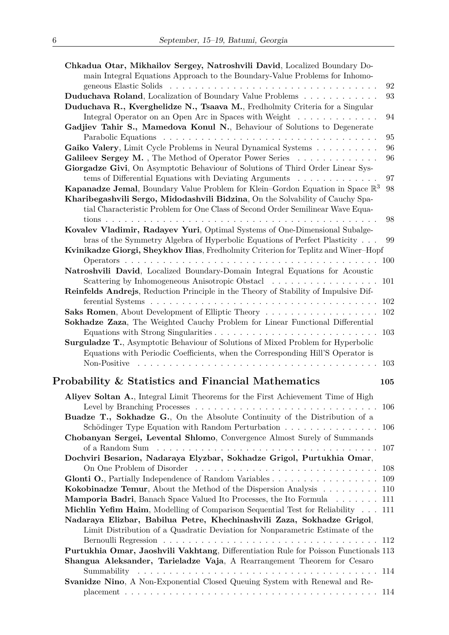| Chkadua Otar, Mikhailov Sergey, Natroshvili David, Localized Boundary Do-<br>main Integral Equations Approach to the Boundary-Value Problems for Inhomo-          |     |
|-------------------------------------------------------------------------------------------------------------------------------------------------------------------|-----|
|                                                                                                                                                                   | 92  |
| Duduchava Roland, Localization of Boundary Value Problems                                                                                                         | 93  |
| Duduchava R., Kverghelidze N., Tsaava M., Fredholmity Criteria for a Singular                                                                                     |     |
| Integral Operator on an Open Arc in Spaces with Weight                                                                                                            | 94  |
| Gadjiev Tahir S., Mamedova Konul N., Behaviour of Solutions to Degenerate                                                                                         |     |
|                                                                                                                                                                   | 95  |
| Gaiko Valery, Limit Cycle Problems in Neural Dynamical Systems                                                                                                    | 96  |
|                                                                                                                                                                   | 96  |
| Galileev Sergey M., The Method of Operator Power Series                                                                                                           |     |
| Giorgadze Givi, On Asymptotic Behaviour of Solutions of Third Order Linear Sys-                                                                                   | 97  |
| tems of Differential Equations with Deviating Arguments                                                                                                           |     |
| <b>Kapanadze Jemal</b> , Boundary Value Problem for Klein–Gordon Equation in Space $\mathbb{R}^3$                                                                 | 98  |
| Kharibegashvili Sergo, Midodashvili Bidzina, On the Solvability of Cauchy Spa-<br>tial Characteristic Problem for One Class of Second Order Semilinear Wave Equa- |     |
|                                                                                                                                                                   | 98  |
| Kovalev Vladimir, Radayev Yuri, Optimal Systems of One-Dimensional Subalge-                                                                                       |     |
| bras of the Symmetry Algebra of Hyperbolic Equations of Perfect Plasticity                                                                                        | 99  |
| Kvinikadze Giorgi, Sheykhov Ilias, Fredholmity Criterion for Teplitz and Winer-Hopf                                                                               |     |
|                                                                                                                                                                   | 100 |
| Natroshvili David, Localized Boundary-Domain Integral Equations for Acoustic                                                                                      |     |
| Scattering by Inhomogeneous Anisotropic Obstacl                                                                                                                   | 101 |
| Reinfelds Andrejs, Reduction Principle in the Theory of Stability of Impulsive Dif-                                                                               |     |
|                                                                                                                                                                   | 102 |
| <b>Saks Romen, About Development of Elliptic Theory</b> 102                                                                                                       |     |
| Sokhadze Zaza, The Weighted Cauchy Problem for Linear Functional Differential                                                                                     |     |
|                                                                                                                                                                   | 103 |
| <b>Surguladze T., Asymptotic Behaviour of Solutions of Mixed Problem for Hyperbolic</b>                                                                           |     |
| Equations with Periodic Coefficients, when the Corresponding Hill'S Operator is                                                                                   |     |
| Non-Positive                                                                                                                                                      | 103 |
| Probability & Statistics and Financial Mathematics                                                                                                                | 105 |
| Aliyev Soltan A., Integral Limit Theorems for the First Achievement Time of High                                                                                  |     |
|                                                                                                                                                                   |     |
| Buadze T., Sokhadze G., On the Absolute Continuity of the Distribution of a                                                                                       |     |
| Schödinger Type Equation with Random Perturbation                                                                                                                 | 106 |
| Chobanyan Sergei, Levental Shlomo, Convergence Almost Surely of Summands                                                                                          |     |
|                                                                                                                                                                   | 107 |
| Dochviri Besarion, Nadaraya Elyzbar, Sokhadze Grigol, Purtukhia Omar,                                                                                             |     |
| On One Problem of Disorder                                                                                                                                        | 108 |
| Glonti O., Partially Independence of Random Variables 109                                                                                                         |     |
| <b>Kokobinadze Temur</b> , About the Method of the Dispersion Analysis 110                                                                                        |     |
| <b>Mamporia Badri</b> , Banach Space Valued Ito Processes, the Ito Formula 111                                                                                    |     |
| Michlin Yefim Haim, Modelling of Comparison Sequential Test for Reliability 111                                                                                   |     |
| Nadaraya Elizbar, Babilua Petre, Khechinashvili Zaza, Sokhadze Grigol,                                                                                            |     |
| Limit Distribution of a Quadratic Deviation for Nonparametric Estimate of the                                                                                     |     |
|                                                                                                                                                                   |     |
| Purtukhia Omar, Jaoshvili Vakhtang, Differentiation Rule for Poisson Functionals 113                                                                              | 112 |
| Shangua Aleksander, Tarieladze Vaja, A Rearrangement Theorem for Cesaro                                                                                           |     |
|                                                                                                                                                                   |     |
|                                                                                                                                                                   |     |
|                                                                                                                                                                   | 114 |
| Svanidze Nino, A Non-Exponential Closed Queuing System with Renewal and Re-                                                                                       |     |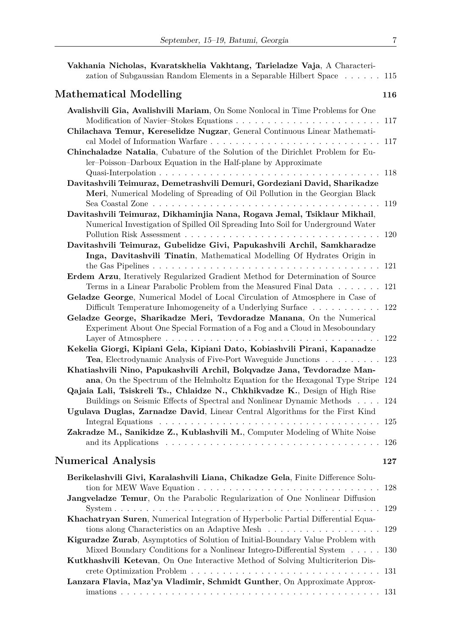| Vakhania Nicholas, Kvaratskhelia Vakhtang, Tarieladze Vaja, A Characteri-<br>zation of Subgaussian Random Elements in a Separable Hilbert Space 115                                                                                                        |     |
|------------------------------------------------------------------------------------------------------------------------------------------------------------------------------------------------------------------------------------------------------------|-----|
| Mathematical Modelling                                                                                                                                                                                                                                     | 116 |
| Avalishvili Gia, Avalishvili Mariam, On Some Nonlocal in Time Problems for One                                                                                                                                                                             | 117 |
| Chilachava Temur, Kereselidze Nugzar, General Continuous Linear Mathemati-                                                                                                                                                                                 |     |
| Chinchaladze Natalia, Cubature of the Solution of the Dirichlet Problem for Eu-<br>ler-Poisson-Darboux Equation in the Half-plane by Approximate                                                                                                           |     |
| Davitashvili Teimuraz, Demetrashvili Demuri, Gordeziani David, Sharikadze<br>Meri, Numerical Modeling of Spreading of Oil Pollution in the Georgian Black                                                                                                  |     |
| Davitashvili Teimuraz, Dikhaminjia Nana, Rogava Jemal, Tsiklaur Mikhail,<br>Numerical Investigation of Spilled Oil Spreading Into Soil for Underground Water                                                                                               |     |
| Davitashvili Teimuraz, Gubelidze Givi, Papukashvili Archil, Samkharadze<br>Inga, Davitashvili Tinatin, Mathematical Modelling Of Hydrates Origin in                                                                                                        |     |
| Erdem Arzu, Iteratively Regularized Gradient Method for Determination of Source                                                                                                                                                                            | 121 |
| Terms in a Linear Parabolic Problem from the Measured Final Data 121<br>Geladze George, Numerical Model of Local Circulation of Atmosphere in Case of                                                                                                      |     |
| Difficult Temperature Inhomogeneity of a Underlying Surface 122<br>Geladze George, Sharikadze Meri, Tevdoradze Manana, On the Numerical                                                                                                                    |     |
| Experiment About One Special Formation of a Fog and a Cloud in Mesoboundary                                                                                                                                                                                | 122 |
| Kekelia Giorgi, Kipiani Gela, Kipiani Dato, Kobiashvili Pirani, Kapanadze<br><b>Tea</b> , Electrodynamic Analysis of Five-Port Waveguide Junctions 123                                                                                                     |     |
| Khatiashvili Nino, Papukashvili Archil, Bolqvadze Jana, Tevdoradze Man-<br>ana, On the Spectrum of the Helmholtz Equation for the Hexagonal Type Stripe 124<br>Qajaia Lali, Tsiskreli Ts., Chlaidze N., Chkhikvadze K., Design of High Rise                |     |
| Buildings on Seismic Effects of Spectral and Nonlinear Dynamic Methods 124<br>Ugulava Duglas, Zarnadze David, Linear Central Algorithms for the First Kind                                                                                                 |     |
|                                                                                                                                                                                                                                                            | 125 |
| Zakradze M., Sanikidze Z., Kublashvili M., Computer Modeling of White Noise                                                                                                                                                                                | 126 |
| <b>Numerical Analysis</b>                                                                                                                                                                                                                                  | 127 |
| Berikelashvili Givi, Karalashvili Liana, Chikadze Gela, Finite Difference Solu-                                                                                                                                                                            | 128 |
| Jangveladze Temur, On the Parabolic Regularization of One Nonlinear Diffusion                                                                                                                                                                              | 129 |
| Khachatryan Suren, Numerical Integration of Hyperbolic Partial Differential Equa-                                                                                                                                                                          | 129 |
| Kiguradze Zurab, Asymptotics of Solution of Initial-Boundary Value Problem with<br>Mixed Boundary Conditions for a Nonlinear Integro-Differential System $\ldots \ldots$<br>Kutkhashvili Ketevan, On One Interactive Method of Solving Multicriterion Dis- | 130 |
|                                                                                                                                                                                                                                                            |     |

| Lanzara Flavia, Maz'ya Vladimir, Schmidt Gunther, On Approximate Approx- |  |
|--------------------------------------------------------------------------|--|
|                                                                          |  |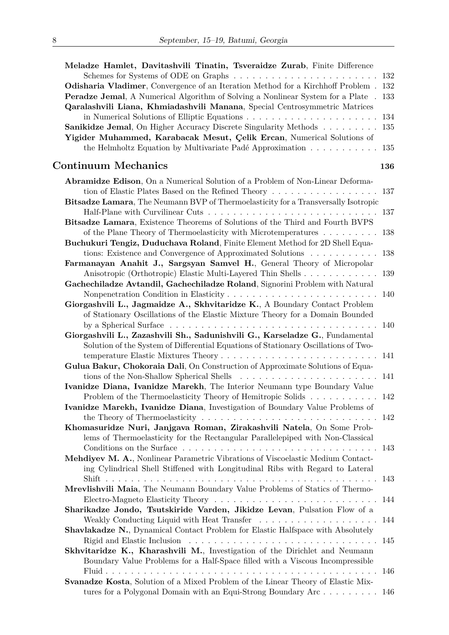| Meladze Hamlet, Davitashvili Tinatin, Tsveraidze Zurab, Finite Difference                                                                                                              |      |
|----------------------------------------------------------------------------------------------------------------------------------------------------------------------------------------|------|
| Schemes for Systems of ODE on Graphs $\dots \dots \dots \dots \dots \dots \dots \dots \dots$                                                                                           | 132  |
| <b>Odisharia Vladimer</b> , Convergence of an Iteration Method for a Kirchhoff Problem . 132<br><b>Peradze Jemal, A</b> Numerical Algorithm of Solving a Nonlinear System for a Plate. | 133  |
| Qaralashvili Liana, Khmiadashvili Manana, Special Centrosymmetric Matrices                                                                                                             |      |
|                                                                                                                                                                                        |      |
| <b>Sanikidze Jemal, On Higher Accuracy Discrete Singularity Methods </b>                                                                                                               | 135  |
| Yigider Muhammed, Karabacak Mesut, Çelik Ercan, Numerical Solutions of<br>the Helmholtz Equation by Multivariate Padé Approximation                                                    | 135  |
| <b>Continuum Mechanics</b>                                                                                                                                                             | 136  |
| <b>Abramidze Edison</b> , On a Numerical Solution of a Problem of Non-Linear Deforma-                                                                                                  |      |
|                                                                                                                                                                                        |      |
| Bitsadze Lamara, The Neumann BVP of Thermoelasticity for a Transversally Isotropic                                                                                                     | 137  |
| Bitsadze Lamara, Existence Theorems of Solutions of the Third and Fourth BVPS<br>of the Plane Theory of Thermoelasticity with Microtemperatures $\dots \dots \dots$                    | 138  |
| Buchukuri Tengiz, Duduchava Roland, Finite Element Method for 2D Shell Equa-                                                                                                           |      |
| tions: Existence and Convergence of Approximated Solutions 138                                                                                                                         |      |
| Farmanayan Anahit J., Sargsyan Samvel H., General Theory of Micropolar                                                                                                                 |      |
| Anisotropic (Orthotropic) Elastic Multi-Layered Thin Shells                                                                                                                            | 139  |
| Gachechiladze Avtandil, Gachechiladze Roland, Signorini Problem with Natural                                                                                                           |      |
| Nonpenetration Condition in Elasticity $\dots \dots \dots \dots \dots \dots \dots \dots \dots$                                                                                         | 140  |
| Giorgashvili L., Jagmaidze A., Skhvitaridze K., A Boundary Contact Problem                                                                                                             |      |
| of Stationary Oscillations of the Elastic Mixture Theory for a Domain Bounded                                                                                                          |      |
| by a Spherical Surface $\ldots \ldots \ldots \ldots \ldots \ldots \ldots \ldots \ldots \ldots \ldots 140$                                                                              |      |
| Giorgashvili L., Zazashvili Sh., Sadunishvili G., Karseladze G., Fundamental<br>Solution of the System of Differential Equations of Stationary Oscillations of Two-                    |      |
| Gulua Bakur, Chokoraia Dali, On Construction of Approximate Solutions of Equa-                                                                                                         | 141  |
|                                                                                                                                                                                        |      |
| Ivanidze Diana, Ivanidze Marekh, The Interior Neumann type Boundary Value<br>Problem of the Thermoelasticity Theory of Hemitropic Solids 142                                           |      |
| Ivanidze Marekh, Ivanidze Diana, Investigation of Boundary Value Problems of                                                                                                           |      |
|                                                                                                                                                                                        | -142 |
| Khomasuridze Nuri, Janjgava Roman, Zirakashvili Natela, On Some Prob-<br>lems of Thermoelasticity for the Rectangular Parallelepiped with Non-Classical                                |      |
|                                                                                                                                                                                        |      |
| Mehdiyev M. A., Nonlinear Parametric Vibrations of Viscoelastic Medium Contact-<br>ing Cylindrical Shell Stiffened with Longitudinal Ribs with Regard to Lateral                       |      |
|                                                                                                                                                                                        | 143  |
| Mrevlishvili Maia, The Neumann Boundary Value Problems of Statics of Thermo-<br>Electro-Magneto Elasticity Theory                                                                      | 144  |
| Sharikadze Jondo, Tsutskiride Varden, Jikidze Levan, Pulsation Flow of a                                                                                                               |      |
|                                                                                                                                                                                        | 144  |
| <b>Shavlakadze N., Dynamical Contact Problem for Elastic Halfspace with Absolutely</b>                                                                                                 |      |
|                                                                                                                                                                                        | 145  |
| Skhvitaridze K., Kharashvili M., Investigation of the Dirichlet and Neumann                                                                                                            |      |
| Boundary Value Problems for a Half-Space filled with a Viscous Incompressible                                                                                                          | 146  |
| Svanadze Kosta, Solution of a Mixed Problem of the Linear Theory of Elastic Mix-                                                                                                       |      |
| tures for a Polygonal Domain with an Equi-Strong Boundary Arc 146                                                                                                                      |      |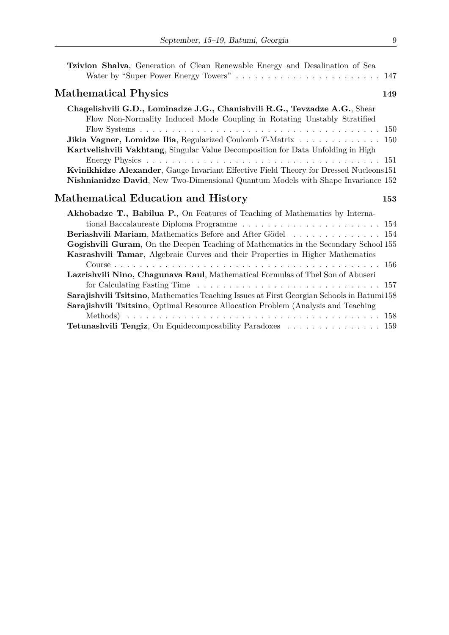| Tzivion Shalva, Generation of Clean Renewable Energy and Desalination of Sea                                                                                                   |     |
|--------------------------------------------------------------------------------------------------------------------------------------------------------------------------------|-----|
| Mathematical Physics                                                                                                                                                           | 149 |
| Chagelishvili G.D., Lominadze J.G., Chanishvili R.G., Tevzadze A.G., Shear<br>Flow Non-Normality Induced Mode Coupling in Rotating Unstably Stratified                         |     |
|                                                                                                                                                                                |     |
| <b>Jikia Vagner, Lomidze Ilia, Regularized Coulomb T-Matrix</b> 150<br>Kartvelishvili Vakhtang, Singular Value Decomposition for Data Unfolding in High                        |     |
|                                                                                                                                                                                |     |
| Kvinikhidze Alexander, Gauge Invariant Effective Field Theory for Dressed Nucleons151                                                                                          |     |
| Nishnianidze David, New Two-Dimensional Quantum Models with Shape Invariance 152                                                                                               |     |
| Mathematical Education and History                                                                                                                                             | 153 |
| <b>Akhobadze T., Babilua P.</b> , On Features of Teaching of Mathematics by Interna-                                                                                           |     |
|                                                                                                                                                                                |     |
| Beriashvili Mariam, Mathematics Before and After Gödel 154                                                                                                                     |     |
| Gogishvili Guram, On the Deepen Teaching of Mathematics in the Secondary School 155<br>Kasrashvili Tamar, Algebraic Curves and their Properties in Higher Mathematics          |     |
|                                                                                                                                                                                |     |
| Lazrishvili Nino, Chagunava Raul, Mathematical Formulas of Tbel Son of Abuseri                                                                                                 |     |
| Sarajishvili Tsitsino, Mathematics Teaching Issues at First Georgian Schools in Batumi158<br>Sarajishvili Tsitsino, Optimal Resource Allocation Problem (Analysis and Teaching |     |
|                                                                                                                                                                                |     |
| Tetunashvili Tengiz, On Equidecomposability Paradoxes 159                                                                                                                      |     |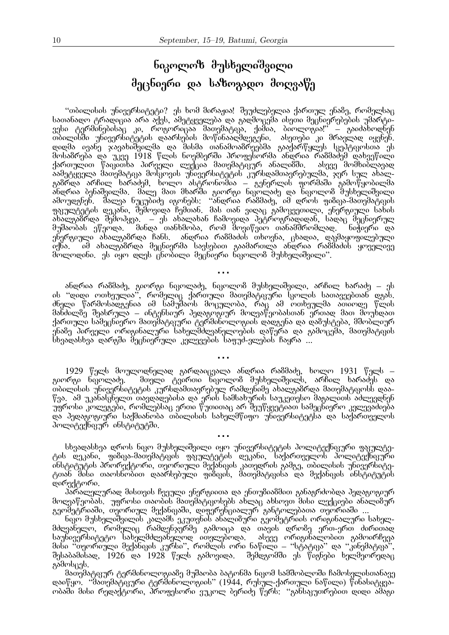## $6$ ცილოზ მუსხელიშვილი შეცნიერი და საზოგადო მოღვაწე

"თბილისის უნივერსიტეტი? ეს ხომ მირაჟია! შეუძლებელია ქართულ ენაზე, რომელსაც <u>სათანადო ტრადიცია არა აქვს, ამეტყველე</u>ბა და გადმოცემა ისეთი მეცნიერებების უმარტი- $\frac{1}{32}$ სი ტერმინებისაც კი, როგორიცაა მათემატიკა, ქიმია, ბიოლოგია!" – გაიძახოდნენ უე⊷ სელიაატირაანე ერ, როგრირეაა ააატიატიკ, ერარა, არობერები.<br>თბილისში უნივერსიტეტის დაარსების მოწინააღმღეგენი, ასეთები კი მრავლად იყვნენ. დიდმა ივანე ჯავახიშვილმა და მისმა თანამოა8რეებმა გააქარწყლეს სკეპტიკოსთა ეს მოსამრება და უკვე 1918 წლის ნოემბერში პროფესორმა ანდრია რამმაძემ დახვეწილი ქართულით წაიკითხა პირველი ლექცია მათემატიკურ ანალიშში, ასევე მომხიბლავად აამეტყველა მათემატიკა მოსკოვის უნივერსიტეტის კურსდამთავრებულმა, ჯერ სულ ახალგამრდა არჩილ ხარაძემ, ხოლო ასტრონომია – გენერლის ფორმაში გამოწყობილმა ანდრია ბენაშვილმა. მალე მათ მხარში გიორგი ნიკოლაძე და ნიკოლომ მუსხელიშვილი ამოუდგნენ. შალვა ნუცუბიძე იგონებს: ''ანდრია რაზმაძე, იმ დროს ფიზიკა-მათემატიკის www.achorumande.com<br>1987 metalého kajakan di dipendentan di Kabisan di Sangahan di Kabisang Kabatang Kabatan di Kabatan di Kabata ახალგამრდა შემოჰყვა. – ეს ახალახან ჩამოვიდა პეტროგრადიდან, სადაც მეცნიერულ მუშაობას ეწეოდა, მინდა თანხმობა, რომ მოვიწვიო თანამშრომლად, ნიჭიერი და ენერგიული ახალგამრდა ჩანს. ანდრია რამმაძის თხოვნა, ცხადია, დაკმაყოფილებული იქნა, იმ ახალგამრდა მეცნიერმა სავსებით გაამართლა ანდრია რამმაძის ყოველივე მოლოდინი. ეს იყო დღეს ცნობილი მეცნიერი ნიკოლომ მუსხელიშვილი".

ანდრია რამმაძე, გიორგი ნიკოლაძე, ნიკოლომ მუსხელიშვილი, არჩილ ხარაძე – ეს ის ''დიდი ოთხეულია'', რომელიც ქართული მათემატიკური სკოლის სათავეებთან დგას. ძნელი წარმოსადგენია იმ სამუშაოს მოცულობა, რაც ამ ოთხეულმა ათიოდე წლის მანძილმე შეასრულა – ინტენსიურ პეღაგოგიურ მოღვაწეობასთან ერთად მათ მოუხდათ ქართული სამეცნიერო მათემატიკური ტერმინოლოგიის დადგენა და დამუსტება, მშობლიურ უნამე პირველი ორიგინალური სახელმძღვანელოების დაწერა და გამოცემა, მათემატიკის <u>Ŭხვადასხვა დარგში შეცნიერული კვლევე</u>ბის საფუძ-ვლების ჩაყრა ...

. . .

<u>1929 წელს მოულოდნელად</u> გარდაიცვალა ანდრია რამმაძე, ხოლო 1931 წელს – გიორგი ნიკოლაძე. მთელი ტვირთი ნიკოლომ მუსხელიშვილს, არჩილ ხარაძეს და <u>ობილისის უნივერსიტეტის კურსდამთავრებულ რამდენიმე ახალგამრდა მათემატიკოსს დაა-</u> წვა. ამ უკანასენელთ თავდადებისა და ერის სამსახურის საუკეთესო მაგალითს აძლევდნენ უფროსი კოლეგები, რომლებსაც ერთი წუთითაც არ შეუწყვეტიათ სამეცნიერო კვლევაძიება ÃÀ ÐÄÃÀÂÏÂÉÖÒÉ ÓÀØÌÉÀÍÏÁÀ ÈÁÉËÉÓÉÓ ÓÀáÄËÌßÉ×Ï ÖÍÉÅÄÒÓÉÔÄÔÓÀ ÃÀ ÓÀØÀÒÈÅÄËÏÓ პოლიტექნიურ ინსტიტუტში.

. . .

სხვადასხვა დროს ნიკო მუსხელიშვილი იყო უნივერსიტეტის პოლიტექნიკური ფაკუ<u>ლტე</u>ტის დეკანი, ფიმიკა-მათემატიკის ფაკულტეტის დეკანი, საქართველოს პოლიტექნიკური ÉÍÓÔÉÔÖÔÉÓ ÐÒÏÒÄØÔÏÒÉ, ÈÄÏÒÉÖËÉ ÌÄØÀÍÉÊÉÓ ÊÀÈÄÃÒÉÓ ÂÀÌÂÄ, ÈÁÉËÉÓÉÓ ÖÍÉÅÄÒÓÉÔÄტთან შისი თაოსნობით დაარსებული ფიზიკის, მათემატიკისა და მექანიკის ინსტიტუტის დირექტორი.

. . .

პარალელურად მისთვის ჩვეული ენერგიითა და ენთუმიამმით განაგრძობდა პედაგოგიურ მოღვაწეობას უფროსი თაობის მათემატიკოსებს ახლაც ახსოვთ მისი ლექციები ანალიმურ გეომეტრიაში, თეორიულ მექანიკაში, დიფერენციალურ განტოლებათა თეორიაში ...

ნიკო მუსხელიშვილის კალამს ეკუთვნის ანალი8ური გეომეტრიის ორიგინალური სახელმძღვანელო, რომელიც რამღენჯერმე გამოიცა და თავის დრომე ერთ-ერთ ძირითად საუნივერსიტეტო სახელმძღვანელოდ ითვლებოდა. ასევე ორიგინალობით გამოირჩევა მისი "თეორიული მექანიკის კურსი", რომლის ორი ნაწილი – "სტატიკა" და "კინემატიკა", შესაბამისად, 1926 და 1928 წელს გამოვიდა. შემდგომში ეს წიგნები ხელმეორედაც  $a$ ამოსცეს.

მათუმატიკურ ტერმინოლოგიამე მუშაობა ბატონმა ნიკომ სამშობლოში ჩამოსვლისთანავე დაიწყო. "მათემატიური ტერმინოლოგიის" (1944, რუსულ-ქართული ნაწილი) წინასიტყვა- $\alpha$ ბაში მისი რედაქტორი, პროფესორი ვუკოლ ბერიძე წერს: "განსაკუთრებით დიდი ამაგი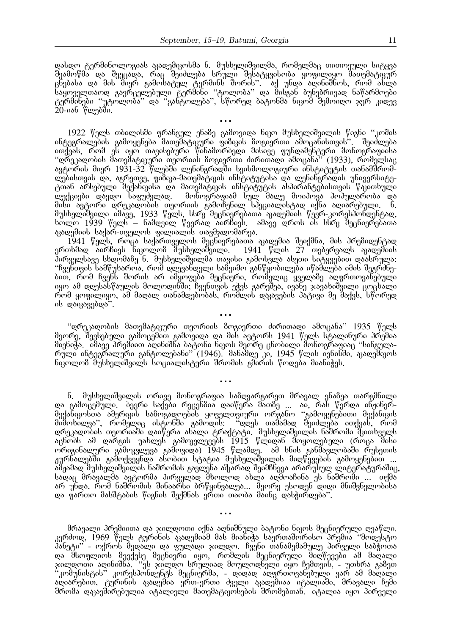დასდო ტერმინოლოგიას აკადემიკოსმა ნ. მუსხელიშვილმა, რომელმაც თითოეული სიტყვა შეამოწმა და შეეცადა, რაც შეიძლება სრული შესატყვისობა ყოფილიყო შათემატიკურ ცნებასა და მის მიერ გამოხატულ ტერმინს შორის''. აქ უნდა აღინიშნოს, რომ ახლა საყოველთაოდ გავრცელებული ტერმინი ''ტოლობა'' და მისგან ბუნებრივად ნაწარმოები ტერმინები "უტოლობა" და "განტოლება", სწორედ ბატონმა ნიკომ შემოიღო ჯერ კიდევ  $\widetilde{20}$ -იან წლებში.

. . .

 $1922$  წელს თბილისში ფრანგულ ენაზე გამოვიდა ნიკო მუსხელიშვილის წიგნი "კოშის ინტეგრალების გამოყენება მათემატიკური ფიმიკის ბოგიერთი ამოცანისთვის". შეიძლება <u>ითქვ</u>ას, რომ ეს იყო თავისებური წინამორბედი მისივე ფუნდამენტური მონოგრაფიისა  $\cdot$ დრეკადობის მათემატიკური თეორიის მოგიერთი ძირითადი ამოცანა $\cdot$  (1933), რომელსაც ავტორის მიერ 1931-32 წლებში ლენინგრადში სეისმოლოგიური ინსტიტუტის თანამშრომ-ోచ్ఛంსთვის და, აგრეთვე, ფიშიკა-მათემატიკის ინსტიტუტისა და ლენინგრადის უნივერსიტეტთან არსებული მექანიეისა და მათემატიკის ინსტიტუტის ასპირანტებისთვის წაკითხული<br>ლექციები დაედო საფუძვლად. მონოგრაფიამ სულ მალე მოიპოვა პოპულარობა და ী მონოგრაფიამ სულ მალე მოიპოვა პოპულარობა და www dood in the composition of the control of the control of the server of the server of the server of the following the following the following the following the following the following the following the following the fol მუსხელიშვილი იმავე, 1933 წელს, სსრკ მეცნიერებათა აკაღემიის წევრ-კორესპონდენტად, ხოლო 1939 წელს – ნამდვილ წევრად აირჩიეს. ამავე დროს ის სსრკ მეცნიერებათა აკადემიის საქარ-თველოს ფილიალის თავმჯდომარეა.

1941 წელს, როცა საქართველოს მეცნიერებათა აკადემია შეიქმნა, მის პრებიდენტად ერთხმად აირჩიეს ნიკოლომ მუსხელიშვილი. 1941 წლის 27 თებერვალს აკადემიის პირველსავე სხდომამე ნ. მუსხელიშვილმა თავისი გამოსვლა ასეთი სიტყვებით დაასრულა: "ჩვენთვის სამწუხაროა, რომ დღევანდელი სამეიმო განწყობილება იწამლება იმის შეგრძნებით, რომ ჩვენს შორის არ იმყოფება მეცნიერი, რომელიც ყველაზე აღფრთოვანებული  $\,$ იყო ამ დღესასწაულის მოლოდინში; ჩვენთვის ეჭვს გარეშეა, ივანე ჯავახიშვილი ცოცხალი  $\tilde{\bf g}$ რომ ყოფილიყო, ამ მაღალ თანამღებობას, რომლის დაკავების პატივი მე შაქვს, სწორედ ob coonogoco".

"დრეკადობის მათემატიკური თეორიის მოგიერთი ძირითადი ამოცანა" 1935 წელს  $\partial$ ეორე, შევსებული გამოცემით გამოვიდა და მის ავტორს 1941 წელს სტალინური პრემია <u>მიენიჭა, იშავე პრემიით ა</u>ღინიშნა ბატონი ნიკოს მეორე ცნობილი შონოგრაფიაც "სინგულარული ინტეგრალური განტოლებანი'' (1946). მანამღე კი, 1945 წლის ივნისში, აკაღემიკოს <u>ნიკოლომ შუსხელიშვილს სოციალისტური შრომის გმირის წოდება მიანიჭეს.</u>

. . .

. . .

 $6$ . მუსხელიშვილის ორივე მონოგრაფია სამღვარგარეთ მრავალ ენამეა თარგმნილი და გამოცემული, ბევრი საქები რეცენ8ია დაიწერა მათ8ე ... აი, რას წერდა ინჟინერმექანიკოსთა ამერიკის სამოგადოების ყოველთვიური ორგანო "გამოყენებითი მექანიკის მიმოხილვა'', რომელიც ისტონში გამოდის: ''დღეს თამამად შეიძლება ითქვას, რომ დრეკადობის თეორიაში დაიწერა ახალი ტრაქტატი. მუსხელიშვილის ნაშრომი მკითხველს აცნობს ამ დარგის უახლეს გამოკვლევებს 1915 წლიდან მოყოლებული (როცა მისი ორიგინალური გამოკვლევა გამოვიდა) 1945 წლამდე. ამ ხნის განმავლობაში რუსეთის  $\eta$ ერნალებში გამოქვეყნდა ასობით სტატია მუსხელიშვილის მიღწევების გამოყენებით ... ამჟამად მუსხელიშვილის ნაშრომის გავლენა აშკარად შეიმჩნევა არარუსულ ლიტერატურაშიც, სადაც მრავალმა ავტორმა პირველად მხოლოდ ახლა აღმოაჩინა ეს ნაშრომი ... თქმა არ უნდა, რომ ნაშრომის შინაარსი ბრწყინვალეა... მეორე ესოდენ დიდი მნიშვნელობისა <u>და ფართო მასშტაბის წიგნის შექმნას ერთი თაობა მაინც დასჭირდება".</u>

მრავალი პრემიითა და ჯილღოთი იქნა აღნიშნული ბატონი ნიკოს მეცნიერული ღვაწლი. კერძოდ, 1969 წელს ტურინის აკადემიამ მას მიანიჭა საერთაშორისო პრემია ''მოდესტო პანეტი'' - ოქროს მედალი და ფულადი ჯილდო. ჩვენი თანამემამულე პირველი საბჭოთა და ၴðlեოფლიოს მეექვსე მეცნიერი იყო, რომლის შეცნიერული შიღწევები ამ მაღალი xommeno seobodbo. "ju xommen la menose der meno bino oye bidogol, - jobas asojo  $`$ კომუნისტის $`$  კორესპონდენტს მეცნიერმა, - დიდად ადფრთოვანებული ვარ ამ მაღალი  $\delta$ ဗိုလ်ကိုက်စိတ်မှာ မိုးကြိမ်မှာ သို့မိတ်မျှတို့ ၁၉ဝိကားကို ကိုက်စိတ်မျှသည် သို့သို့မို့တို့သို့ မိုက်သွားမျ შრომა დაკავშირებულია იტალიელი მათემატიკოსების შრომებთან, იტალია იყო პირველი

. . .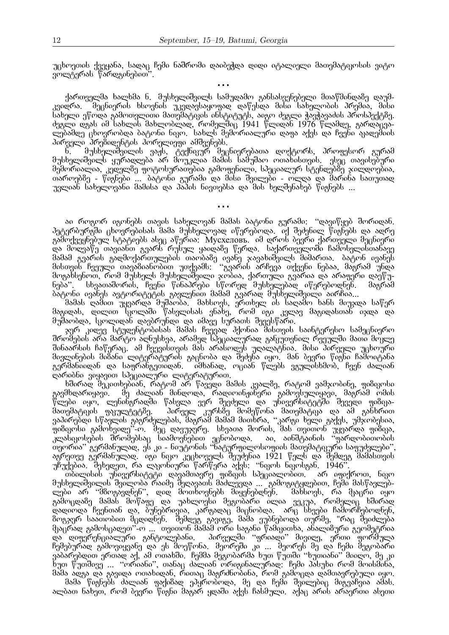უცხოეთის ქვეყანა, სადაც ჩემი ნაშრომი დაიბეჭდა დიდი იტალიელი მათემატიკოსის ვიტო ვოლტერას წარღგინებით" . . .

ქართველმა ხალხმა ნ. მუსხელიშვილს სამუდამო განსასვენებელი მთაწმინდამე დაუმკვიდრა. მეცნიერის ხსოვნის უკვდავსაყოფად დაწესდა მისი სახელობის პრემია, მისი სახელი ეწოდა გამოთვლითი მათემატიკის ინსტიტუტს, აიგო ძეგლი ჭავჭავაძის პროსპექტ8ე. ძეგლი დგას იმ სახლის მახლობლად, რომელშიც 1941 წლიდან 1976 წლამდე, გარდაცვა-ోებამდე ცხოერობდა ბატონი ნიკო. სახლს მემორიალური დაფა აქვს და ჩვენი აკადემიის domango de dia anggetako dia dia kaitanan

Í. Jubgლიშვილის ვაჟს, სუქნიკურ შეცნიერებათა დოქტორს, პროფესორ გურამ მუსხელიშვილს ყურადღება არ მოუკლია მაშის სამუშაო ოთახისთვის, ესეც თავისებური  $\partial_0$ შორიალია, კედელმე ფოტოსურათებია გამოფენილი, სპეციალურ სტენდებშე ჯილდოებია, <u>ოპროებმე - წიგნები ... ბა</u>ტონი გურამი და მისი შეილები - ოლღა და შარინა სათუთად უვლიან სახელოვანი მამისა და პაპის ნივთებსა და მის ხელშენახებ წიგნებს ...

. . .

აი როგორ იგონებს თავის სახელოვან მამას ბატონი გურამი: "დავიწყებ შორიდან. პეტერბურგში ცხოვრებისას მამა მუსხელოვად იწერებოდა. იქ შეძენილ წიგნებს და აღრე  $\delta$  ASdmaa Aborgenside Auguing Assement Alvertion is the control on the aborgence described as და მოღვაწე თავიანთ გვარს რუსულ ყაიდაზე წერდა, საქართველოში ჩამოსვლისთანავე მამამ გვარის გადმოქართულების თაობაზე ივანე ჯავახიშვილს მიმართა. ბატონ ივანეს მისთვის ჩვეული თავამიანობით უთქვამს: "გვარის არჩევა თქვენი ნებაა, მაგრამ უნდა მოგახსენოთ, რომ მუსხელს მუსხელიშვილი ჯობია, ქართული გვარია და არაფერი დაეწუ-<br>ნება'', სხვათაშორის, ჩვენი წინაპრები სწორედ მუსხელებად იწერებოდნენ, მაგრამ <u>ໄ</u>ຟຊ<sup>3</sup>onsშორის, ჩვენი წინაპრები სწორედ მუსხელებად იწერებოდნენ. ბატონი ივანეს ავტორიტეტის გავლენით მამამ გვარად მუსხელიშვილი აირჩია...

მამას ღამით უყვარდა მუშაობა, მახსოვს, ერთხელ ის საღამო ხანს მიუჯდა საწერ მაგიდას, დილით სკოლაში წასვლისას ენახე, რომ იგი კვლავ მაგიდასთან იჯდა და ÌÖÛÀÏÁÃÀ, ÓÊÏËÉÃÀÍ ÃÀÅÁÒÖÍÃÉ ÃÀ ÉÌÀÅÄ ÓÖÒÀÈÓ ÛÄÅÄÓßÀÒÉ.

ჯერ კიდევ სტუდენტობისას მამას ჩვევად ჰქონია მისთვის საინტერესო სამეცნიერო შრომების არა მარტო აღნუსხვა, არამედ სპეციალურად განკუთვნილ რვეულში მათი მოკლე შინაარსის ჩაწერაც. ამ ჩვევისთვის მას არასოდეს უღალატნია. მისი პირველი უცხოური მივლინების მიმანი ლიტერატურის გაცნობა და შეძენა იყო, მან ბევრი წიგნი ჩამოიტანა გერმანიიდან და საფრანგეთიდან. იმხანად, ოციან წლებს ეგულისხმობ, ჩვენ ძალიან ღარიბნი ვიყავით სპეციალური ლიტერატურით.

ხშირად მეკითხებიან, რატომ არ წავედი მამის კვალზე, რატომ ვამჯობინე, ფიზიკოსი გავმხდარიყავი, მე ძალიან მინდოდა, რადიოინჟინერი გამოვსულიყავი, მაგრამ ომის წლები იყო, ლენინგრადში წასვლა ვერ შევძელი და უნივერსიტეტში შევედი ფიმიკამათემატიკის ფაკულტეტზე. პირველ კურსზე მომეწონა მათემატიკა და ამ განხრით  $3$ აპირებდი სწავლის გაგრძელებას, მაგრამ მამამ მითხრა, ''კარგი ხელი გაქვს, უმჯობესია, ფიზიკოსი გამოხვიდე''-ო. მეც დავუჯერე. სხვათა შორის, მას თვითონ უყვარდა ფიზიკა,  $_3$ ლასიკოსების შრომებსაც სიამოვნებით ეცნობოდა, აი, აინშტაინის "ფარდობითობის თეორია'' გერმანულად, ეს კი - ნიუტონის ''ნატურფილოსოფიის მათემატიკური საფუძვლები'', აგრეთვე გერმანულად, იგი ნიკო კეცხოველს შეუძენია 1921 წელს და შემდეგ მამასთვის უჩუქებია, შეხედეთ, რა ლაკონიური წარწერა აქვს: "ნიკოს ნიკოსგან, 1946".

თბილისის უნივერსიტეტი დავამთავრე ფიზიკის სპეციალობით, არ იფიქროთ, ნიკო მუსხელიშვილის შვილობა რაიმე შეღავათს მაძლევდა ... გამოგიტყდებით, ჩემი მასწავლებ-<br>ლები არ ''მ8ოგავდნენ'', დიდ მოთხოვნებს მიყენებდნენ, მახსოვს, რა მკაცრი იყო ლები არ ''მზოგავდნენ'', დიდ მოთხოვნებს მიყენებდნენ. მახსოვს, რა მკაცრი იყო გამოცდაზე მამას მოწაფე და უახლოესი მეგობარი ილია ვეკუა, რომელიც ხშირად დადიოდა ჩვენთან და, ბუნებრივია, კარგადაც მიცნობდა, არც სხვები ჩამორჩებოდნენ, გოგჯერ საათობით მცდიდნენ. შემდეგ გავიგე, მამა ეუბნებოდა თურმე, "რაც შეიძლება მკაცრად გამოსცადეთ''-ო ... თვითონ მამამ ორი საგანი წამიკითხა, ანალიშური გეომეტრია და დიფერენციალური განტოლებანი. პირველში "ფრიადი" მივიღე, ერთი ფორმულა ჩემებურად გამოვიყვანე და ეს მოეწონა. მეორეში კი ... მეორეს მე და ჩემი მეგობარი ვაბარებდით ერთად აქ, ამ ოთახში. ჩემმა მეგობარმა ხუთ წუთში "ხუთიანი" მიიღო, მე კი ხუთ წუთშივე ... "ორიანი", თანაც ძალიან ორიგინალურად: ჩემი პასუხი რომ მოისმინა, მაშა ადგა და გავიდა ოთახიდან, რითაც მაგრძნობინა, რომ გამოცდა დამთავრებული იყო.

მამა წიგნებს ძალიან ფაქიმად ეპყრობოდა, მე და ჩემი შვილებიც მიგვაჩვია ამას.  $\sim$ ალბათ ნახეთ, რომ ბევრი წიგნი მაგარ ყდაში აქვს ჩასმული. აქაც არას არაერთი ასეთი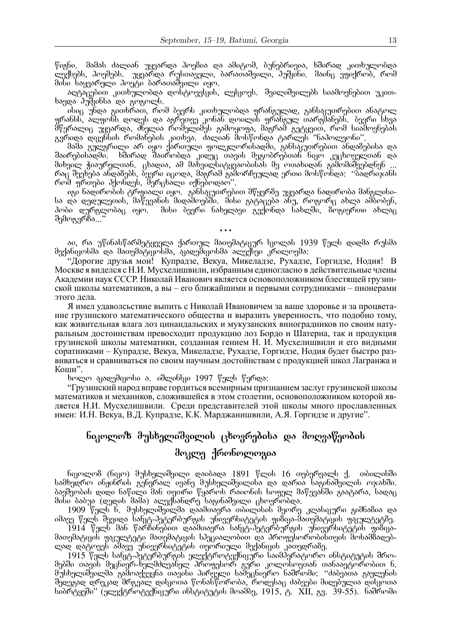წიგნი. მამას ძალიან უყვარდა პოებია და ამიტომ, ბუნებრივია, ხშირად კითხულობდა ้ლექსებს, პოემებს, უყვარდა რუსთაველი, ბარათაშვილი, პუშკინი, მაინც ვფიქრობ, რომ მისი საყვარელი პოეტი ბარათაშვილი იყო.

აღტაცებით კითხულობდა დოსტოევსკის, ლესკოვს, შვილიშვილებს სიამოვნებით უკითხავდა პუშეინსა და გოგოლს.

ისიც უნდა გითხრათ, რომ ბევრს კითხულობდა ფრანგულად, განსაკუთრებით ანატოლ <u>ფ</u>რანსს, ალფონს დოდეს და აგრეთვე კონან დოილის ფრანგულ თარგშანებს, ბევრი სხვა  $\frac{\partial \widetilde{f}}{\partial \widetilde{f}}$ ერკარდა, ძნელია რომელიმეს გამოყოფა, მაგრამ $\widetilde{f}$ გეტყვით, რომ სიამოვნებას გვრიდა დიკენსის რომანების კითხვა. ძალიან მოსწონდა ტარლეს "ნაპოლეონი".

მამა გულგრილი არ იყო ქართული ფოლკლორისადმი, განსაკუთრებით ანდამებისა და შაირებისადმი. ხშირად შაირობდა კიდეც თავის მეგობრებთან ნიკო კეცხოველთან და მიხეილ ჭიაურელთან, ცხადია, ამ მახვილსიტყვაობისას მე ოთახიდან გამომიშვებდნენ ... რაც შეეხება ანდამებს, ბევრი იცოდა, მაგრამ გამორჩეულად ერთი მოსწონდა: "ბადრიჯანს med gmondo 31mbent, dimistre ofbjonesm".

<u>იგ</u>ი ნადირობის ტრფიალი იყო. განსაკუთრებით მწყერმე უყვარდა ნადირობა მანგლისისა და დედულეთის, მაწევანის მიდამოებში. მისი გატაცება ანუ, როგორც ახლა ამბობენ, ჰობი დურგლობაც იყო. მისი ბევრი ნახელავი გვქონდა სახლში, მოგიერთი ახლაც შემოგვრჩა...''

აი, რა უწინასწარმეტყველა ქართულ მათემატიკურ სკოლას 1939 წელს დიდმა რუსმა მექანიკოსმა და მათემატიკოსმა, აკადემიკოსმა ალექსეი კრილოვმა:

. . .

"Дорогие друзья мои! Купрадзе, Векуа, Микеладзе, Рухадзе, Горгидзе, Нодия! В Москве я виделся с Н.И. Мусхелишвили, избранным единогласно в действительные члены Академии наук СССР. Николай Иванович является основоположником блестящей грузинской школы математиков, а вы – его ближайшими и первыми сотрудниками – пионерами этого дела.

Я имел удаволсьствие выпить с Николай Ивановичем за ваше здоровье и за процветание грузинского математического общества и выразить уверенность, что подобно тому, как живительная влага лоз цинандальских и мукузанских виноградников по своим натуральным достоинствам превосходит продукцию лоз Бордо и Шатерна, так и продукция грузинской школы математики, созданная гением Н. И. Мусхелишвили и его видными соратниками – Купрадзе, Векуа, Микеладзе, Рухадзе, Горгидзе, Нодия будет быстро развиваться и сравниваться по своим научным достойнствам с продукцией школ Лагранжа и Коши".

ხოლო გადემიკოსი ა. იშლინსკი 1997 წელს წერდა:

"Грузинский народ вправе гордиться всемирным признанием заслуг грузинской школы математиков и механиков, сложившейся в этом столетии, основоположником которой является Н.И. Мусхелишвили. Среди представителей этой школы много прославленных имен: И.Н. Векуа, В.Д. Купрадзе, К.К. Марджанишвили, А.Я. Горгидзе и другие".

## նոკოლოზ მუსხელიშვილის ცხოვრებისა და მოღვაწეობის შოკლე ქრონოლოგია

**ნიკოლო**მ (ნიკო) მუსხელიშვილი დაიბადა 1891 წლის 16 თებერვალს ქ. თბილისში სამხედრო ინჟინრის გენერალ ივანე მუსხელიშვილისა და დარია საგინაშვილის ოჯახში. ბავშვობის დიდი ნაწილი მან თეთრი წყაროს რაიონის სოფელ მაწევანში გაატარა, სადაც მისი ბაბუა (დედის მამა) ალექსანდრე საგინაშვილი ცხოვრობდა.

1909 წელს ნ. მუსხელიშვილმა დაამთავრა თბილისის მეორე კლასიკური გიმნამია და ော်ဝဲ့အညီ ပြည့်များမှာ မိုးများများ ပြည့်ရှိသည့် ပြည့်လည်း ပြည့်အခါ ပါသီများ မိုးမိုးမိုးမိုးမိုးမိုးမိုးမိုးမ

usi 1914 met do formato postala kaj kaj kaj kontrola de la formato de la provincia de la provincia de la provi dsongds ๆ out of any metal of the bongda of the bong of the bong developed the bong of the bong of ლად დატოვეს ამავე უნივერსიტეტის თეორიული მექანიკის კათედრამე.

1915 წელს სანკტ-პეტერბურგის ელექტროტექნიკური საიმპერატორო ინსტიტუტის შრომებში თავის მეცნიერ-ხელმძღვანელ პროფესორ გური კოლოსოვთან თანაავტორობით ნ. <u>შუსხელიშვილმა გამოაქვე</u>ყნა თავისი პირველი სამეცნიერო ნაშრომი: "ძაბვათა გავლენის შედეგად დრეკად მრგვალ დისკოთა წონასწორობა, როდესაც ძაბვები მიღებულია დისკოთა  $\overline{b}$   $\overline{b}$   $\overline{b}$   $\overline{b}$  ( $\overline{b}$  $\overline{c}$ )  $\overline{c}$   $\overline{d}$   $\overline{b}$   $\overline{c}$   $\overline{b}$   $\overline{c}$   $\overline{d}$   $\overline{b}$   $\overline{c}$   $\overline{b}$   $\overline{b}$   $\overline{c}$   $\overline{b}$  $\overline{c}$   $\overline{b}$  $\overline{c}$  $\overline{b}$  $\overline{c}$  $\overline{c}$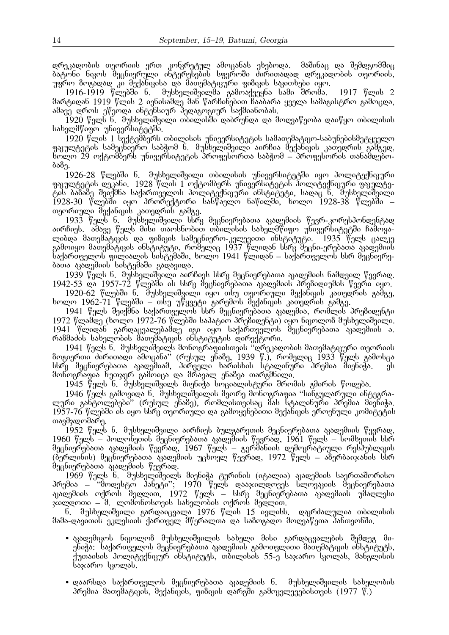დრეკადობის თეორიის ერთ კონკრეტულ ამოცანას ეხებოდა. მაშინაც და შემდგომშიც <u>ბ</u>ატონი ნიკოს მეცნიერული ინტერესების სფეროში ძირითადად დრეკადობის თეორიის,  $\frac{1916}{1916-1919}$  წლებში 6. მუსხელიშვილმა გამოაქვეყნა საკითხები იყო.<br>1916-1919 წლებში ნ. მუსხელიშვილმა გამოაქვეყნა სამი შრომა.

1916-1919 წლებში ნ. მუსხელიშვილმა გამოაქვეყნა სამი შრომა. 1917 წლის 2 მარტიდან 1919 წლის 2 ივნისამდე მან წარჩინებით ჩააბარა ყველა სამაგისტრო გამოცდა, ამავე ღროს ეწეოდა ინტენსიურ პედაგოგიურ საქმიანობას.

 $\widetilde{1}920$  წელს ნ. მუსხელიშვილი თბილისში დაბრუნდა და მოღვაწეობა დაიწყო თბილისის სახელმწიფო უნივერსიტეტში.

 $\bar{1}920$  წლის 1 სექტემბერს თბილისის უნივერსიტეტის სამათემატიკო-საბუნებისმეტყველო ფაკულტეტის სამეცნიერო საბჭომ ნ. მუსხელიშვილი აირჩია მექანიკის კათედრის გამგედ, ხოლო 29 ოქტომბერს უნივერსიტეტის პროფესორთა საბჭომ – პროფესორის თანამღებობაზე.

,<br>1926-28 წლებში ნ. მუსხელიშვილი თბილისის უნივერსიტეტში იყო პოლიტექნიკური ფაკულტეტის დეკანი. 1928 წლის 1 ოქტომბერს უნივერსიტეტის პოლიტექნიკური ფაკულტეტის ბამაშე შეიქმნა საქართველოს პოლიტექნიკური ინსტიტუტი, სადაც ნ. შუსხელიშვილი  $\bar{1}928$ -30  $\tilde{y}$ ლებში იყო პრორექტორი სას $\tilde{y}$ ბვლო ნაწილში, ხოლო 1928-38  $\tilde{y}$ ლებში – თეორიული მექანიკის კათედრის გამგე.

1933 წელს ნ. მუსხელიშვილი სსრკ მეცნიერებათა აკადემიის წევრ-კორესპონდენტად აირჩიეს, აშავე წელს მისი თაოსნობით თბილისის სახელმწიფო უნივერსიტეტში ჩამოყა-ËÉÁÃÀ ÌÀÈÄÌÀÔÉÊÉÓ ÃÀ ×ÉÆÉÊÉÓ ÓÀÌÄÝÍÉÄÒÏ-ÊÅËÄÅÉÈÉ ÉÍÓÔÉÔÖÔÉ. 1935 ßÄËÓ ÝÀËÊÄ გამოიყო მათემატიკის ინსტიტუტი, რომელიც 1937 წლიდან სსრკ მეცნი-ერებათა აკადემიის საქართველოს ფილიალის სისტემაში, ხოლო 1941 წლიდან – საქართველოს სსრ მეცნიერე- $\delta$ ბათა გადემიის სისტემაში გადავიდა.

1939 წელს ნ. მუსხელიშვილი აირჩიეს სსრკ მეცნიერებათა აკადემიის ნამდვილ წევრად. 1942-53 და 1957-72 წლებში ის სსრკ მეცნიერებათა აკადემიის პრებიდიუმის წევრი იყო.

1920-62 წლებში ნ. მუსხელიშვილი იყო თხუ თეორიული მექანიკის კათელრის გამგე,  $\overbrace{1962.71}^{\text{120}}$   $\overline{62.71}^{\text{130}}$   $\overline{62.9}^{\text{140}}$   $\overline{62.9}^{\text{150}}$  and  $\overline{60}^{\text{160}}$   $\overline{60}^{\text{150}}$   $\overline{60}^{\text{160}}$   $\overline{60}^{\text{160}}$   $\overline{60}^{\text{160}}$   $\overline{60}^{\text{160}}$   $\overline{60}^{\text{160}}$   $\overline{60$ 

1941 წელს შეიქმნა საქართველოს სსრ მეცნიერებათა აკადემია, რომლის პრებიდენტი  $1972$  წლამდე (ხოლო  $1972$ -76 წლებში საპატიო პრებიღენტი) იყო ნიკოლომ მუსხელიშვილი. 1941 წლიდან გარდაცვალებამდე იგი იყო საქართველოს მეცნიერებათა აკადემიის ა. რაშმაძის სახელობის მათემატიკის ინსტიტუტის ღირექტორი.

 $1941$  წელს ნ. მუსხელიშვილს მონოგრაფიისთვის "დრეკადობის მათემატიკური თეორიის ზოგიერთი ძირითადი ამოცანა<sup>33</sup> (რუსულ ენაზე, 1939 წ.), რომელიც 1933 წულს გამოსცა ÓÓÒÊ ÌÄÝÍÉÄÒÄÁÀÈÀ ÀÊÀÃÄÌÉÀÌ, ÐÉÒÅÄËÉ áÀÒÉÓáÉÓ ÓÔÀËÉÍÖÒÉ ÐÒÄÌÉÀ ÌÉÄÍÉàÀ. ÄÓ მონოგრაფია ხუთჯერ გამოიცა და მრავალ ენამეა თარგმნილი.

 $1945$  წელს ხ.  $\delta$ უსხელიშვილს მიენიჭა სოციალისტური შრომის გმირის წოღება.

1946 წელს გამოვიდა ნ. `მუსხელიშვილის მეორე მონოგრაფია "სინგულარული ინტეგრალური განტოლებები'' (რუსულ ენაზე), რომლისთვისაც მას სტალინური პრემია მიენიჭა. 1957-76 წლებში ის იყო სსრკ თეორიული და გამოყენებითი მექანიკის ეროვნული კომიტეტის თავმჯდომარე.

้1952 წელს ნ. მუსხელიშვილი აირჩიეს ბულგარეთის მეცნიერებათა აკადემიის წევრად,  $1960$  წელს – პოლონეთის მუცნიერებათა აკადეშიის წევრად,  $1961$  წელს – სომხეთის სსრ  $\partial$ ეცნიერებათა აკადემიის წევრად, 1967 წელს – გერმანიის დემოკრატიული რესპუბლიკის  $\sim$ (ბერლინის) მეცნიერებათა პადემიის უცხოელ წევრად, 1972 წელს – აშერბაიჯანის სსრ ÌÄÝÍÉÄÒÄÁÀÈÀ ÀÊÀÃÄÌÉÉÓ ßÄÅÒÀÃ.

 $1969$  წელს ხ. შუსხელიშვილს მიენიჭა ტურინის (იტალია) აკადემიის საერთაშორისო  $\delta$ ბრემია – "მოდესტო პანეტი"; 1970 წელს დააჯილდოვეს სლოვაკიის მეცნიერებათა  $\lambda$ გადემიის ოქროს შედლით, 1972 წელს – სსრ $j$  მეცნიერებათა პკადემიის უმაღლესი  $\alpha$ ლდოთი –  $\overline{\theta}$ . ლომონოსოვის სახელობის ოქროს მედლით.

ნ. მუსხელიშვილი გარდაიცვალა 1976 წლის 15 ივლისს. დაკრძალულია თბილისის მამა-დავითის ეკლესიის ქართველ მწერალთა და სამოგადო მოღვაწეთა პანთეონში.

- გადემიკოს ნიკოლომ მუსხელიშვილის სახელი მისი გარდაცვალების შემდეგ მიენიჭა: ്საქართველოს მეცნიერებათა აკადემიის გამოთვლითი მათემატიკის ინსტიტუტს, ქუთაისის პოლიტექნიკურ ინსტიტუტს, თბილისის 55-ე საჯარო სკოლას, მანგლისის საჯარო სკოლას.
- დაარსდა საქართველოს მეცნიერებათა აკადემიის ნ. მუსხელიშვილის სახელობის  $\delta$ რემია მათემატიკის, მექანიკის, ფიზიკის დარგში გამოკვლევებისთვის (1977 წ.)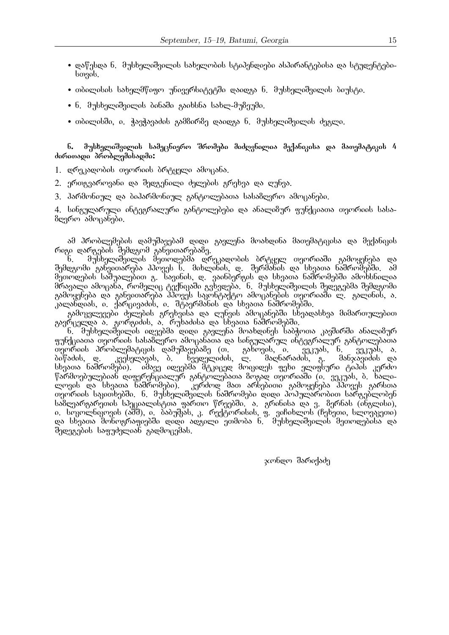- დაწესდა ნ. მუსხელიშვილის სახელობის სტიპენდიები ასპირანტებისა და სტუდენტებიbogob.
- თბილისის სახელმწიფო უნივერსიტეტში დაიდგა ნ. მუსხელიშვილის ბიუსტი.
- $\bullet$  6.  $\theta$ უსხელიშვილის ბინაში გაიხსნა სახლ-მუზეუმი.
- თბილისში, ი. ჭავჭავაძის გამზირზე დაიდგა ნ. მუსხელიშვილის ძეგლი.

 $6.$  მუსხელიშვილის სამეცნიერო შრომები მიძღვნილია მექანიკისა და მათემატიკის 4  $\theta$ doრითადი პრობლუმისადმი:

- 1. დრეკადობის თეორიის ბრტყელი ამოცანა.
- $2.$  ერთგვაროვანი და შედგენილი ძელების გრეხვა და ღუნვა.
- 3. ჰარმონიულ და ბიჰარმონიულ განტოლებათა სასამღვრო ამოცანები.

4. სინგულარული ინტეგრალური განტოლებები და ანალიზურ ფუნქციათა თეორიის სასა- $\delta$ ღვრო ამოცანები.

ამ პრობლემების დამუშავებამ დიდი გავლენა მოახდინა მათემატიკისა და მექანიკის რიგი დარგების შემდგომ განვითარებაზე.

ნ. მუსხელიშვილის მეთოღებმა დრეკადობის ბრტყელ თეორიაში გამოყენება და dia dia dia dia mandritra dia kaominina dia kaominina dia kaominina dia kaominina dia kaominina dia kaominina<br>Dia angle a<br>
ajamgahé bagya két a mangahéhang dina tinggal ng manggalak ng mangkahang dina dina bagyak teu dina tinggalak მრავალი ამოცანა, რომელიც ტექნიკაში გვხვდება. ნ. მუსხელიშვილის შედეგებმა შემდგომი გამოყენება და განვითარება ჰპოვეს საკონტაქტო ამოცანების თეორიაში ლ. გალინის, ა. ა — ვე ე — ვე იკა.<br>კალანდიას, ი. ქარცივაძის, ი. შტაერმანის და სხვათა ნაშრომებში.

გამოკვლევები ძელების გრეხვისა და ღუნვის ამოცანებში სხვადასხვა მიმართულებით გავრცელდა ა. გორგიძის, ა. რუხაძისა და სხვათა ნაშრომებში.

Í. ိმუსხელიშვილის იღეებმა დიდი გავლენა მოახდინეს საბჭოთა კავშირში ანალიმურ ფუნქციათა თეორიის სასაშლერო ამოცანათა და სინგულარულ ინტეგრალურ განტოლებათა<br>თეორიის პრობლემატიეის დამუშავებაზე (თ. გახოვის, ი. ვეკუას, ნ. ვეკუას, ა.<br>ბიწაძის, დ. კვესელავას, ბ. ხვედელიძის, ლ. მაღნარაძის, გ. მანჯავიძ თეორიის პრობლემატიეის დამუშავებაზე (თ. გახოვის, ი. ვეკუას, ნ. ვეკუას, ა. ბიწაძის, დ. კვესელავას, ბ. ხვედელიძის, ლ. მაღნარაძის, გ. მანჯავიძის და სხვათა ნაშრომები). იმავე იდეებმა მტკიცედ მოიკიდეს ფეხი ელიფსური ტიპის კერძო წარმოებულებიან დიფერენციალურ განტოლებათა მოგად თეორიაში (ი. ვეკუას, ბ. ხალილოვის და სხვათა ნაშრომები). კერძოდ მათ არსებითი გამოყენება ჰპოვეს გარსთა თეორიის საკითხებში. ნ. მუსხელიშვილის ნაშრომები დიდი პოპულარობით სარგებლობენ ÓÀÆÙÅÀÒÂÀÒÄÈÉÓ ÓÐÄÝÉÀËÉÓÔÈÀ ×ÀÒÈÏ ßÒÄÄÁÛÉ. À. ÂÒÉÍÉÓÀ ÃÀ Å. ÆÄÒÍÀÓ (ÉÍÂËÉÓÉ), ი, სოკოლნიკოვის (აშშ), ი. ბაბუშკას, კ. რექტორისის, ფ. ვიჩიხლოს (ჩეხეთი, სლოვაკეთი) და სხვათა მონოგრაფიებში დიდი ადგილი ეთმობა ნ. მუსხელიშვილის მეთოდებისა და შედეგების საფუძვლიან გადმოცემას.

 $x$ ონდო შარიქაძე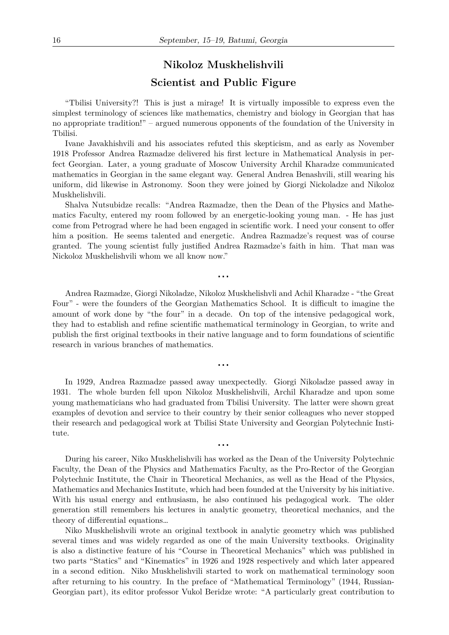## **Nikoloz Muskhelishvili Scientist and Public Figure**

"Tbilisi University?! This is just a mirage! It is virtually impossible to express even the simplest terminology of sciences like mathematics, chemistry and biology in Georgian that has no appropriate tradition!" – argued numerous opponents of the foundation of the University in Tbilisi.

Ivane Javakhishvili and his associates refuted this skepticism, and as early as November 1918 Professor Andrea Razmadze delivered his first lecture in Mathematical Analysis in perfect Georgian. Later, a young graduate of Moscow University Archil Kharadze communicated mathematics in Georgian in the same elegant way. General Andrea Benashvili, still wearing his uniform, did likewise in Astronomy. Soon they were joined by Giorgi Nickoladze and Nikoloz Muskhelishvili.

Shalva Nutsubidze recalls: "Andrea Razmadze, then the Dean of the Physics and Mathematics Faculty, entered my room followed by an energetic-looking young man. - He has just come from Petrograd where he had been engaged in scientific work. I need your consent to offer him a position. He seems talented and energetic. Andrea Razmadze's request was of course granted. The young scientist fully justified Andrea Razmadze's faith in him. That man was Nickoloz Muskhelishvili whom we all know now."

. . .

Andrea Razmadze, Giorgi Nikoladze, Nikoloz Muskhelishvli and Achil Kharadze - "the Great Four" - were the founders of the Georgian Mathematics School. It is difficult to imagine the amount of work done by "the four" in a decade. On top of the intensive pedagogical work, they had to establish and refine scientific mathematical terminology in Georgian, to write and publish the first original textbooks in their native language and to form foundations of scientific research in various branches of mathematics.

 $\ddotsc$ 

In 1929, Andrea Razmadze passed away unexpectedly. Giorgi Nikoladze passed away in 1931. The whole burden fell upon Nikoloz Muskhelishvili, Archil Kharadze and upon some young mathematicians who had graduated from Tbilisi University. The latter were shown great examples of devotion and service to their country by their senior colleagues who never stopped their research and pedagogical work at Tbilisi State University and Georgian Polytechnic Institute.

. . .

During his career, Niko Muskhelishvili has worked as the Dean of the University Polytechnic Faculty, the Dean of the Physics and Mathematics Faculty, as the Pro-Rector of the Georgian Polytechnic Institute, the Chair in Theoretical Mechanics, as well as the Head of the Physics, Mathematics and Mechanics Institute, which had been founded at the University by his initiative. With his usual energy and enthusiasm, he also continued his pedagogical work. The older generation still remembers his lectures in analytic geometry, theoretical mechanics, and the theory of differential equations…

Niko Muskhelishvili wrote an original textbook in analytic geometry which was published several times and was widely regarded as one of the main University textbooks. Originality is also a distinctive feature of his "Course in Theoretical Mechanics" which was published in two parts "Statics" and "Kinematics" in 1926 and 1928 respectively and which later appeared in a second edition. Niko Muskhelishvili started to work on mathematical terminology soon after returning to his country. In the preface of "Mathematical Terminology" (1944, Russian-Georgian part), its editor professor Vukol Beridze wrote: "A particularly great contribution to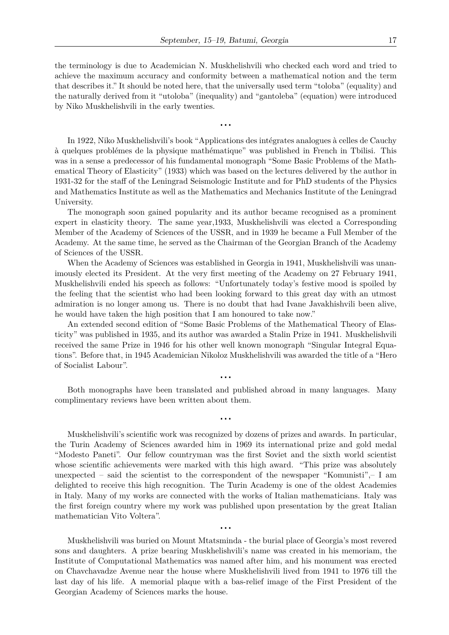the terminology is due to Academician N. Muskhelishvili who checked each word and tried to achieve the maximum accuracy and conformity between a mathematical notion and the term that describes it." It should be noted here, that the universally used term "toloba" (equality) and the naturally derived from it "utoloba" (inequality) and "gantoleba" (equation) were introduced by Niko Muskhelishvili in the early twenties.

. . .

In 1922, Niko Muskhelishvili's book "Applications des intégrates analogues à celles de Cauchy à quelques problémes de la physique mathématique" was published in French in Tbilisi. This was in a sense a predecessor of his fundamental monograph "Some Basic Problems of the Mathematical Theory of Elasticity" (1933) which was based on the lectures delivered by the author in 1931-32 for the staff of the Leningrad Seismologic Institute and for PhD students of the Physics and Mathematics Institute as well as the Mathematics and Mechanics Institute of the Leningrad University.

The monograph soon gained popularity and its author became recognised as a prominent expert in elasticity theory. The same year,1933, Muskhelishvili was elected a Corresponding Member of the Academy of Sciences of the USSR, and in 1939 he became a Full Member of the Academy. At the same time, he served as the Chairman of the Georgian Branch of the Academy of Sciences of the USSR.

When the Academy of Sciences was established in Georgia in 1941, Muskhelishvili was unanimously elected its President. At the very first meeting of the Academy on 27 February 1941, Muskhelishvili ended his speech as follows: "Unfortunately today's festive mood is spoiled by the feeling that the scientist who had been looking forward to this great day with an utmost admiration is no longer among us. There is no doubt that had Ivane Javakhishvili been alive, he would have taken the high position that I am honoured to take now."

An extended second edition of "Some Basic Problems of the Mathematical Theory of Elasticity" was published in 1935, and its author was awarded a Stalin Prize in 1941. Muskhelishvili received the same Prize in 1946 for his other well known monograph "Singular Integral Equations". Before that, in 1945 Academician Nikoloz Muskhelishvili was awarded the title of a "Hero of Socialist Labour".

Both monographs have been translated and published abroad in many languages. Many complimentary reviews have been written about them.

. . .

. . .

Muskhelishvili's scientific work was recognized by dozens of prizes and awards. In particular, the Turin Academy of Sciences awarded him in 1969 its international prize and gold medal "Modesto Paneti". Our fellow countryman was the first Soviet and the sixth world scientist whose scientific achievements were marked with this high award. "This prize was absolutely unexpected – said the scientist to the correspondent of the newspaper "Komunisti",– I am delighted to receive this high recognition. The Turin Academy is one of the oldest Academies in Italy. Many of my works are connected with the works of Italian mathematicians. Italy was the first foreign country where my work was published upon presentation by the great Italian mathematician Vito Voltera".

Muskhelishvili was buried on Mount Mtatsminda - the burial place of Georgia's most revered sons and daughters. A prize bearing Muskhelishvili's name was created in his memoriam, the Institute of Computational Mathematics was named after him, and his monument was erected on Chavchavadze Avenue near the house where Muskhelishvili lived from 1941 to 1976 till the last day of his life. A memorial plaque with a bas-relief image of the First President of the Georgian Academy of Sciences marks the house.

 $\ddotsc$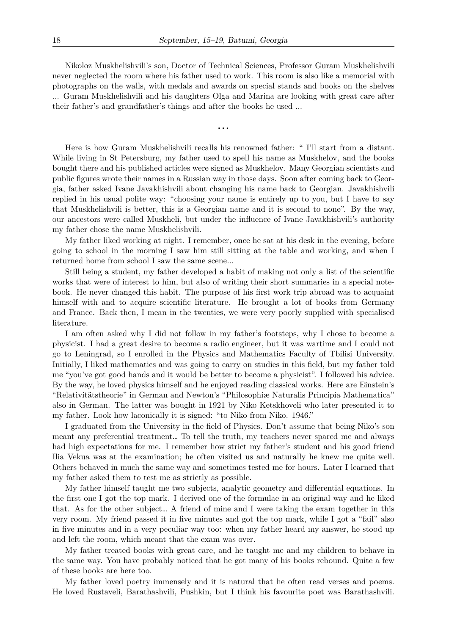Nikoloz Muskhelishvili's son, Doctor of Technical Sciences, Professor Guram Muskhelishvili never neglected the room where his father used to work. This room is also like a memorial with photographs on the walls, with medals and awards on special stands and books on the shelves ... Guram Muskhelishvili and his daughters Olga and Marina are looking with great care after their father's and grandfather's things and after the books he used ...

. . .

Here is how Guram Muskhelishvili recalls his renowned father: " I'll start from a distant. While living in St Petersburg, my father used to spell his name as Muskhelov, and the books bought there and his published articles were signed as Muskhelov. Many Georgian scientists and public figures wrote their names in a Russian way in those days. Soon after coming back to Georgia, father asked Ivane Javakhishvili about changing his name back to Georgian. Javakhishvili replied in his usual polite way: "choosing your name is entirely up to you, but I have to say that Muskhelishvili is better, this is a Georgian name and it is second to none". By the way, our ancestors were called Muskheli, but under the influence of Ivane Javakhishvili's authority my father chose the name Muskhelishvili.

My father liked working at night. I remember, once he sat at his desk in the evening, before going to school in the morning I saw him still sitting at the table and working, and when I returned home from school I saw the same scene...

Still being a student, my father developed a habit of making not only a list of the scientific works that were of interest to him, but also of writing their short summaries in a special notebook. He never changed this habit. The purpose of his first work trip abroad was to acquaint himself with and to acquire scientific literature. He brought a lot of books from Germany and France. Back then, I mean in the twenties, we were very poorly supplied with specialised literature.

I am often asked why I did not follow in my father's footsteps, why I chose to become a physicist. I had a great desire to become a radio engineer, but it was wartime and I could not go to Leningrad, so I enrolled in the Physics and Mathematics Faculty of Tbilisi University. Initially, I liked mathematics and was going to carry on studies in this field, but my father told me "you've got good hands and it would be better to become a physicist". I followed his advice. By the way, he loved physics himself and he enjoyed reading classical works. Here are Einstein's "Relativitätstheorie" in German and Newton's "Philosophiæ Naturalis Principia Mathematica" also in German. The latter was bought in 1921 by Niko Ketskhoveli who later presented it to my father. Look how laconically it is signed: "to Niko from Niko. 1946."

I graduated from the University in the field of Physics. Don't assume that being Niko's son meant any preferential treatment… To tell the truth, my teachers never spared me and always had high expectations for me. I remember how strict my father's student and his good friend Ilia Vekua was at the examination; he often visited us and naturally he knew me quite well. Others behaved in much the same way and sometimes tested me for hours. Later I learned that my father asked them to test me as strictly as possible.

My father himself taught me two subjects, analytic geometry and differential equations. In the first one I got the top mark. I derived one of the formulae in an original way and he liked that. As for the other subject… A friend of mine and I were taking the exam together in this very room. My friend passed it in five minutes and got the top mark, while I got a "fail" also in five minutes and in a very peculiar way too: when my father heard my answer, he stood up and left the room, which meant that the exam was over.

My father treated books with great care, and he taught me and my children to behave in the same way. You have probably noticed that he got many of his books rebound. Quite a few of these books are here too.

My father loved poetry immensely and it is natural that he often read verses and poems. He loved Rustaveli, Barathashvili, Pushkin, but I think his favourite poet was Barathashvili.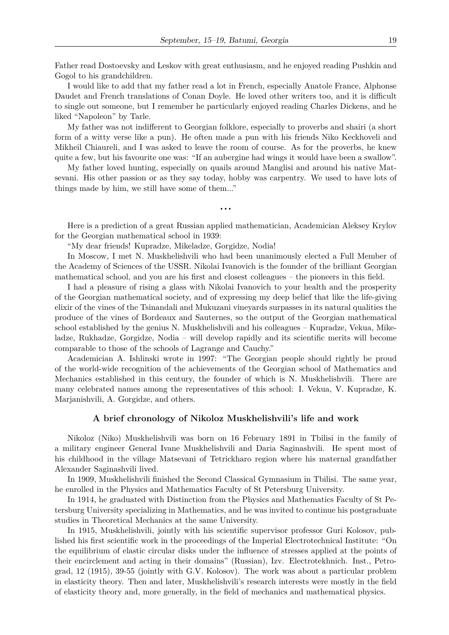Father read Dostoevsky and Leskov with great enthusiasm, and he enjoyed reading Pushkin and Gogol to his grandchildren.

I would like to add that my father read a lot in French, especially Anatole France, Alphonse Daudet and French translations of Conan Doyle. He loved other writers too, and it is difficult to single out someone, but I remember he particularly enjoyed reading Charles Dickens, and he liked "Napoleon" by Tarle.

My father was not indifferent to Georgian folklore, especially to proverbs and shairi (a short form of a witty verse like a pun). He often made a pun with his friends Niko Keckhoveli and Mikheil Chiaureli, and I was asked to leave the room of course. As for the proverbs, he knew quite a few, but his favourite one was: "If an aubergine had wings it would have been a swallow".

My father loved hunting, especially on quails around Manglisi and around his native Matsevani. His other passion or as they say today, hobby was carpentry. We used to have lots of things made by him, we still have some of them..."

. . .

Here is a prediction of a great Russian applied mathematician, Academician Aleksey Krylov for the Georgian mathematical school in 1939:

"My dear friends! Kupradze, Mikeladze, Gorgidze, Nodia!

In Moscow, I met N. Muskhelishvili who had been unanimously elected a Full Member of the Academy of Sciences of the USSR. Nikolai Ivanovich is the founder of the brilliant Georgian mathematical school, and you are his first and closest colleagues – the pioneers in this field.

I had a pleasure of rising a glass with Nikolai Ivanovich to your health and the prosperity of the Georgian mathematical society, and of expressing my deep belief that like the life-giving elixir of the vines of the Tsinandali and Mukuzani vineyards surpasses in its natural qualities the produce of the vines of Bordeaux and Sauternes, so the output of the Georgian mathematical school established by the genius N. Muskhelishvili and his colleagues – Kupradze, Vekua, Mikeladze, Rukhadze, Gorgidze, Nodia – will develop rapidly and its scientific merits will become comparable to those of the schools of Lagrange and Cauchy."

Academician A. Ishlinski wrote in 1997: "The Georgian people should rightly be proud of the world-wide recognition of the achievements of the Georgian school of Mathematics and Mechanics established in this century, the founder of which is N. Muskhelishvili. There are many celebrated names among the representatives of this school: I. Vekua, V. Kupradze, K. Marjanishvili, A. Gorgidze, and others.

#### **A brief chronology of Nikoloz Muskhelishvili's life and work**

Nikoloz (Niko) Muskhelishvili was born on 16 February 1891 in Tbilisi in the family of a military engineer General Ivane Muskhelishvili and Daria Saginashvili. He spent most of his childhood in the village Matsevani of Tetrickharo region where his maternal grandfather Alexander Saginashvili lived.

In 1909, Muskhelishvili finished the Second Classical Gymnasium in Tbilisi. The same year, he enrolled in the Physics and Mathematics Faculty of St Petersburg University.

In 1914, he graduated with Distinction from the Physics and Mathematics Faculty of St Petersburg University specializing in Mathematics, and he was invited to continue his postgraduate studies in Theoretical Mechanics at the same University.

In 1915, Muskhelishvili, jointly with his scientific supervisor professor Guri Kolosov, published his first scientific work in the proceedings of the Imperial Electrotechnical Institute: "On the equilibrium of elastic circular disks under the influence of stresses applied at the points of their encirclement and acting in their domains" (Russian), Izv. Electrotekhnich. Inst., Petrograd, 12 (1915), 39-55 (jointly with G.V. Kolosov). The work was about a particular problem in elasticity theory. Then and later, Muskhelishvili's research interests were mostly in the field of elasticity theory and, more generally, in the field of mechanics and mathematical physics.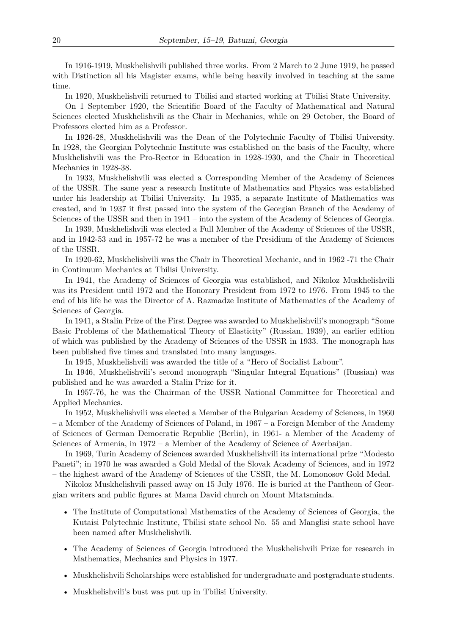In 1916-1919, Muskhelishvili published three works. From 2 March to 2 June 1919, he passed with Distinction all his Magister exams, while being heavily involved in teaching at the same time.

In 1920, Muskhelishvili returned to Tbilisi and started working at Tbilisi State University.

On 1 September 1920, the Scientific Board of the Faculty of Mathematical and Natural Sciences elected Muskhelishvili as the Chair in Mechanics, while on 29 October, the Board of Professors elected him as a Professor.

In 1926-28, Muskhelishvili was the Dean of the Polytechnic Faculty of Tbilisi University. In 1928, the Georgian Polytechnic Institute was established on the basis of the Faculty, where Muskhelishvili was the Pro-Rector in Education in 1928-1930, and the Chair in Theoretical Mechanics in 1928-38.

In 1933, Muskhelishvili was elected a Corresponding Member of the Academy of Sciences of the USSR. The same year a research Institute of Mathematics and Physics was established under his leadership at Tbilisi University. In 1935, a separate Institute of Mathematics was created, and in 1937 it first passed into the system of the Georgian Branch of the Academy of Sciences of the USSR and then in 1941 – into the system of the Academy of Sciences of Georgia.

In 1939, Muskhelishvili was elected a Full Member of the Academy of Sciences of the USSR, and in 1942-53 and in 1957-72 he was a member of the Presidium of the Academy of Sciences of the USSR.

In 1920-62, Muskhelishvili was the Chair in Theoretical Mechanic, and in 1962 -71 the Chair in Continuum Mechanics at Tbilisi University.

In 1941, the Academy of Sciences of Georgia was established, and Nikoloz Muskhelishvili was its President until 1972 and the Honorary President from 1972 to 1976. From 1945 to the end of his life he was the Director of A. Razmadze Institute of Mathematics of the Academy of Sciences of Georgia.

In 1941, a Stalin Prize of the First Degree was awarded to Muskhelishvili's monograph "Some Basic Problems of the Mathematical Theory of Elasticity" (Russian, 1939), an earlier edition of which was published by the Academy of Sciences of the USSR in 1933. The monograph has been published five times and translated into many languages.

In 1945, Muskhelishvili was awarded the title of a "Hero of Socialist Labour".

In 1946, Muskhelishvili's second monograph "Singular Integral Equations" (Russian) was published and he was awarded a Stalin Prize for it.

In 1957-76, he was the Chairman of the USSR National Committee for Theoretical and Applied Mechanics.

In 1952, Muskhelishvili was elected a Member of the Bulgarian Academy of Sciences, in 1960 – a Member of the Academy of Sciences of Poland, in 1967 – a Foreign Member of the Academy of Sciences of German Democratic Republic (Berlin), in 1961- a Member of the Academy of Sciences of Armenia, in 1972 – a Member of the Academy of Science of Azerbaijan.

In 1969, Turin Academy of Sciences awarded Muskhelishvili its international prize "Modesto Paneti"; in 1970 he was awarded a Gold Medal of the Slovak Academy of Sciences, and in 1972 – the highest award of the Academy of Sciences of the USSR, the M. Lomonosov Gold Medal.

Nikoloz Muskhelishvili passed away on 15 July 1976. He is buried at the Pantheon of Georgian writers and public figures at Mama David church on Mount Mtatsminda.

- The Institute of Computational Mathematics of the Academy of Sciences of Georgia, the Kutaisi Polytechnic Institute, Tbilisi state school No. 55 and Manglisi state school have been named after Muskhelishvili.
- The Academy of Sciences of Georgia introduced the Muskhelishvili Prize for research in Mathematics, Mechanics and Physics in 1977.
- Muskhelishvili Scholarships were established for undergraduate and postgraduate students.
- Muskhelishvili's bust was put up in Tbilisi University.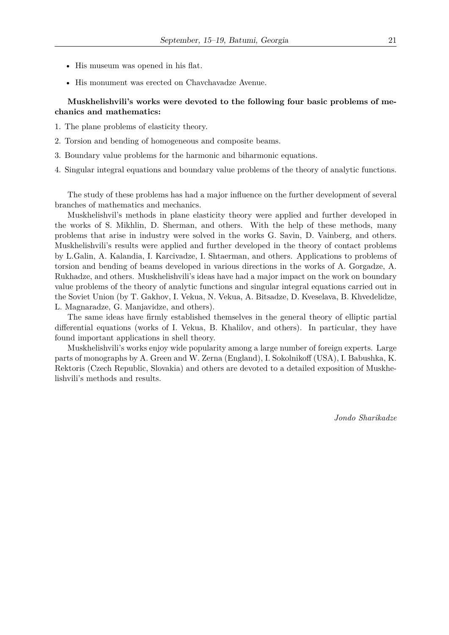- His museum was opened in his flat.
- His monument was erected on Chavchavadze Avenue.

#### **Muskhelishvili's works were devoted to the following four basic problems of mechanics and mathematics:**

- 1. The plane problems of elasticity theory.
- 2. Torsion and bending of homogeneous and composite beams.
- 3. Boundary value problems for the harmonic and biharmonic equations.
- 4. Singular integral equations and boundary value problems of the theory of analytic functions.

The study of these problems has had a major influence on the further development of several branches of mathematics and mechanics.

Muskhelishvil's methods in plane elasticity theory were applied and further developed in the works of S. Mikhlin, D. Sherman, and others. With the help of these methods, many problems that arise in industry were solved in the works G. Savin, D. Vainberg, and others. Muskhelishvili's results were applied and further developed in the theory of contact problems by L.Galin, A. Kalandia, I. Karcivadze, I. Shtaerman, and others. Applications to problems of torsion and bending of beams developed in various directions in the works of A. Gorgadze, A. Rukhadze, and others. Muskhelishvili's ideas have had a major impact on the work on boundary value problems of the theory of analytic functions and singular integral equations carried out in the Soviet Union (by T. Gakhov, I. Vekua, N. Vekua, A. Bitsadze, D. Kveselava, B. Khvedelidze, L. Magnaradze, G. Manjavidze, and others).

The same ideas have firmly established themselves in the general theory of elliptic partial differential equations (works of I. Vekua, B. Khalilov, and others). In particular, they have found important applications in shell theory.

Muskhelishvili's works enjoy wide popularity among a large number of foreign experts. Large parts of monographs by A. Green and W. Zerna (England), I. Sokolnikoff (USA), I. Babushka, K. Rektoris (Czech Republic, Slovakia) and others are devoted to a detailed exposition of Muskhelishvili's methods and results.

*Jondo Sharikadze*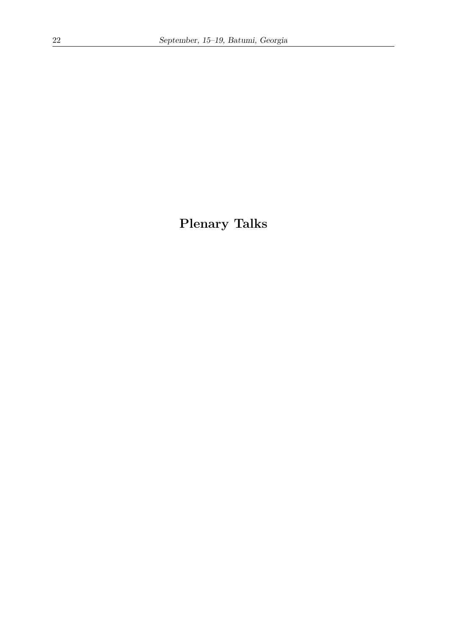**Plenary Talks**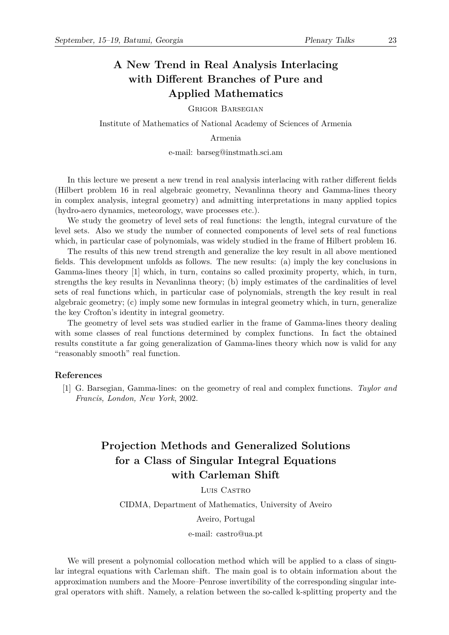## **A New Trend in Real Analysis Interlacing with Different Branches of Pure and Applied Mathematics**

Grigor Barsegian

Institute of Mathematics of National Academy of Sciences of Armenia

#### Armenia

e-mail: barseg@instmath.sci.am

In this lecture we present a new trend in real analysis interlacing with rather different fields (Hilbert problem 16 in real algebraic geometry, Nevanlinna theory and Gamma-lines theory in complex analysis, integral geometry) and admitting interpretations in many applied topics (hydro-aero dynamics, meteorology, wave processes etc.).

We study the geometry of level sets of real functions: the length, integral curvature of the level sets. Also we study the number of connected components of level sets of real functions which, in particular case of polynomials, was widely studied in the frame of Hilbert problem 16.

The results of this new trend strength and generalize the key result in all above mentioned fields. This development unfolds as follows. The new results: (a) imply the key conclusions in Gamma-lines theory [1] which, in turn, contains so called proximity property, which, in turn, strengths the key results in Nevanlinna theory; (b) imply estimates of the cardinalities of level sets of real functions which, in particular case of polynomials, strength the key result in real algebraic geometry; (c) imply some new formulas in integral geometry which, in turn, generalize the key Crofton's identity in integral geometry.

The geometry of level sets was studied earlier in the frame of Gamma-lines theory dealing with some classes of real functions determined by complex functions. In fact the obtained results constitute a far going generalization of Gamma-lines theory which now is valid for any "reasonably smooth" real function.

#### **References**

[1] G. Barsegian, Gamma-lines: on the geometry of real and complex functions. *Taylor and Francis, London, New York*, 2002.

## **Projection Methods and Generalized Solutions for a Class of Singular Integral Equations with Carleman Shift**

Luis Castro

CIDMA, Department of Mathematics, University of Aveiro

Aveiro, Portugal

e-mail: castro@ua.pt

We will present a polynomial collocation method which will be applied to a class of singular integral equations with Carleman shift. The main goal is to obtain information about the approximation numbers and the Moore–Penrose invertibility of the corresponding singular integral operators with shift. Namely, a relation between the so-called k-splitting property and the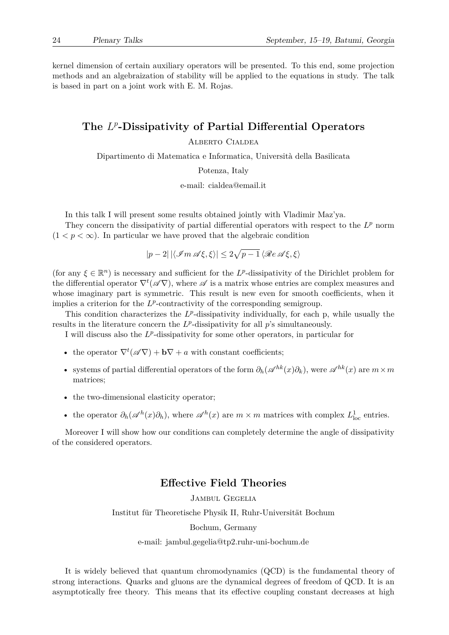kernel dimension of certain auxiliary operators will be presented. To this end, some projection methods and an algebraization of stability will be applied to the equations in study. The talk is based in part on a joint work with E. M. Rojas.

### The L<sup>p</sup>-Dissipativity of Partial Differential Operators

Alberto Cialdea

Dipartimento di Matematica e Informatica, Università della Basilicata

Potenza, Italy

e-mail: cialdea@email.it

In this talk I will present some results obtained jointly with Vladimir Maz'ya.

They concern the dissipativity of partial differential operators with respect to the  $L^p$  norm  $(1 < p < \infty)$ . In particular we have proved that the algebraic condition

*|p −* 2*| |⟨I m A ξ, ξ⟩| ≤* 2 √ *p −* 1 *⟨Re A ξ, ξ⟩*

(for any  $\xi \in \mathbb{R}^n$ ) is necessary and sufficient for the *L*<sup>*p*</sup>-dissipativity of the Dirichlet problem for the differential operator *∇<sup>t</sup>* (*A ∇*), where *A* is a matrix whose entries are complex measures and whose imaginary part is symmetric. This result is new even for smooth coefficients, when it implies a criterion for the  $L^p$ -contractivity of the corresponding semigroup.

This condition characterizes the  $L^p$ -dissipativity individually, for each p, while usually the results in the literature concern the  $L^p$ -dissipativity for all  $p$ 's simultaneously.

I will discuss also the  $L^p$ -dissipativity for some other operators, in particular for

- the operator  $\nabla^t (\mathscr{A} \nabla) + \mathbf{b} \nabla + a$  with constant coefficients;
- systems of partial differential operators of the form  $\partial_h(\mathscr{A}^{hk}(x)\partial_k)$ , were  $\mathscr{A}^{hk}(x)$  are  $m \times m$ matrices;
- the two-dimensional elasticity operator;
- the operator  $\partial_h(\mathscr{A}^h(x)\partial_h)$ , where  $\mathscr{A}^h(x)$  are  $m \times m$  matrices with complex  $L^1_{loc}$  entries.

Moreover I will show how our conditions can completely determine the angle of dissipativity of the considered operators.

#### **Effective Field Theories**

Jambul Gegelia

Institut für Theoretische Physik II, Ruhr-Universität Bochum

Bochum, Germany

e-mail: jambul.gegelia@tp2.ruhr-uni-bochum.de

It is widely believed that quantum chromodynamics (QCD) is the fundamental theory of strong interactions. Quarks and gluons are the dynamical degrees of freedom of QCD. It is an asymptotically free theory. This means that its effective coupling constant decreases at high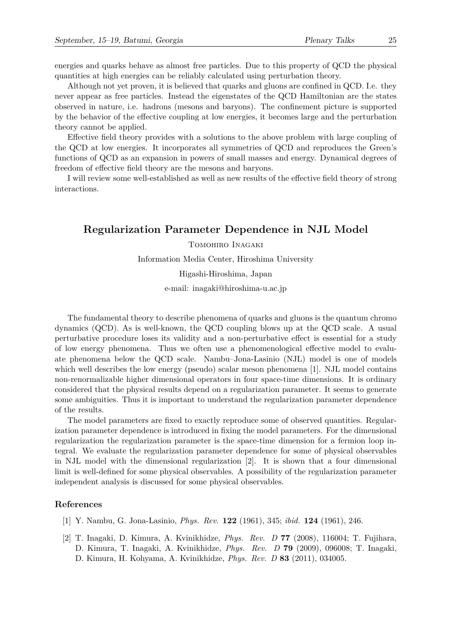energies and quarks behave as almost free particles. Due to this property of QCD the physical quantities at high energies can be reliably calculated using perturbation theory.

Although not yet proven, it is believed that quarks and gluons are confined in QCD. I.e. they never appear as free particles. Instead the eigenstates of the QCD Hamiltonian are the states observed in nature, i.e. hadrons (mesons and baryons). The confinement picture is supported by the behavior of the effective coupling at low energies, it becomes large and the perturbation theory cannot be applied.

Effective field theory provides with a solutions to the above problem with large coupling of the QCD at low energies. It incorporates all symmetries of QCD and reproduces the Green's functions of QCD as an expansion in powers of small masses and energy. Dynamical degrees of freedom of effective field theory are the mesons and baryons.

I will review some well-established as well as new results of the effective field theory of strong interactions.

#### **Regularization Parameter Dependence in NJL Model**

Tomohiro Inagaki

Information Media Center, Hiroshima University

Higashi-Hiroshima, Japan

e-mail: inagaki@hiroshima-u.ac.jp

The fundamental theory to describe phenomena of quarks and gluons is the quantum chromo dynamics (QCD). As is well-known, the QCD coupling blows up at the QCD scale. A usual perturbative procedure loses its validity and a non-perturbative effect is essential for a study of low energy phenomena. Thus we often use a phenomenological effective model to evaluate phenomena below the QCD scale. Nambu–Jona-Lasinio (NJL) model is one of models which well describes the low energy (pseudo) scalar meson phenomena [1]. NJL model contains non-renormalizable higher dimensional operators in four space-time dimensions. It is ordinary considered that the physical results depend on a regularization parameter. It seems to generate some ambiguities. Thus it is important to understand the regularization parameter dependence of the results.

The model parameters are fixed to exactly reproduce some of observed quantities. Regularization parameter dependence is introduced in fixing the model parameters. For the dimensional regularization the regularization parameter is the space-time dimension for a fermion loop integral. We evaluate the regularization parameter dependence for some of physical observables in NJL model with the dimensional regularization [2]. It is shown that a four dimensional limit is well-defined for some physical observables. A possibility of the regularization parameter independent analysis is discussed for some physical observables.

#### **References**

- [1] Y. Nambu, G. Jona-Lasinio, *Phys. Rev.* **122** (1961), 345; *ibid.* **124** (1961), 246.
- [2] T. Inagaki, D. Kimura, A. Kvinikhidze, *Phys. Rev. D* **77** (2008), 116004; T. Fujihara, D. Kimura, T. Inagaki, A. Kvinikhidze, *Phys. Rev. D* **79** (2009), 096008; T. Inagaki, D. Kimura, H. Kohyama, A. Kvinikhidze, *Phys. Rev. D* **83** (2011), 034005.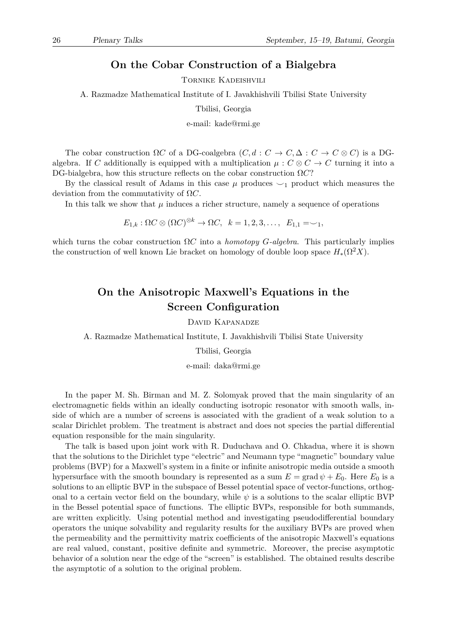#### **On the Cobar Construction of a Bialgebra**

Tornike Kadeishvili

A. Razmadze Mathematical Institute of I. Javakhishvili Tbilisi State University

Tbilisi, Georgia

e-mail: kade@rmi.ge

The cobar construction  $\Omega C$  of a DG-coalgebra  $(C, d : C \to C, \Delta : C \to C \otimes C)$  is a DGalgebra. If *C* additionally is equipped with a multiplication  $\mu : C \otimes C \rightarrow C$  turning it into a DG-bialgebra, how this structure reflects on the cobar construction Ω*C*?

By the classical result of Adams in this case  $\mu$  produces  $\smile_1$  product which measures the deviation from the commutativity of Ω*C*.

In this talk we show that  $\mu$  induces a richer structure, namely a sequence of operations

 $E_{1,k} : \Omega C \otimes (\Omega C)^{\otimes k} \to \Omega C, \ \ k = 1, 2, 3, \ldots, \ \ E_{1,1} = \subseteq_1,$ 

which turns the cobar construction  $\Omega C$  into a *homotopy G*-algebra. This particularly implies the construction of well known Lie bracket on homology of double loop space  $H_*(\Omega^2 X)$ .

## **On the Anisotropic Maxwell's Equations in the Screen Configuration**

David Kapanadze

A. Razmadze Mathematical Institute, I. Javakhishvili Tbilisi State University

Tbilisi, Georgia

e-mail: daka@rmi.ge

In the paper M. Sh. Birman and M. Z. Solomyak proved that the main singularity of an electromagnetic fields within an ideally conducting isotropic resonator with smooth walls, inside of which are a number of screens is associated with the gradient of a weak solution to a scalar Dirichlet problem. The treatment is abstract and does not species the partial differential equation responsible for the main singularity.

The talk is based upon joint work with R. Duduchava and O. Chkadua, where it is shown that the solutions to the Dirichlet type "electric" and Neumann type "magnetic" boundary value problems (BVP) for a Maxwell's system in a finite or infinite anisotropic media outside a smooth hypersurface with the smooth boundary is represented as a sum  $E = \text{grad }\psi + E_0$ . Here  $E_0$  is a solutions to an elliptic BVP in the subspace of Bessel potential space of vector-functions, orthogonal to a certain vector field on the boundary, while  $\psi$  is a solutions to the scalar elliptic BVP in the Bessel potential space of functions. The elliptic BVPs, responsible for both summands, are written explicitly. Using potential method and investigating pseudodifferential boundary operators the unique solvability and regularity results for the auxiliary BVPs are proved when the permeability and the permittivity matrix coefficients of the anisotropic Maxwell's equations are real valued, constant, positive definite and symmetric. Moreover, the precise asymptotic behavior of a solution near the edge of the "screen" is established. The obtained results describe the asymptotic of a solution to the original problem.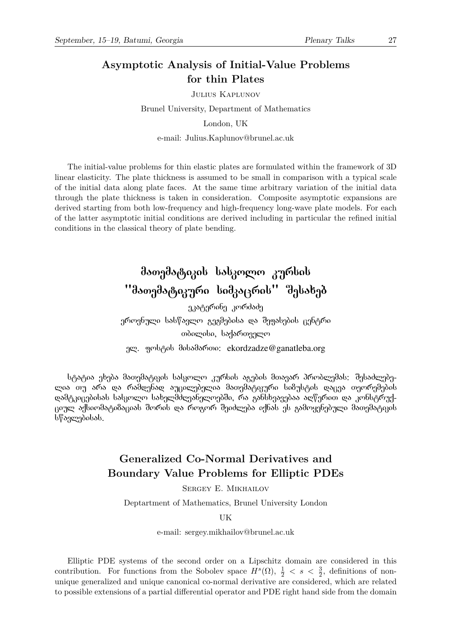### **Asymptotic Analysis of Initial-Value Problems for thin Plates**

Julius Kaplunov

Brunel University, Department of Mathematics London, UK e-mail: Julius.Kaplunov@brunel.ac.uk

The initial-value problems for thin elastic plates are formulated within the framework of 3D linear elasticity. The plate thickness is assumed to be small in comparison with a typical scale of the initial data along plate faces. At the same time arbitrary variation of the initial data through the plate thickness is taken in consideration. Composite asymptotic expansions are derived starting from both low-frequency and high-frequency long-wave plate models. For each of the latter asymptotic initial conditions are derived including in particular the refined initial conditions in the classical theory of plate bending.

## მათემატიკის სასკოლო კურსის "მათემატიკური სიმკაცრის" შესახებ

ეკატერინე კორძაძე ეროვნული სასწავლო გეგმებისა და შეფასების ცენტრი moomolo, badamonggm AE. grobeol dobsdsmoo: ekordzadze@ganatleba.org

სტატია ეხება მათემატიის სასეოლო კურსის აგების მთავარ პრობლემას: შესაძლებელია თუ არა და რამდენად აუცილებელია მათემატიკური სიმუსტის დაცვა თეორემების დამტკიცებისას სასვოლო სახელმძღვანელოებში, რა განსხვავებაა აღწერით და კონსტრუქციულ აქსიომატიზაციას შორის და როგორ შეიძლება იქნას ეს გამოყენებული მათემატიკის bწავლებისას.

## **Generalized Co-Normal Derivatives and Boundary Value Problems for Elliptic PDEs**

Sergey E. Mikhailov

Deptartment of Mathematics, Brunel University London

UK

e-mail: sergey.mikhailov@brunel.ac.uk

Elliptic PDE systems of the second order on a Lipschitz domain are considered in this contribution. For functions from the Sobolev space  $H^s(\Omega)$ ,  $\frac{1}{2} < s < \frac{3}{2}$ , definitions of nonunique generalized and unique canonical co-normal derivative are considered, which are related to possible extensions of a partial differential operator and PDE right hand side from the domain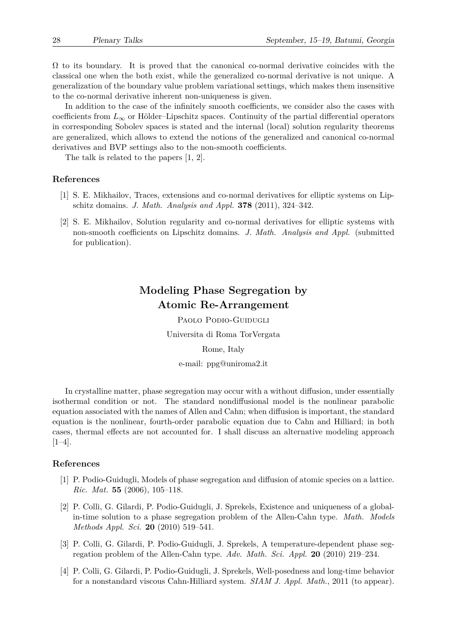$\Omega$  to its boundary. It is proved that the canonical co-normal derivative coincides with the classical one when the both exist, while the generalized co-normal derivative is not unique. A generalization of the boundary value problem variational settings, which makes them insensitive to the co-normal derivative inherent non-uniqueness is given.

In addition to the case of the infinitely smooth coefficients, we consider also the cases with coefficients from  $L_{\infty}$  or Hölder–Lipschitz spaces. Continuity of the partial differential operators in corresponding Sobolev spaces is stated and the internal (local) solution regularity theorems are generalized, which allows to extend the notions of the generalized and canonical co-normal derivatives and BVP settings also to the non-smooth coefficients.

The talk is related to the papers [1, 2].

#### **References**

- [1] S. E. Mikhailov, Traces, extensions and co-normal derivatives for elliptic systems on Lipschitz domains. *J. Math. Analysis and Appl.* **378** (2011), 324–342.
- [2] S. E. Mikhailov, Solution regularity and co-normal derivatives for elliptic systems with non-smooth coefficients on Lipschitz domains. *J. Math. Analysis and Appl.* (submitted for publication).

## **Modeling Phase Segregation by Atomic Re-Arrangement**

Paolo Podio-Guidugli Universita di Roma TorVergata Rome, Italy e-mail: ppg@uniroma2.it

In crystalline matter, phase segregation may occur with a without diffusion, under essentially isothermal condition or not. The standard nondiffusional model is the nonlinear parabolic equation associated with the names of Allen and Cahn; when diffusion is important, the standard equation is the nonlinear, fourth-order parabolic equation due to Cahn and Hilliard; in both cases, thermal effects are not accounted for. I shall discuss an alternative modeling approach  $[1-4]$ .

#### **References**

- [1] P. Podio-Guidugli, Models of phase segregation and diffusion of atomic species on a lattice. *Ric. Mat.* **55** (2006), 105–118.
- [2] P. Colli, G. Gilardi, P. Podio-Guidugli, J. Sprekels, Existence and uniqueness of a globalin-time solution to a phase segregation problem of the Allen-Cahn type. *Math. Models Methods Appl. Sci.* **20** (2010) 519–541.
- [3] P. Colli, G. Gilardi, P. Podio-Guidugli, J. Sprekels, A temperature-dependent phase segregation problem of the Allen-Cahn type. *Adv. Math. Sci. Appl.* **20** (2010) 219–234.
- [4] P. Colli, G. Gilardi, P. Podio-Guidugli, J. Sprekels, Well-posedness and long-time behavior for a nonstandard viscous Cahn-Hilliard system. *SIAM J. Appl. Math.*, 2011 (to appear).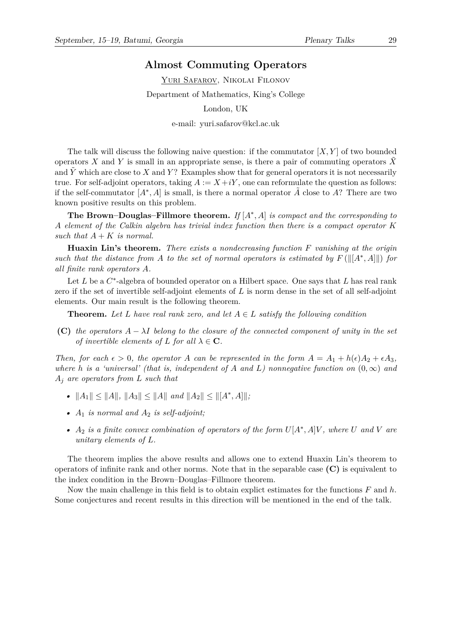#### **Almost Commuting Operators**

Yuri Safarov, Nikolai Filonov

Department of Mathematics, King's College

London, UK

e-mail: yuri.safarov@kcl.ac.uk

The talk will discuss the following naive question: if the commutator  $[X, Y]$  of two bounded operators X and Y is small in an appropriate sense, is there a pair of commuting operators  $\tilde{X}$ and  $\tilde{Y}$  which are close to  $X$  and  $Y$ ? Examples show that for general operators it is not necessarily true. For self-adjoint operators, taking  $A := X + iY$ , one can reformulate the question as follows: if the self-commutator  $[A^*, A]$  is small, is there a normal operator  $\tilde{A}$  close to  $A$ ? There are two known positive results on this problem.

**The Brown–Douglas–Fillmore theorem.** *If* [*A∗ , A*] *is compact and the corresponding to A element of the Calkin algebra has trivial index function then there is a compact operator K* such that  $A + K$  *is normal.* 

**Huaxin Lin's theorem.** *There exists a nondecreasing function F vanishing at the origin such that the distance from A to the set of normal operators is estimated by*  $F(||[A^*,A]||)$  *for all finite rank operators A.*

Let *L* be a *C ∗* -algebra of bounded operator on a Hilbert space. One says that *L* has real rank zero if the set of invertible self-adjoint elements of *L* is norm dense in the set of all self-adjoint elements. Our main result is the following theorem.

**Theorem.** Let *L* have real rank zero, and let  $A \in L$  satisfy the following condition

**(C)** *the operators A − λI belong to the closure of the connected component of unity in the set of invertible elements of*  $L$  *for all*  $\lambda \in \mathbf{C}$ *.* 

*Then, for each*  $\epsilon > 0$ *, the operator A can be represented in the form*  $A = A_1 + h(\epsilon)A_2 + \epsilon A_3$ *, where h is a 'universal' (that is, independent of A and L) nonnegative function on*  $(0, \infty)$  *and A<sup>j</sup> are operators from L such that*

- *• ∥A*1*∥ ≤ ∥A∥, ∥A*3*∥ ≤ ∥A∥ and ∥A*2*∥ ≤ ∥*[*A<sup>∗</sup> , A*]*∥;*
- *• A*<sup>1</sup> *is normal and A*<sup>2</sup> *is self-adjoint;*
- *• A*<sup>2</sup> *is a finite convex combination of operators of the form U*[*A<sup>∗</sup> , A*]*V , where U and V are unitary elements of L.*

The theorem implies the above results and allows one to extend Huaxin Lin's theorem to operators of infinite rank and other norms. Note that in the separable case **(C)** is equivalent to the index condition in the Brown–Douglas–Fillmore theorem.

Now the main challenge in this field is to obtain explict estimates for the functions *F* and *h*. Some conjectures and recent results in this direction will be mentioned in the end of the talk.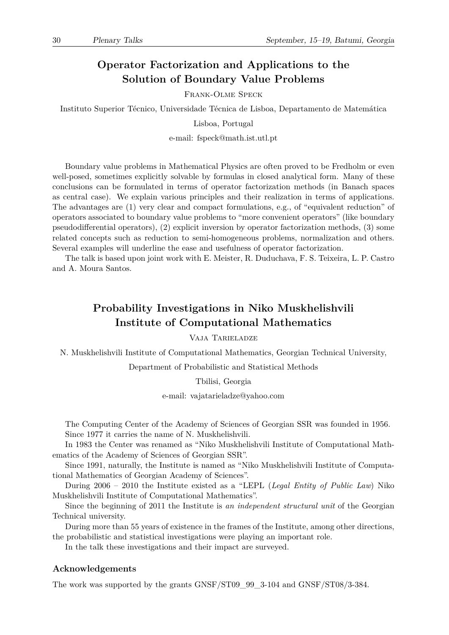## **Operator Factorization and Applications to the Solution of Boundary Value Problems**

Frank-Olme Speck

Instituto Superior Técnico, Universidade Técnica de Lisboa, Departamento de Matemática

Lisboa, Portugal

e-mail: fspeck@math.ist.utl.pt

Boundary value problems in Mathematical Physics are often proved to be Fredholm or even well-posed, sometimes explicitly solvable by formulas in closed analytical form. Many of these conclusions can be formulated in terms of operator factorization methods (in Banach spaces as central case). We explain various principles and their realization in terms of applications. The advantages are (1) very clear and compact formulations, e.g., of "equivalent reduction" of operators associated to boundary value problems to "more convenient operators" (like boundary pseudodifferential operators), (2) explicit inversion by operator factorization methods, (3) some related concepts such as reduction to semi-homogeneous problems, normalization and others. Several examples will underline the ease and usefulness of operator factorization.

The talk is based upon joint work with E. Meister, R. Duduchava, F. S. Teixeira, L. P. Castro and A. Moura Santos.

## **Probability Investigations in Niko Muskhelishvili Institute of Computational Mathematics**

#### Vaja Tarieladze

N. Muskhelishvili Institute of Computational Mathematics, Georgian Technical University,

Department of Probabilistic and Statistical Methods

Tbilisi, Georgia

e-mail: vajatarieladze@yahoo.com

The Computing Center of the Academy of Sciences of Georgian SSR was founded in 1956. Since 1977 it carries the name of N. Muskhelishvili.

In 1983 the Center was renamed as "Niko Muskhelishvili Institute of Computational Mathematics of the Academy of Sciences of Georgian SSR".

Since 1991, naturally, the Institute is named as "Niko Muskhelishvili Institute of Computational Mathematics of Georgian Academy of Sciences".

During 2006 – 2010 the Institute existed as a "LEPL (*Legal Entity of Public Law*) Niko Muskhelishvili Institute of Computational Mathematics".

Since the beginning of 2011 the Institute is *an independent structural unit* of the Georgian Technical university.

During more than 55 years of existence in the frames of the Institute, among other directions, the probabilistic and statistical investigations were playing an important role.

In the talk these investigations and their impact are surveyed.

#### **Acknowledgements**

The work was supported by the grants GNSF/ST09\_99\_3-104 and GNSF/ST08/3-384.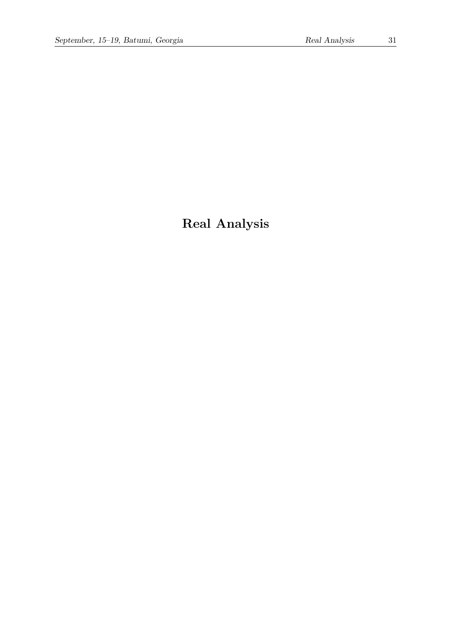**Real Analysis**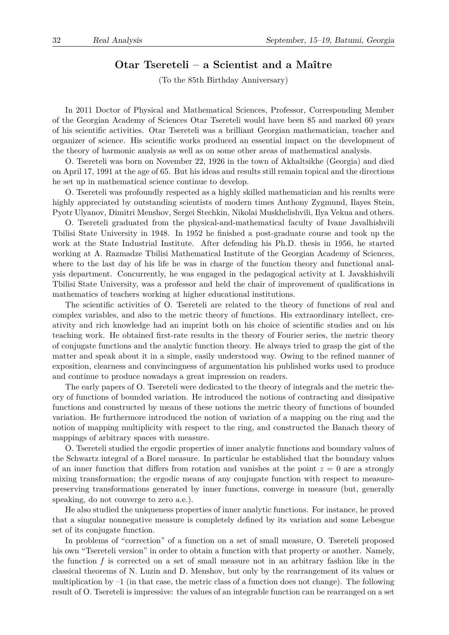#### **Otar Tsereteli – a Scientist and a Maître**

(To the 85th Birthday Anniversary)

In 2011 Doctor of Physical and Mathematical Sciences, Professor, Corresponding Member of the Georgian Academy of Sciences Otar Tsereteli would have been 85 and marked 60 years of his scientific activities. Otar Tsereteli was a brilliant Georgian mathematician, teacher and organizer of science. His scientific works produced an essential impact on the development of the theory of harmonic analysis as well as on some other areas of mathematical analysis.

O. Tsereteli was born on November 22, 1926 in the town of Akhaltsikhe (Georgia) and died on April 17, 1991 at the age of 65. But his ideas and results still remain topical and the directions he set up in mathematical science continue to develop.

O. Tsereteli was profoundly respected as a highly skilled mathematician and his results were highly appreciated by outstanding scientists of modern times Anthony Zygmund, Ilayes Stein, Pyotr Ulyanov, Dimitri Menshov, Sergei Stechkin, Nikolai Muskhelishvili, Ilya Vekua and others.

O. Tsereteli graduated from the physical-and-mathematical faculty of Ivane Javalhishvili Tbilisi State University in 1948. In 1952 he finished a post-graduate course and took up the work at the State Industrial Institute. After defending his Ph.D. thesis in 1956, he started working at A. Razmadze Tbilisi Mathematical Institute of the Georgian Academy of Sciences, where to the last day of his life he was in charge of the function theory and functional analysis department. Concurrently, he was engaged in the pedagogical activity at I. Javakhishvili Tbilisi State University, was a professor and held the chair of improvement of qualifications in mathematics of teachers working at higher educational institutions.

The scientific activities of O. Tsereteli are related to the theory of functions of real and complex variables, and also to the metric theory of functions. His extraordinary intellect, creativity and rich knowledge had an imprint both on his choice of scientific studies and on his teaching work. He obtained first-rate results in the theory of Fourier series, the metric theory of conjugate functions and the analytic function theory. He always tried to grasp the gist of the matter and speak about it in a simple, easily understood way. Owing to the refined manner of exposition, clearness and convincingness of argumentation his published works used to produce and continue to produce nowadays a great impression on readers.

The early papers of O. Tsereteli were dedicated to the theory of integrals and the metric theory of functions of bounded variation. He introduced the notions of contracting and dissipative functions and constructed by means of these notions the metric theory of functions of bounded variation. He furthermore introduced the notion of variation of a mapping on the ring and the notion of mapping multiplicity with respect to the ring, and constructed the Banach theory of mappings of arbitrary spaces with measure.

O. Tsereteli studied the ergodic properties of inner analytic functions and boundary values of the Schwartz integral of a Borel measure. In particular he established that the boundary values of an inner function that differs from rotation and vanishes at the point  $z = 0$  are a strongly mixing transformation; the ergodic means of any conjugate function with respect to measurepreserving transformations generated by inner functions, converge in measure (but, generally speaking, do not converge to zero a.e.).

He also studied the uniqueness properties of inner analytic functions. For instance, he proved that a singular nonnegative measure is completely defined by its variation and some Lebesgue set of its conjugate function.

In problems of "correction" of a function on a set of small measure, O. Tsereteli proposed his own "Tsereteli version" in order to obtain a function with that property or another. Namely, the function *f* is corrected on a set of small measure not in an arbitrary fashion like in the classical theorems of N. Luzin and D. Menshov, but only by the rearrangement of its values or multiplication by  $-1$  (in that case, the metric class of a function does not change). The following result of O. Tsereteli is impressive: the values of an integrable function can be rearranged on a set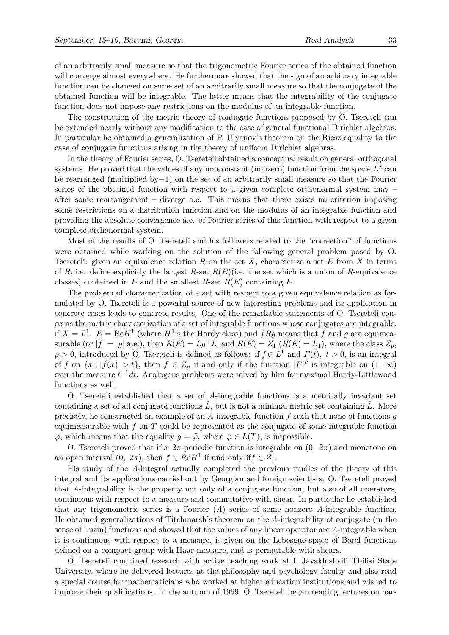of an arbitrarily small measure so that the trigonometric Fourier series of the obtained function will converge almost everywhere. He furthermore showed that the sign of an arbitrary integrable function can be changed on some set of an arbitrarily small measure so that the conjugate of the obtained function will be integrable. The latter means that the integrability of the conjugate function does not impose any restrictions on the modulus of an integrable function.

The construction of the metric theory of conjugate functions proposed by O. Tsereteli can be extended nearly without any modification to the case of general functional Dirichlet algebras. In particular he obtained a generalization of P. Ulyanov's theorem on the Riesz equality to the case of conjugate functions arising in the theory of uniform Dirichlet algebras.

In the theory of Fourier series, O. Tsereteli obtained a conceptual result on general orthogonal systems. He proved that the values of any nonconstant (nonzero) function from the space  $L^2$  can be rearranged (multiplied by*−*1) on the set of an arbitrarily small measure so that the Fourier series of the obtained function with respect to a given complete orthonormal system may – after some rearrangement – diverge a.e. This means that there exists no criterion imposing some restrictions on a distribution function and on the modulus of an integrable function and providing the absolute convergence a.e. of Fourier series of this function with respect to a given complete orthonormal system.

Most of the results of O. Tsereteli and his followers related to the "correction" of functions were obtained while working on the solution of the following general problem posed by O. Tsereteli: given an equivalence relation *R* on the set *X*, characterize a set *E* from *X* in terms of *R*, i.e. define explicitly the largest *R*-set  $\underline{R}(E)$  (i.e. the set which is a union of *R*-equivalence classes) contained in *E* and the smallest *R*-set  $\overline{R}(E)$  containing *E*.

The problem of characterization of a set with respect to a given equivalence relation as formulated by O. Tsereteli is a powerful source of new interesting problems and its application in concrete cases leads to concrete results. One of the remarkable statements of O. Tsereteli concerns the metric characterization of a set of integrable functions whose conjugates are integrable: if  $X = L^1$ ,  $E = \text{Re} H^1$  (where  $H^1$  is the Hardy class) and  $fRg$  means that  $f$  and  $g$  are equimeasurable (or  $|f| = |g|$  a.e.), then  $\underline{R}(E) = Lg^+L$ , and  $\overline{R}(E) = Z_1$  ( $\overline{R}(E) = L_1$ ), where the class  $Z_p$ ,  $p > 0$ , introduced by O. Tsereteli is defined as follows: if  $f \in L^1$  and  $F(t)$ ,  $t > 0$ , is an integral of f on  $\{x : |f(x)| > t\}$ , then  $f \in Z_p$  if and only if the function  $|F|^p$  is integrable on  $(1, \infty)$ over the measure *t <sup>−</sup>*1*dt*. Analogous problems were solved by him for maximal Hardy-Littlewood functions as well.

O. Tsereteli established that a set of *A*-integrable functions is a metrically invariant set containing a set of all conjugate functions  $L$ , but is not a minimal metric set containing  $L$ . More precisely, he constructed an example of an *A*-integrable function *f* such that none of functions *g* equimeasurable with *f* on *T* could be represented as the conjugate of some integrable function *φ*, which means that the equality  $g = \tilde{\varphi}$ , where  $\varphi \in L(T)$ , is impossible.

O. Tsereteli proved that if a  $2\pi$ -periodic function is integrable on  $(0, 2\pi)$  and monotone on an open interval  $(0, 2\pi)$ , then  $f \in ReH^1$  if and only if  $f \in Z_1$ .

His study of the *A*-integral actually completed the previous studies of the theory of this integral and its applications carried out by Georgian and foreign scientists. O. Tsereteli proved that *A*-integrability is the property not only of a conjugate function, but also of all operators, continuous with respect to a measure and commutative with shear. In particular he established that any trigonometric series is a Fourier (*A*) series of some nonzero *A*-integrable function. He obtained generalizations of Titchmarsh's theorem on the *A*-integrability of conjugate (in the sense of Luzin) functions and showed that the values of any linear operator are *A*-integrable when it is continuous with respect to a measure, is given on the Lebesgue space of Borel functions defined on a compact group with Haar measure, and is permutable with shears.

O. Tsereteli combined research with active teaching work at I. Javakhishvili Tbilisi State University, where he delivered lectures at the philosophy and psychology faculty and also read a special course for mathematicians who worked at higher education institutions and wished to improve their qualifications. In the autumn of 1969, O. Tsereteli began reading lectures on har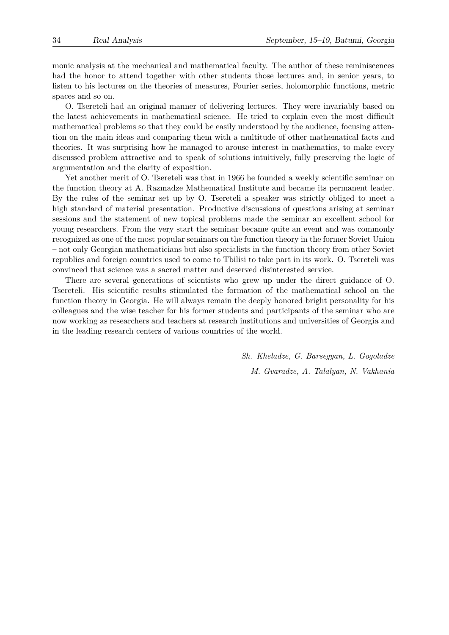monic analysis at the mechanical and mathematical faculty. The author of these reminiscences had the honor to attend together with other students those lectures and, in senior years, to listen to his lectures on the theories of measures, Fourier series, holomorphic functions, metric spaces and so on.

O. Tsereteli had an original manner of delivering lectures. They were invariably based on the latest achievements in mathematical science. He tried to explain even the most difficult mathematical problems so that they could be easily understood by the audience, focusing attention on the main ideas and comparing them with a multitude of other mathematical facts and theories. It was surprising how he managed to arouse interest in mathematics, to make every discussed problem attractive and to speak of solutions intuitively, fully preserving the logic of argumentation and the clarity of exposition.

Yet another merit of O. Tsereteli was that in 1966 he founded a weekly scientific seminar on the function theory at A. Razmadze Mathematical Institute and became its permanent leader. By the rules of the seminar set up by O. Tsereteli a speaker was strictly obliged to meet a high standard of material presentation. Productive discussions of questions arising at seminar sessions and the statement of new topical problems made the seminar an excellent school for young researchers. From the very start the seminar became quite an event and was commonly recognized as one of the most popular seminars on the function theory in the former Soviet Union – not only Georgian mathematicians but also specialists in the function theory from other Soviet republics and foreign countries used to come to Tbilisi to take part in its work. O. Tsereteli was convinced that science was a sacred matter and deserved disinterested service.

There are several generations of scientists who grew up under the direct guidance of O. Tsereteli. His scientific results stimulated the formation of the mathematical school on the function theory in Georgia. He will always remain the deeply honored bright personality for his colleagues and the wise teacher for his former students and participants of the seminar who are now working as researchers and teachers at research institutions and universities of Georgia and in the leading research centers of various countries of the world.

> *Sh. Kheladze, G. Barsegyan, L. Gogoladze M. Gvaradze, A. Talalyan, N. Vakhania*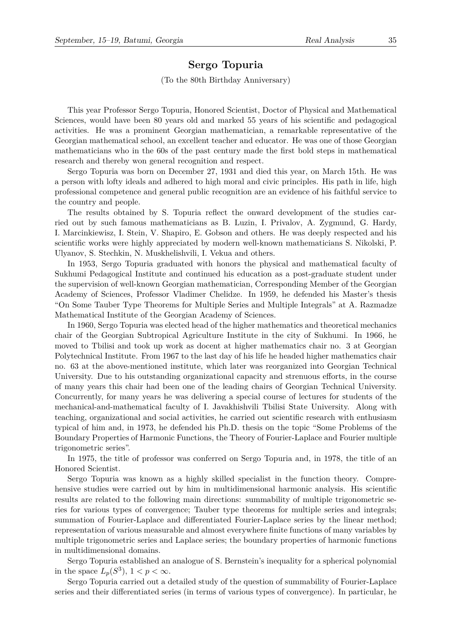#### **Sergo Topuria**

(To the 80th Birthday Anniversary)

This year Professor Sergo Topuria, Honored Scientist, Doctor of Physical and Mathematical Sciences, would have been 80 years old and marked 55 years of his scientific and pedagogical activities. He was a prominent Georgian mathematician, a remarkable representative of the Georgian mathematical school, an excellent teacher and educator. He was one of those Georgian mathematicians who in the 60s of the past century made the first bold steps in mathematical research and thereby won general recognition and respect.

Sergo Topuria was born on December 27, 1931 and died this year, on March 15th. He was a person with lofty ideals and adhered to high moral and civic principles. His path in life, high professional competence and general public recognition are an evidence of his faithful service to the country and people.

The results obtained by S. Topuria reflect the onward development of the studies carried out by such famous mathematicians as B. Luzin, I. Privalov, A. Zygmund, G. Hardy, I. Marcinkiewisz, I. Stein, V. Shapiro, E. Gobson and others. He was deeply respected and his scientific works were highly appreciated by modern well-known mathematicians S. Nikolski, P. Ulyanov, S. Stechkin, N. Muskhelishvili, I. Vekua and others.

In 1953, Sergo Topuria graduated with honors the physical and mathematical faculty of Sukhumi Pedagogical Institute and continued his education as a post-graduate student under the supervision of well-known Georgian mathematician, Corresponding Member of the Georgian Academy of Sciences, Professor Vladimer Chelidze. In 1959, he defended his Master's thesis "On Some Tauber Type Theorems for Multiple Series and Multiple Integrals" at A. Razmadze Mathematical Institute of the Georgian Academy of Sciences.

In 1960, Sergo Topuria was elected head of the higher mathematics and theoretical mechanics chair of the Georgian Subtropical Agriculture Institute in the city of Sukhumi. In 1966, he moved to Tbilisi and took up work as docent at higher mathematics chair no. 3 at Georgian Polytechnical Institute. From 1967 to the last day of his life he headed higher mathematics chair no. 63 at the above-mentioned institute, which later was reorganized into Georgian Technical University. Due to his outstanding organizational capacity and strenuous efforts, in the course of many years this chair had been one of the leading chairs of Georgian Technical University. Concurrently, for many years he was delivering a special course of lectures for students of the mechanical-and-mathematical faculty of I. Javakhishvili Tbilisi State University. Along with teaching, organizational and social activities, he carried out scientific research with enthusiasm typical of him and, in 1973, he defended his Ph.D. thesis on the topic "Some Problems of the Boundary Properties of Harmonic Functions, the Theory of Fourier-Laplace and Fourier multiple trigonometric series".

In 1975, the title of professor was conferred on Sergo Topuria and, in 1978, the title of an Honored Scientist.

Sergo Topuria was known as a highly skilled specialist in the function theory. Comprehensive studies were carried out by him in multidimensional harmonic analysis. His scientific results are related to the following main directions: summability of multiple trigonometric series for various types of convergence; Tauber type theorems for multiple series and integrals; summation of Fourier-Laplace and differentiated Fourier-Laplace series by the linear method; representation of various measurable and almost everywhere finite functions of many variables by multiple trigonometric series and Laplace series; the boundary properties of harmonic functions in multidimensional domains.

Sergo Topuria established an analogue of S. Bernstein's inequality for a spherical polynomial in the space  $L_p(S^3)$ ,  $1 < p < \infty$ .

Sergo Topuria carried out a detailed study of the question of summability of Fourier-Laplace series and their differentiated series (in terms of various types of convergence). In particular, he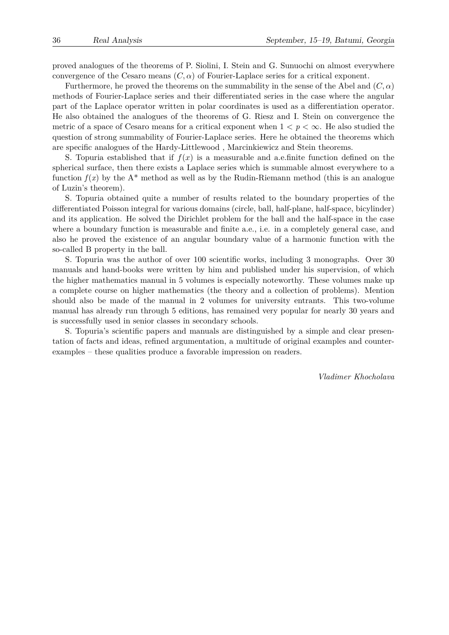proved analogues of the theorems of P. Siolini, I. Stein and G. Sunuochi on almost everywhere convergence of the Cesaro means  $(C, \alpha)$  of Fourier-Laplace series for a critical exponent.

Furthermore, he proved the theorems on the summability in the sense of the Abel and  $(C, \alpha)$ methods of Fourier-Laplace series and their differentiated series in the case where the angular part of the Laplace operator written in polar coordinates is used as a differentiation operator. He also obtained the analogues of the theorems of G. Riesz and I. Stein on convergence the metric of a space of Cesaro means for a critical exponent when  $1 < p < \infty$ . He also studied the question of strong summability of Fourier-Laplace series. Here he obtained the theorems which are specific analogues of the Hardy-Littlewood , Marcinkiewicz and Stein theorems.

S. Topuria established that if  $f(x)$  is a measurable and a.e.finite function defined on the spherical surface, then there exists a Laplace series which is summable almost everywhere to a function  $f(x)$  by the  $A^*$  method as well as by the Rudin-Riemann method (this is an analogue of Luzin's theorem).

S. Topuria obtained quite a number of results related to the boundary properties of the differentiated Poisson integral for various domains (circle, ball, half-plane, half-space, bicylinder) and its application. He solved the Dirichlet problem for the ball and the half-space in the case where a boundary function is measurable and finite a.e., i.e. in a completely general case, and also he proved the existence of an angular boundary value of a harmonic function with the so-called B property in the ball.

S. Topuria was the author of over 100 scientific works, including 3 monographs. Over 30 manuals and hand-books were written by him and published under his supervision, of which the higher mathematics manual in 5 volumes is especially noteworthy. These volumes make up a complete course on higher mathematics (the theory and a collection of problems). Mention should also be made of the manual in 2 volumes for university entrants. This two-volume manual has already run through 5 editions, has remained very popular for nearly 30 years and is successfully used in senior classes in secondary schools.

S. Topuria's scientific papers and manuals are distinguished by a simple and clear presentation of facts and ideas, refined argumentation, a multitude of original examples and counterexamples – these qualities produce a favorable impression on readers.

*Vladimer Khocholava*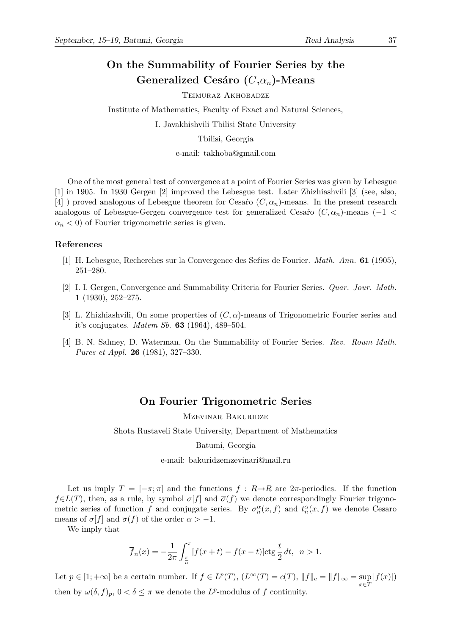# **On the Summability of Fourier Series by the Generalized Cesáro (***C***,***αn***)-Means**

TEIMURAZ AKHOBADZE

Institute of Mathematics, Faculty of Exact and Natural Sciences,

I. Javakhishvili Tbilisi State University

Tbilisi, Georgia

e-mail: takhoba@gmail.com

One of the most general test of convergence at a point of Fourier Series was given by Lebesgue [1] in 1905. In 1930 Gergen [2] improved the Lebesgue test. Later Zhizhiashvili [3] (see, also, [4] ) proved analogous of Lebesgue theorem for Cesaŕo (*C, αn*)-means. In the present research analogous of Lebesgue-Gergen convergence test for generalized Cesaŕo (*C, αn*)-means (*−*1 *<*  $\alpha_n < 0$ ) of Fourier trigonometric series is given.

#### **References**

- [1] H. Lebesgue, Recherehes sur la Convergence des Seŕies de Fourier. *Math. Ann.* **61** (1905), 251–280.
- [2] I. I. Gergen, Convergence and Summability Criteria for Fourier Series. *Quar. Jour. Math.* **1** (1930), 252–275.
- [3] L. Zhizhiashvili, On some properties of  $(C, \alpha)$ -means of Trigonometric Fourier series and it's conjugates. *Matem Sb.* **63** (1964), 489–504.
- [4] B. N. Sahney, D. Waterman, On the Summability of Fourier Series. *Rev. Roum Math. Pures et Appl.* **26** (1981), 327–330.

#### **On Fourier Trigonometric Series**

Mzevinar Bakuridze

Shota Rustaveli State University, Department of Mathematics

#### Batumi, Georgia

e-mail: bakuridzemzevinari@mail.ru

Let us imply  $T = [-\pi, \pi]$  and the functions  $f : R \rightarrow R$  are  $2\pi$ -periodics. If the function  $f \in L(T)$ , then, as a rule, by symbol  $\sigma[f]$  and  $\overline{\sigma}(f)$  we denote correspondingly Fourier trigonometric series of function *f* and conjugate series. By  $\sigma_n^{\alpha}(x, f)$  and  $t_n^{\alpha}(x, f)$  we denote Cesaro means of  $\sigma[f]$  and  $\overline{\sigma}(f)$  of the order  $\alpha > -1$ .

We imply that

$$
\overline{f}_n(x) = -\frac{1}{2\pi} \int_{\frac{\pi}{n}}^{\pi} [f(x+t) - f(x-t)] \operatorname{ctg} \frac{t}{2} dt, \ \ n > 1.
$$

Let  $p \in [1, +\infty]$  be a certain number. If  $f \in L^p(T)$ ,  $(L^{\infty}(T) = c(T), ||f||_c = ||f||_{\infty} = \sup_{x \in T}$  $|f(x)|$ then by  $\omega(\delta, f)_p$ ,  $0 < \delta \leq \pi$  we denote the *L*<sup>*p*</sup>-modulus of *f* continuity.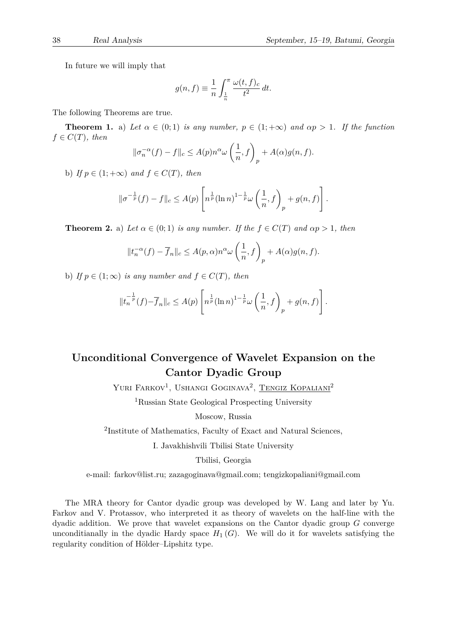In future we will imply that

$$
g(n, f) \equiv \frac{1}{n} \int_{\frac{1}{n}}^{\pi} \frac{\omega(t, f)_c}{t^2} dt.
$$

The following Theorems are true.

**Theorem 1.** a) Let  $\alpha \in (0,1)$  is any number,  $p \in (1,+\infty)$  and  $\alpha p > 1$ . If the function  $f \in C(T)$ *, then* 

$$
\|\sigma_n^{-\alpha}(f) - f\|_c \le A(p)n^{\alpha}\omega\left(\frac{1}{n}, f\right)_p + A(\alpha)g(n, f).
$$

b) *If*  $p \in (1; +\infty)$  *and*  $f \in C(T)$ *, then* 

$$
\|\sigma^{-\frac{1}{p}}(f) - f\|_{c} \leq A(p) \left[ n^{\frac{1}{p}} (\ln n)^{1-\frac{1}{p}} \omega \left( \frac{1}{n}, f \right)_{p} + g(n, f) \right].
$$

**Theorem 2.** a) Let  $\alpha \in (0, 1)$  *is any number. If the*  $f \in C(T)$  *and*  $\alpha p > 1$ *, then* 

$$
||t_n^{-\alpha}(f) - \overline{f}_n||_c \le A(p, \alpha)n^{\alpha} \omega \left(\frac{1}{n}, f\right)_p + A(\alpha)g(n, f).
$$

*b*) *If*  $p \in (1; ∞)$  *is any number and*  $f \in C(T)$ *, then* 

$$
||t_n^{-\frac{1}{p}}(f) - \overline{f}_n||_c \le A(p) \left[ n^{\frac{1}{p}} (\ln n)^{1-\frac{1}{p}} \omega \left( \frac{1}{n}, f \right)_p + g(n, f) \right].
$$

# **Unconditional Convergence of Wavelet Expansion on the Cantor Dyadic Group**

YURI FARKOV<sup>1</sup>, USHANGI GOGINAVA<sup>2</sup>, TENGIZ KOPALIANI<sup>2</sup>

<sup>1</sup>Russian State Geological Prospecting University

Moscow, Russia

<sup>2</sup>Institute of Mathematics, Faculty of Exact and Natural Sciences,

I. Javakhishvili Tbilisi State University

Tbilisi, Georgia

e-mail: farkov@list.ru; zazagoginava@gmail.com; tengizkopaliani@gmail.com

The MRA theory for Cantor dyadic group was developed by W. Lang and later by Yu. Farkov and V. Protassov, who interpreted it as theory of wavelets on the half-line with the dyadic addition. We prove that wavelet expansions on the Cantor dyadic group *G* converge unconditianally in the dyadic Hardy space  $H_1(G)$ . We will do it for wavelets satisfying the regularity condition of Hölder–Lipshitz type.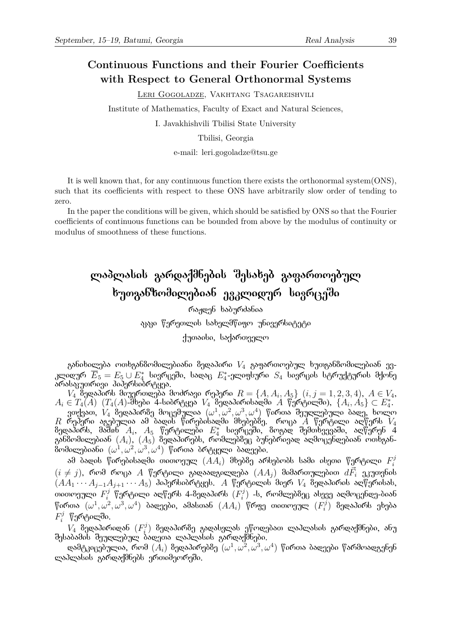## **Continuous Functions and their Fourier Coefficients with Respect to General Orthonormal Systems**

Leri Gogoladze, Vakhtang Tsagareishvili

Institute of Mathematics, Faculty of Exact and Natural Sciences,

I. Javakhishvili Tbilisi State University

Tbilisi, Georgia

e-mail: leri.gogoladze@tsu.ge

It is well known that, for any continuous function there exists the orthonormal system(ONS), such that its coefficients with respect to these ONS have arbitrarily slow order of tending to zero.

In the paper the conditions will be given, which should be satisfied by ONS so that the Fourier coefficients of continuous functions can be bounded from above by the modulus of continuity or modulus of smoothness of these functions.

# ლაპლასის გარდაქმნების შესახებ გაფართოებულ ხუთგანზომილებიან ევკლიდურ სივრცეში

რაჟდენ ხაბურძანია

აკაკი წერეთლის სახელმწიფო უნივერსიტეტი

ქუთაისი, საქართველო

 $\Lambda$ განიხილება ოთხგანმომილებიანი მედაპირი  $V_4$  გაფართოებულ ხუთგანმომილებიან ევკლიდურ  $E_5 = E_5 \cup E_4^*$  სივრცეში, სადაც  $E_4^*$ -ელიფსური  $S_4$  სივრცის სტრუქტურის მქონე  $j$ ლილუო $\frac{E_5-E_5\cup E_4}{E_4}$  ათვოცეთი, ათლაც  $E_4$ 

 $V_4$  წედაპირს მიუერთდება მოძრავი რეპერი  $R = \{A, A_i, A_5\}$   $(i,j = 1,2,3,4), \ A \in V_4,$  $A_i \in T_4(A)$   $(T_4(A)$ -მხები 4-სიბრტყეა  $V_4$  ბედაპირისადმი  $A$  წერტილში),  $\{A_i, A_5\} \subset E_4^*.$ 

ვთქვათ,  $V_4$  მედაპირბე მოცემულია  $(\omega^1,\omega^2,\omega^3,\omega^4)$  წირთა შეუღლებული ბაღე, ხოლო  $R$  რეპერი აგებულია ამ ბაღის წირებისაღმი მხებებმე. როცა  $A$  წერტილი აღწერს  $V_4$ ბედაპირს, მაშჲნ  $A_i,$   $A_5$  წერტილები  $E_4^*$  სივრცეში, ბოგად შემთხვევაში, აღწერენ 4 განბომილებიან  $(A_i)$ ,  $(A_5)$  ბედაპირებს, რომლებბეც ბუნებრივად აღმოცენდებიან ოთხგან- $\delta$ ომილებიანი  $(\omega^1, \omega^2, \omega^3, \omega^4)$  წირთა ბრტყელი ბაღეები.

ამ ბადის წირებისადმი თითოეულ  $(A A_i)$  მხებმე არსებობს სამი ისეთი წერტილი  $F_i^j$ *i*  $(i\neq j)$ , რომ როცა  $A$  წერტილი გადაადგილდება  $(AA_j)$  მიმართულებით  $d\vec{F}_i$  ეკუთვნის (*AA*<sup>1</sup> *· · · A<sup>j</sup>−*<sup>1</sup>*Aj*+1 *· · · A*5) äÉÐÄÒÓÉÁÒÔÚÄÓ. *A* ßÄÒÔÉËÉÓ ÌÉÄÒ *V*<sup>4</sup> ÆÄÃÀÐÉÒÉÓ ÀÙßÄÒÉÓÀÓ, თითოეული  $F_i^j$  წერტილი აღწერს 4-ზედაპირს  $(F_i^j$  $\mathcal{C}^{\jmath}_i$ ) -ს, რომლებმეც ასევე აღმოცენდე-ბიან  $\mathfrak{F}$ ირთა  $(\omega^1,\omega^2,\omega^3,\omega^4)$  ბადეები, ამასთან  $(AA_i)$  წრფე თითოეულ  $(F_i^j)$  $\bm{v}^{\jmath}_i)$  გედაპირს ეხება  $F_i^j$  წერტილში.

 $V_4$  გედაპირიდან  $(F_i^j)$ *i* ) ÆÄÃÀÐÉÒÆÄ ÂÀÃÀÓÅËÀÓ ÄßÏÃÄÁÀÈ ËÀÐËÀÓÉÓ ÂÀÒÃÀØÌÍÄÁÉ, ÀÍÖ dgusdoddu dangego dağan en de boleda dağalahan

დამტკიცებულია, რომ  $(A_i)$  ზედაპირებზე  $(\omega^1,\omega^2,\omega^3,\omega^4)$  წირთა ბადეები წარმოადგენენ ensdepoliol asmesdobado amonodammado.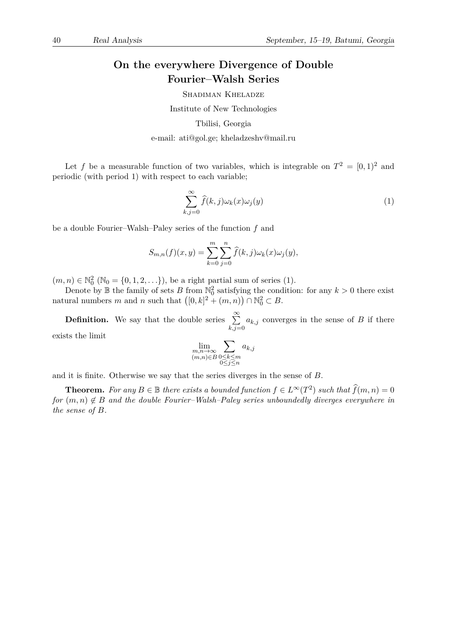## **On the everywhere Divergence of Double Fourier–Walsh Series**

SHADIMAN KHELADZE

Institute of New Technologies

Tbilisi, Georgia

e-mail: ati@gol.ge; kheladzeshv@mail.ru

Let f be a measurable function of two variables, which is integrable on  $T^2 = [0,1)^2$  and periodic (with period 1) with respect to each variable;

$$
\sum_{k,j=0}^{\infty} \hat{f}(k,j)\omega_k(x)\omega_j(y)
$$
 (1)

be a double Fourier–Walsh–Paley series of the function *f* and

$$
S_{m,n}(f)(x,y) = \sum_{k=0}^{m} \sum_{j=0}^{n} \widehat{f}(k,j)\omega_k(x)\omega_j(y),
$$

 $(m, n) \in \mathbb{N}_0^2$  ( $\mathbb{N}_0 = \{0, 1, 2, \ldots\}$ ), be a right partial sum of series (1).

Denote by  $\mathbb B$  the family of sets *B* from  $\mathbb N_0^2$  satisfying the condition: for any  $k > 0$  there exist natural numbers *m* and *n* such that  $([0, k]^2 + (m, n)) \cap \mathbb{N}_0^2 \subset B$ .

**Definition.** We say that the double series <sup>∑</sup>*<sup>∞</sup>*  $k, j = 0$  $a_{k,j}$  converges in the sense of *B* if there

exists the limit

$$
\lim_{\substack{m,n\to\infty\\(m,n)\in B}}\sum_{\substack{0\leq k\leq m\\0\leq j\leq n}}a_{k,j}
$$

and it is finite. Otherwise we say that the series diverges in the sense of *B*.

**Theorem.** For any  $B \in \mathbb{B}$  there exists a bounded function  $f \in L^{\infty}(T^2)$  such that  $\widehat{f}(m, n) = 0$ *for*  $(m, n) \notin B$  *and the double Fourier–Walsh–Paley series unboundedly diverges everywhere in the sense of B.*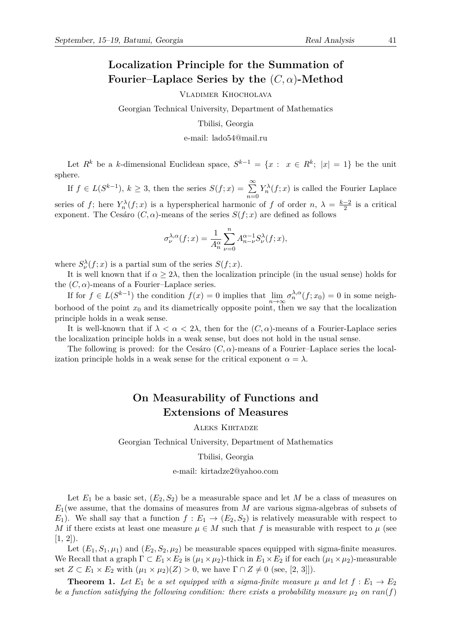## **Localization Principle for the Summation of Fourier–Laplace Series by the** (*C, α*)**-Method**

Vladimer Khocholava

Georgian Technical University, Department of Mathematics

Tbilisi, Georgia

e-mail: lado54@mail.ru

Let  $R^k$  be a *k*-dimensional Euclidean space,  $S^{k-1} = \{x : x \in R^k; |x| = 1\}$  be the unit sphere.

If  $f \in L(S^{k-1}), k \geq 3$ , then the series  $S(f; x) = \sum_{k=1}^{\infty}$ *n*=0  $Y_n^{\lambda}(f; x)$  is called the Fourier Laplace series of *f*; here  $Y_n^{\lambda}(f; x)$  is a hyperspherical harmonic of *f* of order *n*,  $\lambda = \frac{k-2}{2}$  is a critical exponent. The Cesáro  $(C, \alpha)$ -means of the series  $S(f; x)$  are defined as follows

$$
\sigma_{\nu}^{\lambda,\alpha}(f;x)=\frac{1}{A_n^\alpha}\sum_{\nu=0}^nA_{n-\nu}^{\alpha-1}S_{\nu}^\lambda(f;x),
$$

where  $S^{\lambda}_{\nu}(f; x)$  is a partial sum of the series  $S(f; x)$ .

It is well known that if  $\alpha \geq 2\lambda$ , then the localization principle (in the usual sense) holds for the  $(C, \alpha)$ -means of a Fourier-Laplace series.

If for  $f \in L(S^{k-1})$  the condition  $f(x) = 0$  implies that  $\lim_{n \to \infty} \sigma_n^{\lambda,\alpha}(f; x_0) = 0$  in some neighborhood of the point  $x_0$  and its diametrically opposite point, then we say that the localization principle holds in a weak sense.

It is well-known that if  $\lambda < \alpha < 2\lambda$ , then for the  $(C, \alpha)$ -means of a Fourier-Laplace series the localization principle holds in a weak sense, but does not hold in the usual sense.

The following is proved: for the Cesáro  $(C, \alpha)$ -means of a Fourier–Laplace series the localization principle holds in a weak sense for the critical exponent  $\alpha = \lambda$ .

# **On Measurability of Functions and Extensions of Measures**

Aleks Kirtadze

Georgian Technical University, Department of Mathematics

Tbilisi, Georgia

e-mail: kirtadze2@yahoo.com

Let  $E_1$  be a basic set,  $(E_2, S_2)$  be a measurable space and let M be a class of measures on *E*1(we assume, that the domains of measures from *M* are various sigma-algebras of subsets of *E*<sub>1</sub>). We shall say that a function  $f: E_1 \rightarrow (E_2, S_2)$  is relatively measurable with respect to *M* if there exists at least one measure  $\mu \in M$  such that *f* is measurable with respect to  $\mu$  (see  $[1, 2]$ ).

Let  $(E_1, S_1, \mu_1)$  and  $(E_2, S_2, \mu_2)$  be measurable spaces equipped with sigma-finite measures. We Recall that a graph  $\Gamma \subset E_1 \times E_2$  is  $(\mu_1 \times \mu_2)$ -thick in  $E_1 \times E_2$  if for each  $(\mu_1 \times \mu_2)$ -measurable set *Z* ⊂ *E*<sub>1</sub> × *E*<sub>2</sub> with  $(\mu_1 \times \mu_2)(Z) > 0$ , we have  $\Gamma \cap Z \neq 0$  (see, [2, 3]]).

**Theorem 1.** Let  $E_1$  be a set equipped with a sigma-finite measure  $\mu$  and let  $f : E_1 \to E_2$ *be a function satisfying the following condition: there exists a probability measure*  $\mu_2$  *on*  $ran(f)$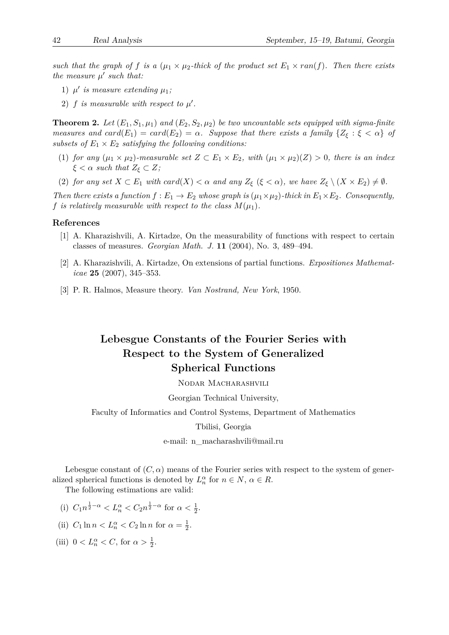*such that the graph of f is a* ( $\mu_1 \times \mu_2$ -thick of the product set  $E_1 \times ran(f)$ . Then there exists *the measure*  $\mu'$  *such that:* 

- 1)  $\mu'$  is measure extending  $\mu_1$ ;
- 2)  $f$  *is measurable with respect to*  $\mu'$ .

**Theorem 2.** Let  $(E_1, S_1, \mu_1)$  and  $(E_2, S_2, \mu_2)$  be two uncountable sets equipped with sigma-finite *measures and*  $card(E_1) = card(E_2) = \alpha$ *. Suppose that there exists a family*  $\{Z_\xi : \xi < \alpha\}$  *of subsets of*  $E_1 \times E_2$  *satisfying the following conditions:* 

- (1) *for any*  $(\mu_1 \times \mu_2)$ *-measurable set*  $Z \subset E_1 \times E_2$ *, with*  $(\mu_1 \times \mu_2)(Z) > 0$ *, there is an index ξ*  $\lt$  *α such that*  $Z$ <sub> $ξ$  ⊂ *Z*;</sub>
- (2) for any set  $X \subset E_1$  with card $(X) < \alpha$  and any  $Z_{\xi}$   $(\xi < \alpha)$ , we have  $Z_{\xi} \setminus (X \times E_2) \neq \emptyset$ .

*Then there exists a function*  $f: E_1 \to E_2$  *whose graph is*  $(\mu_1 \times \mu_2)$ *-thick in*  $E_1 \times E_2$ *. Consequently, f* is relatively measurable with respect to the class  $M(\mu_1)$ .

#### **References**

- [1] A. Kharazishvili, A. Kirtadze, On the measurability of functions with respect to certain classes of measures. *Georgian Math. J.* **11** (2004), No. 3, 489–494.
- [2] A. Kharazishvili, A. Kirtadze, On extensions of partial functions. *Expositiones Mathematicae* **25** (2007), 345–353.
- [3] P. R. Halmos, Measure theory. *Van Nostrand, New York*, 1950.

# **Lebesgue Constants of the Fourier Series with Respect to the System of Generalized Spherical Functions**

NODAR MACHARASHVILI

Georgian Technical University,

Faculty of Informatics and Control Systems, Department of Mathematics

Tbilisi, Georgia

e-mail: n\_macharashvili@mail.ru

Lebesgue constant of  $(C, \alpha)$  means of the Fourier series with respect to the system of generalized spherical functions is denoted by  $L_n^{\alpha}$  for  $n \in N$ ,  $\alpha \in R$ .

The following estimations are valid:

- (i)  $C_1 n^{\frac{1}{2} \alpha} < L_n^{\alpha} < C_2 n^{\frac{1}{2} \alpha}$  for  $\alpha < \frac{1}{2}$ .
- (ii)  $C_1 \ln n < L_n^{\alpha} < C_2 \ln n$  for  $\alpha = \frac{1}{2}$  $\frac{1}{2}$ .
- (iii)  $0 < L_n^{\alpha} < C$ , for  $\alpha > \frac{1}{2}$ .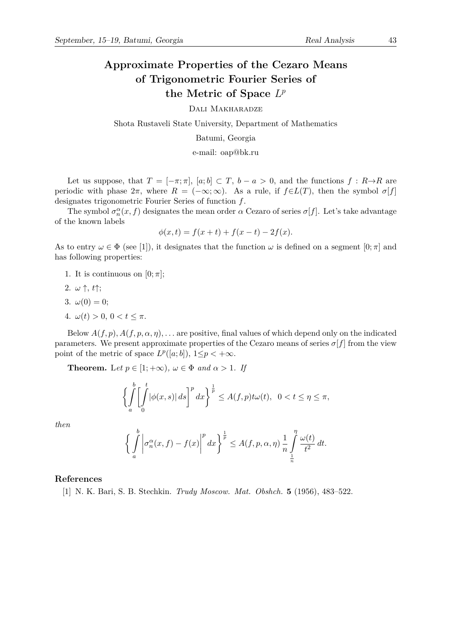# **Approximate Properties of the Cezaro Means of Trigonometric Fourier Series of the Metric of Space** *L p*

DALI MAKHARADZE

Shota Rustaveli State University, Department of Mathematics

Batumi, Georgia

e-mail: oap@bk.ru

Let us suppose, that  $T = [-\pi; \pi]$ ,  $[a; b] \subset T$ ,  $b - a > 0$ , and the functions  $f : R \rightarrow R$  are periodic with phase  $2\pi$ , where  $R = (-\infty, \infty)$ . As a rule, if  $f \in L(T)$ , then the symbol  $\sigma[f]$ designates trigonometric Fourier Series of function *f*.

The symbol  $\sigma_n^{\alpha}(x, f)$  designates the mean order  $\alpha$  Cezaro of series  $\sigma[f]$ . Let's take advantage of the known labels

$$
\phi(x,t) = f(x+t) + f(x-t) - 2f(x).
$$

As to entry  $\omega \in \Phi$  (see [1]), it designates that the function  $\omega$  is defined on a segment [0;  $\pi$ ] and has following properties:

- 1. It is continuous on  $[0; \pi]$ ;
- 2. *ω ↑*, *t↑*;
- 3.  $\omega(0) = 0$ ;
- 4.  $\omega(t) > 0, 0 < t \leq \pi$ .

Below  $A(f, p), A(f, p, \alpha, \eta), \ldots$  are positive, final values of which depend only on the indicated parameters. We present approximate properties of the Cezaro means of series  $\sigma[f]$  from the view point of the metric of space  $L^p([a;b])$ ,  $1 \leq p < +\infty$ .

**Theorem.** Let  $p \in [1; +\infty)$ ,  $\omega \in \Phi$  and  $\alpha > 1$ . If

$$
\left\{\int\limits_a^b \left[\int\limits_0^t |\phi(x,s)|\,ds\right]^p dx\right\}^{\frac{1}{p}} \le A(f,p)t\omega(t),\ 0 < t \le \eta \le \pi,
$$

*then*

$$
\bigg\{\int\limits_a^b \bigg|\sigma_n^{\alpha}(x,f)-f(x)\bigg|^p\,dx\bigg\}^{\frac{1}{p}}\leq A(f,p,\alpha,\eta)\,\frac{1}{n}\int\limits_{\frac{1}{n}}^{\eta}\frac{\omega(t)}{t^2}\,dt.
$$

#### **References**

[1] N. K. Bari, S. B. Stechkin. *Trudy Moscow. Mat. Obshch.* **5** (1956), 483–522.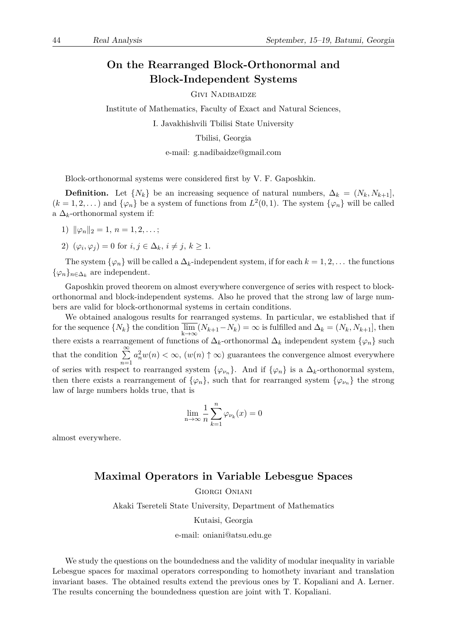Givi Nadibaidze

Institute of Mathematics, Faculty of Exact and Natural Sciences,

I. Javakhishvili Tbilisi State University

Tbilisi, Georgia

e-mail: g.nadibaidze@gmail.com

Block-orthonormal systems were considered first by V. F. Gaposhkin.

**Definition.** Let  $\{N_k\}$  be an increasing sequence of natural numbers,  $\Delta_k = (N_k, N_{k+1}]$ ,  $(k = 1, 2, ...)$  and  $\{\varphi_n\}$  be a system of functions from  $L^2(0, 1)$ . The system  $\{\varphi_n\}$  will be called a  $\Delta_k$ -orthonormal system if:

- 1)  $\|\varphi_n\|_2 = 1, n = 1, 2, \ldots;$
- 2)  $(\varphi_i, \varphi_j) = 0$  for  $i, j \in \Delta_k$ ,  $i \neq j$ ,  $k \geq 1$ .

The system  $\{\varphi_n\}$  will be called a  $\Delta_k$ -independent system, if for each  $k = 1, 2, \ldots$  the functions  ${\varphi_n}_{n \in \Delta_k}$  are independent.

Gaposhkin proved theorem on almost everywhere convergence of series with respect to blockorthonormal and block-independent systems. Also he proved that the strong law of large numbers are valid for block-orthonormal systems in certain conditions.

We obtained analogous results for rearranged systems. In particular, we established that if for the sequence  $\{N_k\}$  the condition lim k*→∞*  $(N_{k+1}-N_k) = \infty$  is fulfilled and  $\Delta_k = (N_k, N_{k+1}],$  then there exists a rearrangement of functions of  $\Delta_k$ -orthonormal  $\Delta_k$  independent system  $\{\varphi_n\}$  such that the condition <sup>∑</sup>*<sup>∞</sup> n*=1  $a_n^2 w(n) < \infty$ ,  $(w(n) \uparrow \infty)$  guarantees the convergence almost everywhere of series with respect to rearranged system  $\{\varphi_{\nu_n}\}\$ . And if  $\{\varphi_n\}$  is a  $\Delta_k$ -orthonormal system, then there exists a rearrangement of  $\{\varphi_n\}$ , such that for rearranged system  $\{\varphi_{\nu_n}\}$  the strong law of large numbers holds true, that is

$$
\lim_{n \to \infty} \frac{1}{n} \sum_{k=1}^{n} \varphi_{\nu_k}(x) = 0
$$

almost everywhere.

### **Maximal Operators in Variable Lebesgue Spaces**

Giorgi Oniani

Akaki Tsereteli State University, Department of Mathematics

Kutaisi, Georgia

e-mail: oniani@atsu.edu.ge

We study the questions on the boundedness and the validity of modular inequality in variable Lebesgue spaces for maximal operators corresponding to homothety invariant and translation invariant bases. The obtained results extend the previous ones by T. Kopaliani and A. Lerner. The results concerning the boundedness question are joint with T. Kopaliani.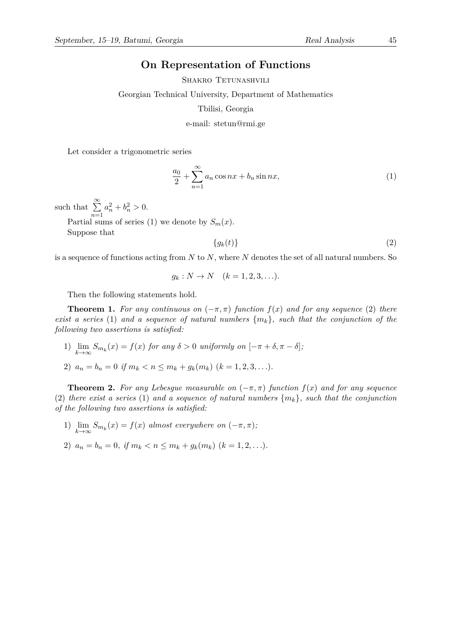## **On Representation of Functions**

SHAKRO TETUNASHVILI

Georgian Technical University, Department of Mathematics

Tbilisi, Georgia

e-mail: stetun@rmi.ge

Let consider a trigonometric series

$$
\frac{a_0}{2} + \sum_{n=1}^{\infty} a_n \cos nx + b_n \sin nx,\tag{1}
$$

such that <sup>∑</sup>*<sup>∞</sup> n*=1  $a_n^2 + b_n^2 > 0.$ 

Partial sums of series (1) we denote by  $S_m(x)$ . Suppose that

$$
\{g_k(t)\}\tag{2}
$$

is a sequence of functions acting from *N* to *N*, where *N* denotes the set of all natural numbers. So

$$
g_k: N \to N \quad (k = 1, 2, 3, \ldots).
$$

Then the following statements hold.

**Theorem 1.** For any continuous on  $(-\pi, \pi)$  function  $f(x)$  and for any sequence (2) there *exist a series* (1) *and a sequence of natural numbers*  $\{m_k\}$ *, such that the conjunction of the following two assertions is satisfied:*

1) lim  $\lim_{k \to \infty} S_{m_k}(x) = f(x)$  *for any*  $\delta > 0$  *uniformly on*  $[-\pi + \delta, \pi - \delta]$ *;* 

2)  $a_n = b_n = 0$  if  $m_k < n \le m_k + g_k(m_k)$   $(k = 1, 2, 3, \ldots)$ .

**Theorem 2.** For any Lebesgue measurable on  $(-\pi, \pi)$  function  $f(x)$  and for any sequence (2) *there exist a series* (1) *and a sequence of natural numbers*  $\{m_k\}$ *, such that the conjunction of the following two assertions is satisfied:*

- 1) lim  $\lim_{k \to \infty} S_{m_k}(x) = f(x)$  *almost everywhere on*  $(-\pi, \pi)$ *;*
- 2)  $a_n = b_n = 0$ , if  $m_k < n \le m_k + g_k(m_k)$   $(k = 1, 2, \ldots)$ .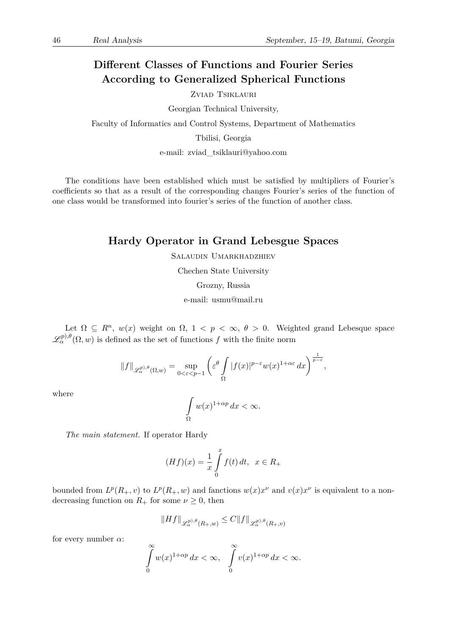# **Different Classes of Functions and Fourier Series According to Generalized Spherical Functions**

Zviad Tsiklauri

Georgian Technical University, Faculty of Informatics and Control Systems, Department of Mathematics Tbilisi, Georgia e-mail: zviad\_tsiklauri@yahoo.com

The conditions have been established which must be satisfied by multipliers of Fourier's coefficients so that as a result of the corresponding changes Fourier's series of the function of one class would be transformed into fourier's series of the function of another class.

## **Hardy Operator in Grand Lebesgue Spaces**

Salaudin Umarkhadzhiev

Chechen State University

Grozny, Russia

e-mail: usmu@mail.ru

Let  $\Omega \subseteq R^n$ ,  $w(x)$  weight on  $\Omega$ ,  $1 < p < \infty$ ,  $\theta > 0$ . Weighted grand Lebesque space  $\mathscr{L}^{p),\theta}_{\alpha}(\Omega,w)$  is defined as the set of functions *f* with the finite norm

$$
||f||_{\mathscr{L}_{\alpha}^{p),\theta}(\Omega,w)} = \sup_{0 < \varepsilon < p-1} \left( \varepsilon^{\theta} \int_{\Omega} |f(x)|^{p-\varepsilon} w(x)^{1+\alpha \varepsilon} \, dx \right)^{\frac{1}{p-\varepsilon}},
$$

where

$$
\int_{\Omega} w(x)^{1+\alpha p} dx < \infty.
$$

*The main statement.* If operator Hardy

$$
(Hf)(x) = \frac{1}{x} \int_{0}^{x} f(t) dt, \ \ x \in R_{+}
$$

bounded from  $L^p(R_+, v)$  to  $L^p(R_+, w)$  and fanctions  $w(x)x^{\nu}$  and  $v(x)x^{\nu}$  is equivalent to a nondecreasing function on  $R_+$  for some  $\nu \geq 0$ , then

$$
||Hf||_{\mathscr{L}_{\alpha}^{p),\theta}(R_+,w)} \leq C||f||_{\mathscr{L}_{\alpha}^{p),\theta}(R_+,v)}
$$

for every number *α*:

$$
\int_{0}^{\infty} w(x)^{1+\alpha p} dx < \infty, \quad \int_{0}^{\infty} v(x)^{1+\alpha p} dx < \infty.
$$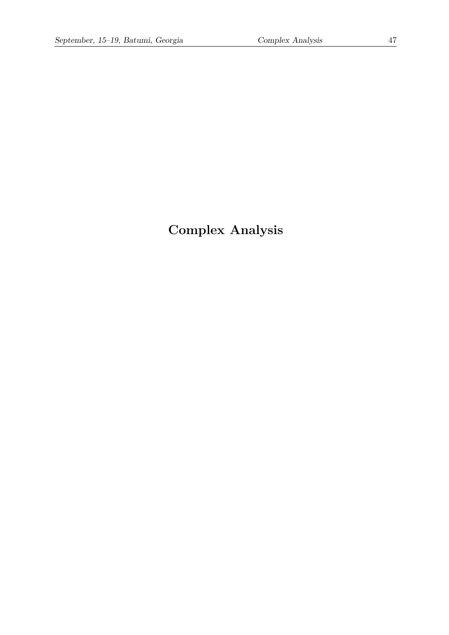# **Complex Analysis**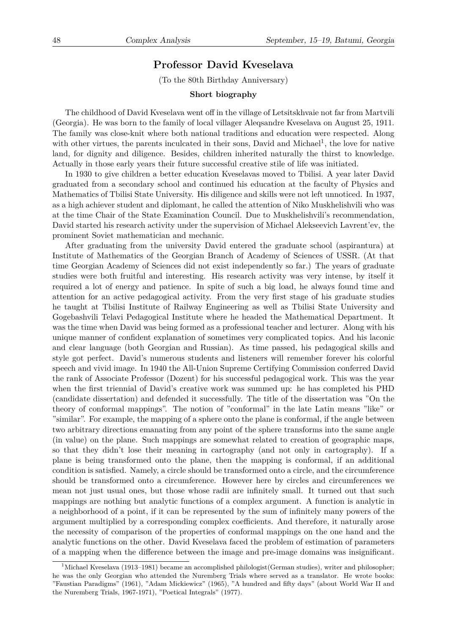## **Professor David Kveselava**

(To the 80th Birthday Anniversary)

#### **Short biography**

The childhood of David Kveselava went off in the village of Letsitskhvaie not far from Martvili (Georgia). He was born to the family of local villager Aleqsandre Kveselava on August 25, 1911. The family was close-knit where both national traditions and education were respected. Along with other virtues, the parents inculcated in their sons, David and Michael<sup>1</sup>, the love for native land, for dignity and diligence. Besides, children inherited naturally the thirst to knowledge. Actually in those early years their future successful creative stile of life was initiated.

In 1930 to give children a better education Kveselavas moved to Tbilisi. A year later David graduated from a secondary school and continued his education at the faculty of Physics and Mathematics of Tbilisi State University. His diligence and skills were not left unnoticed. In 1937, as a high achiever student and diplomant, he called the attention of Niko Muskhelishvili who was at the time Chair of the State Examination Council. Due to Muskhelishvili's recommendation, David started his research activity under the supervision of Michael Alekseevich Lavrent'ev, the prominent Soviet mathematician and mechanic.

After graduating from the university David entered the graduate school (aspirantura) at Institute of Mathematics of the Georgian Branch of Academy of Sciences of USSR. (At that time Georgian Academy of Sciences did not exist independently so far.) The years of graduate studies were both fruitful and interesting. His research activity was very intense, by itself it required a lot of energy and patience. In spite of such a big load, he always found time and attention for an active pedagogical activity. From the very first stage of his graduate studies he taught at Tbilisi Institute of Railway Engineering as well as Tbilisi State University and Gogebashvili Telavi Pedagogical Institute where he headed the Mathematical Department. It was the time when David was being formed as a professional teacher and lecturer. Along with his unique manner of confident explanation of sometimes very complicated topics. And his laconic and clear language (both Georgian and Russian). As time passed, his pedagogical skills and style got perfect. David's numerous students and listeners will remember forever his colorful speech and vivid image. In 1940 the All-Union Supreme Certifying Commission conferred David the rank of Associate Professor (Dozent) for his successful pedagogical work. This was the year when the first triennial of David's creative work was summed up: he has completed his PHD (candidate dissertation) and defended it successfully. The title of the dissertation was "On the theory of conformal mappings". The notion of "conformal" in the late Latin means "like" or "similar". For example, the mapping of a sphere onto the plane is conformal, if the angle between two arbitrary directions emanating from any point of the sphere transforms into the same angle (in value) on the plane. Such mappings are somewhat related to creation of geographic maps, so that they didn't lose their meaning in cartography (and not only in cartography). If a plane is being transformed onto the plane, then the mapping is conformal, if an additional condition is satisfied. Namely, a circle should be transformed onto a circle, and the circumference should be transformed onto a circumference. However here by circles and circumferences we mean not just usual ones, but those whose radii are infinitely small. It turned out that such mappings are nothing but analytic functions of a complex argument. A function is analytic in a neighborhood of a point, if it can be represented by the sum of infinitely many powers of the argument multiplied by a corresponding complex coefficients. And therefore, it naturally arose the necessity of comparison of the properties of conformal mappings on the one hand and the analytic functions on the other. David Kveselava faced the problem of estimation of parameters of a mapping when the difference between the image and pre-image domains was insignificant.

<sup>&</sup>lt;sup>1</sup>Michael Kveselava (1913–1981) became an accomplished philologist(German studies), writer and philosopher; he was the only Georgian who attended the Nuremberg Trials where served as a translator. He wrote books: "Faustian Paradigms" (1961), "Adam Mickiewicz" (1965), "A hundred and fifty days" (about World War II and the Nuremberg Trials, 1967-1971), "Poetical Integrals" (1977).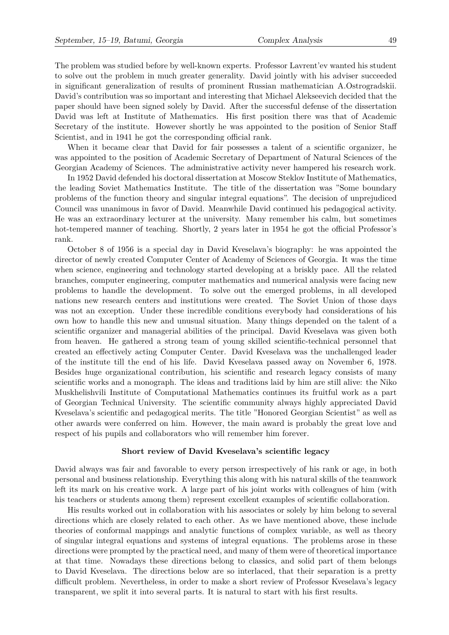The problem was studied before by well-known experts. Professor Lavrent'ev wanted his student to solve out the problem in much greater generality. David jointly with his adviser succeeded in significant generalization of results of prominent Russian mathematician A.Ostrogradskii. David's contribution was so important and interesting that Michael Alekseevich decided that the paper should have been signed solely by David. After the successful defense of the dissertation David was left at Institute of Mathematics. His first position there was that of Academic Secretary of the institute. However shortly he was appointed to the position of Senior Staff Scientist, and in 1941 he got the corresponding official rank.

When it became clear that David for fair possesses a talent of a scientific organizer, he was appointed to the position of Academic Secretary of Department of Natural Sciences of the Georgian Academy of Sciences. The administrative activity never hampered his research work.

In 1952 David defended his doctoral dissertation at Moscow Steklov Institute of Mathematics, the leading Soviet Mathematics Institute. The title of the dissertation was "Some boundary problems of the function theory and singular integral equations". The decision of unprejudiced Council was unanimous in favor of David. Meanwhile David continued his pedagogical activity. He was an extraordinary lecturer at the university. Many remember his calm, but sometimes hot-tempered manner of teaching. Shortly, 2 years later in 1954 he got the official Professor's rank.

October 8 of 1956 is a special day in David Kveselava's biography: he was appointed the director of newly created Computer Center of Academy of Sciences of Georgia. It was the time when science, engineering and technology started developing at a briskly pace. All the related branches, computer engineering, computer mathematics and numerical analysis were facing new problems to handle the development. To solve out the emerged problems, in all developed nations new research centers and institutions were created. The Soviet Union of those days was not an exception. Under these incredible conditions everybody had considerations of his own how to handle this new and unusual situation. Many things depended on the talent of a scientific organizer and managerial abilities of the principal. David Kveselava was given both from heaven. He gathered a strong team of young skilled scientific-technical personnel that created an effectively acting Computer Center. David Kveselava was the unchallenged leader of the institute till the end of his life. David Kveselava passed away on November 6, 1978. Besides huge organizational contribution, his scientific and research legacy consists of many scientific works and a monograph. The ideas and traditions laid by him are still alive: the Niko Muskhelishvili Institute of Computational Mathematics continues its fruitful work as a part of Georgian Technical University. The scientific community always highly appreciated David Kveselava's scientific and pedagogical merits. The title "Honored Georgian Scientist" as well as other awards were conferred on him. However, the main award is probably the great love and respect of his pupils and collaborators who will remember him forever.

#### **Short review of David Kveselava's scientific legacy**

David always was fair and favorable to every person irrespectively of his rank or age, in both personal and business relationship. Everything this along with his natural skills of the teamwork left its mark on his creative work. A large part of his joint works with colleagues of him (with his teachers or students among them) represent excellent examples of scientific collaboration.

His results worked out in collaboration with his associates or solely by him belong to several directions which are closely related to each other. As we have mentioned above, these include theories of conformal mappings and analytic functions of complex variable, as well as theory of singular integral equations and systems of integral equations. The problems arose in these directions were prompted by the practical need, and many of them were of theoretical importance at that time. Nowadays these directions belong to classics, and solid part of them belongs to David Kveselava. The directions below are so interlaced, that their separation is a pretty difficult problem. Nevertheless, in order to make a short review of Professor Kveselava's legacy transparent, we split it into several parts. It is natural to start with his first results.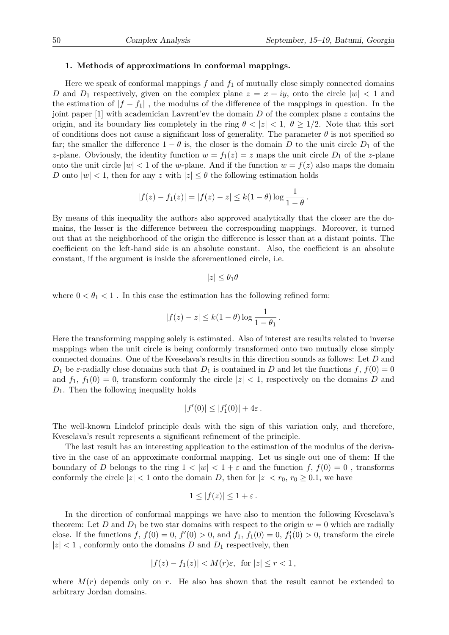#### **1. Methods of approximations in conformal mappings.**

Here we speak of conformal mappings  $f$  and  $f_1$  of mutually close simply connected domains *D* and  $D_1$  respectively, given on the complex plane  $z = x + iy$ , onto the circle  $|w| < 1$  and the estimation of  $|f - f_1|$ , the modulus of the difference of the mappings in question. In the joint paper [1] with academician Lavrent'ev the domain *D* of the complex plane *z* contains the origin, and its boundary lies completely in the ring  $\theta < |z| < 1$ ,  $\theta \ge 1/2$ . Note that this sort of conditions does not cause a significant loss of generality. The parameter  $\theta$  is not specified so far; the smaller the difference  $1 - \theta$  is, the closer is the domain *D* to the unit circle  $D_1$  of the *z*-plane. Obviously, the identity function  $w = f_1(z) = z$  maps the unit circle  $D_1$  of the *z*-plane onto the unit circle  $|w| < 1$  of the *w*-plane. And if the function  $w = f(z)$  also maps the domain *D* onto  $|w| < 1$ , then for any *z* with  $|z| \leq \theta$  the following estimation holds

$$
|f(z) - f_1(z)| = |f(z) - z| \le k(1 - \theta) \log \frac{1}{1 - \theta}.
$$

By means of this inequality the authors also approved analytically that the closer are the domains, the lesser is the difference between the corresponding mappings. Moreover, it turned out that at the neighborhood of the origin the difference is lesser than at a distant points. The coefficient on the left-hand side is an absolute constant. Also, the coefficient is an absolute constant, if the argument is inside the aforementioned circle, i.e.

$$
|z|\leq \theta_1\theta
$$

where  $0 < \theta_1 < 1$ . In this case the estimation has the following refined form:

$$
|f(z) - z| \le k(1 - \theta) \log \frac{1}{1 - \theta_1}.
$$

Here the transforming mapping solely is estimated. Also of interest are results related to inverse mappings when the unit circle is being conformly transformed onto two mutually close simply connected domains. One of the Kveselava's results in this direction sounds as follows: Let *D* and *D*<sub>1</sub> be *ε*-radially close domains such that *D*<sub>1</sub> is contained in *D* and let the functions *f*,  $f(0) = 0$ and  $f_1$ ,  $f_1(0) = 0$ , transform conformly the circle  $|z| < 1$ , respectively on the domains *D* and *D*1. Then the following inequality holds

$$
|f'(0)| \le |f'_1(0)| + 4\varepsilon.
$$

The well-known Lindelof principle deals with the sign of this variation only, and therefore, Kveselava's result represents a significant refinement of the principle.

The last result has an interesting application to the estimation of the modulus of the derivative in the case of an approximate conformal mapping. Let us single out one of them: If the boundary of *D* belongs to the ring  $1 < |w| < 1 + \varepsilon$  and the function f,  $f(0) = 0$ , transforms conformly the circle  $|z| < 1$  onto the domain *D*, then for  $|z| < r_0$ ,  $r_0 \geq 0.1$ , we have

$$
1 \le |f(z)| \le 1 + \varepsilon.
$$

In the direction of conformal mappings we have also to mention the following Kveselava's theorem: Let *D* and  $D_1$  be two star domains with respect to the origin  $w = 0$  which are radially close. If the functions  $f, f(0) = 0, f'(0) > 0$ , and  $f_1, f_1(0) = 0, f'_1(0) > 0$ , transform the circle  $|z| < 1$ , conformly onto the domains *D* and  $D_1$  respectively, then

$$
|f(z) - f_1(z)| < M(r)\varepsilon, \text{ for } |z| \le r < 1,
$$

where  $M(r)$  depends only on r. He also has shown that the result cannot be extended to arbitrary Jordan domains.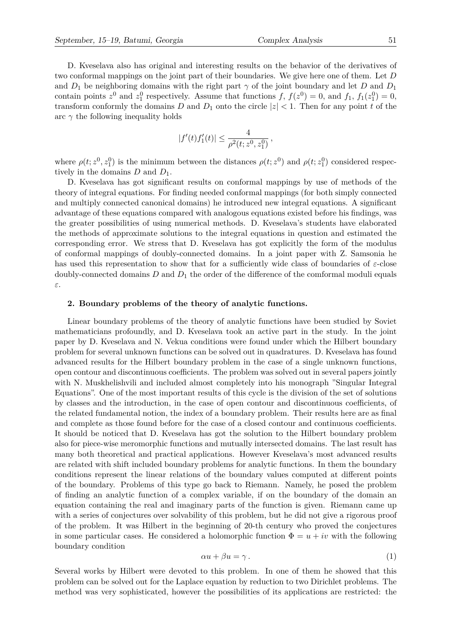D. Kveselava also has original and interesting results on the behavior of the derivatives of two conformal mappings on the joint part of their boundaries. We give here one of them. Let *D* and  $D_1$  be neighboring domains with the right part  $\gamma$  of the joint boundary and let  $D$  and  $D_1$ contain points  $z^0$  and  $z_1^0$  respectively. Assume that functions  $f, f(z^0) = 0$ , and  $f_1, f_1(z_1^0) = 0$ , transform conformly the domains *D* and  $D_1$  onto the circle  $|z| < 1$ . Then for any point *t* of the arc  $\gamma$  the following inequality holds

$$
|f'(t)f_1'(t)| \leq \frac{4}{\rho^2(t; z^0, z_1^0)},
$$

where  $\rho(t; z^0, z_1^0)$  is the minimum between the distances  $\rho(t; z^0)$  and  $\rho(t; z_1^0)$  considered respectively in the domains  $D$  and  $D_1$ .

D. Kveselava has got significant results on conformal mappings by use of methods of the theory of integral equations. For finding needed conformal mappings (for both simply connected and multiply connected canonical domains) he introduced new integral equations. A significant advantage of these equations compared with analogous equations existed before his findings, was the greater possibilities of using numerical methods. D. Kveselava's students have elaborated the methods of approximate solutions to the integral equations in question and estimated the corresponding error. We stress that D. Kveselava has got explicitly the form of the modulus of conformal mappings of doubly-connected domains. In a joint paper with Z. Samsonia he has used this representation to show that for a sufficiently wide class of boundaries of *ε*-close doubly-connected domains  $D$  and  $D_1$  the order of the difference of the comformal moduli equals *ε*.

#### **2. Boundary problems of the theory of analytic functions.**

Linear boundary problems of the theory of analytic functions have been studied by Soviet mathematicians profoundly, and D. Kveselava took an active part in the study. In the joint paper by D. Kveselava and N. Vekua conditions were found under which the Hilbert boundary problem for several unknown functions can be solved out in quadratures. D. Kveselava has found advanced results for the Hilbert boundary problem in the case of a single unknown functions, open contour and discontinuous coefficients. The problem was solved out in several papers jointly with N. Muskhelishvili and included almost completely into his monograph "Singular Integral Equations". One of the most important results of this cycle is the division of the set of solutions by classes and the introduction, in the case of open contour and discontinuous coefficients, of the related fundamental notion, the index of a boundary problem. Their results here are as final and complete as those found before for the case of a closed contour and continuous coefficients. It should be noticed that D. Kveselava has got the solution to the Hilbert boundary problem also for piece-wise meromorphic functions and mutually intersected domains. The last result has many both theoretical and practical applications. However Kveselava's most advanced results are related with shift included boundary problems for analytic functions. In them the boundary conditions represent the linear relations of the boundary values computed at different points of the boundary. Problems of this type go back to Riemann. Namely, he posed the problem of finding an analytic function of a complex variable, if on the boundary of the domain an equation containing the real and imaginary parts of the function is given. Riemann came up with a series of conjectures over solvability of this problem, but he did not give a rigorous proof of the problem. It was Hilbert in the beginning of 20-th century who proved the conjectures in some particular cases. He considered a holomorphic function  $\Phi = u + iv$  with the following boundary condition

$$
\alpha u + \beta u = \gamma \,. \tag{1}
$$

Several works by Hilbert were devoted to this problem. In one of them he showed that this problem can be solved out for the Laplace equation by reduction to two Dirichlet problems. The method was very sophisticated, however the possibilities of its applications are restricted: the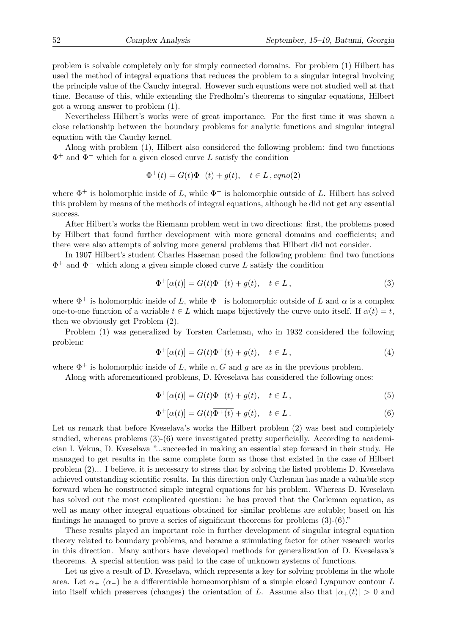problem is solvable completely only for simply connected domains. For problem (1) Hilbert has used the method of integral equations that reduces the problem to a singular integral involving the principle value of the Cauchy integral. However such equations were not studied well at that time. Because of this, while extending the Fredholm's theorems to singular equations, Hilbert got a wrong answer to problem (1).

Nevertheless Hilbert's works were of great importance. For the first time it was shown a close relationship between the boundary problems for analytic functions and singular integral equation with the Cauchy kernel.

Along with problem (1), Hilbert also considered the following problem: find two functions Φ <sup>+</sup> and Φ *−* which for a given closed curve *L* satisfy the condition

$$
\Phi^+(t) = G(t)\Phi^-(t) + g(t), \quad t \in L, eqno(2)
$$

where  $\Phi^+$  is holomorphic inside of *L*, while  $\Phi^-$  is holomorphic outside of *L*. Hilbert has solved this problem by means of the methods of integral equations, although he did not get any essential success.

After Hilbert's works the Riemann problem went in two directions: first, the problems posed by Hilbert that found further development with more general domains and coefficients; and there were also attempts of solving more general problems that Hilbert did not consider.

In 1907 Hilbert's student Charles Haseman posed the following problem: find two functions Φ <sup>+</sup> and Φ *−* which along a given simple closed curve *L* satisfy the condition

$$
\Phi^+[\alpha(t)] = G(t)\Phi^-(t) + g(t), \quad t \in L,
$$
\n(3)

where  $\Phi^+$  is holomorphic inside of *L*, while  $\Phi^-$  is holomorphic outside of *L* and  $\alpha$  is a complex one-to-one function of a variable  $t \in L$  which maps bijectively the curve onto itself. If  $\alpha(t) = t$ , then we obviously get Problem (2).

Problem (1) was generalized by Torsten Carleman, who in 1932 considered the following problem:

$$
\Phi^+[\alpha(t)] = G(t)\Phi^+(t) + g(t), \quad t \in L,
$$
\n(4)

where  $\Phi^+$  is holomorphic inside of *L*, while  $\alpha$ , *G* and *g* are as in the previous problem.

Along with aforementioned problems, D. Kveselava has considered the following ones:

$$
\Phi^+[\alpha(t)] = G(t)\overline{\Phi^-(t)} + g(t), \quad t \in L,
$$
\n(5)

$$
\Phi^+[\alpha(t)] = G(t)\overline{\Phi^+(t)} + g(t), \quad t \in L. \tag{6}
$$

Let us remark that before Kveselava's works the Hilbert problem (2) was best and completely studied, whereas problems (3)-(6) were investigated pretty superficially. According to academician I. Vekua, D. Kveselava "...succeeded in making an essential step forward in their study. He managed to get results in the same complete form as those that existed in the case of Hilbert problem (2)... I believe, it is necessary to stress that by solving the listed problems D. Kveselava achieved outstanding scientific results. In this direction only Carleman has made a valuable step forward when he constructed simple integral equations for his problem. Whereas D. Kveselava has solved out the most complicated question: he has proved that the Carleman equation, as well as many other integral equations obtained for similar problems are soluble; based on his findings he managed to prove a series of significant theorems for problems  $(3)-(6)$ ."

These results played an important role in further development of singular integral equation theory related to boundary problems, and became a stimulating factor for other research works in this direction. Many authors have developed methods for generalization of D. Kveselava's theorems. A special attention was paid to the case of unknown systems of functions.

Let us give a result of D. Kveselava, which represents a key for solving problems in the whole area. Let  $\alpha_+$  ( $\alpha_-$ ) be a differentiable homeomorphism of a simple closed Lyapunov contour *L* into itself which preserves (changes) the orientation of L. Assume also that  $|a_{+}(t)| > 0$  and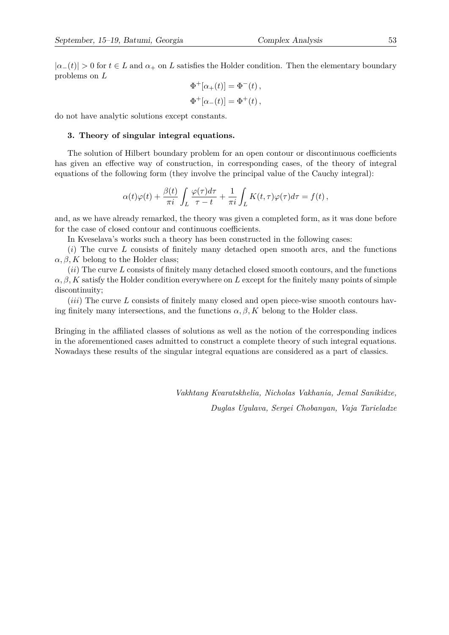$|a_−(t)| > 0$  for  $t \in L$  and  $a_+$  on *L* satisfies the Holder condition. Then the elementary boundary problems on *L*

$$
\Phi^+[\alpha_+(t)] = \Phi^-(t) ,
$$
  

$$
\Phi^+[\alpha_-(t)] = \Phi^+(t) ,
$$

do not have analytic solutions except constants.

#### **3. Theory of singular integral equations.**

The solution of Hilbert boundary problem for an open contour or discontinuous coefficients has given an effective way of construction, in corresponding cases, of the theory of integral equations of the following form (they involve the principal value of the Cauchy integral):

$$
\alpha(t)\varphi(t) + \frac{\beta(t)}{\pi i} \int_L \frac{\varphi(\tau)d\tau}{\tau - t} + \frac{1}{\pi i} \int_L K(t, \tau)\varphi(\tau)d\tau = f(t),
$$

and, as we have already remarked, the theory was given a completed form, as it was done before for the case of closed contour and continuous coefficients.

In Kveselava's works such a theory has been constructed in the following cases:

(*i*) The curve *L* consists of finitely many detached open smooth arcs, and the functions  $\alpha$ ,  $\beta$ , *K* belong to the Holder class;

(*ii*) The curve *L* consists of finitely many detached closed smooth contours, and the functions *α, β, K* satisfy the Holder condition everywhere on *L* except for the finitely many points of simple discontinuity;

(*iii*) The curve *L* consists of finitely many closed and open piece-wise smooth contours having finitely many intersections, and the functions  $\alpha, \beta, K$  belong to the Holder class.

Bringing in the affiliated classes of solutions as well as the notion of the corresponding indices in the aforementioned cases admitted to construct a complete theory of such integral equations. Nowadays these results of the singular integral equations are considered as a part of classics.

> *Vakhtang Kvaratskhelia, Nicholas Vakhania, Jemal Sanikidze, Duglas Ugulava, Sergei Chobanyan, Vaja Tarieladze*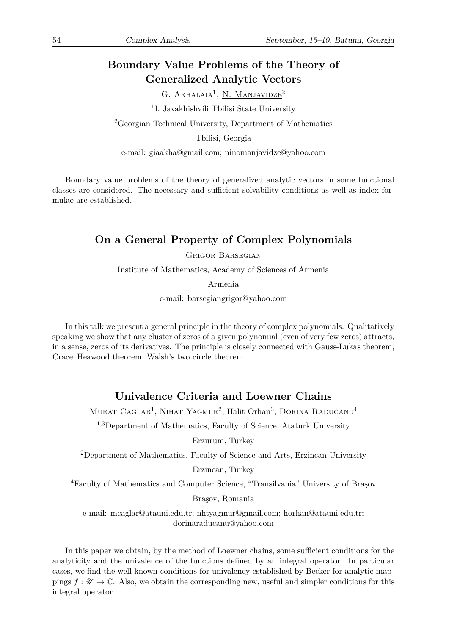## **Boundary Value Problems of the Theory of Generalized Analytic Vectors**

G. AKHALAIA<sup>1</sup>, N. MANJAVIDZE<sup>2</sup>

<sup>1</sup>I. Javakhishvili Tbilisi State University

<sup>2</sup>Georgian Technical University, Department of Mathematics

Tbilisi, Georgia

e-mail: giaakha@gmail.com; ninomanjavidze@yahoo.com

Boundary value problems of the theory of generalized analytic vectors in some functional classes are considered. The necessary and sufficient solvability conditions as well as index formulae are established.

## **On a General Property of Complex Polynomials**

Grigor Barsegian

Institute of Mathematics, Academy of Sciences of Armenia

Armenia

e-mail: barsegiangrigor@yahoo.com

In this talk we present a general principle in the theory of complex polynomials. Qualitatively speaking we show that any cluster of zeros of a given polynomial (even of very few zeros) attracts, in a sense, zeros of its derivatives. The principle is closely connected with Gauss-Lukas theorem, Crace–Heawood theorem, Walsh's two circle theorem.

## **Univalence Criteria and Loewner Chains**

Murat Caglar<sup>1</sup>, Nihat Yagmur<sup>2</sup>, Halit Orhan<sup>3</sup>, Dorina Raducanu<sup>4</sup>

<sup>1</sup>*,*3Department of Mathematics, Faculty of Science, Ataturk University

### Erzurum, Turkey

<sup>2</sup>Department of Mathematics, Faculty of Science and Arts, Erzincan University

### Erzincan, Turkey

<sup>4</sup>Faculty of Mathematics and Computer Science, "Transilvania" University of Braşov

#### Braşov, Romania

e-mail: mcaglar@atauni.edu.tr; nhtyagmur@gmail.com; horhan@atauni.edu.tr; dorinaraducanu@yahoo.com

In this paper we obtain, by the method of Loewner chains, some sufficient conditions for the analyticity and the univalence of the functions defined by an integral operator. In particular cases, we find the well-known conditions for univalency established by Becker for analytic mappings  $f : \mathcal{U} \to \mathbb{C}$ . Also, we obtain the corresponding new, useful and simpler conditions for this integral operator.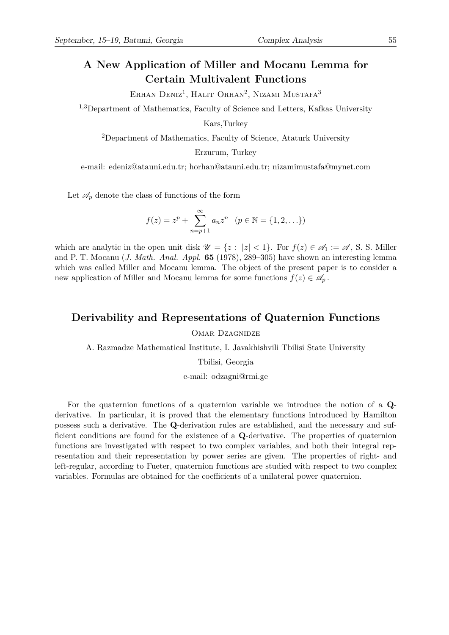## **A New Application of Miller and Mocanu Lemma for Certain Multivalent Functions**

ERHAN DENIZ<sup>1</sup>, HALIT ORHAN<sup>2</sup>, NIZAMI MUSTAFA<sup>3</sup>

<sup>1</sup>*,*3Department of Mathematics, Faculty of Science and Letters, Kafkas University

Kars,Turkey

<sup>2</sup>Department of Mathematics, Faculty of Science, Ataturk University

Erzurum, Turkey

e-mail: edeniz@atauni.edu.tr; horhan@atauni.edu.tr; nizamimustafa@mynet.com

Let  $\mathscr{A}_p$  denote the class of functions of the form

$$
f(z) = zp + \sum_{n=p+1}^{\infty} a_n z^n \quad (p \in \mathbb{N} = \{1, 2, \ldots\})
$$

which are analytic in the open unit disk  $\mathcal{U} = \{z : |z| < 1\}$ . For  $f(z) \in \mathcal{A}_1 := \mathcal{A}$ , S. S. Miller and P. T. Mocanu (*J. Math. Anal. Appl.* **65** (1978), 289–305) have shown an interesting lemma which was called Miller and Mocanu lemma. The object of the present paper is to consider a new application of Miller and Mocanu lemma for some functions  $f(z) \in \mathscr{A}_p$ .

## **Derivability and Representations of Quaternion Functions**

OMAR DZAGNIDZE

A. Razmadze Mathematical Institute, I. Javakhishvili Tbilisi State University

Tbilisi, Georgia

e-mail: odzagni@rmi.ge

For the quaternion functions of a quaternion variable we introduce the notion of a **Q**derivative. In particular, it is proved that the elementary functions introduced by Hamilton possess such a derivative. The **Q**-derivation rules are established, and the necessary and sufficient conditions are found for the existence of a **Q**-derivative. The properties of quaternion functions are investigated with respect to two complex variables, and both their integral representation and their representation by power series are given. The properties of right- and left-regular, according to Fueter, quaternion functions are studied with respect to two complex variables. Formulas are obtained for the coefficients of a unilateral power quaternion.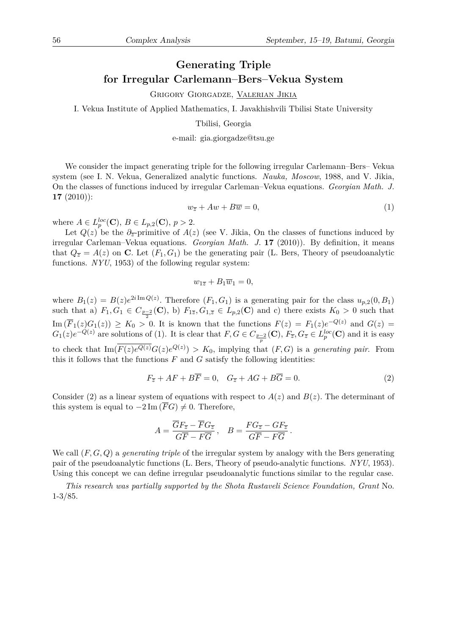## **Generating Triple for Irregular Carlemann–Bers–Vekua System**

Grigory Giorgadze, Valerian Jikia

I. Vekua Institute of Applied Mathematics, I. Javakhishvili Tbilisi State University

Tbilisi, Georgia

e-mail: gia.giorgadze@tsu.ge

We consider the impact generating triple for the following irregular Carlemann–Bers– Vekua system (see I. N. Vekua, Generalized analytic functions. *Nauka, Moscow*, 1988, and V. Jikia, On the classes of functions induced by irregular Carleman–Vekua equations. *Georgian Math. J.* **17** (2010)):

$$
w_{\overline{z}} + Aw + B\overline{w} = 0,\t\t(1)
$$

where  $A \in L_p^{loc}(\mathbf{C})$ ,  $B \in L_{p,2}(\mathbf{C})$ ,  $p > 2$ .

Let  $Q(z)$  be the  $\partial_{\overline{z}}$ -primitive of  $A(z)$  (see V. Jikia, On the classes of functions induced by irregular Carleman–Vekua equations. *Georgian Math. J.* **17** (2010)). By definition, it means that  $Q_{\overline{z}} = A(z)$  on **C**. Let  $(F_1, G_1)$  be the generating pair (L. Bers, Theory of pseudoanalytic functions. *NYU*, 1953) of the following regular system:

$$
w_{1\overline{z}} + B_1 \overline{w}_1 = 0,
$$

where  $B_1(z) = B(z)e^{2i \text{Im }Q(z)}$ . Therefore  $(F_1, G_1)$  is a generating pair for the class  $u_{p,2}(0, B_1)$ such that a)  $F_1, G_1 \in C_{p-2}(\mathbb{C}),$  b)  $F_{1\overline{z}}, G_{1,\overline{z}} \in L_{p,2}(\mathbb{C})$  and c) there exists  $K_0 > 0$  such that Im  $(\overline{F}_1(z)G_1(z))$  ≥  $K_0 > 0$ . It is known that the functions  $F(z) = F_1(z)e^{-Q(z)}$  and  $G(z) =$  $G_1(z)e^{-Q(z)}$  are solutions of (1). It is clear that  $F, G \in C_{\frac{p-2}{p}}(\mathbf{C}), F_{\overline{z}}, G_{\overline{z}} \in L_p^{loc}(\mathbf{C})$  and it is easy to check that  $\text{Im}(F(z)e^{Q(z)}G(z)e^{Q(z)}) > K_0$ , implying that  $(F, G)$  is a *generating pair*. From this it follows that the functions  $F$  and  $G$  satisfy the following identities:

$$
F_{\overline{z}} + AF + B\overline{F} = 0, \quad G_{\overline{z}} + AG + B\overline{G} = 0.
$$
 (2)

Consider (2) as a linear system of equations with respect to  $A(z)$  and  $B(z)$ . The determinant of this system is equal to  $-2 \text{Im}(FG) \neq 0$ . Therefore,

$$
A = \frac{\overline{G}F_{\overline{z}} - \overline{F}G_{\overline{z}}}{G\overline{F} - F\overline{G}}, \quad B = \frac{FG_{\overline{z}} - GF_{\overline{z}}}{G\overline{F} - F\overline{G}}.
$$

We call (*F, G, Q*) a *generating triple* of the irregular system by analogy with the Bers generating pair of the pseudoanalytic functions (L. Bers, Theory of pseudo-analytic functions. *NYU*, 1953). Using this concept we can define irregular pseudoanalytic functions similar to the regular case.

*This research was partially supported by the Shota Rustaveli Science Foundation, Grant* No. 1-3/85.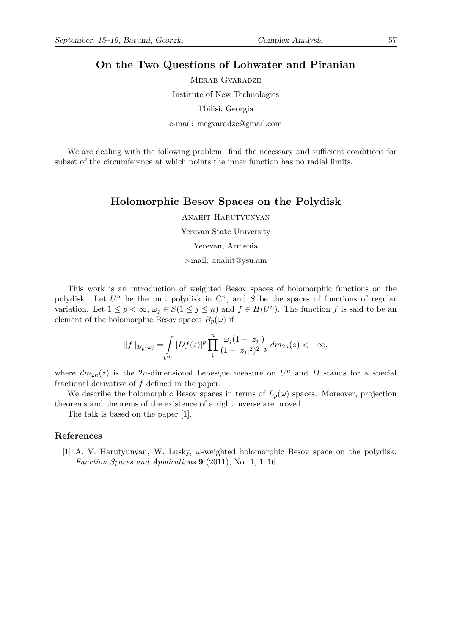## **On the Two Questions of Lohwater and Piranian**

Merab Gvaradze Institute of New Technologies Tbilisi, Georgia e-mail: megvaradze@gmail.com

We are dealing with the following problem: find the necessary and sufficient conditions for subset of the circumference at which points the inner function has no radial limits.

### **Holomorphic Besov Spaces on the Polydisk**

Anahit Harutyunyan

Yerevan State University

Yerevan, Armenia

e-mail: anahit@ysu.am

This work is an introduction of weighted Besov spaces of holomorphic functions on the polydisk. Let  $U^n$  be the unit polydisk in  $\mathbb{C}^n$ , and S be the spaces of functions of regular variation. Let  $1 \leq p < \infty$ ,  $\omega_j \in S(1 \leq j \leq n)$  and  $f \in H(U^n)$ . The function f is said to be an element of the holomorphic Besov spaces  $B_p(\omega)$  if

$$
||f||_{B_p(\omega)} = \int_{U^n} |Df(z)|^p \prod_{1}^n \frac{\omega_j(1-|z_j|)}{(1-|z_j|^2)^{2-p}} dm_{2n}(z) < +\infty,
$$

where  $dm_{2n}(z)$  is the 2*n*-dimensional Lebesgue measure on  $U^n$  and D stands for a special fractional derivative of *f* defined in the paper.

We describe the holomorphic Besov spaces in terms of  $L_p(\omega)$  spaces. Moreover, projection theorems and theorems of the existence of a right inverse are proved.

The talk is based on the paper [1].

#### **References**

[1] A. V. Harutyunyan, W. Lusky, *ω*-weighted holomorphic Besov space on the polydisk. *Function Spaces and Applications* **9** (2011), No. 1, 1–16.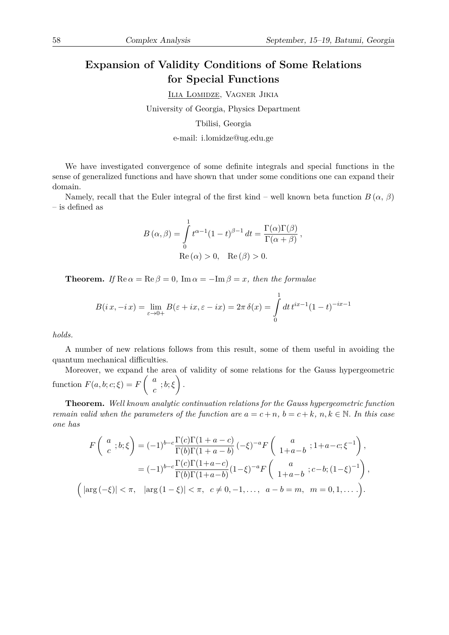# **Expansion of Validity Conditions of Some Relations**

**for Special Functions**

Ilia Lomidze, Vagner Jikia

University of Georgia, Physics Department

Tbilisi, Georgia

e-mail: i.lomidze@ug.edu.ge

We have investigated convergence of some definite integrals and special functions in the sense of generalized functions and have shown that under some conditions one can expand their domain.

Namely, recall that the Euler integral of the first kind – well known beta function  $B(\alpha, \beta)$ – is defined as

$$
B(\alpha, \beta) = \int_{0}^{1} t^{\alpha - 1} (1 - t)^{\beta - 1} dt = \frac{\Gamma(\alpha)\Gamma(\beta)}{\Gamma(\alpha + \beta)},
$$
  
Re(\alpha) > 0, Re(\beta) > 0.

**Theorem.** *If*  $\text{Re}\,\alpha = \text{Re}\,\beta = 0$ ,  $\text{Im}\,\alpha = -\text{Im}\,\beta = x$ , then the formulae

$$
B(i x, -i x) = \lim_{\varepsilon \to 0+} B(\varepsilon + ix, \varepsilon - ix) = 2\pi \delta(x) = \int_{0}^{1} dt \, t^{ix-1} (1-t)^{-ix-1}
$$

*holds.*

A number of new relations follows from this result, some of them useful in avoiding the quantum mechanical difficulties.

Moreover, we expand the area of validity of some relations for the Gauss hypergeometric function  $F(a, b; c; \xi) = F\begin{pmatrix} a \\ a \end{pmatrix}$  $\left(\begin{matrix} a\ c \end{matrix}\right); b; \xi\bigg)\,.$ 

**Theorem.** *Well known analytic continuation relations for the Gauss hypergeometric function remain valid when the parameters of the function are*  $a = c + n$ ,  $b = c + k$ ,  $n, k \in \mathbb{N}$ . In this case *one has*

$$
F\left(\begin{array}{c} a \\ c \end{array}; b; \xi \right) = (-1)^{b-c} \frac{\Gamma(c)\Gamma(1+a-c)}{\Gamma(b)\Gamma(1+a-b)} (-\xi)^{-a} F\left(\begin{array}{c} a \\ 1+a-b \end{array}; 1+a-c; \xi^{-1}\right),
$$
  

$$
= (-1)^{b-c} \frac{\Gamma(c)\Gamma(1+a-c)}{\Gamma(b)\Gamma(1+a-b)} (1-\xi)^{-a} F\left(\begin{array}{c} a \\ 1+a-b \end{array}; c-b; (1-\xi)^{-1}\right),
$$
  

$$
\left(\left|\arg\left(-\xi\right)\right| < \pi, \quad \left|\arg\left(1-\xi\right)\right| < \pi, \quad c \neq 0, -1, \dots, \quad a-b=m, \quad m=0,1,\dots\right).
$$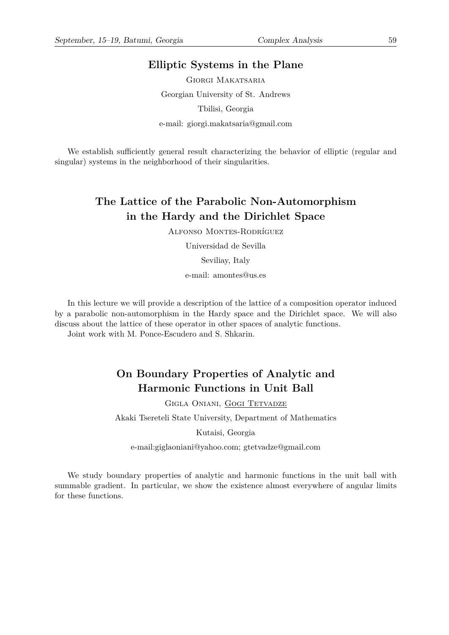### **Elliptic Systems in the Plane**

Giorgi Makatsaria Georgian University of St. Andrews Tbilisi, Georgia e-mail: giorgi.makatsaria@gmail.com

We establish sufficiently general result characterizing the behavior of elliptic (regular and singular) systems in the neighborhood of their singularities.

## **The Lattice of the Parabolic Non-Automorphism in the Hardy and the Dirichlet Space**

Alfonso Montes-Rodríguez

Universidad de Sevilla

Seviliay, Italy

e-mail: amontes@us.es

In this lecture we will provide a description of the lattice of a composition operator induced by a parabolic non-automorphism in the Hardy space and the Dirichlet space. We will also discuss about the lattice of these operator in other spaces of analytic functions.

Joint work with M. Ponce-Escudero and S. Shkarin.

# **On Boundary Properties of Analytic and Harmonic Functions in Unit Ball**

GIGLA ONIANI, GOGI TETVADZE

Akaki Tsereteli State University, Department of Mathematics

Kutaisi, Georgia

e-mail:giglaoniani@yahoo.com; gtetvadze@gmail.com

We study boundary properties of analytic and harmonic functions in the unit ball with summable gradient. In particular, we show the existence almost everywhere of angular limits for these functions.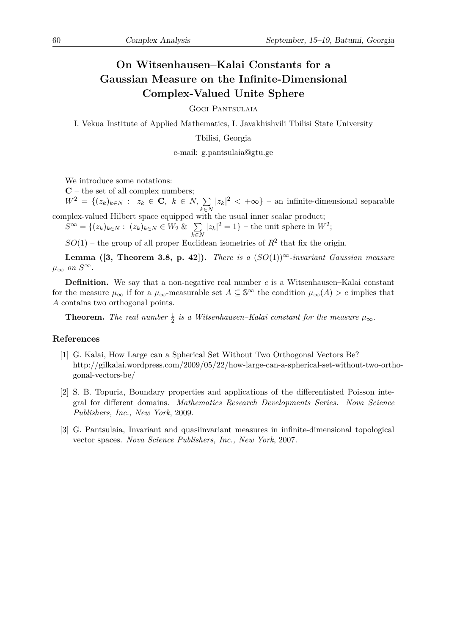# **On Witsenhausen–Kalai Constants for a Gaussian Measure on the Infinite-Dimensional Complex-Valued Unite Sphere**

Gogi Pantsulaia

I. Vekua Institute of Applied Mathematics, I. Javakhishvili Tbilisi State University

Tbilisi, Georgia

e-mail: g.pantsulaia@gtu.ge

We introduce some notations:

**C** – the set of all complex numbers;

 $W^2 = \{(z_k)_{k \in N} : z_k \in \mathbf{C}, k \in N, \sum_{k \in N}$ *k∈N*  $|z_k|^2 < +\infty$ } – an infinite-dimensional separable

complex-valued Hilbert space equipped with the usual inner scalar product;

*S*<sup>∞</sup> = { $(z_k)_{k \in N}$  :  $(z_k)_{k \in N}$  ∈  $W_2$  &  $\sum_{k=1}^{N}$ *k∈N*  $|z_k|^2 = 1$ } – the unit sphere in  $W^2$ ;

 $SO(1)$  – the group of all proper Euclidean isometries of  $R^2$  that fix the origin.

**Lemma** ([3, Theorem 3.8, p. 42]). *There is a*  $(SO(1))^{\infty}$ *-invariant Gaussian measure*  $\mu_{\infty}$  *on*  $S^{\infty}$ *.* 

**Definition.** We say that a non-negative real number *c* is a Witsenhausen–Kalai constant for the measure  $\mu_{\infty}$  if for a  $\mu_{\infty}$ -measurable set  $A \subseteq \mathbb{S}^{\infty}$  the condition  $\mu_{\infty}(A) > c$  implies that *A* contains two orthogonal points.

**Theorem.** The real number  $\frac{1}{2}$  is a Witsenhausen–Kalai constant for the measure  $\mu_{\infty}$ .

#### **References**

- [1] G. Kalai, How Large can a Spherical Set Without Two Orthogonal Vectors Be? http://gilkalai.wordpress.com/2009/05/22/how-large-can-a-spherical-set-without-two-orthogonal-vectors-be/
- [2] S. B. Topuria, Boundary properties and applications of the differentiated Poisson integral for different domains. *Mathematics Research Developments Series. Nova Science Publishers, Inc., New York*, 2009.
- [3] G. Pantsulaia, Invariant and quasiinvariant measures in infinite-dimensional topological vector spaces. *Nova Science Publishers, Inc., New York*, 2007.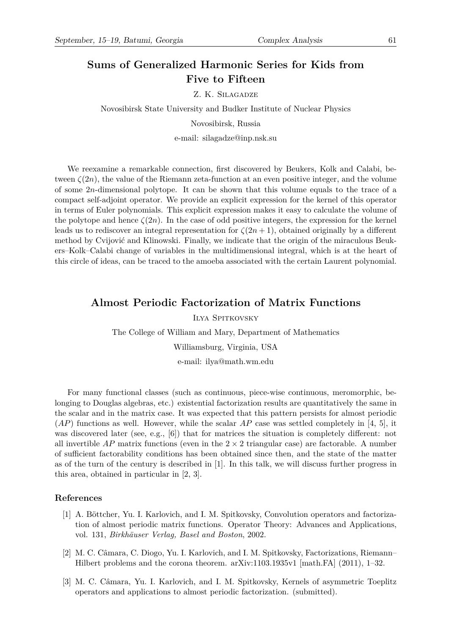# **Sums of Generalized Harmonic Series for Kids from Five to Fifteen**

Z. K. Silagadze

Novosibirsk State University and Budker Institute of Nuclear Physics

Novosibirsk, Russia

e-mail: silagadze@inp.nsk.su

We reexamine a remarkable connection, first discovered by Beukers, Kolk and Calabi, between  $\zeta(2n)$ , the value of the Riemann zeta-function at an even positive integer, and the volume of some 2*n*-dimensional polytope. It can be shown that this volume equals to the trace of a compact self-adjoint operator. We provide an explicit expression for the kernel of this operator in terms of Euler polynomials. This explicit expression makes it easy to calculate the volume of the polytope and hence  $\zeta(2n)$ . In the case of odd positive integers, the expression for the kernel leads us to rediscover an integral representation for  $\zeta(2n+1)$ , obtained originally by a different method by Cvijović and Klinowski. Finally, we indicate that the origin of the miraculous Beukers–Kolk–Calabi change of variables in the multidimensional integral, which is at the heart of this circle of ideas, can be traced to the amoeba associated with the certain Laurent polynomial.

### **Almost Periodic Factorization of Matrix Functions**

Ilya Spitkovsky The College of William and Mary, Department of Mathematics Williamsburg, Virginia, USA

e-mail: ilya@math.wm.edu

For many functional classes (such as continuous, piece-wise continuous, meromorphic, belonging to Douglas algebras, etc.) existential factorization results are quantitatively the same in the scalar and in the matrix case. It was expected that this pattern persists for almost periodic  $(AP)$  functions as well. However, while the scalar  $AP$  case was settled completely in [4, 5], it was discovered later (see, e.g., [6]) that for matrices the situation is completely different: not all invertible  $AP$  matrix functions (even in the  $2 \times 2$  triangular case) are factorable. A number of sufficient factorability conditions has been obtained since then, and the state of the matter as of the turn of the century is described in [1]. In this talk, we will discuss further progress in this area, obtained in particular in [2, 3].

#### **References**

- [1] A. Böttcher, Yu. I. Karlovich, and I. M. Spitkovsky, Convolution operators and factorization of almost periodic matrix functions. Operator Theory: Advances and Applications, vol. 131, *Birkhäuser Verlag, Basel and Boston*, 2002.
- [2] M. C. Câmara, C. Diogo, Yu. I. Karlovich, and I. M. Spitkovsky, Factorizations, Riemann– Hilbert problems and the corona theorem. arXiv:1103.1935v1 [math.FA] (2011), 1–32.
- [3] M. C. Câmara, Yu. I. Karlovich, and I. M. Spitkovsky, Kernels of asymmetric Toeplitz operators and applications to almost periodic factorization. (submitted).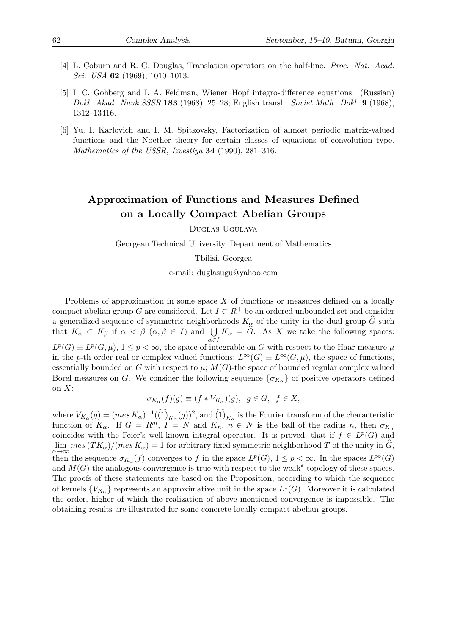- [4] L. Coburn and R. G. Douglas, Translation operators on the half-line. *Proc. Nat. Acad. Sci. USA* **62** (1969), 1010–1013.
- [5] I. C. Gohberg and I. A. Feldman, Wiener–Hopf integro-difference equations. (Russian) *Dokl. Akad. Nauk SSSR* **183** (1968), 25–28; English transl.: *Soviet Math. Dokl.* **9** (1968), 1312–13416.
- [6] Yu. I. Karlovich and I. M. Spitkovsky, Factorization of almost periodic matrix-valued functions and the Noether theory for certain classes of equations of convolution type. *Mathematics of the USSR, Izvestiya* **34** (1990), 281–316.

## **Approximation of Functions and Measures Defined on a Locally Compact Abelian Groups**

Duglas Ugulava

Georgean Technical University, Department of Mathematics

#### Tbilisi, Georgea

e-mail: duglasugu@yahoo.com

Problems of approximation in some space *X* of functions or measures defined on a locally compact abelian group *G* are considered. Let  $I \subset R^+$  be an ordered unbounded set and consider a generalized sequence of symmetric neighborhoods  $K_\alpha$  of the unity in the dual group  $\tilde{G}$  such that  $K_{\alpha} \subset K_{\beta}$  if  $\alpha < \beta$  ( $\alpha, \beta \in I$ ) and  $\bigcup_{\alpha \in I} K_{\alpha} = G$ . As X we take the following spaces: *α∈I*  $L^p(G) \equiv L^p(G, \mu)$ ,  $1 \leq p < \infty$ , the space of integrable on *G* with respect to the Haar measure  $\mu$ in the *p*-th order real or complex valued functions;  $L^{\infty}(G) \equiv L^{\infty}(G, \mu)$ , the space of functions, essentially bounded on *G* with respect to  $\mu$ ;  $M(G)$ -the space of bounded regular complex valued Borel measures on *G*. We consider the following sequence  ${\{\sigma_{K_{\alpha}}\}}$  of positive operators defined on *X*:

$$
\sigma_{K_{\alpha}}(f)(g) \equiv (f * V_{K_{\alpha}})(g), \ \ g \in G, \ \ f \in X,
$$

where  $V_{K_{\alpha}}(g) = (mes K_{\alpha})^{-1}((1)_{K_{\alpha}}(g))^2$ , and  $(1)_{K_{\alpha}}$  is the Fourier transform of the characteristic function of  $K_{\alpha}$ . If  $G = R^m$ ,  $I = N$  and  $K_n$ ,  $n \in N$  is the ball of the radius *n*, then  $\sigma_{K_n}$ coincides with the Feier's well-known integral operator. It is proved, that if  $f \in L^p(G)$  and  $\lim_{\alpha \to \infty} mes(TK_{\alpha})/(mes K_{\alpha}) = 1$  for arbitrary fixed symmetric neighborhood *T* of the unity in *G*,  $\lim_{\alpha \to \infty}$ then the sequence  $\sigma_{K_\alpha}(f)$  converges to *f* in the space  $L^p(G)$ ,  $1 \leq p < \infty$ . In the spaces  $L^\infty(G)$ and *M*(*G*) the analogous convergence is true with respect to the weak<sup>∗</sup> topology of these spaces. The proofs of these statements are based on the Proposition, according to which the sequence of kernels  ${V_{K_\alpha}}$  represents an approximative unit in the space  $L^1(G)$ . Moreover it is calculated the order, higher of which the realization of above mentioned convergence is impossible. The obtaining results are illustrated for some concrete locally compact abelian groups.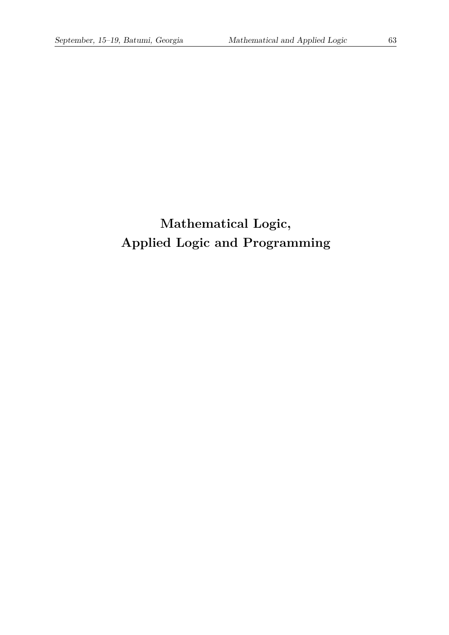# **Mathematical Logic, Applied Logic and Programming**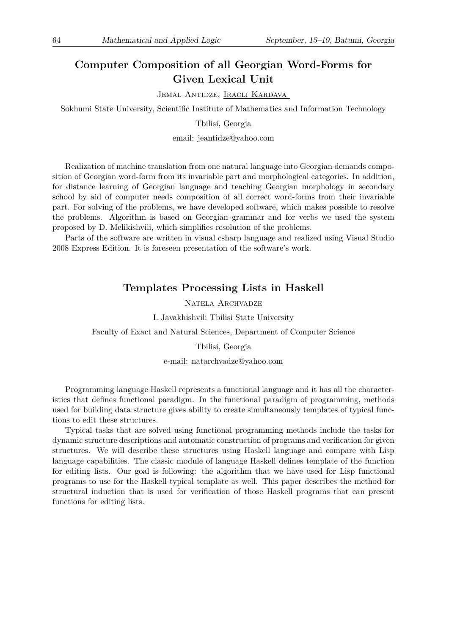## **Computer Composition of all Georgian Word-Forms for Given Lexical Unit**

Jemal Antidze, Iracli Kardava

Sokhumi State University, Scientific Institute of Mathematics and Information Technology

Tbilisi, Georgia

email: jeantidze@yahoo.com

Realization of machine translation from one natural language into Georgian demands composition of Georgian word-form from its invariable part and morphological categories. In addition, for distance learning of Georgian language and teaching Georgian morphology in secondary school by aid of computer needs composition of all correct word-forms from their invariable part. For solving of the problems, we have developed software, which makes possible to resolve the problems. Algorithm is based on Georgian grammar and for verbs we used the system proposed by D. Melikishvili, which simplifies resolution of the problems.

Parts of the software are written in visual csharp language and realized using Visual Studio 2008 Express Edition. It is foreseen presentation of the software's work.

### **Templates Processing Lists in Haskell**

NATELA ARCHVADZE

I. Javakhishvili Tbilisi State University

Faculty of Exact and Natural Sciences, Department of Computer Science

Tbilisi, Georgia

e-mail: natarchvadze@yahoo.com

Programming language Haskell represents a functional language and it has all the characteristics that defines functional paradigm. In the functional paradigm of programming, methods used for building data structure gives ability to create simultaneously templates of typical functions to edit these structures.

Typical tasks that are solved using functional programming methods include the tasks for dynamic structure descriptions and automatic construction of programs and verification for given structures. We will describe these structures using Haskell language and compare with Lisp language capabilities. The classic module of language Haskell defines template of the function for editing lists. Our goal is following: the algorithm that we have used for Lisp functional programs to use for the Haskell typical template as well. This paper describes the method for structural induction that is used for verification of those Haskell programs that can present functions for editing lists.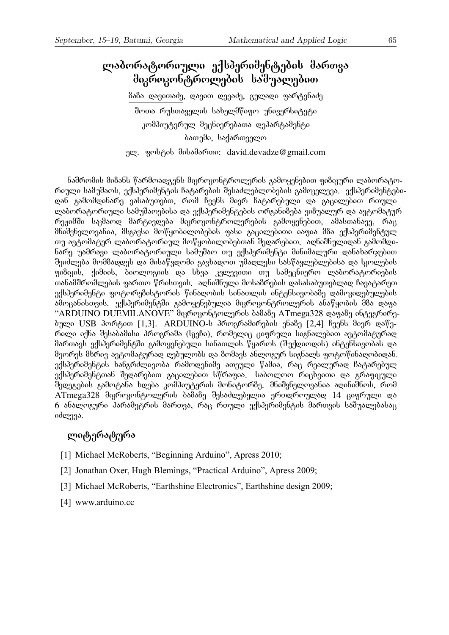# ლაბორატორიული ექსპერიმენტების მართვა  $\partial$ ୠന്നുസ്എ്ന്നെസ്പ്രാപി $\delta$ റി $\eta$ ്ലൂർനെ

მამა დავითაძე, დავით დევაძე, გულადი ფარტენაძე შოთა რუსთაველის სახელმწიფო უნივერსიტეტი კომპიუტერულ მეცნიერებათა დეპარტამენტი ბათუმი, საქართველო ელ. ფოსტის მისამართი: david.devadze@gmail.com

ნაშრომის მიმანს წარმოადგენს მიკროკონტროლერის გამოყენებით ფიზიკური ლაბორატორიული სამუშაოს, ექსპერიმენტის ჩატარების შესაძლებლობების გამოკვლევა, ექსპერიმენტებიდან გამომდინარე ვასაბუთებთ, რომ ჩვენს მიერ ჩატარებული და გაცილებით რთული ლაბორატორიული სამუშაოებისა და ექსპერიმენტების ორგანიმება ვიმუალურ და ავტომატურ რეჟიმში სა<sub>შ</sub>მაოდ მარტივდება მიკროკონტროლერების გამოყენებით, ამასთანავე, რაც dნიშვნელოვანია, მსგავსი მოწყობილობების ფასი გაცილებითი იაფია მ8ა ექსპერიმენტულ თუ ავტომატურ ლაბორატორიულ მოწყობილობებთან შედარებით, აღნიშნულიდან გამომდი**ნარე უამრავი ლაბორატორიული სამუშაო თუ ექსპერიმენტი მინიმალური დანახარ**ჯებით შეიძლება მომმადღეს და მისაწვდომი გავხადოთ უმაღლესი სასწავლებლებისა და სკოლების ფიზიკის, ქიმიის, ბიოლოგიის და სხვა კვლევითი თუ სამეცნიერო ლაბორატორიების  $\overline{0}$ ეანამშრომლების ფართო წრისთვის. აღნიშნული მოსამრების დასასაბუთებლად ჩავატარეთ ექსპერიმენტი ფოტორებისტორის წინაღობის სინათლის ინტენსივობაზე დამოკიდებულების ამოცანისთვის, ექსპერიმენტში გამოყენებულია მიკროკონტროლერის ანაწყობის მზა დაფა "ARDUINO DUEMILANOVE" მიეროკონტოლერის ბაზაზე ATmega328 დაფაზე ინტეგრირე- $\delta$ ული USB პორტით [1,3]. ARDUINO-ს პროგრამირების ენაზე [2,4] ჩვენს მიერ დაწერილი იქნა შესაბამისი პროგრამა (სკეჩი), რომელიც ციფრული სიგნალებით ავტომატურად მართავს ექსპერიმენტში გამოყენებული სინათლის წყაროს (შუქდიოდის) ინტენსივობას და მეორეს მხრივ ავტომატურად ღებულობს და მომავს ანლოგურ სიგნალს ფოტოწინაღობიდან. ექსპერიმენტის ხანგრძლივობა რამოღენიმე ათეული წამია, რაც რეალურად ჩატარებულ ექსპერიმენტთან შედარებით გაცილებით სწრაფია, საბოლოო რიცხვითი და გრაფიკული შედეგების გამოტანა ხდება კომპიუტერის მონიტორზე, მნიშვნელოვანია აღინიშნოს, რომ  $ATmega328$  მიკროკონტოლერის ბაზაზე შესაძლებელია ერთდროულად 14 ციფრული და  $6$  ანალოგური პარამეტრის მართვა, რაც რთული ექსპერიმენტის მართვის საშუალებასაც იძლევა.

## ლიტერატურა

- [1] Michael McRoberts, "Beginning Arduino", Apress 2010;
- [2] Jonathan Oxer, Hugh Blemings, "Practical Arduino", Apress 2009;
- [3] Michael McRoberts, "Earthshine Electronics", Earthshine design 2009;
- [4] www.arduino.cc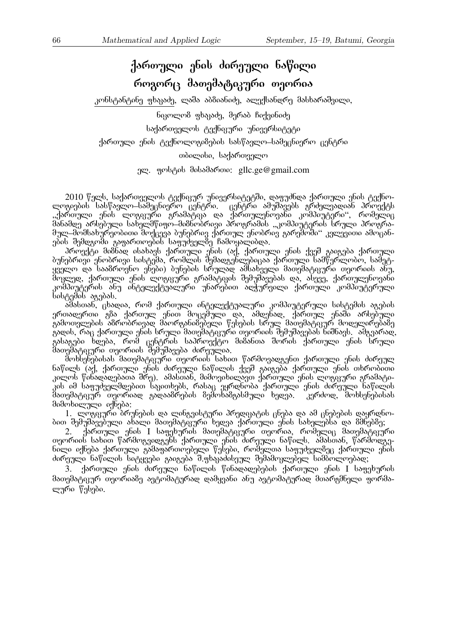# ქართული ენის ძირეული ნაწილი როგორც მათემატიკური თეორია

კონსტანტინე ფხაცაძე, ლაშა აბმიანიძე, ალექსანდრე მასხარაშვილი,

<u>ნიკოლო</u>მ ფხაკაძე, მერაბ ჩიქვინიძე

საქართველოს ტექნიკური უნივერსიტეტი

ქართული ენის ტექნოლოგიმების სასწავლო–სამეცნიერო ცენტრი

moomolo, badamonggmen

am. grobeol dobsdsmoo: gllc.ge@gmail.com

 $2010$  წელს, საქართველოს ტექნიკურ უნივერსიტეტში, დაფუძნდა ქართული ენის ტექნოლოგიების სასწავლო–სამეცნიერო ცენტრი. ცენტრი ამუშავებს გრძელვადიან პროექტს ,,ქართული ენის ლოგიკური გრამატიკა და ქართულენოვანი კომპიუტერი'', რომელიც მანამდე არსებული სახელმწიფო–მიმნობრივი პროგრამის "კომპიუტერის სრული პროგრამულ–მომსახურეობითი მოქცევა ბუნებრივ ქართულ ენობრივ გარემოში" კვლევითი ამოცანების შემდგომი გაფართოების საფუძველზე ჩამოყალიბდა.

პროექტი მიმნად ისახავს ქართული ენის (აქ, ქართული ენის ქვეშ გაიგება ქართული ბუნებრივი ენობრივი სისტემა, რომლის შემადგენლებიცაა ქართული სამწერლობო, სამეტყველო და საამროვნო ენები) ბუნების სრულად ამსახველი მათემატიკური თეორიის ანუ, მოკლედ, ქართული ენის ლოგიკური გრამატიკის შემუშავებას და, ასევე, ქართულენოვანი კომპიუტერის ანუ ინტელექტუალური უნარებით აღჭურვილი ქართული კომპიუტერული <u></u> Ŭისტემის აგებას.

ამასთან, ცხადია, რომ ქართული ინტელექტუალური კომპიუტერული სისტემის აგების ერთადერთი გმა ქართულ ენით მოცემული და, ამდენად, ქართულ ენაში არსებული გამოთვლების ამრობრივად მაორგანიზებელი წესების სრულ მათემატიკურ მოღელირებაზე ე<br>გადის, რაც ქართული ენის სრული მათემატიკური თეორიის შემუშავებას ხიშნავს. ამგვარად, გასაგები ხდება, რომ ცენტრის საპროექტო მიმანთა შორის ქართული ენის სრული მათემატიკური თეორიის შემუშავება ძირეულია.

მოხსენებისას მათემატიკური თეორიის სახით წარმოვადგენთ ქართული ენის ძირეულ ნაწილს (აქ, ქართული ენის ძირეული ნაწილის ქვეშ გაიგება ქართული ენის თხრობითი კილოს წინადადებათა შრე). ამასთან, მიმოვიხილავთ ქართული ენის ლოგიკური გრამატიკის იმ საფუძველმდებით საკითხებს, რასაც ეყრდნობა ქართული ენის ძირეული ნაწილის ÌÀÈÄÌÀÔÉÊÖÒ ÈÄÏÒÉÀà ÂÀÃÀÀÆÒÄÁÉÓ ÆÄÌÏáÀÆÂÀÓÌÖËÉ áÄÃÅÀ. ÊÄÒÞÏÃ, ÌÏáÓÄÍÄÁÉÓÀÓ dodobogygo ofbjos:

1. ლოგიკური ბრუნების და ლინგვისტური პრედიკატის ცნება და ამ ცნებების დაყრდნო-<u>ბით შემუშავებული ახალი მათემატიკუ</u>რი ხედვა ქართული ენის სახელებსა და მმნებმე;

2. ქართული ენის I საფეხურის მათემატიკური თეორია, რომელიც მათემატიკური თეორიის სახით წარმოგვიდგენს ქართული ენის ძირეული ნაწილს, ამასთან, წარმოდგენილი იქნება ქართული გამაფართოებელი წესები, რომელთა საფუძველ8ეც ქართული ენის  $\theta$ ბრეული ხაწილის სიტყვები გაიგება შ.ფხაკაძისეულ შემამოკლებელ სიმბოლოებად;

 $3$ ბრთული ენის ძირეული ნაწილის წინადადებების ქართული ენის I საფეხურის მათემატიკურ თეორიაზე ავტომატურად დამყვანი ანუ ავტომატურად მთარგმნელი ფორმა-**E**mmo Falgoo.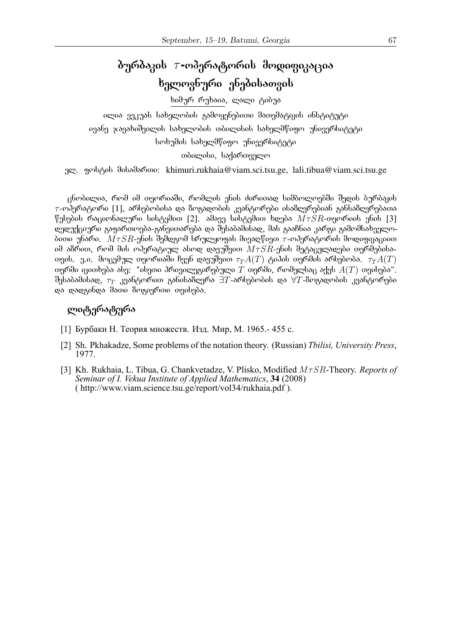# $\delta$ ურბაკის  $\tau$ -ოპერატორის მოდიფიკაცია  $b$ ელოვნური ენებისათვის

ხიმურ რუხაია, ლალი ტიბუა

eლია ვეკუას სახელობის გამოყენებითი მათემატიკის ინსტიტუტი  $\,$ ივანე ჯავახიშვილის სახელობის თბილისის სახელმწიფო უნივერსიტეტი სოხუმის სახელმწიფო უნივერსიტეტი

moomolo, badamonggmen

ელ. ფოსტის მისამართი: khimuri.rukhaia@viam.sci.tsu.ge, lali.tibua@viam.sci.tsu.ge

ცნობილია, რომ იმ თეორიაში, რომლის ენის ძირითად სიმბოლოებში შედის ბურბაკის  $\tau$ -ოპერატორი [1], არსებობისა და მოგადობის კვანტორები ისამღვრებიან განსამღვრებათა  $\mathcal{R}$ ესების რაციონალური სისტემით [2]. ამავე სისტემით ხდება  $M\tau SR$ -თეორიის ენის [3] <u>ღელუქც</u>იური გაფართოება-განვითარება და შესაბამისად, მას გააჩნია კარგი გამომსახველო- $\delta$ ბითი უნარი,  $M\tau SR$ -ენის შემდგომ სრულყოფას მივაღწიეთ  $\tau$ -ოპერატორის მოდიფიკაციით  $\alpha$ შ ამრით, რომ მის ოპერატიულ ასოდ დავუშვით  $M\tau SR$ -ენის მეტაცვლადები თერმებისა- $\sigma$ გის, ე.ი. მოცემულ თეორიაში ჩვენ დავუშვით  $\tau_T A(T)$  ტიპის თერმის არსებობა,  $\tau_T A(T)$  $\sigma$ ერმი იკითხება ასე: "ისეთი პრივილეგირებული  $T$  თერმი, რომელსაც აქვს  $A(T)$  თვისება". შესაბამისად,  $\tau_T$  კვანტორით განისამღვრა ∃ $T$ -არსებობის და ∀ $T$ -მოგადობის კვანტორები cos coscaobcos doono denangeñono ongolindo.

## ლიტერატურა

- [1] Бурбаки Н. Теория множеств. Изд. Мир, М. 1965.- 455 с.
- [2] Sh. Pkhakadze, Some problems of the notation theory. (Russian) *Tbilisi, University Press*, 1977.
- [3] Kh. Rukhaia, L. Tibua, G. Chankvetadze, V. Plisko, Modified *MτSR*-Theory. *Reports of Seminar of I. Vekua Institute of Applied Mathematics*, **34** (2008) ( http://www.viam.science.tsu.ge/report/vol34/rukhaia.pdf ).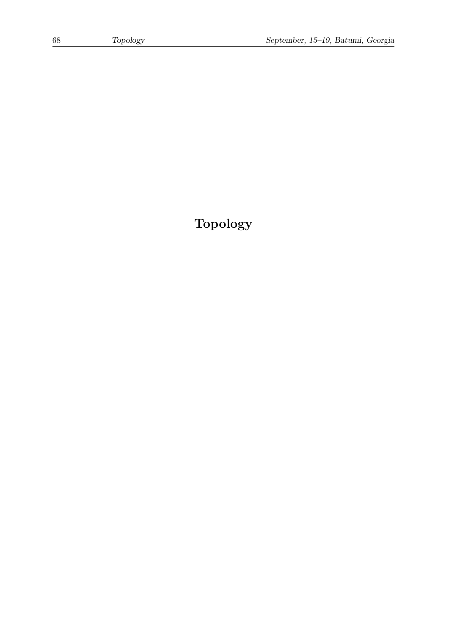# **Topology**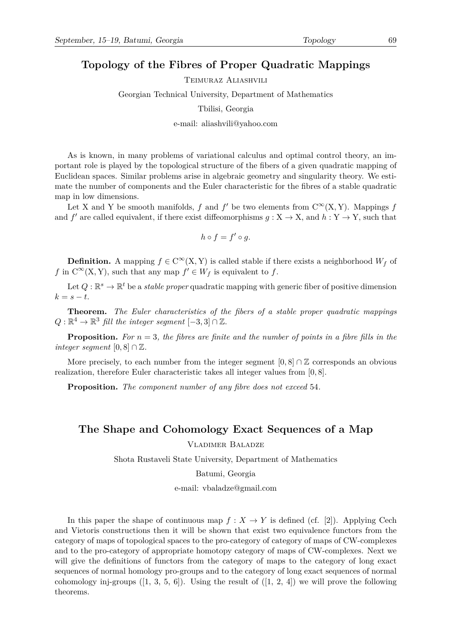**Topology of the Fibres of Proper Quadratic Mappings**

Teimuraz Aliashvili

Georgian Technical University, Department of Mathematics

Tbilisi, Georgia

e-mail: aliashvili@yahoo.com

As is known, in many problems of variational calculus and optimal control theory, an important role is played by the topological structure of the fibers of a given quadratic mapping of Euclidean spaces. Similar problems arise in algebraic geometry and singularity theory. We estimate the number of components and the Euler characteristic for the fibres of a stable quadratic map in low dimensions.

Let X and Y be smooth manifolds, f and f' be two elements from  $C^{\infty}(X, Y)$ . Mappings f and  $f'$  are called equivalent, if there exist diffeomorphisms  $g: X \to X$ , and  $h: Y \to Y$ , such that

$$
h\circ f=f'\circ g.
$$

**Definition.** A mapping  $f \in C^{\infty}(X, Y)$  is called stable if there exists a neighborhood  $W_f$  of *f* in  $C^{\infty}(X, Y)$ , such that any map  $f' \in W_f$  is equivalent to *f*.

Let  $Q: \mathbb{R}^s \to \mathbb{R}^t$  be a *stable proper* quadratic mapping with generic fiber of positive dimension  $k = s - t$ .

**Theorem.** *The Euler characteristics of the fibers of a stable proper quadratic mappings*  $Q: \mathbb{R}^4 \to \mathbb{R}^3$  fill the integer segment  $[-3, 3] \cap \mathbb{Z}$ .

**Proposition.** For  $n = 3$ , the fibres are finite and the number of points in a fibre fills in the *integer segment*  $[0, 8] \cap \mathbb{Z}$ .

More precisely, to each number from the integer segment  $[0, 8] \cap \mathbb{Z}$  corresponds an obvious realization, therefore Euler characteristic takes all integer values from [0*,* 8]*.*

**Proposition.** *The component number of any fibre does not exceed* 54*.*

### **The Shape and Cohomology Exact Sequences of a Map**

Vladimer Baladze

Shota Rustaveli State University, Department of Mathematics

Batumi, Georgia

e-mail: vbaladze@gmail.com

In this paper the shape of continuous map  $f: X \to Y$  is defined (cf. [2]). Applying Cech and Vietoris constructions then it will be shown that exist two equivalence functors from the category of maps of topological spaces to the pro-category of category of maps of CW-complexes and to the pro-category of appropriate homotopy category of maps of CW-complexes. Next we will give the definitions of functors from the category of maps to the category of long exact sequences of normal homology pro-groups and to the category of long exact sequences of normal cohomology inj-groups  $([1, 3, 5, 6])$ . Using the result of  $([1, 2, 4])$  we will prove the following theorems.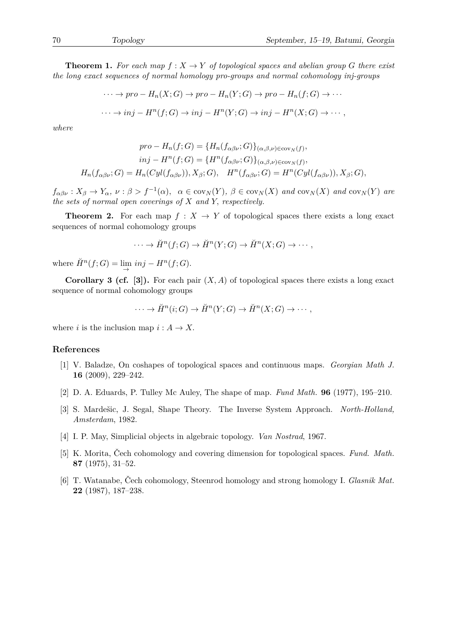**Theorem 1.** For each map  $f: X \to Y$  of topological spaces and abelian group G there exist *the long exact sequences of normal homology pro-groups and normal cohomology inj-groups*

$$
\cdots \to pro-H_n(X;G) \to pro-H_n(Y;G) \to pro-H_n(f;G) \to \cdots
$$
  

$$
\cdots \to inj-H^n(f;G) \to inj-H^n(Y;G) \to inj-H^n(X;G) \to \cdots,
$$

*where*

$$
pro-H_n(f;G) = \{H_n(f_{\alpha\beta\nu};G)\}_{(\alpha,\beta,\nu)\in\text{cov}_N(f)},
$$

$$
inj-H^n(f;G) = \{H^n(f_{\alpha\beta\nu};G)\}_{(\alpha,\beta,\nu)\in\text{cov}_N(f)},
$$

$$
H_n(f_{\alpha\beta\nu};G) = H_n(Cyl(f_{\alpha\beta\nu})), X_\beta;G), \quad H^n(f_{\alpha\beta\nu};G) = H^n(Cyl(f_{\alpha\beta\nu})), X_\beta;G),
$$

 $f_{\alpha\beta\nu}: X_{\beta} \to Y_{\alpha}, \nu: \beta > f^{-1}(\alpha), \alpha \in \text{cov}_N(Y), \beta \in \text{cov}_N(X)$  and  $\text{cov}_N(X)$  and  $\text{cov}_N(Y)$  are *the sets of normal open coverings of X and Y, respectively.*

**Theorem 2.** For each map  $f : X \to Y$  of topological spaces there exists a long exact sequences of normal cohomology groups

$$
\cdots \to \check{H}^n(f;G) \to \check{H}^n(Y;G) \to \check{H}^n(X;G) \to \cdots,
$$

where  $\check{H}^n(f;G) = \lim$ *→*  $inj - H<sup>n</sup>(f; G)$ .

**Corollary 3 (cf. [3]).** For each pair  $(X, A)$  of topological spaces there exists a long exact sequence of normal cohomology groups

$$
\cdots \to \check{H}^n(i;G) \to \check{H}^n(Y;G) \to \check{H}^n(X;G) \to \cdots,
$$

where *i* is the inclusion map  $i : A \rightarrow X$ .

#### **References**

- [1] V. Baladze, On coshapes of topological spaces and continuous maps. *Georgian Math J.* **16** (2009), 229–242.
- [2] D. A. Eduards, P. Tulley Mc Auley, The shape of map. *Fund Math.* **96** (1977), 195–210.
- [3] S. Mardešic, J. Segal, Shape Theory. The Inverse System Approach. *North-Holland, Amsterdam*, 1982.
- [4] I. P. May, Simplicial objects in algebraic topology. *Van Nostrad*, 1967.
- [5] K. Morita, Čech cohomology and covering dimension for topological spaces. *Fund. Math.* **87** (1975), 31–52.
- [6] T. Watanabe, Čech cohomology, Steenrod homology and strong homology I. *Glasnik Mat.* **22** (1987), 187–238.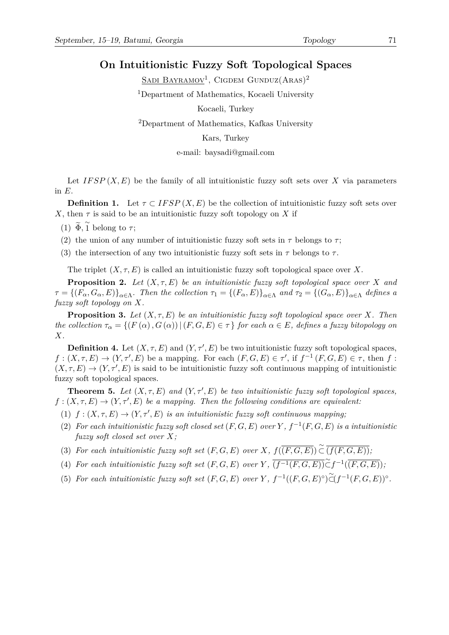## **On Intuitionistic Fuzzy Soft Topological Spaces**

SADI BAYRAMOV<sup>1</sup>, CIGDEM GUNDUZ $(ARAS)^2$ 

<sup>1</sup>Department of Mathematics, Kocaeli University

Kocaeli, Turkey

<sup>2</sup>Department of Mathematics, Kafkas University

Kars, Turkey

e-mail: baysadi@gmail.com

Let  $IFSP(X, E)$  be the family of all intuitionistic fuzzy soft sets over X via parameters in *E*.

**Definition 1.** Let  $\tau \subset IFSP(X, E)$  be the collection of intuitionistic fuzzy soft sets over *X*, then  $\tau$  is said to be an intuitionistic fuzzy soft topology on *X* if

(1)  $\widetilde{\Phi}$ ,  $\widetilde{1}$  belong to  $\tau$ ;

- (2) the union of any number of intuitionistic fuzzy soft sets in  $\tau$  belongs to  $\tau$ ;
- (3) the intersection of any two intuitionistic fuzzy soft sets in  $\tau$  belongs to  $\tau$ .

The triplet  $(X, \tau, E)$  is called an intuitionistic fuzzy soft topological space over X.

**Proposition 2.** *Let* (*X, τ, E*) *be an intuitionistic fuzzy soft topological space over X and*  $\tau = \left\{ (F_{\alpha}, G_{\alpha}, E) \right\}_{\alpha \in \Lambda}$ . Then the collection  $\tau_1 = \left\{ (F_{\alpha}, E) \right\}_{\alpha \in \Lambda}$  and  $\tau_2 = \left\{ (G_{\alpha}, E) \right\}_{\alpha \in \Lambda}$  defines a *fuzzy soft topology on X.*

**Proposition 3.** *Let* (*X, τ, E*) *be an intuitionistic fuzzy soft topological space over X. Then the collection*  $\tau_{\alpha} = \{ (F(\alpha), G(\alpha)) | (F, G, E) \in \tau \}$  *for each*  $\alpha \in E$ *, defines a fuzzy bitopology on X.*

**Definition 4.** Let  $(X, \tau, E)$  and  $(Y, \tau', E)$  be two intuitionistic fuzzy soft topological spaces,  $f:(X, \tau, E) \to (Y, \tau', E)$  be a mapping. For each  $(F, G, E) \in \tau'$ , if  $f^{-1}(F, G, E) \in \tau$ , then  $f:$  $(X, \tau, E) \rightarrow (Y, \tau', E)$  is said to be intuitionistic fuzzy soft continuous mapping of intuitionistic fuzzy soft topological spaces.

**Theorem 5.** Let  $(X, \tau, E)$  and  $(Y, \tau', E)$  be two intuitionistic fuzzy soft topological spaces,  $f: (X, \tau, E) \to (Y, \tau', E)$  *be a mapping. Then the following conditions are equivalent:* 

- (1)  $f:(X, \tau, E) \to (Y, \tau', E)$  *is an intuitionistic fuzzy soft continuous mapping*;
- (2) For each intuitionistic fuzzy soft closed set  $(F, G, E)$  over  $Y$ ,  $f^{-1}(F, G, E)$  is a intuitionistic *fuzzy soft closed set over X;*
- (3) For each intuitionistic fuzzy soft set  $(F, G, E)$  over  $X, f(\overline{(F, G, E)}) \overset{\sim}{\subset} \overline{(f(F, G, E))}$ ;
- $(4)$  *For each intuitionistic fuzzy soft set*  $(F, G, E)$  *over*  $Y$ ,  $\overline{(f^{-1}(F, G, E))}$  $\subsetneq$   $f^{-1}(\overline{(F, G, E)})$ ;
- (5) For each intuitionistic fuzzy soft set  $(F, G, E)$  over  $Y$ ,  $f^{-1}((F, G, E)^{\circ})\widetilde{\subset}(f^{-1}(F, G, E))^{\circ}$ .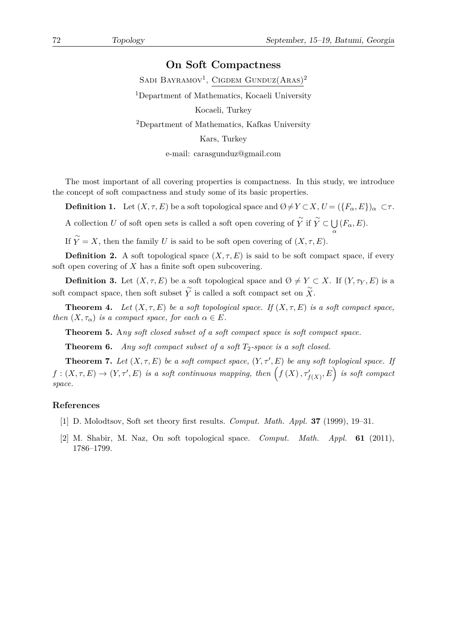## **On Soft Compactness**

SADI BAYRAMOV<sup>1</sup>, CIGDEM GUNDUZ $(ARAS)^2$ <sup>1</sup>Department of Mathematics, Kocaeli University Kocaeli, Turkey <sup>2</sup>Department of Mathematics, Kafkas University Kars, Turkey

e-mail: carasgunduz@gmail.com

The most important of all covering properties is compactness. In this study, we introduce the concept of soft compactness and study some of its basic properties.

**Definition 1.** Let  $(X, \tau, E)$  be a soft topological space and  $\emptyset \neq Y \subset X$ ,  $U = (\{F_\alpha, E\})_\alpha \subset \tau$ .

A collection *U* of soft open sets is called a soft open covering of  $\widetilde{Y}$  if  $\widetilde{Y} \subset \bigcup$  $\bigcup_{\alpha}$  (*F*<sub>α</sub>*, E*).

If  $\widetilde{Y} = X$ , then the family *U* is said to be soft open covering of  $(X, \tau, E)$ .

**Definition 2.** A soft topological space  $(X, \tau, E)$  is said to be soft compact space, if every soft open covering of *X* has a finite soft open subcovering.

**Definition 3.** Let  $(X, \tau, E)$  be a soft topological space and  $\emptyset \neq Y \subset X$ . If  $(Y, \tau_Y, E)$  is a soft compact space, then soft subset  $\widetilde{Y}$  is called a soft compact set on  $\widetilde{X}$ .

**Theorem 4.** *Let*  $(X, \tau, E)$  *be a soft topological space. If*  $(X, \tau, E)$  *is a soft compact space, then*  $(X, \tau_\alpha)$  *is a compact space, for each*  $\alpha \in E$ *.* 

**Theorem 5.** A*ny soft closed subset of a soft compact space is soft compact space.*

**Theorem 6.** *Any soft compact subset of a soft T*2*-space is a soft closed.*

**Theorem 7.** Let  $(X, \tau, E)$  be a soft compact space,  $(Y, \tau', E)$  be any soft toplogical space. If  $f:(X,\tau,E)\to (Y,\tau',E)$  *is a soft continuous mapping, then*  $\Big(f\left(X\right),\tau'_{f(X)},E\Big)$  *is soft compact space.*

#### **References**

- [1] D. Molodtsov, Soft set theory first results. *Comput. Math. Appl.* **37** (1999), 19–31.
- [2] M. Shabir, M. Naz, On soft topological space. *Comput. Math. Appl.* **61** (2011), 1786–1799.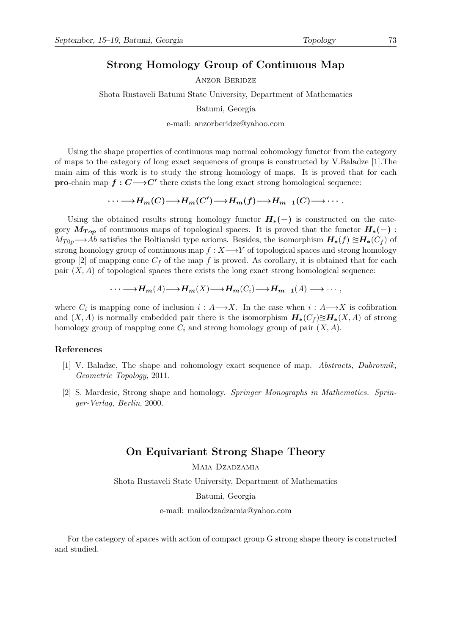### **Strong Homology Group of Continuous Map**

Anzor Beridze

Shota Rustaveli Batumi State University, Department of Mathematics

Batumi, Georgia

e-mail: anzorberidze@yahoo.com

Using the shape properties of continuous map normal cohomology functor from the category of maps to the category of long exact sequences of groups is constructed by V.Baladze [1].The main aim of this work is to study the strong homology of maps. It is proved that for each **pro**-chain map *f* **:** *C−→C′* there exists the long exact strong homological sequence:

$$
\cdots \longrightarrow H_m(C) \longrightarrow H_m(C') \longrightarrow H_m(f) \longrightarrow H_{m-1}(C) \longrightarrow \cdots.
$$

Using the obtained results strong homology functor *H∗***(***−***)** is constructed on the category  $M_{Top}$  of continuous maps of topological spaces. It is proved that the functor  $H_*(-)$ : *M*<sup>*T*<sub>0</sub>*p*<sup> $\rightarrow$ </sup>*Ab* satisfies the Boltianski type axioms. Besides, the isomorphism  $H_*(f) \approx H_*(C_f)$  of</sup> strong homology group of continuous map *f* : *X−→Y* of topological spaces and strong homology group [2] of mapping cone  $C_f$  of the map f is proved. As corollary, it is obtained that for each pair  $(X, A)$  of topological spaces there exists the long exact strong homological sequence:

$$
\cdots \longrightarrow H_{m}(A) \longrightarrow H_{m}(X) \longrightarrow H_{m}(C_{i}) \longrightarrow H_{m-1}(A) \longrightarrow \cdots,
$$

where  $C_i$  is mapping cone of inclusion  $i : A \rightarrow X$ . In the case when  $i : A \rightarrow X$  is cofibration and  $(X, A)$  is normally embedded pair there is the isomorphism  $H_*(C_f) \approx H_*(X, A)$  of strong homology group of mapping cone *C<sup>i</sup>* and strong homology group of pair (*X, A*).

#### **References**

- [1] V. Baladze, The shape and cohomology exact sequence of map. *Abstracts, Dubrovnik, Geometric Topology*, 2011.
- [2] S. Mardesic, Strong shape and homology. *Springer Monographs in Mathematics. Springer-Verlag, Berlin*, 2000.

#### **On Equivariant Strong Shape Theory**

MAIA DZADZAMIA

Shota Rustaveli State University, Department of Mathematics

Batumi, Georgia

e-mail: maikodzadzamia@yahoo.com

For the category of spaces with action of compact group G strong shape theory is constructed and studied.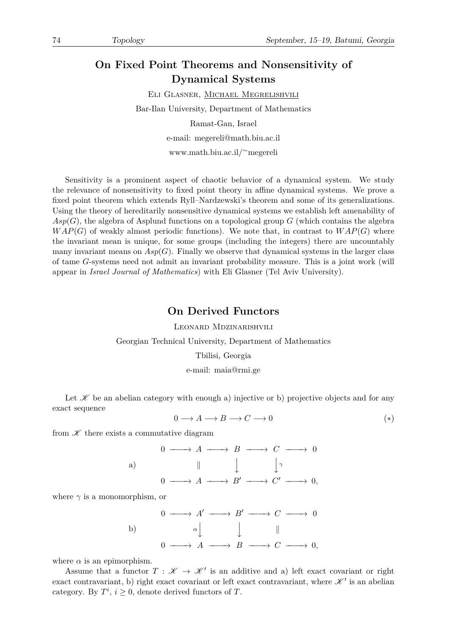### **On Fixed Point Theorems and Nonsensitivity of Dynamical Systems**

Eli Glasner, Michael Megrelishvili Bar-Ilan University, Department of Mathematics Ramat-Gan, Israel e-mail: megereli@math.biu.ac.il www.math.biu.ac.il/*∼*megereli

Sensitivity is a prominent aspect of chaotic behavior of a dynamical system. We study the relevance of nonsensitivity to fixed point theory in affine dynamical systems. We prove a fixed point theorem which extends Ryll–Nardzewski's theorem and some of its generalizations. Using the theory of hereditarily nonsensitive dynamical systems we establish left amenability of  $Asp(G)$ , the algebra of Asplund functions on a topological group *G* (which contains the algebra  $WAP(G)$  of weakly almost periodic functions). We note that, in contrast to  $WAP(G)$  where the invariant mean is unique, for some groups (including the integers) there are uncountably many invariant means on  $Asp(G)$ . Finally we observe that dynamical systems in the larger class of tame *G*-systems need not admit an invariant probability measure. This is a joint work (will appear in *Israel Journal of Mathematics*) with Eli Glasner (Tel Aviv University).

### **On Derived Functors**

Leonard Mdzinarishvili

Georgian Technical University, Department of Mathematics

#### Tbilisi, Georgia

e-mail: maia@rmi.ge

Let  $\mathscr K$  be an abelian category with enough a) injective or b) projective objects and for any exact sequence

$$
0 \longrightarrow A \longrightarrow B \longrightarrow C \longrightarrow 0 \tag{*}
$$

from  $K$  there exists a commutative diagram

a) 0 *−−−−→ A −−−−→ B −−−−→ C −−−−→* 0 *∥* y  $\downarrow$ *γ* 0 *−−−−→ A −−−−→ B′ −−−−→ C ′ −−−−→* 0*,*

where  $\gamma$  is a monomorphism, or

$$
\begin{array}{ccccccc}\n & & & 0 & \longrightarrow & A' & \longrightarrow & B' & \longrightarrow & C & \longrightarrow & 0 \\
 & & & & & \downarrow & & & \parallel & & \\
 & & & & & \downarrow & & & \parallel & & \\
 & & & & & & \downarrow & & & \parallel & & \\
 & & & & & & & \downarrow & & & \parallel & & \\
 & & & & & & & & \downarrow & & & \parallel & & \\
 & & & & & & & & & \downarrow & & & \parallel & & \\
 & & & & & & & & & \downarrow & & & \parallel & & \\
 & & & & & & & & & & \downarrow & & & \parallel & & \\
 & & & & & & & & & & \downarrow & & & \parallel & & \\
 & & & & & & & & & & & \downarrow & & & \parallel & & \\
\end{array}
$$

where  $\alpha$  is an epimorphism.

Assume that a functor  $T: \mathcal{K} \to \mathcal{K}'$  is an additive and a) left exact covariant or right exact contravariant, b) right exact covariant or left exact contravariant, where  $\mathscr{K}'$  is an abelian category. By  $T^i$ ,  $i \geq 0$ , denote derived functors of *T*.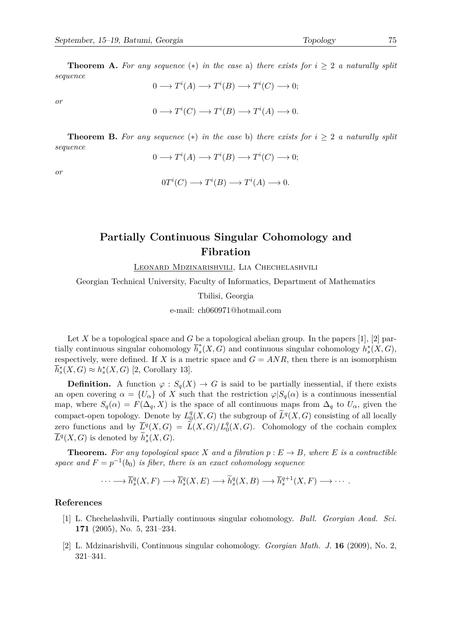**Theorem A.** For any sequence  $(*)$  in the case a) there exists for  $i \geq 2$  a naturally split *sequence*

$$
0 \longrightarrow T^i(A) \longrightarrow T^i(B) \longrightarrow T^i(C) \longrightarrow 0;
$$

*or*

$$
0 \longrightarrow T^{i}(C) \longrightarrow T^{i}(B) \longrightarrow T^{i}(A) \longrightarrow 0.
$$

**Theorem B.** *For any sequence* (*∗*) *in the case* b) *there exists for i ≥* 2 *a naturally split sequence*

$$
0 \longrightarrow T^i(A) \longrightarrow T^i(B) \longrightarrow T^i(C) \longrightarrow 0;
$$

*or*

$$
0T^{i}(C) \longrightarrow T^{i}(B) \longrightarrow T^{i}(A) \longrightarrow 0.
$$

### **Partially Continuous Singular Cohomology and Fibration**

Leonard Mdzinarishvili, Lia Chechelashvili

Georgian Technical University, Faculty of Informatics, Department of Mathematics

Tbilisi, Georgia

e-mail: ch060971@hotmail.com

Let  $X$  be a topological space and  $G$  be a topological abelian group. In the papers  $[1]$ ,  $[2]$  partially continuous singular cohomology  $\overline{h}_s^*(X, G)$  and continuous singular cohomology  $h_s^*(X, G)$ , respectively, were defined. If *X* is a metric space and  $G = ANR$ , then there is an isomorphism  $h_s^*(X, G) \approx h_s^*(X, G)$  [2, Corollary 13].

**Definition.** A function  $\varphi : S_q(X) \to G$  is said to be partially inessential, if there exists an open covering  $\alpha = \{U_\alpha\}$  of X such that the restriction  $\varphi|S_q(\alpha)$  is a continuous inessential map, where  $S_q(\alpha) = F(\Delta_q, X)$  is the space of all continuous maps from  $\Delta_q$  to  $U_\alpha$ , given the compact-open topology. Denote by  $L_0^q$  $\frac{q}{Q}(X, G)$  the subgroup of  $\tilde{L}^q(X, G)$  consisting of all locally zero functions and by  $\overline{L}^q(X, G) = \widetilde{L}(X, G)/L_0^q$  $_{0}^{q}(X, G)$ . Cohomology of the cochain complex  $\overline{L}^q(X, G)$  is denoted by  $\widetilde{h}^*_s(X, G)$ .

**Theorem.** For any topological space X and a fibration  $p : E \to B$ , where E is a contractible *space and*  $F = p^{-1}(b_0)$  *is fiber, there is an exact cohomology sequence* 

$$
\cdots \longrightarrow \overline{h}_s^q(X, F) \longrightarrow \overline{h}_s^q(X, E) \longrightarrow \widetilde{h}_s^q(X, B) \longrightarrow \overline{h}_s^{q+1}(X, F) \longrightarrow \cdots
$$

- [1] L. Chechelashvili, Partially continuous singular cohomology. *Bull. Georgian Acad. Sci.* **171** (2005), No. 5, 231–234.
- [2] L. Mdzinarishvili, Continuous singular cohomology. *Georgian Math. J.* **16** (2009), No. 2, 321–341.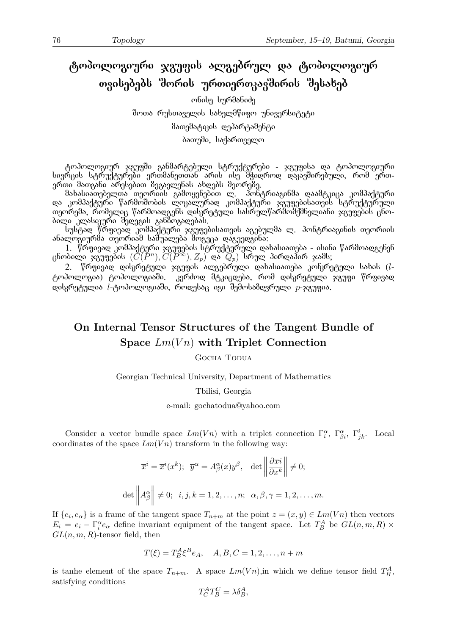# ტოპოლოგიური ჯგუფის ალგებრულ და ტოპოლოგიურ თვისებებს შორის ურთიერთკავშირის შესახებ

ონისე სურმანიძე

შოთა რუსთაველის სახელმწიფო უნივერსიტეტი

მათემატიკის დეპარტამენტი

ბათუმი, საქართველო

ტოპოლოგიურ ჯგუფში განმარტებული სტრუქტურები - ჯგუფისა და ტოპოლოგიური სიერცის სტრუქტურები ერთმანეთთან არის ისე მჭიდროდ დაკავშირებული, რომ ერთერთი მათგანი არესებით ბეგავლენას ახდებს მეორებე.

მახასიათებელთა თეორიის გამოყენებით ლ. პონტრიაგინმა დაამტკიცა კომპაქტური და კომპაქტური წარმოშობის ლოკალურად კომპაქტური ჯგუფებისათვის სტრუქტურული  $\,$ თეორემა, რომელიც წარმოადგენს დისკრეტული სასრულწარმომქმნელიანი ჯგუფების ცნობილი კლასი<del>კ</del>ური შედეგის გან**ბოგადებას**.

სუსტად წრფივად კომპაქტური ჯგუფებისათვის აგებულმა ლ. პონტრიაგინის თეორიის ანალოგიურმა თეორიამ საშუალება მოგვცა დაგვედგინა:

1. წრფივად კომპაქტური ჯგუფების სტრუქტურული დახასიათება - ისინი წარმოადგენენ  $\mathcal{C}(P^m), \widetilde{C(P^m)}, \widetilde{Z_p})$  და  $\widetilde{Q_p})$  სრულ პირდაპირ ჯამს;

2. წრფივად დისკრეტული ჯგუფის ალგებრული დახასიათება კონკრეტული სახის (*l*ტოპოლოგია) ტოპოლოგიაში. კერძოდ მტკიცდება, რომ დისვრეტული ჯგუფი წრფივად  $\overline{R}$ დისკრეტულია *l*-ტოპოლოგიაში, როღესაც იგი შემოსამღვრული  $p$ -ჯგუფია.

### **On Internal Tensor Structures of the Tangent Bundle of Space** *Lm*(*V n*) **with Triplet Connection**

GOCHA TODUA

Georgian Technical University, Department of Mathematics

Tbilisi, Georgia

e-mail: gochatodua@yahoo.com

Consider a vector bundle space  $Lm(Vn)$  with a triplet connection  $\Gamma_i^{\alpha}$ ,  $\Gamma_{\beta i}^{\alpha}$ ,  $\Gamma_{jk}^{i}$ . Local coordinates of the space  $Lm(Vn)$  transform in the following way:

$$
\overline{x}^i = \overline{x}^i(x^k); \quad \overline{y}^\alpha = A^\alpha_\beta(x)y^\beta, \quad \det \left\| \frac{\partial \overline{x}^i}{\partial x^k} \right\| \neq 0;
$$
  

$$
\det \left\| A^\alpha_\beta \right\| \neq 0; \quad i, j, k = 1, 2, \dots, n; \quad \alpha, \beta, \gamma = 1, 2, \dots, m.
$$

If  ${e_i, e_{\alpha}}$  is a frame of the tangent space  $T_{n+m}$  at the point  $z = (x, y) \in Lm(Vn)$  then vectors  $E_i = e_i - \Gamma_i^{\alpha} e_{\alpha}$  define invariant equipment of the tangent space. Let  $T_B^A$  be  $GL(n, m, R)$  *× GL*(*n, m, R*)-tensor field, then

$$
T(\xi) = T_B^A \xi^B e_A, \quad A, B, C = 1, 2, \dots, n + m
$$

is tanke element of the space  $T_{n+m}$ . A space  $Lm(Vn)$ , in which we define tensor field  $T_B^A$ , satisfying conditions

$$
T_C^A T_B^C = \lambda \delta_B^A,
$$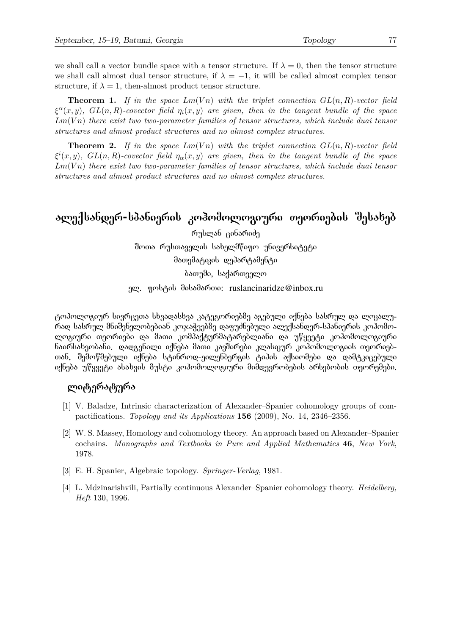we shall call a vector bundle space with a tensor structure. If  $\lambda = 0$ , then the tensor structure we shall call almost dual tensor structure, if  $\lambda = -1$ , it will be called almost complex tensor structure, if  $\lambda = 1$ , then-almost product tensor structure.

**Theorem 1.** If in the space  $Lm(Vn)$  with the triplet connection  $GL(n, R)$ -vector field  $\xi^{\alpha}(x, y)$ ,  $GL(n, R)$ -covector field  $\eta_i(x, y)$  are given, then in the tangent bundle of the space *Lm*(*V n*) *there exist two two-parameter families of tensor structures, which include duai tensor structures and almost product structures and no almost complex structures.*

**Theorem 2.** If in the space  $Lm(Vn)$  with the triplet connection  $GL(n, R)$ -vector field  $\xi^{i}(x, y)$ ,  $GL(n, R)$ *-covector field*  $\eta_{\alpha}(x, y)$  are given, then in the tangent bundle of the space *Lm*(*V n*) *there exist two two-parameter families of tensor structures, which include duai tensor structures and almost product structures and no almost complex structures.*

### ალექსანდერ-სპანიერის კოჰომოლოგიური თეორიების შესახებ

რუსლან ცინარიძე შოთა რუსთაველის სახელმწიფო უნივერსიტეტი მათემატიკის დეპარტამენტი ბათუმი, საქართველო

am. geologol dolsdamoo: ruslancinaridze@inbox.ru

ტოპოლოგიურ სიერცეთა სხვადასხვა კატეგორიებმე აგებული იქნება სასრულ და ლოკალურად სასრულ მნიშვნელობებიან კოჯაჭვებზე დაფუძნებული ალექსანდერ-სპანიერის კოჰომოლოგიური თეორიები და მათი კომპაქტურმატარებლიანი და უწყვეტი კოჰომოლოგიური  $\,$ ნაირსახეობანი, დადგენილი იქნება მათი კაეშირები კლასიკურ კოჰომოლოგიის თეორიებდან, შემოწმებული იქნება სტინროდ-ეილენბერგის ტიპის აქსიომები და დამტკიცებული edნება უწყვეტი ასახვის ზუსტი კოჰომოლოგიური მიმდევრობების არსებობის თეორემები.

### ლიტერატურა

- [1] V. Baladze, Intrinsic characterization of Alexander–Spanier cohomology groups of compactifications. *Topology and its Applications* **156** (2009), No. 14, 2346–2356.
- [2] W. S. Massey, Homology and cohomology theory. An approach based on Alexander–Spanier cochains. *Monographs and Textbooks in Pure and Applied Mathematics* **46**, *New York*, 1978.
- [3] E. H. Spanier, Algebraic topology. *Springer-Verlag*, 1981.
- [4] L. Mdzinarishvili, Partially continuous Alexander–Spanier cohomology theory. *Heidelberg, Heft* 130, 1996.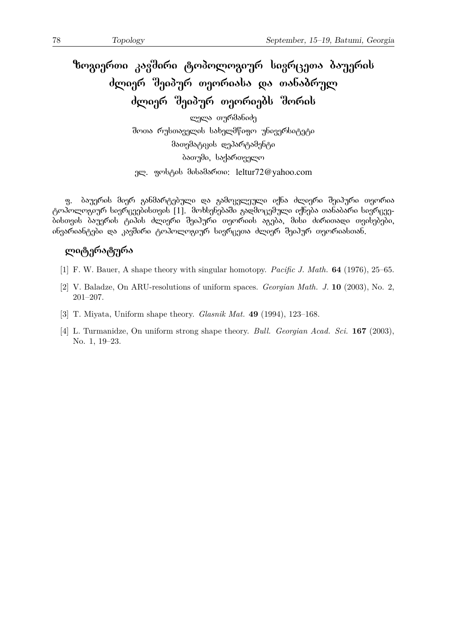# ზოგიერთი კავშირი ტოპოლოგიურ სივრცეთა ბაუერის ძლიერ შეიპურ თეორიასა და თანაბრულ  $\deg$ ბლიერ შეიპურ თეორიებს შორის

ლელა თურმანიძე შოთა რუსთაველის სახელმწიფო უნივერსიტეტი მათემატიკის დეპარტამენტი ბათუმი, საქართველო ელ. ფოსტის მისამართი: leltur72@yahoo.com

\_ ფ. ბაუერის მიერ განმარტებული და გამოკვლეული იქნა ძლიერი შეიპური თეორია ტოპოლოგიურ სივრცეებისთვის [1]. მოხსენებაში გადმოცემული იქნება თანაბარი სივრცეე-<u>ბისთვის ბაუერის ტიპის ძლიერი შეიპური თეორიის აგ</u>ება, მისი ძირითადი თვისებები, ინვარიანტები და კავშირი ტოპოლოგიურ სივრცეთა ძლიერ შეიპურ თეორიასთან.

### ლიტერატურა

- [1] F. W. Bauer, A shape theory with singular homotopy. *Pacific J. Math.* **64** (1976), 25–65.
- [2] V. Baladze, On ARU-resolutions of uniform spaces. *Georgian Math. J.* **10** (2003), No. 2, 201–207.
- [3] T. Miyata, Uniform shape theory. *Glasnik Mat.* **49** (1994), 123–168.
- [4] L. Turmanidze, On uniform strong shape theory. *Bull. Georgian Acad. Sci.* **167** (2003), No. 1, 19–23.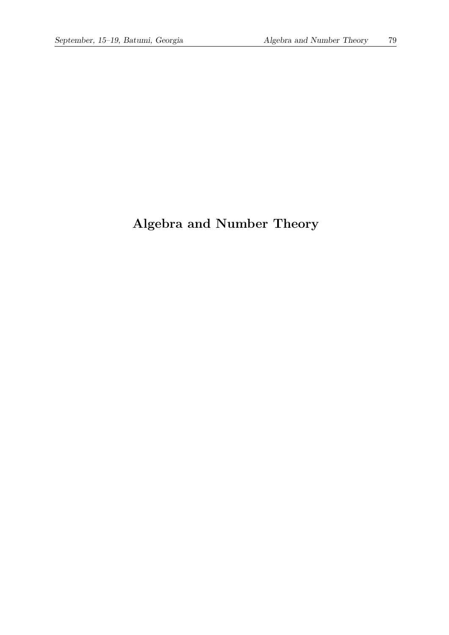# **Algebra and Number Theory**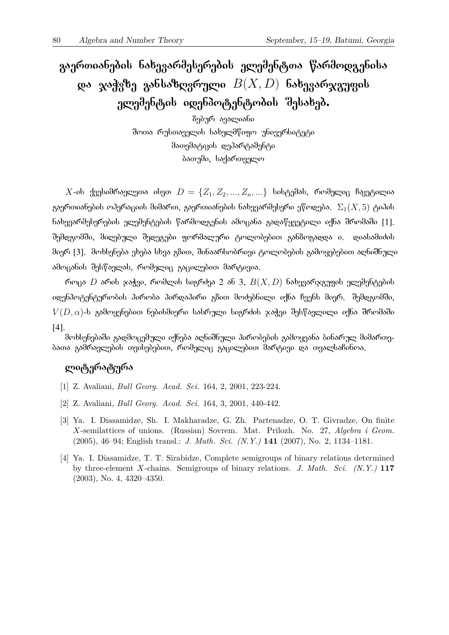# გაერთიანების ნახევარმესერების ელემენტთა წარმოდგენისა და ჯაჭვზე განსაზღვრული  $B(X, D)$  ნახევარჯგუფის ელემენტის იდენპოტენტობის შესახებ.

შებურ ავალიანი შოთა რუსთაველის სახელმწიფო უნივერსიტეტი მათემატიკის დეპარტამენტი ბათუმი, საქართველო

 $X$ -ის ქვესიმრავლეთა ისეთ  $D = \{Z_1, Z_2, ..., Z_n, ...\}$  სისტემას, რომელიც ჩაკეტილია  $\beta$ გაერთიანების ოპერაციის მიმართ, გაერთიანების ნახევარმესერი ეწოდება,  $\Sigma_1(X,5)$  ტიპის  $6$ ახევარმესერების ელემენტების წარმოდგენის ამოცანა გადაწყვეტილი იქნა შრომაში [1]. შემდგომში, მიღებული შედეგები ფორმალური ტოლობებით განზოგადდა ი. დიასამიძის მიერ [3]. მოხსენება ეხება სხვა გმით, შინაარსობრივი ტოლობების გამოყებებით აღნიშნული ამოცანის შესწავლას, რომელიც გაცილებით მარტივია.

 $\mathcal{D}$   $\mathcal{D}$   $\mathcal{D}$   $\mathcal{D}$   $\mathcal{D}$   $\mathcal{D}$   $\mathcal{D}$   $\mathcal{D}$   $\mathcal{D}$   $\mathcal{D}$   $\mathcal{D}$   $\mathcal{D}$   $\mathcal{D}$   $\mathcal{D}$   $\mathcal{D}$   $\mathcal{D}$   $\mathcal{D}$   $\mathcal{D}$   $\mathcal{D}$   $\mathcal{D}$   $\mathcal{D}$   $\mathcal{D}$   $\mathcal{D}$   $\mathcal{D}$   $\mathcal$ იდენპოტენტურობის პირობა პირდაპირი გზით მოძებნილი იქნა ჩვენს მიერ, შემდგომში,  $V(D, \alpha)$ -ს გამოყენებით ნებისმიერი სასრული სიგრძის ჯაჭვი შესწავლილი იქნა შრომაში [4].

მოხსენებაში გადმოცემული იქნება აღნიშნული პირობების გამოყვანა ბინარულ მიმართე-<u>ბათა გამრავლების თვისებებით, რომელიც გაცილე</u>ბით მარტივი და თვალსაჩინოა.

### ლიტერატურა

- [1] Z. Avaliani, *Bull Georg. Acad. Sci.* 164, 2, 2001, 223-224.
- [2] Z. Avaliani, *Bull Georg. Acad. Sci.* 164, 3, 2001, 440-442.
- [3] Ya. I. Diasamidze, Sh. I. Makharadze, G. Zh. Partenadze, O. T. Givradze, On finite *X*-semilattices of unions. (Russian) Sovrem. Mat. Prilozh. No. 27, *Algebra i Geom.* (2005), 46–94; English transl.: *J. Math. Sci. (N.Y.)* **141** (2007), No. 2, 1134–1181.
- [4] Ya. I. Diasamidze, T. T. Sirabidze, Complete semigroups of binary relations determined by three-element *X*-chains. Semigroups of binary relations. *J. Math. Sci. (N.Y.)* **117** (2003), No. 4, 4320–4350.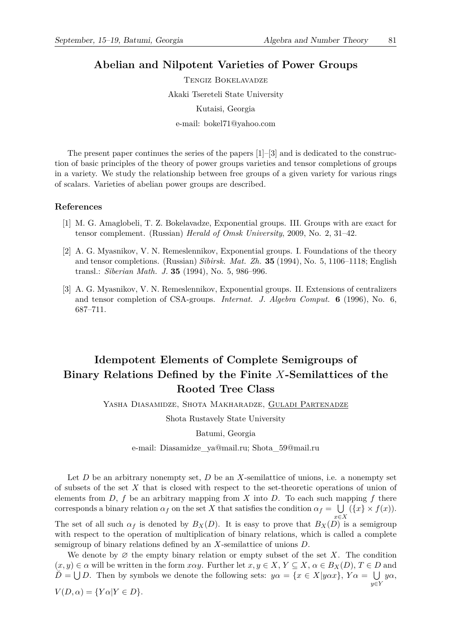### **Abelian and Nilpotent Varieties of Power Groups**

Tengiz Bokelavadze Akaki Tsereteli State University Kutaisi, Georgia e-mail: bokel71@yahoo.com

The present paper continues the series of the papers [1]–[3] and is dedicated to the construction of basic principles of the theory of power groups varieties and tensor completions of groups in a variety. We study the relationship between free groups of a given variety for various rings of scalars. Varieties of abelian power groups are described.

#### **References**

- [1] M. G. Amaglobeli, T. Z. Bokelavadze, Exponential groups. III. Groups with are exact for tensor complement. (Russian) *Herald of Omsk University*, 2009, No. 2, 31–42.
- [2] A. G. Myasnikov, V. N. Remeslennikov, Exponential groups. I. Foundations of the theory and tensor completions. (Russian) *Sibirsk. Mat. Zh.* **35** (1994), No. 5, 1106–1118; English transl.: *Siberian Math. J.* **35** (1994), No. 5, 986–996.
- [3] A. G. Myasnikov, V. N. Remeslennikov, Exponential groups. II. Extensions of centralizers and tensor completion of CSA-groups. *Internat. J. Algebra Comput.* **6** (1996), No. 6, 687–711.

### **Idempotent Elements of Complete Semigroups of Binary Relations Defined by the Finite** *X***-Semilattices of the Rooted Tree Class**

Yasha Diasamidze, Shota Makharadze, Guladi Partenadze

Shota Rustavely State University

Batumi, Georgia

e-mail: Diasamidze\_ya@mail.ru; Shota\_59@mail.ru

Let *D* be an arbitrary nonempty set, *D* be an *X*-semilattice of unions, i.e. a nonempty set of subsets of the set *X* that is closed with respect to the set-theoretic operations of union of elements from  $D$ ,  $f$  be an arbitrary mapping from  $X$  into  $D$ . To each such mapping  $f$  there corresponds a binary relation  $\alpha_f$  on the set *X* that satisfies the condition  $\alpha_f = \bigcup$ *x∈X*  $({x} \times f(x)).$ 

The set of all such  $\alpha_f$  is denoted by  $B_X(D)$ . It is easy to prove that  $B_X(D)$  is a semigroup with respect to the operation of multiplication of binary relations, which is called a complete semigroup of binary relations defined by an *X*-semilattice of unions *D*.

We denote by  $\varnothing$  the empty binary relation or empty subset of the set X. The condition  $(x, y) \in \alpha$  will be written in the form  $x\alpha y$ . Further let  $x, y \in X$ ,  $Y \subseteq X$ ,  $\alpha \in B_X(D)$ ,  $T \in D$  and  $\check{D} = \bigcup D$ . Then by symbols we denote the following sets:  $y\alpha = \{x \in X | y\alpha x\}$ ,  $Y\alpha = \bigcup$ *y∈Y yα*,  $V(D, \alpha) = \{Y\alpha | Y \in D\}.$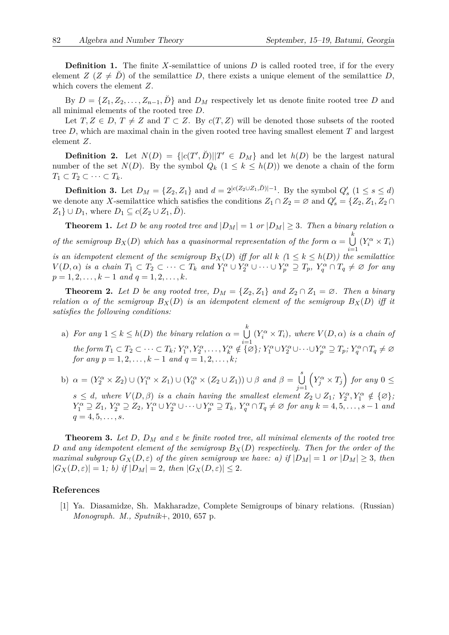**Definition 1.** The finite *X*-semilattice of unions *D* is called rooted tree, if for the every element  $Z$  ( $Z \neq D$ ) of the semilattice *D*, there exists a unique element of the semilattice *D*, which covers the element *Z*.

By  $D = \{Z_1, Z_2, \ldots, Z_{n-1}, D\}$  and  $D_M$  respectively let us denote finite rooted tree *D* and all minimal elements of the rooted tree *D*.

Let  $T, Z \in D, T \neq Z$  and  $T \subset Z$ . By  $c(T, Z)$  will be denoted those subsets of the rooted tree *D*, which are maximal chain in the given rooted tree having smallest element *T* and largest element *Z*.

**Definition 2.** Let  $N(D) = \{ |c(T', D)||T' \in D_M \}$  and let  $h(D)$  be the largest natural number of the set  $N(D)$ . By the symbol  $Q_k$   $(1 \leq k \leq h(D))$  we denote a chain of the form  $T_1 \subset T_2 \subset \cdots \subset T_k$ .

**Definition 3.** Let  $D_M = \{Z_2, Z_1\}$  and  $d = 2^{|c(Z_2 \cup Z_1, \check{D})|-1}$ . By the symbol  $Q'_s$   $(1 \le s \le d)$ we denote any *X*-semilattice which satisfies the conditions  $Z_1 \cap Z_2 = \emptyset$  and  $Q'_s = \{Z_2, Z_1, Z_2 \cap Z_1\}$ *Z*<sub>1</sub>} ∪ *D*<sub>1</sub>, where  $D_1 \subseteq c(Z_2 \cup Z_1, \check{D})$ .

**Theorem 1.** *Let D be any rooted tree and*  $|D_M| = 1$  *or*  $|D_M| \geq 3$ *. Then a binary relation*  $\alpha$ *of the semigroup*  $B_X(D)$  *which has a quasinormal representation of the form*  $\alpha = \bigcup$ *k i*=1  $(Y_i^{\alpha} \times T_i)$ *is an idempotent element of the semigroup*  $B_X(D)$  *iff for all*  $k$   $(1 \leq k \leq h(D))$  *the semilattice*  $V(D,\alpha)$  is a chain  $T_1 \subset T_2 \subset \cdots \subset T_k$  and  $Y_1^{\alpha} \cup Y_2^{\alpha} \cup \cdots \cup Y_p^{\alpha} \supseteq T_p$ ,  $Y_q^{\alpha} \cap T_q \neq \emptyset$  for any *p* = 1*,* 2*, . . . , k −* 1 *and*  $q$  = 1*,* 2*, . . . , k<sub></sub>.* 

**Theorem 2.** Let *D* be any rooted tree,  $D_M = \{Z_2, Z_1\}$  and  $Z_2 \cap Z_1 = \emptyset$ . Then a binary *relation*  $\alpha$  *of the semigroup*  $B_X(D)$  *is an idempotent element of the semigroup*  $B_X(D)$  *iff it satisfies the following conditions:*

- a) *For any*  $1 \leq k \leq h(D)$  *the binary relation*  $\alpha = \bigcup$ *k i*=1  $(Y_i^{\alpha} \times T_i)$ , where  $V(D, \alpha)$  *is a chain of* the form  $T_1 \subset T_2 \subset \cdots \subset T_k$ ;  $Y_1^{\alpha}, Y_2^{\alpha}, \ldots, Y_k^{\alpha} \notin {\varnothing}$ ;  $Y_1^{\alpha} \cup Y_2^{\alpha} \cup \cdots \cup Y_p^{\alpha} \supseteq T_p$ ;  $Y_q^{\alpha} \cap T_q \neq \varnothing$ *for any*  $p = 1, 2, \ldots, k - 1$  *and*  $q = 1, 2, \ldots, k$ *;*
- b)  $\alpha = (Y_2^{\alpha} \times Z_2) \cup (Y_1^{\alpha} \times Z_1) \cup (Y_0^{\alpha} \times (Z_2 \cup Z_1)) \cup \beta$  and  $\beta = \bigcup_{i=1}^{s}$ *j*=1  $(Y_j^{\alpha} \times T_j)$  *for any*  $0 \leq$  $s \leq d$ , where  $V(D, \beta)$  *is a chain having the smallest element*  $Z_2 \cup Z_1$ ;  $Y_2^{\alpha}, Y_1^{\alpha} \notin {\emptyset}$ ;  $Y_1^{\alpha} \supseteq Z_1, Y_2^{\alpha} \supseteq Z_2, Y_1^{\alpha} \cup Y_2^{\alpha} \cup \cdots \cup Y_p^{\alpha} \supseteq T_k, Y_q^{\alpha} \cap T_q \neq \varnothing$  for any  $k = 4, 5, \ldots, s - 1$  and  $q = 4, 5, \ldots, s$ .

**Theorem 3.** Let  $D$ ,  $D_M$  and  $\varepsilon$  be finite rooted tree, all minimal elements of the rooted tree *D and any idempotent element of the semigroup BX*(*D*) *respectively. Then for the order of the maximal subgroup*  $G_X(D, \varepsilon)$  *of the given semigroup we have: a) if*  $|D_M| = 1$  *or*  $|D_M| \geq 3$ *, then*  $|G_X(D, \varepsilon)| = 1$ *; b) if*  $|D_M| = 2$ *, then*  $|G_X(D, \varepsilon)| \leq 2$ *.* 

#### **References**

[1] Ya. Diasamidze, Sh. Makharadze, Complete Semigroups of binary relations. (Russian) *Monograph. M., Sputnik*+, 2010, 657 p.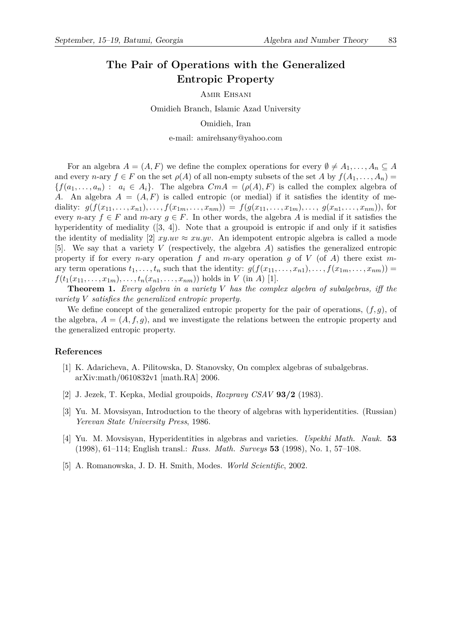### **The Pair of Operations with the Generalized Entropic Property**

Amir Ehsani

Omidieh Branch, Islamic Azad University

Omidieh, Iran

e-mail: amirehsany@yahoo.com

For an algebra  $A = (A, F)$  we define the complex operations for every  $\emptyset \neq A_1, \ldots, A_n \subseteq A$ and every *n*-ary  $f \in F$  on the set  $\rho(A)$  of all non-empty subsets of the set *A* by  $f(A_1, \ldots, A_n)$  ${f}(a_1, \ldots, a_n): a_i \in A_i$ . The algebra  $CmA = (\rho(A), F)$  is called the complex algebra of *A*. An algebra  $A = (A, F)$  is called entropic (or medial) if it satisfies the identity of mediality:  $g(f(x_{11},...,x_{n1}),...,f(x_{1m},...,x_{nm})) = f(g(x_{11},...,x_{1m}),...,g(x_{n1},...,x_{nm}))$ , for every *n*-ary  $f \in F$  and  $m$ -ary  $g \in F$ . In other words, the algebra A is medial if it satisfies the hyperidentity of mediality  $([3, 4])$ . Note that a groupoid is entropic if and only if it satisfies the identity of mediality [2]  $xy.uv \approx xu.yy$ . An idempotent entropic algebra is called a mode [5]. We say that a variety *V* (respectively, the algebra *A*) satisfies the generalized entropic property if for every *n*-ary operation *f* and *m*-ary operation *g* of *V* (of *A*) there exist *m*ary term operations  $t_1, \ldots, t_n$  such that the identity:  $g(f(x_{11}, \ldots, x_{n1}), \ldots, f(x_{1m}, \ldots, x_{nm})) =$  $f(t_1(x_{11},...,x_{1m}),...,t_n(x_{n1},...,x_{nm}))$  holds in *V* (in *A*) [1].

**Theorem 1.** *Every algebra in a variety V has the complex algebra of subalgebras, iff the variety V satisfies the generalized entropic property.*

We define concept of the generalized entropic property for the pair of operations, (*f, g*), of the algebra,  $A = (A, f, g)$ , and we investigate the relations between the entropic property and the generalized entropic property.

- [1] K. Adaricheva, A. Pilitowska, D. Stanovsky, On complex algebras of subalgebras. arXiv:math/0610832v1 [math.RA] 2006.
- [2] J. Jezek, T. Kepka, Medial groupoids, *Rozpravy CSAV* **93/2** (1983).
- [3] Yu. M. Movsisyan, Introduction to the theory of algebras with hyperidentities. (Russian) *Yerevan State University Press*, 1986.
- [4] Yu. M. Movsisyan, Hyperidentities in algebras and varieties. *Uspekhi Math. Nauk.* **53** (1998), 61–114; English transl.: *Russ. Math. Surveys* **53** (1998), No. 1, 57–108.
- [5] A. Romanowska, J. D. H. Smith, Modes. *World Scientific*, 2002.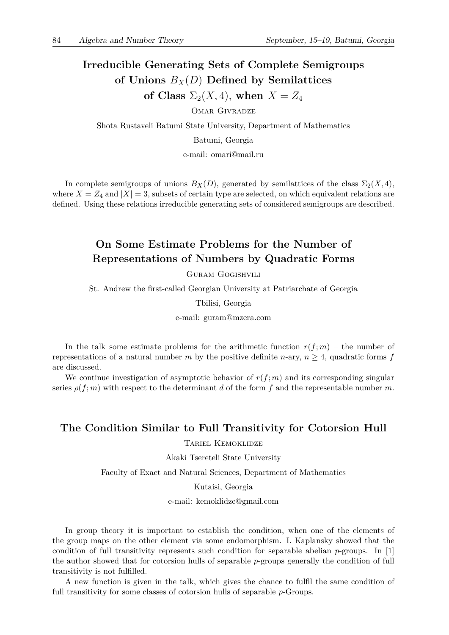# **Irreducible Generating Sets of Complete Semigroups** of Unions  $B_X(D)$  Defined by Semilattices

of Class  $\Sigma_2(X, 4)$ , when  $X = Z_4$ 

OMAR GIVRADZE

Shota Rustaveli Batumi State University, Department of Mathematics

Batumi, Georgia

e-mail: omari@mail.ru

In complete semigroups of unions  $B_X(D)$ , generated by semilattices of the class  $\Sigma_2(X, 4)$ , where  $X = Z_4$  and  $|X| = 3$ , subsets of certain type are selected, on which equivalent relations are defined. Using these relations irreducible generating sets of considered semigroups are described.

### **On Some Estimate Problems for the Number of Representations of Numbers by Quadratic Forms**

Guram Gogishvili

St. Andrew the first-called Georgian University at Patriarchate of Georgia

#### Tbilisi, Georgia

e-mail: guram@mzera.com

In the talk some estimate problems for the arithmetic function  $r(f; m)$  – the number of representations of a natural number *m* by the positive definite *n*-ary,  $n \geq 4$ , quadratic forms *f* are discussed.

We continue investigation of asymptotic behavior of  $r(f; m)$  and its corresponding singular series  $\rho(f; m)$  with respect to the determinant *d* of the form *f* and the representable number *m*.

### **The Condition Similar to Full Transitivity for Cotorsion Hull**

Tariel Kemoklidze

Akaki Tsereteli State University

Faculty of Exact and Natural Sciences, Department of Mathematics

Kutaisi, Georgia

e-mail: kemoklidze@gmail.com

In group theory it is important to establish the condition, when one of the elements of the group maps on the other element via some endomorphism. I. Kaplansky showed that the condition of full transitivity represents such condition for separable abelian *p*-groups. In [1] the author showed that for cotorsion hulls of separable *p*-groups generally the condition of full transitivity is not fulfilled.

A new function is given in the talk, which gives the chance to fulfil the same condition of full transitivity for some classes of cotorsion hulls of separable *p*-Groups.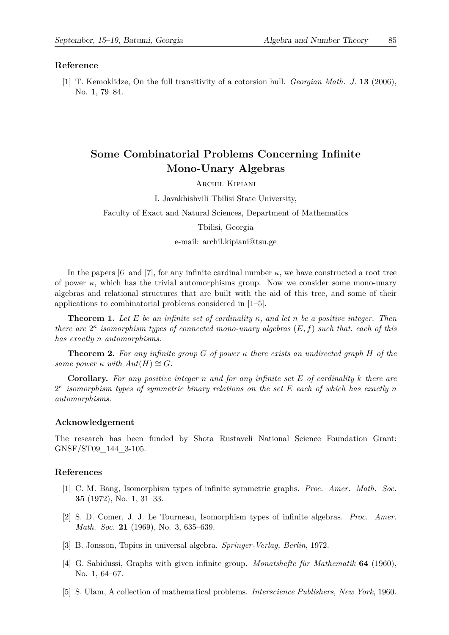#### **Reference**

[1] T. Kemoklidze, On the full transitivity of a cotorsion hull. *Georgian Math. J.* **13** (2006), No. 1, 79–84.

### **Some Combinatorial Problems Concerning Infinite Mono-Unary Algebras**

Archil Kipiani

I. Javakhishvili Tbilisi State University,

Faculty of Exact and Natural Sciences, Department of Mathematics

#### Tbilisi, Georgia

e-mail: archil.kipiani@tsu.ge

In the papers [6] and [7], for any infinite cardinal number  $\kappa$ , we have constructed a root tree of power *κ*, which has the trivial automorphisms group. Now we consider some mono-unary algebras and relational structures that are built with the aid of this tree, and some of their applications to combinatorial problems considered in [1–5].

**Theorem 1.** *Let E be an infinite set of cardinality κ, and let n be a positive integer. Then there are*  $2^{\kappa}$  *isomorphism types of connected mono-unary algebras*  $(E, f)$  *such that, each of this has exactly n automorphisms.*

**Theorem 2.** For any infinite group G of power  $\kappa$  there exists an undirected graph H of the  $same\ power\ \kappa\ with\ Aut(H) \cong G$ .

**Corollary.** *For any positive integer n and for any infinite set E of cardinality k there are* 2 *κ isomorphism types of symmetric binary relations on the set E each of which has exactly n automorphisms.*

#### **Acknowledgement**

The research has been funded by Shota Rustaveli National Science Foundation Grant: GNSF/ST09\_144\_3-105.

- [1] C. M. Bang, Isomorphism types of infinite symmetric graphs. *Proc. Amer. Math. Soc.* **35** (1972), No. 1, 31–33.
- [2] S. D. Comer, J. J. Le Tourneau, Isomorphism types of infinite algebras. *Proc. Amer. Math. Soc.* **21** (1969), No. 3, 635–639.
- [3] B. Jonsson, Topics in universal algebra. *Springer-Verlag, Berlin*, 1972.
- [4] G. Sabidussi, Graphs with given infinite group. *Monatshefte für Mathematik* **64** (1960), No. 1, 64–67.
- [5] S. Ulam, A collection of mathematical problems. *Interscience Publishers, New York*, 1960.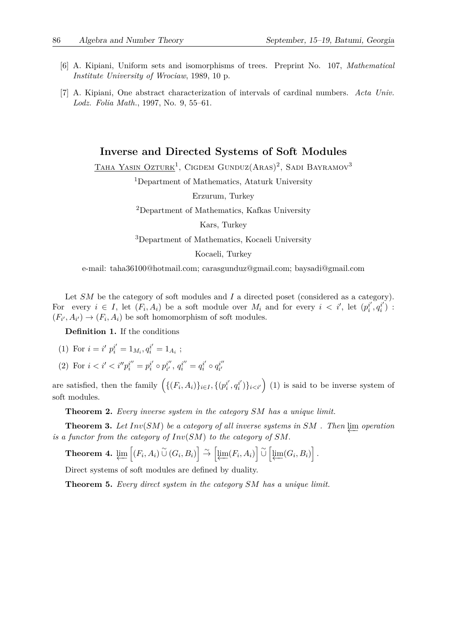- [6] A. Kipiani, Uniform sets and isomorphisms of trees. Preprint No. 107, *Mathematical Institute University of Wrociaw*, 1989, 10 p.
- [7] A. Kipiani, One abstract characterization of intervals of cardinal numbers. *Acta Univ. Lodz. Folia Math.*, 1997, No. 9, 55–61.

### **Inverse and Directed Systems of Soft Modules**

TAHA YASIN OZTURK<sup>1</sup>, CIGDEM GUNDUZ(ARAS)<sup>2</sup>, SADI BAYRAMOV<sup>3</sup>

<sup>1</sup>Department of Mathematics, Ataturk University

Erzurum, Turkey

<sup>2</sup>Department of Mathematics, Kafkas University

Kars, Turkey

<sup>3</sup>Department of Mathematics, Kocaeli University

Kocaeli, Turkey

e-mail: taha36100@hotmail.com; carasgunduz@gmail.com; baysadi@gmail.com

Let *SM* be the category of soft modules and *I* a directed poset (considered as a category). For every  $i \in I$ , let  $(F_i, A_i)$  be a soft module over  $M_i$  and for every  $i < i'$ , let  $(p_i^{i'}, q_i^{i'})$ :  $(F_{i'}, A_{i'}) \rightarrow (F_i, A_i)$  be soft homomorphism of soft modules.

**Definition 1.** If the conditions

(1) For 
$$
i = i' p_i^{i'} = 1_{M_i}, q_i^{i'} = 1_{A_i}
$$
;

(2) For  $i < i' < i''p_i^{i''} = p_i^{i'} \circ p_{i'}^{i''}, q_i^{i''} = q_i^{i'} \circ q_{i'}^{i''}$ 

are satisfied, then the family  $(\{(F_i, A_i)\}_{i \in I}, \{(p_i^{i'}, q_i^{i'})\}_{i \leq i'})$  (1) is said to be inverse system of soft modules.

**Theorem 2.** *Every inverse system in the category SM has a unique limit.*

**Theorem 3.** Let  $Inv(SM)$  be a category of all inverse systems in  $SM$  . Then  $\lim$  operation *is a functor from the category of Inv*(*SM*) *to the category of SM.*

**Theorem 4.** 
$$
\varprojlim \left[ (F_i, A_i) \overset{\sim}{\cup} (G_i, B_i) \right] \overset{\sim}{\to} \left[ \varprojlim (F_i, A_i) \right] \overset{\sim}{\cup} \left[ \varprojlim (G_i, B_i) \right].
$$

Direct systems of soft modules are defined by duality.

**Theorem 5.** *Every direct system in the category SM has a unique limit.*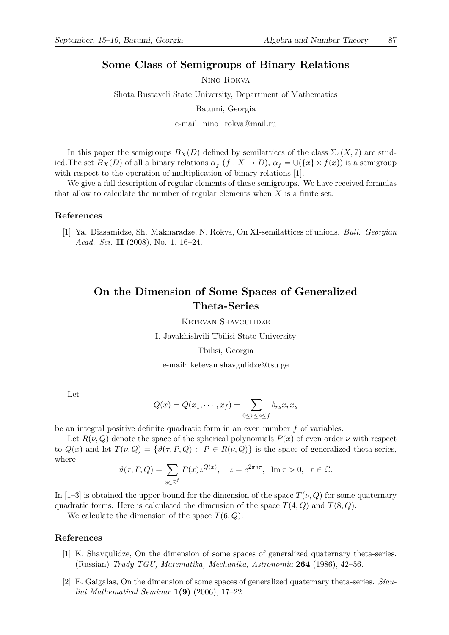### **Some Class of Semigroups of Binary Relations**

Nino Rokva

Shota Rustaveli State University, Department of Mathematics

Batumi, Georgia

e-mail: nino\_rokva@mail.ru

In this paper the semigroups  $B_X(D)$  defined by semilattices of the class  $\Sigma_4(X,7)$  are studied. The set  $B_X(D)$  of all a binary relations  $\alpha_f$   $(f: X \to D)$ ,  $\alpha_f = \cup({x} \times f(x))$  is a semigroup with respect to the operation of multiplication of binary relations [1].

We give a full description of regular elements of these semigroups. We have received formulas that allow to calculate the number of regular elements when *X* is a finite set.

#### **References**

[1] Ya. Diasamidze, Sh. Makharadze, N. Rokva, On XI-semilattices of unions. *Bull. Georgian Acad. Sci.* **II** (2008), No. 1, 16–24.

### **On the Dimension of Some Spaces of Generalized Theta-Series**

Ketevan Shavgulidze

I. Javakhishvili Tbilisi State University

#### Tbilisi, Georgia

e-mail: ketevan.shavgulidze@tsu.ge

Let

$$
Q(x) = Q(x_1, \cdots, x_f) = \sum_{0 \le r \le s \le f} b_{rs} x_r x_s
$$

be an integral positive definite quadratic form in an even number *f* of variables.

Let  $R(\nu, Q)$  denote the space of the spherical polynomials  $P(x)$  of even order  $\nu$  with respect to  $Q(x)$  and let  $T(\nu, Q) = {\vartheta(\tau, P, Q): P \in R(\nu, Q)}$  is the space of generalized theta-series, where

$$
\vartheta(\tau, P, Q) = \sum_{x \in \mathbb{Z}^f} P(x) z^{Q(x)}, \quad z = e^{2\pi i \tau}, \ \text{Im}\,\tau > 0, \ \tau \in \mathbb{C}.
$$

In [1–3] is obtained the upper bound for the dimension of the space  $T(\nu, Q)$  for some quaternary quadratic forms. Here is calculated the dimension of the space  $T(4, Q)$  and  $T(8, Q)$ .

We calculate the dimension of the space *T*(6*, Q*).

- [1] K. Shavgulidze, On the dimension of some spaces of generalized quaternary theta-series. (Russian) *Trudy TGU, Matematika, Mechanika, Astronomia* **264** (1986), 42–56.
- [2] E. Gaigalas, On the dimension of some spaces of generalized quaternary theta-series. *Siauliai Mathematical Seminar* **1(9)** (2006), 17–22.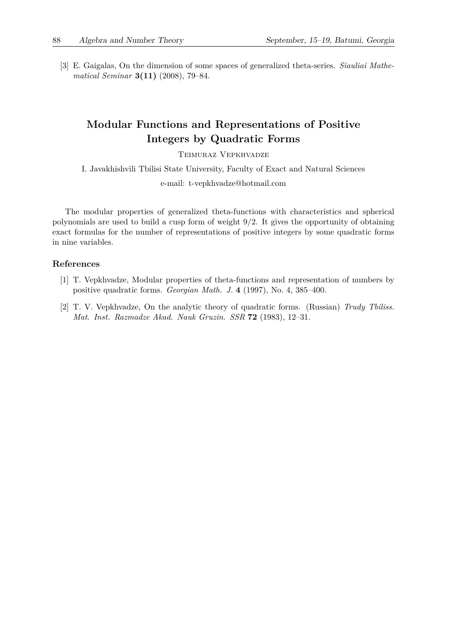[3] E. Gaigalas, On the dimension of some spaces of generalized theta-series. *Siauliai Mathematical Seminar* **3(11)** (2008), 79–84.

### **Modular Functions and Representations of Positive Integers by Quadratic Forms**

Teimuraz Vepkhvadze

I. Javakhishvili Tbilisi State University, Faculty of Exact and Natural Sciences

e-mail: t-vepkhvadze@hotmail.com

The modular properties of generalized theta-functions with characteristics and spherical polynomials are used to build a cusp form of weight 9/2. It gives the opportunity of obtaining exact formulas for the number of representations of positive integers by some quadratic forms in nine variables.

- [1] T. Vepkhvadze, Modular properties of theta-functions and representation of numbers by positive quadratic forms. *Georgian Math. J.* **4** (1997), No. 4, 385–400.
- [2] T. V. Vepkhvadze, On the analytic theory of quadratic forms. (Russian) *Trudy Tbiliss. Mat. Inst. Razmadze Akad. Nauk Gruzin. SSR* **72** (1983), 12–31.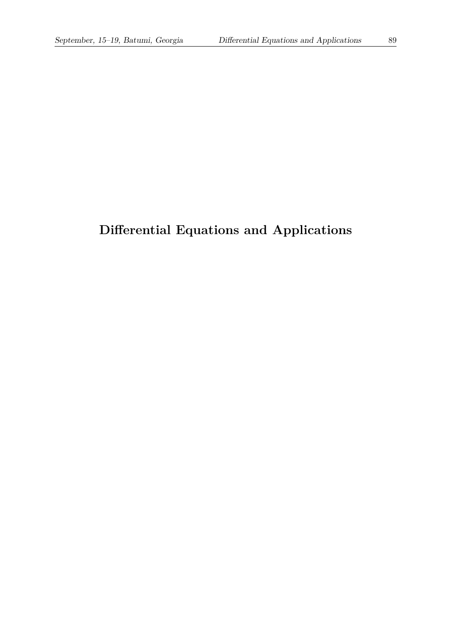# **Differential Equations and Applications**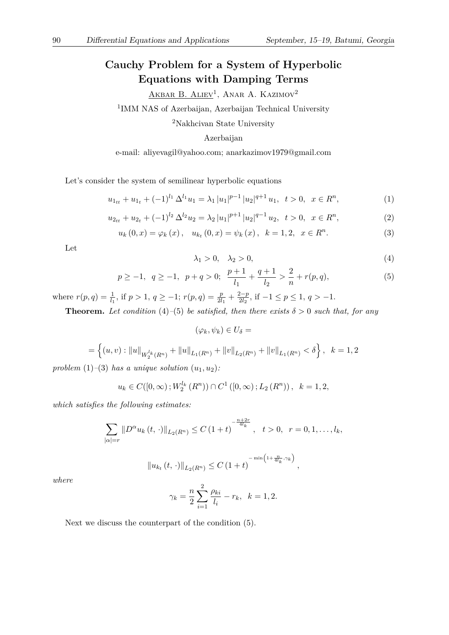### **Cauchy Problem for a System of Hyperbolic Equations with Damping Terms**

 $AKBAR B. ALIEV<sup>1</sup>, ANAR A. KAZIMOV<sup>2</sup>$ 

<sup>1</sup>IMM NAS of Azerbaijan, Azerbaijan Technical University

<sup>2</sup>Nakhcivan State University

Azerbaijan

e-mail: aliyevagil@yahoo.com; anarkazimov1979@gmail.com

Let's consider the system of semilinear hyperbolic equations

$$
u_{1_{tt}} + u_{1_t} + (-1)^{l_1} \Delta^{l_1} u_1 = \lambda_1 |u_1|^{p-1} |u_2|^{q+1} u_1, \quad t > 0, \quad x \in R^n,
$$
 (1)

$$
u_{2tt} + u_{2t} + (-1)^{l_2} \Delta^{l_2} u_2 = \lambda_2 |u_1|^{p+1} |u_2|^{q-1} u_2, \quad t > 0, \quad x \in R^n,
$$
 (2)

$$
u_{k}(0,x) = \varphi_{k}(x), \quad u_{k}(0,x) = \psi_{k}(x), \quad k = 1,2, \quad x \in R^{n}.
$$
 (3)

Let

$$
\lambda_1 > 0, \quad \lambda_2 > 0,\tag{4}
$$

$$
p \ge -1, \quad q \ge -1, \quad p+q > 0; \quad \frac{p+1}{l_1} + \frac{q+1}{l_2} > \frac{2}{n} + r(p,q),
$$
 (5)

where  $r(p,q) = \frac{1}{l_1}$ , if  $p > 1$ ,  $q \ge -1$ ;  $r(p,q) = \frac{p}{2l_1} + \frac{2-p}{2l_2}$ , if  $-1 \le p \le 1$ ,  $q > -1$ .

**Theorem.** Let condition (4)–(5) be satisfied, then there exists  $\delta > 0$  such that, for any

 $(\varphi_k, \psi_k) \in U_\delta =$ 

$$
= \left\{ (u, v) : \|u\|_{W_2^{l_k}(R^n)} + \|u\|_{L_1(R^n)} + \|v\|_{L_2(R^n)} + \|v\|_{L_1(R^n)} < \delta \right\}, \ \ k = 1, 2
$$

problem  $(1)$ – $(3)$  *has a unique solution*  $(u_1, u_2)$ *:* 

$$
u_k \in C([0,\infty); W_2^{l_k}(R^n)) \cap C^1([0,\infty); L_2(R^n)), k = 1,2,
$$

*which satisfies the following estimates:*

$$
\sum_{|\alpha|=r} \|D^{\alpha} u_k(t,\cdot)\|_{L_2(R^n)} \le C (1+t)^{-\frac{n+2r}{4l_k}}, \quad t > 0, \quad r = 0, 1, \dots, l_k,
$$
  

$$
\|u_{k_t}(t,\cdot)\|_{L_2(R^n)} \le C (1+t)^{-\min\left(1+\frac{n}{4l_k}, \gamma_k\right)},
$$

*where*

$$
\gamma_k = \frac{n}{2} \sum_{i=1}^2 \frac{\rho_{ki}}{l_i} - r_k, \ \ k = 1, 2.
$$

Next we discuss the counterpart of the condition (5).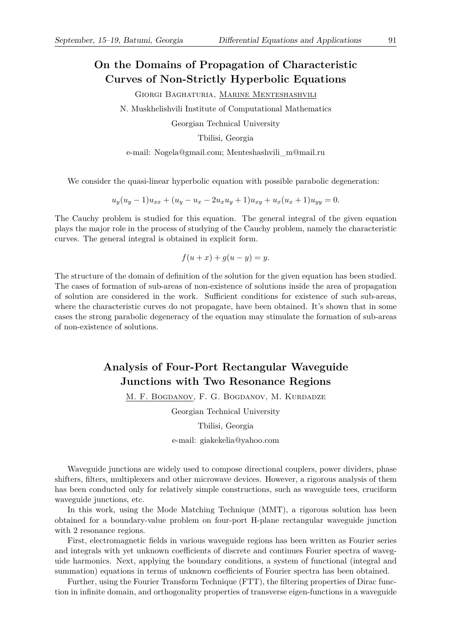### **On the Domains of Propagation of Characteristic Curves of Non-Strictly Hyperbolic Equations**

Giorgi Baghaturia, Marine Menteshashvili

N. Muskhelishvili Institute of Computational Mathematics

Georgian Technical University

Tbilisi, Georgia

e-mail: Nogela@gmail.com; Menteshashvili\_m@mail.ru

We consider the quasi-linear hyperbolic equation with possible parabolic degeneration:

 $u_y(u_y-1)u_{xx} + (u_y-u_x-2u_xu_y+1)u_{xy} + u_x(u_x+1)u_{yy} = 0.$ 

The Cauchy problem is studied for this equation. The general integral of the given equation plays the major role in the process of studying of the Cauchy problem, namely the characteristic curves. The general integral is obtained in explicit form.

$$
f(u+x) + g(u-y) = y.
$$

The structure of the domain of definition of the solution for the given equation has been studied. The cases of formation of sub-areas of non-existence of solutions inside the area of propagation of solution are considered in the work. Sufficient conditions for existence of such sub-areas, where the characteristic curves do not propagate, have been obtained. It's shown that in some cases the strong parabolic degeneracy of the equation may stimulate the formation of sub-areas of non-existence of solutions.

### **Analysis of Four-Port Rectangular Waveguide Junctions with Two Resonance Regions**

M. F. Bogdanov, F. G. Bogdanov, M. Kurdadze

Georgian Technical University

Tbilisi, Georgia

e-mail: giakekelia@yahoo.com

Waveguide junctions are widely used to compose directional couplers, power dividers, phase shifters, filters, multiplexers and other microwave devices. However, a rigorous analysis of them has been conducted only for relatively simple constructions, such as waveguide tees, cruciform waveguide junctions, etc.

In this work, using the Mode Matching Technique (MMT), a rigorous solution has been obtained for a boundary-value problem on four-port H-plane rectangular waveguide junction with 2 resonance regions.

First, electromagnetic fields in various waveguide regions has been written as Fourier series and integrals with yet unknown coefficients of discrete and continues Fourier spectra of waveguide harmonics. Next, applying the boundary conditions, a system of functional (integral and summation) equations in terms of unknown coefficients of Fourier spectra has been obtained.

Further, using the Fourier Transform Technique (FTT), the filtering properties of Dirac function in infinite domain, and orthogonality properties of transverse eigen-functions in a waveguide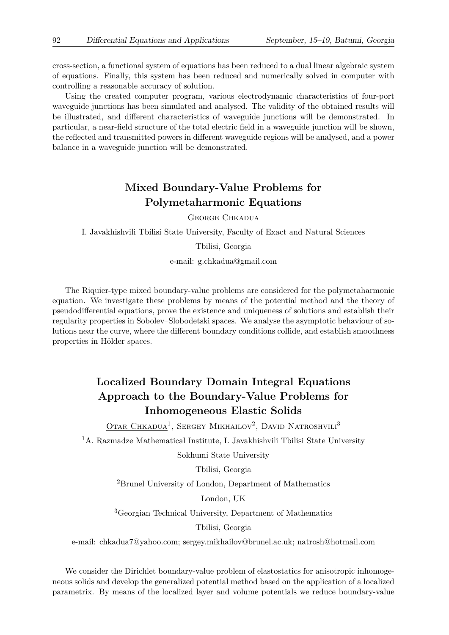cross-section, a functional system of equations has been reduced to a dual linear algebraic system of equations. Finally, this system has been reduced and numerically solved in computer with controlling a reasonable accuracy of solution.

Using the created computer program, various electrodynamic characteristics of four-port waveguide junctions has been simulated and analysed. The validity of the obtained results will be illustrated, and different characteristics of waveguide junctions will be demonstrated. In particular, a near-field structure of the total electric field in a waveguide junction will be shown, the reflected and transmitted powers in different waveguide regions will be analysed, and a power balance in a waveguide junction will be demonstrated.

### **Mixed Boundary-Value Problems for Polymetaharmonic Equations**

George Chkadua

I. Javakhishvili Tbilisi State University, Faculty of Exact and Natural Sciences

Tbilisi, Georgia

e-mail: g.chkadua@gmail.com

The Riquier-type mixed boundary-value problems are considered for the polymetaharmonic equation. We investigate these problems by means of the potential method and the theory of pseudodifferential equations, prove the existence and uniqueness of solutions and establish their regularity properties in Sobolev–Slobodetski spaces. We analyse the asymptotic behaviour of solutions near the curve, where the different boundary conditions collide, and establish smoothness properties in Hölder spaces.

### **Localized Boundary Domain Integral Equations Approach to the Boundary-Value Problems for Inhomogeneous Elastic Solids**

Otar Chkadua<sup>1</sup>, Sergey Mikhailov<sup>2</sup>, David Natroshvili<sup>3</sup>

<sup>1</sup>A. Razmadze Mathematical Institute, I. Javakhishvili Tbilisi State University

Sokhumi State University

Tbilisi, Georgia

<sup>2</sup>Brunel University of London, Department of Mathematics

London, UK

<sup>3</sup>Georgian Technical University, Department of Mathematics

Tbilisi, Georgia

e-mail: chkadua7@yahoo.com; sergey.mikhailov@brunel.ac.uk; natrosh@hotmail.com

We consider the Dirichlet boundary-value problem of elastostatics for anisotropic inhomogeneous solids and develop the generalized potential method based on the application of a localized parametrix. By means of the localized layer and volume potentials we reduce boundary-value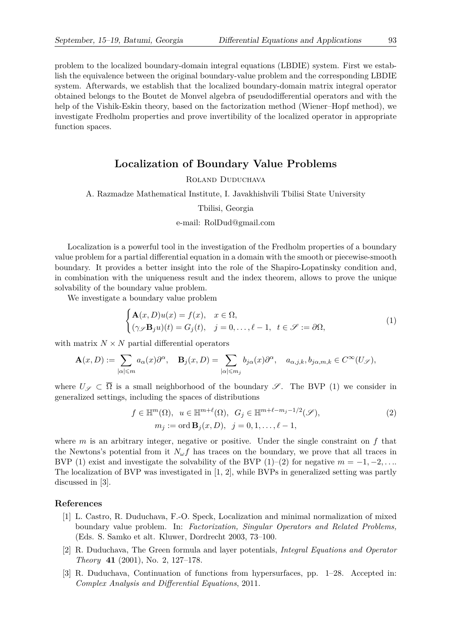problem to the localized boundary-domain integral equations (LBDIE) system. First we establish the equivalence between the original boundary-value problem and the corresponding LBDIE system. Afterwards, we establish that the localized boundary-domain matrix integral operator obtained belongs to the Boutet de Monvel algebra of pseudodifferential operators and with the help of the Vishik-Eskin theory, based on the factorization method (Wiener–Hopf method), we investigate Fredholm properties and prove invertibility of the localized operator in appropriate function spaces.

#### **Localization of Boundary Value Problems**

#### Roland Duduchava

A. Razmadze Mathematical Institute, I. Javakhishvili Tbilisi State University

#### Tbilisi, Georgia

#### e-mail: RolDud@gmail.com

Localization is a powerful tool in the investigation of the Fredholm properties of a boundary value problem for a partial differential equation in a domain with the smooth or piecewise-smooth boundary. It provides a better insight into the role of the Shapiro-Lopatinsky condition and, in combination with the uniqueness result and the index theorem, allows to prove the unique solvability of the boundary value problem.

We investigate a boundary value problem

$$
\begin{cases}\n\mathbf{A}(x,D)u(x) = f(x), & x \in \Omega, \\
(\gamma_{\mathscr{S}}\mathbf{B}_j u)(t) = G_j(t), & j = 0, \dots, \ell - 1, \ t \in \mathscr{S} := \partial\Omega,\n\end{cases}
$$
\n(1)

with matrix  $N \times N$  partial differential operators

$$
\mathbf{A}(x,D) := \sum_{|\alpha| \leq m} a_{\alpha}(x)\partial^{\alpha}, \quad \mathbf{B}_j(x,D) = \sum_{|\alpha| \leq m_j} b_{j\alpha}(x)\partial^{\alpha}, \quad a_{\alpha,j,k}, b_{j\alpha,m,k} \in C^{\infty}(U_{\mathscr{S}}),
$$

where  $U_{\mathscr{S}} \subset \overline{\Omega}$  is a small neighborhood of the boundary  $\mathscr{S}$ . The BVP (1) we consider in generalized settings, including the spaces of distributions

$$
f \in \mathbb{H}^m(\Omega), \ u \in \mathbb{H}^{m+\ell}(\Omega), \ G_j \in \mathbb{H}^{m+\ell-m_j-1/2}(\mathscr{S}),
$$
  
\n
$$
m_j := \text{ord } \mathbf{B}_j(x, D), \ j = 0, 1, \dots, \ell - 1,
$$
\n(2)

where *m* is an arbitrary integer, negative or positive. Under the single constraint on *f* that the Newtons's potential from it  $N_{\omega}f$  has traces on the boundary, we prove that all traces in BVP (1) exist and investigate the solvability of the BVP (1)–(2) for negative  $m = -1, -2, \ldots$ The localization of BVP was investigated in [1, 2], while BVPs in generalized setting was partly discussed in [3].

- [1] L. Castro, R. Duduchava, F.-O. Speck, Localization and minimal normalization of mixed boundary value problem. In: *Factorization, Singular Operators and Related Problems,* (Eds. S. Samko et alt. Kluwer, Dordrecht 2003, 73–100.
- [2] R. Duduchava, The Green formula and layer potentials, *Integral Equations and Operator Theory* **41** (2001), No. 2, 127–178.
- [3] R. Duduchava, Continuation of functions from hypersurfaces, pp. 1–28. Accepted in: *Complex Analysis and Differential Equations*, 2011.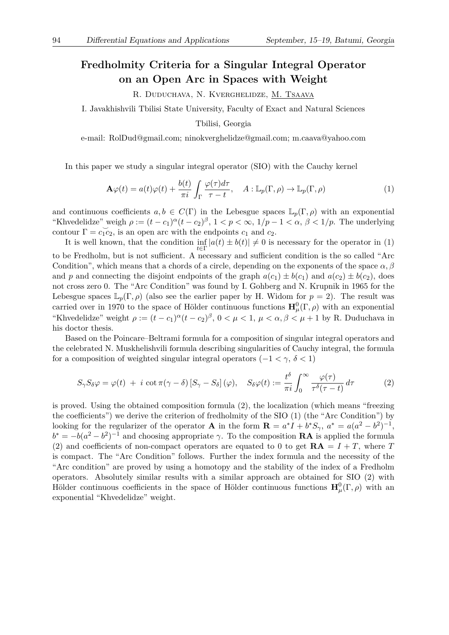### **Fredholmity Criteria for a Singular Integral Operator on an Open Arc in Spaces with Weight**

R. Duduchava, N. Kverghelidze, M. Tsaava

I. Javakhishvili Tbilisi State University, Faculty of Exact and Natural Sciences

Tbilisi, Georgia

e-mail: RolDud@gmail.com; ninokverghelidze@gmail.com; m.caava@yahoo.com

In this paper we study a singular integral operator (SIO) with the Cauchy kernel

$$
\mathbf{A}\varphi(t) = a(t)\varphi(t) + \frac{b(t)}{\pi i} \int_{\Gamma} \frac{\varphi(\tau)d\tau}{\tau - t}, \quad A: \mathbb{L}_p(\Gamma, \rho) \to \mathbb{L}_p(\Gamma, \rho)
$$
(1)

and continuous coefficients  $a, b \in C(\Gamma)$  in the Lebesgue spaces  $\mathbb{L}_n(\Gamma, \rho)$  with an exponential "Khvedelidze" weigh  $\rho := (t - c_1)^{\alpha} (t - c_2)^{\beta}, \ 1 < p < \infty, \ 1/p - 1 < \alpha, \ \beta < 1/p.$  The underlying contour  $\Gamma = c_1 \overline{c_2}$ , is an open arc with the endpoints  $c_1$  and  $c_2$ .

It is well known, that the condition  $\inf_{t} |a(t) \pm b(t)| \neq 0$  is necessary for the operator in (1) to be Fredholm, but is not sufficient. A necessary and sufficient condition is the so called "Arc Condition", which means that a chords of a circle, depending on the exponents of the space *α, β* and *p* and connecting the disjoint endpoints of the graph  $a(c_1) \pm b(c_1)$  and  $a(c_2) \pm b(c_2)$ , does not cross zero 0. The "Arc Condition" was found by I. Gohberg and N. Krupnik in 1965 for the Lebesgue spaces  $\mathbb{L}_p(\Gamma, \rho)$  (also see the earlier paper by H. Widom for  $p = 2$ ). The result was carried over in 1970 to the space of Hölder continuous functions  $\mathbf{H}^0_\mu(\Gamma,\rho)$  with an exponential "Khvedelidze" weight  $\rho := (t - c_1)^{\alpha} (t - c_2)^{\beta}$ ,  $0 < \mu < 1$ ,  $\mu < \alpha, \beta < \mu + 1$  by R. Duduchava in his doctor thesis.

Based on the Poincare–Beltrami formula for a composition of singular integral operators and the celebrated N. Muskhelishvili formula describing singularities of Cauchy integral, the formula for a composition of weighted singular integral operators  $(-1 < \gamma, \delta < 1)$ 

$$
S_{\gamma}S_{\delta}\varphi = \varphi(t) + i \cot \pi(\gamma - \delta) \left[ S_{\gamma} - S_{\delta} \right](\varphi), \quad S_{\delta}\varphi(t) := \frac{t^{\delta}}{\pi i} \int_{0}^{\infty} \frac{\varphi(\tau)}{\tau^{\delta}(\tau - t)} d\tau \tag{2}
$$

is proved. Using the obtained composition formula (2), the localization (which means "freezing the coefficients") we derive the criterion of fredholmity of the SIO (1) (the "Arc Condition") by looking for the regularizer of the operator **A** in the form  $\mathbf{R} = a^*I + b^*S_\gamma$ ,  $a^* = a(a^2 - b^2)^{-1}$ ,  $b^* = -b(a^2 - b^2)^{-1}$  and choosing appropriate *γ*. To the composition **RA** is applied the formula (2) and coefficients of non-compact operators are equated to 0 to get  $\mathbf{RA} = I + T$ , where T is compact. The "Arc Condition" follows. Further the index formula and the necessity of the "Arc condition" are proved by using a homotopy and the stability of the index of a Fredholm operators. Absolutely similar results with a similar approach are obtained for SIO (2) with Hölder continuous coefficients in the space of Hölder continuous functions  $\mathbf{H}^0_\mu(\Gamma,\rho)$  with an exponential "Khvedelidze" weight.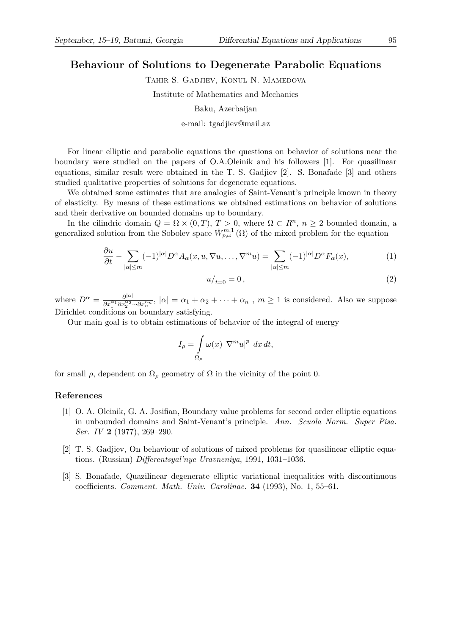### **Behaviour of Solutions to Degenerate Parabolic Equations**

Tahir S. Gadjiev, Konul N. Mamedova

Institute of Mathematics and Mechanics

Baku, Azerbaijan

e-mail: tgadjiev@mail.az

For linear elliptic and parabolic equations the questions on behavior of solutions near the boundary were studied on the papers of O.A.Oleinik and his followers [1]. For quasilinear equations, similar result were obtained in the T. S. Gadjiev [2]. S. Bonafade [3] and others studied qualitative properties of solutions for degenerate equations.

We obtained some estimates that are analogies of Saint-Venaut's principle known in theory of elasticity. By means of these estimations we obtained estimations on behavior of solutions and their derivative on bounded domains up to boundary.

In the cilindric domain  $Q = \Omega \times (0, T), T > 0$ , where  $\Omega \subset R^n$ ,  $n \geq 2$  bounded domain, a generalized solution from the Sobolev space  $\dot{W}^{m,1}_{p,\omega}(\Omega)$  of the mixed problem for the equation

$$
\frac{\partial u}{\partial t} - \sum_{|\alpha| \le m} (-1)^{|\alpha|} D^{\alpha} A_{\alpha}(x, u, \nabla u, \dots, \nabla^m u) = \sum_{|\alpha| \le m} (-1)^{|\alpha|} D^{\alpha} F_{\alpha}(x),\tag{1}
$$

$$
u/_{t=0} = 0, \tag{2}
$$

where  $D^{\alpha} = \frac{\partial^{|\alpha|}}{\partial x_1^{\alpha_1} \partial x_2^{\alpha_2} \cdots \partial x_n^{\alpha_n}}$ ,  $|\alpha| = \alpha_1 + \alpha_2 + \cdots + \alpha_n$ ,  $m \ge 1$  is considered. Also we suppose Dirichlet conditions on boundary satisfying.

Our main goal is to obtain estimations of behavior of the integral of energy

$$
I_{\rho} = \int_{\Omega_{\rho}} \omega(x) |\nabla^{m} u|^{p} dx dt,
$$

for small  $\rho$ , dependent on  $\Omega$ <sub>ρ</sub> geometry of  $\Omega$  in the vicinity of the point 0.

- [1] O. A. Oleinik, G. A. Josifian, Boundary value problems for second order elliptic equations in unbounded domains and Saint-Venant's principle. *Ann. Scuola Norm. Super Pisa. Ser. IV* **2** (1977), 269–290.
- [2] T. S. Gadjiev, On behaviour of solutions of mixed problems for quasilinear elliptic equations. (Russian) *Differentsyal'nye Uravneniya*, 1991, 1031–1036.
- [3] S. Bonafade, Quazilinear degenerate elliptic variational inequalities with discontinuous coefficients. *Comment. Math. Univ. Carolinae.* **34** (1993), No. 1, 55–61.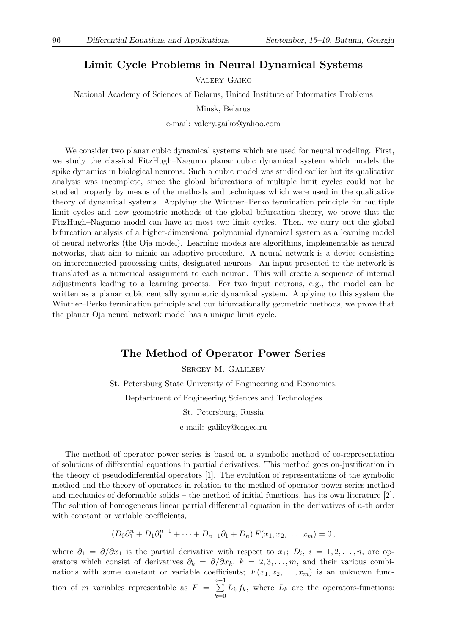### **Limit Cycle Problems in Neural Dynamical Systems**

Valery Gaiko

National Academy of Sciences of Belarus, United Institute of Informatics Problems

Minsk, Belarus

e-mail: valery.gaiko@yahoo.com

We consider two planar cubic dynamical systems which are used for neural modeling. First, we study the classical FitzHugh–Nagumo planar cubic dynamical system which models the spike dynamics in biological neurons. Such a cubic model was studied earlier but its qualitative analysis was incomplete, since the global bifurcations of multiple limit cycles could not be studied properly by means of the methods and techniques which were used in the qualitative theory of dynamical systems. Applying the Wintner–Perko termination principle for multiple limit cycles and new geometric methods of the global bifurcation theory, we prove that the FitzHugh–Nagumo model can have at most two limit cycles. Then, we carry out the global bifurcation analysis of a higher-dimensional polynomial dynamical system as a learning model of neural networks (the Oja model). Learning models are algorithms, implementable as neural networks, that aim to mimic an adaptive procedure. A neural network is a device consisting on interconnected processing units, designated neurons. An input presented to the network is translated as a numerical assignment to each neuron. This will create a sequence of internal adjustments leading to a learning process. For two input neurons, e.g., the model can be written as a planar cubic centrally symmetric dynamical system. Applying to this system the Wintner–Perko termination principle and our bifurcationally geometric methods, we prove that the planar Oja neural network model has a unique limit cycle.

### **The Method of Operator Power Series**

Sergey M. Galileev

St. Petersburg State University of Engineering and Economics,

Deptartment of Engineering Sciences and Technologies

St. Petersburg, Russia

e-mail: galiley@engec.ru

The method of operator power series is based on a symbolic method of co-representation of solutions of differential equations in partial derivatives. This method goes on-justification in the theory of pseudodifferential operators [1]. The evolution of representations of the symbolic method and the theory of operators in relation to the method of operator power series method and mechanics of deformable solids – the method of initial functions, has its own literature [2]. The solution of homogeneous linear partial differential equation in the derivatives of *n*-th order with constant or variable coefficients,

$$
(D_0 \partial_1^n + D_1 \partial_1^{n-1} + \cdots + D_{n-1} \partial_1 + D_n) F(x_1, x_2, \ldots, x_m) = 0,
$$

where  $\partial_1 = \partial/\partial x_1$  is the partial derivative with respect to  $x_1$ ;  $D_i$ ,  $i = 1, 2, \ldots, n$ , are operators which consist of derivatives  $\partial_k = \partial/\partial x_k$ ,  $k = 2, 3, \ldots, m$ , and their various combinations with some constant or variable coefficients;  $F(x_1, x_2, \ldots, x_m)$  is an unknown function of *m* variables representable as  $F = \sum^{n-1}$ *k*=0  $L_k f_k$ , where  $L_k$  are the operators-functions: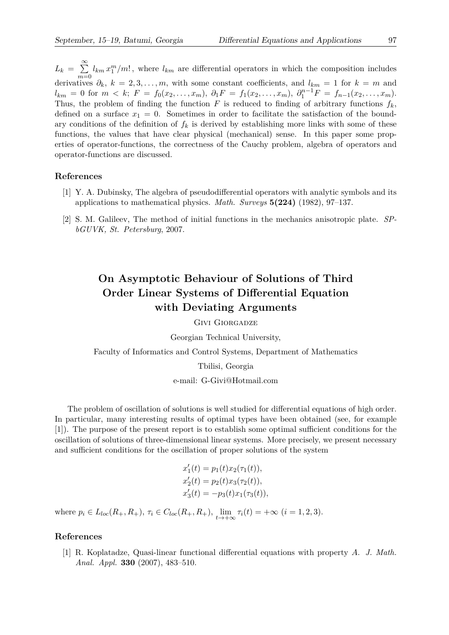$L_k = \sum_{i=1}^{\infty}$  $\sum_{m=0}$   $l_{km} x_1^m/m!$ , where  $l_{km}$  are differential operators in which the composition includes derivatives  $\partial_k$ ,  $k = 2, 3, \ldots, m$ , with some constant coefficients, and  $l_{km} = 1$  for  $k = m$  and  $l_{km} = 0$  for  $m < k$ ;  $F = f_0(x_2,...,x_m)$ ,  $\partial_1 F = f_1(x_2,...,x_m)$ ,  $\partial_1^{n-1} F = f_{n-1}(x_2,...,x_m)$ . Thus, the problem of finding the function  $F$  is reduced to finding of arbitrary functions  $f_k$ , defined on a surface  $x_1 = 0$ . Sometimes in order to facilitate the satisfaction of the boundary conditions of the definition of  $f_k$  is derived by establishing more links with some of these functions, the values that have clear physical (mechanical) sense. In this paper some properties of operator-functions, the correctness of the Cauchy problem, algebra of operators and operator-functions are discussed.

#### **References**

- [1] Y. A. Dubinsky, The algebra of pseudodifferential operators with analytic symbols and its applications to mathematical physics. *Math. Surveys* **5(224)** (1982), 97–137.
- [2] S. M. Galileev, The method of initial functions in the mechanics anisotropic plate. *SPbGUVK, St. Petersburg*, 2007.

### **On Asymptotic Behaviour of Solutions of Third Order Linear Systems of Differential Equation with Deviating Arguments**

Givi Giorgadze

Georgian Technical University,

Faculty of Informatics and Control Systems, Department of Mathematics

Tbilisi, Georgia

e-mail: G-Givi@Hotmail.com

The problem of oscillation of solutions is well studied for differential equations of high order. In particular, many interesting results of optimal types have been obtained (see, for example [1]). The purpose of the present report is to establish some optimal sufficient conditions for the oscillation of solutions of three-dimensional linear systems. More precisely, we present necessary and sufficient conditions for the oscillation of proper solutions of the system

$$
x'_1(t) = p_1(t)x_2(\tau_1(t)),
$$
  
\n
$$
x'_2(t) = p_2(t)x_3(\tau_2(t)),
$$
  
\n
$$
x'_3(t) = -p_3(t)x_1(\tau_3(t)),
$$

where  $p_i \in L_{loc}(R_+, R_+)$ ,  $\tau_i \in C_{loc}(R_+, R_+)$ ,  $\lim_{t \to +\infty} \tau_i(t) = +\infty$   $(i = 1, 2, 3)$ .

#### **References**

[1] R. Koplatadze, Quasi-linear functional differential equations with property *A*. *J. Math. Anal. Appl.* **330** (2007), 483–510.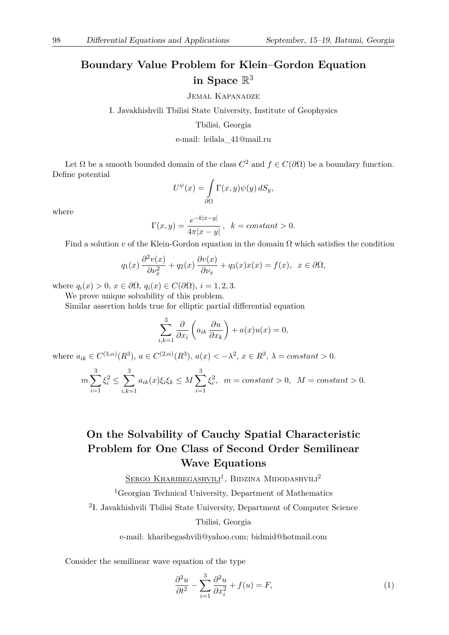## **Boundary Value Problem for Klein–Gordon Equation**  $\mathbf i$ **n** Space  $\mathbb R^3$

Jemal Kapanadze

I. Javakhishvili Tbilisi State University, Institute of Geophysics

Tbilisi, Georgia

e-mail: leilala\_41@mail.ru

Let  $\Omega$  be a smooth bounded domain of the class  $C^2$  and  $f \in C(\partial\Omega)$  be a boundary function. Define potential

$$
U^{\psi}(x) = \int_{\partial \Omega} \Gamma(x, y) \psi(y) \, dS_y,
$$

where

$$
\Gamma(x,y) = \frac{e^{-k|x-y|}}{4\pi|x-y|}, \ \ k = constant > 0.
$$

Find a solution *v* of the Klein-Gordon equation in the domain  $\Omega$  which satisfies the condition

$$
q_1(x)\frac{\partial^2 v(x)}{\partial \nu_x^2} + q_2(x)\frac{\partial v(x)}{\partial \nu_x} + q_3(x)x(x) = f(x), \ \ x \in \partial\Omega,
$$

where  $q_i(x) > 0, x \in \partial\Omega, q_i(x) \in C(\partial\Omega), i = 1, 2, 3$ .

We prove unique solvability of this problem.

Similar assertion holds true for elliptic partial differential equation

$$
\sum_{i,k=1}^{3} \frac{\partial}{\partial x_i} \left( a_{ik} \frac{\partial u}{\partial x_k} \right) + a(x)u(x) = 0,
$$

where  $a_{ik} \in C^{(3,\alpha)}(R^3)$ ,  $a \in C^{(2,\alpha)}(R^3)$ ,  $a(x) < -\lambda^2$ ,  $x \in R^3$ ,  $\lambda = constant > 0$ .

$$
m\sum_{i=1}^{3}\xi_i^2 \le \sum_{i,k=1}^{3}a_{ik}(x)\xi_i\xi_k \le M\sum_{i=1}^{3}\xi_i^2, \ \ m=constant > 0, \ \ M=constant > 0.
$$

### **On the Solvability of Cauchy Spatial Characteristic Problem for One Class of Second Order Semilinear Wave Equations**

 $S$ ergo Kharibegashvili<sup>1</sup>, Bidzina Midodashvili<sup>2</sup>

<sup>1</sup>Georgian Technical University, Department of Mathematics

<sup>2</sup>I. Javakhishvili Tbilisi State University, Department of Computer Science

#### Tbilisi, Georgia

e-mail: kharibegashvili@yahoo.com; bidmid@hotmail.com

Consider the semilinear wave equation of the type

$$
\frac{\partial^2 u}{\partial t^2} - \sum_{i=1}^3 \frac{\partial^2 u}{\partial x_i^2} + f(u) = F,\tag{1}
$$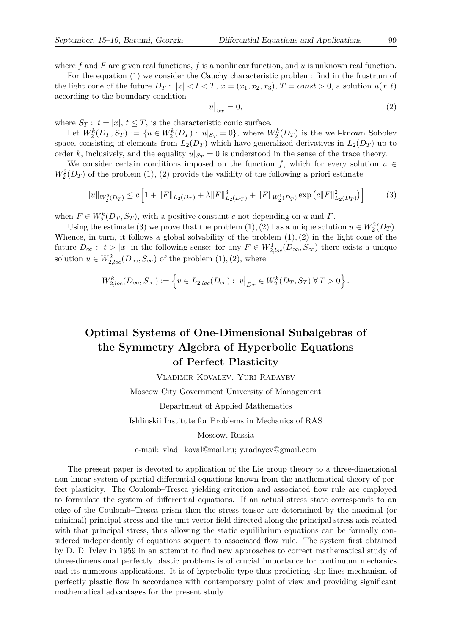where *f* and *F* are given real functions, *f* is a nonlinear function, and *u* is unknown real function.

For the equation (1) we consider the Cauchy characteristic problem: find in the frustrum of the light cone of the future  $D_T: |x| < t < T$ ,  $x = (x_1, x_2, x_3)$ ,  $T = const > 0$ , a solution  $u(x, t)$ according to the boundary condition

$$
u\big|_{S_T} = 0,\tag{2}
$$

where  $S_T$ :  $t = |x|, t \leq T$ , is the characteristic conic surface.

Let  $W_2^k(D_T, S_T) := \{u \in W_2^k(D_T) : u|_{S_T} = 0\}$ , where  $W_2^k(D_T)$  is the well-known Sobolev space, consisting of elements from  $L_2(D_T)$  which have generalized derivatives in  $L_2(D_T)$  up to order *k*, inclusively, and the equality  $u|_{S_T} = 0$  is understood in the sense of the trace theory.

We consider certain conditions imposed on the function  $f$ , which for every solution  $u \in$  $W_2^2(D_T)$  of the problem (1), (2) provide the validity of the following a priori estimate

$$
||u||_{W_2^2(D_T)} \le c \left[ 1 + ||F||_{L_2(D_T)} + \lambda ||F||_{L_2(D_T)}^3 + ||F||_{W_2^1(D_T)} \exp\left(c||F||_{L_2(D_T)}^2\right) \right] \tag{3}
$$

when  $F \in W_2^k(D_T, S_T)$ , with a positive constant *c* not depending on *u* and *F*.

Using the estimate (3) we prove that the problem  $(1)$ ,  $(2)$  has a unique solution  $u \in W_2^2(D_T)$ . Whence, in turn, it follows a global solvability of the problem  $(1), (2)$  in the light cone of the future  $D_{\infty}: t > |x|$  in the following sense: for any  $F \in W_{2,loc}^1(D_{\infty}, S_{\infty})$  there exists a unique solution  $u \in W^2_{2,loc}(D_\infty, S_\infty)$  of the problem  $(1), (2)$ , where

$$
W_{2,loc}^k(D_{\infty}, S_{\infty}) := \left\{ v \in L_{2,loc}(D_{\infty}) : \ v\big|_{D_T} \in W_2^k(D_T, S_T) \ \forall T > 0 \right\}.
$$

### **Optimal Systems of One-Dimensional Subalgebras of the Symmetry Algebra of Hyperbolic Equations of Perfect Plasticity**

Vladimir Kovalev, Yuri Radayev

Moscow City Government University of Management

Department of Applied Mathematics

Ishlinskii Institute for Problems in Mechanics of RAS

Moscow, Russia

e-mail: vlad\_koval@mail.ru; y.radayev@gmail.com

The present paper is devoted to application of the Lie group theory to a three-dimensional non-linear system of partial differential equations known from the mathematical theory of perfect plasticity. The Coulomb–Tresca yielding criterion and associated flow rule are employed to formulate the system of differential equations. If an actual stress state corresponds to an edge of the Coulomb–Tresca prism then the stress tensor are determined by the maximal (or minimal) principal stress and the unit vector field directed along the principal stress axis related with that principal stress, thus allowing the static equilibrium equations can be formally considered independently of equations sequent to associated flow rule. The system first obtained by D. D. Ivlev in 1959 in an attempt to find new approaches to correct mathematical study of three-dimensional perfectly plastic problems is of crucial importance for continuum mechanics and its numerous applications. It is of hyperbolic type thus predicting slip-lines mechanism of perfectly plastic flow in accordance with contemporary point of view and providing significant mathematical advantages for the present study.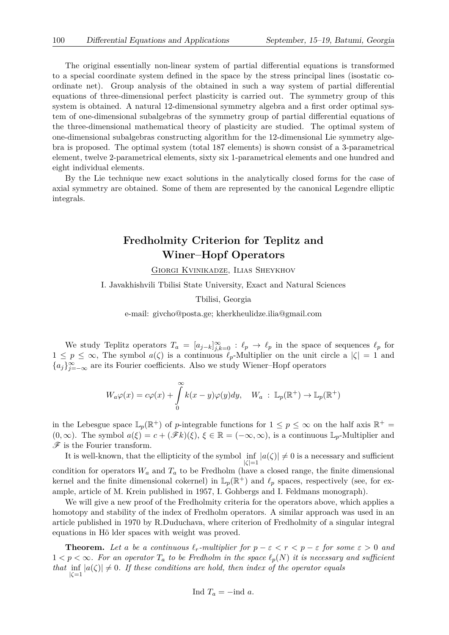The original essentially non-linear system of partial differential equations is transformed to a special coordinate system defined in the space by the stress principal lines (isostatic coordinate net). Group analysis of the obtained in such a way system of partial differential equations of three-dimensional perfect plasticity is carried out. The symmetry group of this system is obtained. A natural 12-dimensional symmetry algebra and a first order optimal system of one-dimensional subalgebras of the symmetry group of partial differential equations of the three-dimensional mathematical theory of plasticity are studied. The optimal system of one-dimensional subalgebras constructing algorithm for the 12-dimensional Lie symmetry algebra is proposed. The optimal system (total 187 elements) is shown consist of a 3-parametrical element, twelve 2-parametrical elements, sixty six 1-parametrical elements and one hundred and eight individual elements.

By the Lie technique new exact solutions in the analytically closed forms for the case of axial symmetry are obtained. Some of them are represented by the canonical Legendre elliptic integrals.

### **Fredholmity Criterion for Teplitz and Winer–Hopf Operators**

Giorgi Kvinikadze, Ilias Sheykhov

I. Javakhishvili Tbilisi State University, Exact and Natural Sciences

Tbilisi, Georgia

e-mail: givcho@posta.ge; kherkheulidze.ilia@gmail.com

We study Teplitz operators  $T_a = [a_{j-k}]_{j,k=0}^{\infty} : \ell_p \to \ell_p$  in the space of sequences  $\ell_p$  for  $1 \leq p \leq \infty$ , The symbol  $a(\zeta)$  is a continuous  $\ell_p$ -Multiplier on the unit circle a  $|\zeta| = 1$  and  ${a_j}_{j=-\infty}^{\infty}$  are its Fourier coefficients. Also we study Wiener–Hopf operators

$$
W_a\varphi(x) = c\varphi(x) + \int_0^\infty k(x-y)\varphi(y)dy, \quad W_a: \mathbb{L}_p(\mathbb{R}^+) \to \mathbb{L}_p(\mathbb{R}^+)
$$

in the Lebesgue space  $\mathbb{L}_p(\mathbb{R}^+)$  of *p*-integrable functions for  $1 \leq p \leq \infty$  on the half axis  $\mathbb{R}^+$  $(0, \infty)$ . The symbol  $a(\xi) = c + (\mathscr{F}k)(\xi)$ ,  $\xi \in \mathbb{R} = (-\infty, \infty)$ , is a continuous  $\mathbb{L}_p$ -Multiplier and *F* is the Fourier transform.

It is well-known, that the ellipticity of the symbol inf *|ζ|*=1  $|a(\zeta)| \neq 0$  is a necessary and sufficient condition for operators  $W_a$  and  $T_a$  to be Fredholm (have a closed range, the finite dimensional kernel and the finite dimensional cokernel) in  $\mathbb{L}_p(\mathbb{R}^+)$  and  $\ell_p$  spaces, respectively (see, for example, article of M. Krein published in 1957, I. Gohbergs and I. Feldmans monograph).

We will give a new proof of the Fredholmity criteria for the operators above, which applies a homotopy and stability of the index of Fredholm operators. A similar approach was used in an article published in 1970 by R.Duduchava, where criterion of Fredholmity of a singular integral equations in Hö lder spaces with weight was proved.

**Theorem.** Let a be a continuous  $\ell_r$ -multiplier for  $p - \varepsilon < r < p - \varepsilon$  for some  $\varepsilon > 0$  and  $1 < p < \infty$ . For an operator  $T_a$  to be Fredholm in the space  $\ell_p(N)$  it is necessary and sufficient *that* inf  $|a(\zeta)| \neq 0$ . If these conditions are hold, then index of the operator equals *|ζ*=1

$$
Ind T_a = -ind a.
$$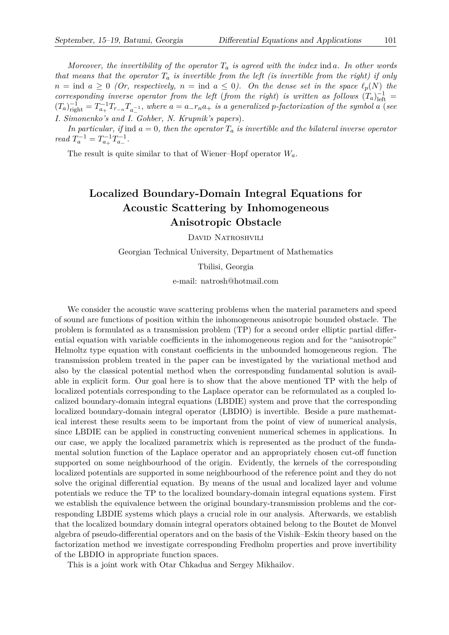*Moreover, the invertibility of the operator T<sup>a</sup> is agreed with the index* ind *a. In other words that means that the operator T<sup>a</sup> is invertible from the left (is invertible from the right) if only*  $n = \text{ind } a \geq 0$  *(Or, respectively,*  $n = \text{ind } a \leq 0$ *). On the dense set in the space*  $\ell_p(N)$  *the corresponding inverse operator from the left* (*from the right*) *is written as follows*  $(T_a)_{\text{left}}^{-1}$  =  $(T_a)_{\text{right}}^{-1} = T_{a_+}^{-1} T_{r_{-n}} T_{a_-^{-1}}$ , where  $a = a_r r_n a_+$  is a generalized p-factorization of the symbol a (see *I. Simonenko's and I. Gohber, N. Krupnik's papers*)*.*

*In particular, if* ind  $a = 0$ *, then the operator*  $T_a$  *is invertible and the bilateral inverse operator read*  $T_a^{-1} = T_{a_+}^{-1} T_{a_-}^{-1}$ .

The result is quite similar to that of Wiener–Hopf operator *Wa*.

### **Localized Boundary-Domain Integral Equations for Acoustic Scattering by Inhomogeneous Anisotropic Obstacle**

DAVID NATROSHVILI

Georgian Technical University, Department of Mathematics

Tbilisi, Georgia

e-mail: natrosh@hotmail.com

We consider the acoustic wave scattering problems when the material parameters and speed of sound are functions of position within the inhomogeneous anisotropic bounded obstacle. The problem is formulated as a transmission problem (TP) for a second order elliptic partial differential equation with variable coefficients in the inhomogeneous region and for the "anisotropic" Helmoltz type equation with constant coefficients in the unbounded homogeneous region. The transmission problem treated in the paper can be investigated by the variational method and also by the classical potential method when the corresponding fundamental solution is available in explicit form. Our goal here is to show that the above mentioned TP with the help of localized potentials corresponding to the Laplace operator can be reformulated as a coupled localized boundary-domain integral equations (LBDIE) system and prove that the corresponding localized boundary-domain integral operator (LBDIO) is invertible. Beside a pure mathematical interest these results seem to be important from the point of view of numerical analysis, since LBDIE can be applied in constructing convenient numerical schemes in applications. In our case, we apply the localized parametrix which is represented as the product of the fundamental solution function of the Laplace operator and an appropriately chosen cut-off function supported on some neighbourhood of the origin. Evidently, the kernels of the corresponding localized potentials are supported in some neighbourhood of the reference point and they do not solve the original differential equation. By means of the usual and localized layer and volume potentials we reduce the TP to the localized boundary-domain integral equations system. First we establish the equivalence between the original boundary-transmission problems and the corresponding LBDIE systems which plays a crucial role in our analysis. Afterwards, we establish that the localized boundary domain integral operators obtained belong to the Boutet de Monvel algebra of pseudo-differential operators and on the basis of the Vishik–Eskin theory based on the factorization method we investigate corresponding Fredholm properties and prove invertibility of the LBDIO in appropriate function spaces.

This is a joint work with Otar Chkadua and Sergey Mikhailov.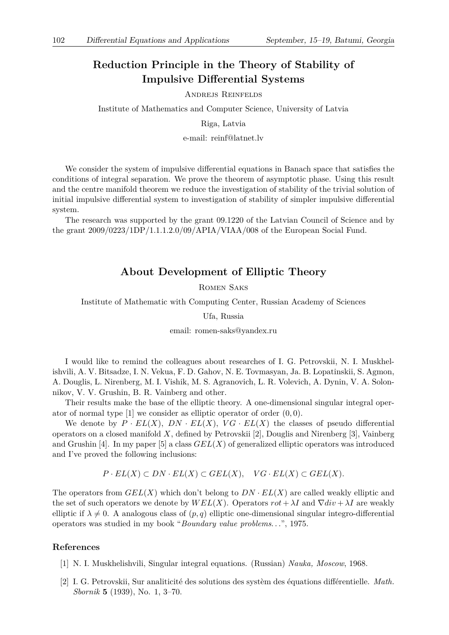### **Reduction Principle in the Theory of Stability of Impulsive Differential Systems**

Andrejs Reinfelds

Institute of Mathematics and Computer Science, University of Latvia

Riga, Latvia

e-mail: reinf@latnet.lv

We consider the system of impulsive differential equations in Banach space that satisfies the conditions of integral separation. We prove the theorem of asymptotic phase. Using this result and the centre manifold theorem we reduce the investigation of stability of the trivial solution of initial impulsive differential system to investigation of stability of simpler impulsive differential system.

The research was supported by the grant 09.1220 of the Latvian Council of Science and by the grant 2009/0223/1DP/1.1.1.2.0/09/APIA/VIAA/008 of the European Social Fund.

### **About Development of Elliptic Theory**

Romen Saks

Institute of Mathematic with Computing Center, Russian Academy of Sciences

Ufa, Russia

email: romen-saks@yandex.ru

I would like to remind the colleagues about researches of I. G. Petrovskii, N. I. Muskhelishvili, A. V. Bitsadze, I. N. Vekua, F. D. Gahov, N. E. Tovmasyan, Ja. B. Lopatinskii, S. Agmon, A. Douglis, L. Nirenberg, M. I. Vishik, M. S. Agranovich, L. R. Volevich, A. Dynin, V. A. Solonnikov, V. V. Grushin, B. R. Vainberg and other.

Their results make the base of the elliptic theory. A one-dimensional singular integral operator of normal type [1] we consider as elliptic operator of order (0*,* 0).

We denote by  $P \cdot EL(X)$ ,  $DN \cdot EL(X)$ ,  $VG \cdot EL(X)$  the classes of pseudo differential operators on a closed manifold *X*, defined by Petrovskii [2], Douglis and Nirenberg [3], Vainberg and Grushin [4]. In my paper [5] a class *GEL*(*X*) of generalized elliptic operators was introduced and I've proved the following inclusions:

$$
P \cdot EL(X) \subset DN \cdot EL(X) \subset GEL(X), \quad VG \cdot EL(X) \subset GEL(X).
$$

The operators from  $GEL(X)$  which don't belong to  $DN \cdot EL(X)$  are called weakly elliptic and the set of such operators we denote by  $WEL(X)$ . Operators  $rot + \lambda I$  and  $\nabla div + \lambda I$  are weakly elliptic if  $\lambda \neq 0$ . A analogous class of  $(p, q)$  elliptic one-dimensional singular integro-differential operators was studied in my book "*Boundary value problems. . .*", 1975.

- [1] N. I. Muskhelishvili, Singular integral equations. (Russian) *Nauka, Moscow*, 1968.
- [2] I. G. Petrovskii, Sur analiticité des solutions des systèm des équations différentielle. *Math. Sbornik* **5** (1939), No. 1, 3–70.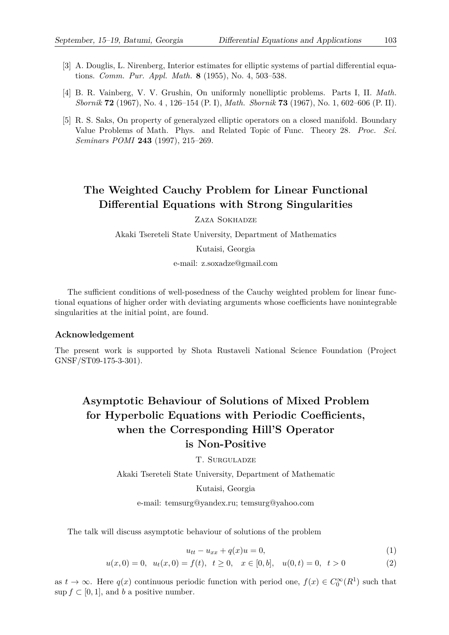- [3] A. Douglis, L. Nirenberg, Interior estimates for elliptic systems of partial differential equations. *Comm. Pur. Appl. Math.* **8** (1955), No. 4, 503–538.
- [4] B. R. Vainberg, V. V. Grushin, On uniformly nonelliptic problems. Parts I, II. *Math. Sbornik* **72** (1967), No. 4 , 126–154 (P. I), *Math. Sbornik* **73** (1967), No. 1, 602–606 (P. II).
- [5] R. S. Saks, On property of generalyzed elliptic operators on a closed manifold. Boundary Value Problems of Math. Phys. and Related Topic of Func. Theory 28. *Proc. Sci. Seminars POMI* **243** (1997), 215–269.

### **The Weighted Cauchy Problem for Linear Functional Differential Equations with Strong Singularities**

Zaza Sokhadze

Akaki Tsereteli State University, Department of Mathematics

Kutaisi, Georgia

e-mail: z.soxadze@gmail.com

The sufficient conditions of well-posedness of the Cauchy weighted problem for linear functional equations of higher order with deviating arguments whose coefficients have nonintegrable singularities at the initial point, are found.

#### **Acknowledgement**

The present work is supported by Shota Rustaveli National Science Foundation (Project GNSF/ST09-175-3-301).

### **Asymptotic Behaviour of Solutions of Mixed Problem for Hyperbolic Equations with Periodic Coefficients, when the Corresponding Hill'S Operator is Non-Positive**

T. Surguladze

Akaki Tsereteli State University, Department of Mathematic

Kutaisi, Georgia

e-mail: temsurg@yandex.ru; temsurg@yahoo.com

The talk will discuss asymptotic behaviour of solutions of the problem

$$
u_{tt} - u_{xx} + q(x)u = 0,
$$
\n(1)

$$
u(x,0) = 0, u_t(x,0) = f(t), t \ge 0, x \in [0,b], u(0,t) = 0, t > 0
$$
\n
$$
(2)
$$

as  $t \to \infty$ . Here  $q(x)$  continuous periodic function with period one,  $f(x) \in C_0^{\infty}(R^1)$  such that sup  $f \subset [0, 1]$ , and *b* a positive number.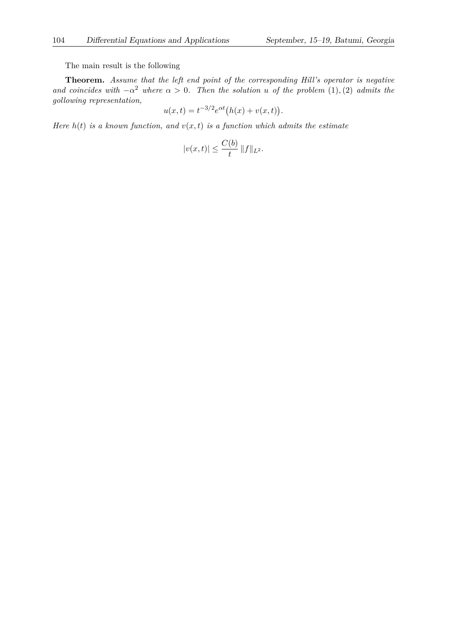The main result is the following

**Theorem.** *Assume that the left end point of the corresponding Hill's operator is negative and coincides with*  $-\alpha^2$  *where*  $\alpha > 0$ *. Then the solution u of the problem* (1)*,*(2) *admits the gollowing representation,*

$$
u(x,t) = t^{-3/2} e^{\alpha t} (h(x) + v(x,t)).
$$

*Here*  $h(t)$  *is a known function, and*  $v(x, t)$  *is a function which admits the estimate* 

$$
|v(x,t)| \le \frac{C(b)}{t} ||f||_{L^2}.
$$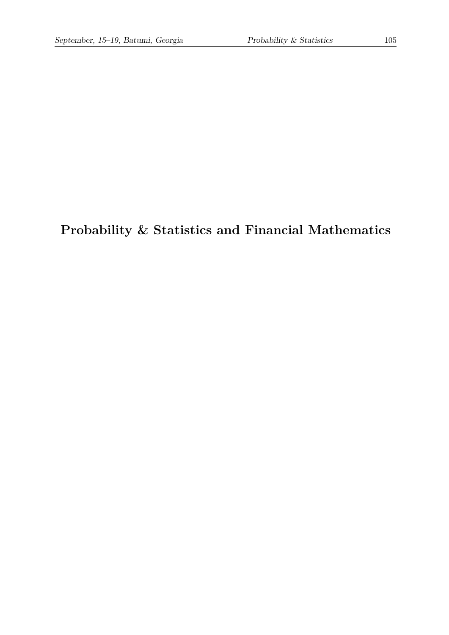# **Probability & Statistics and Financial Mathematics**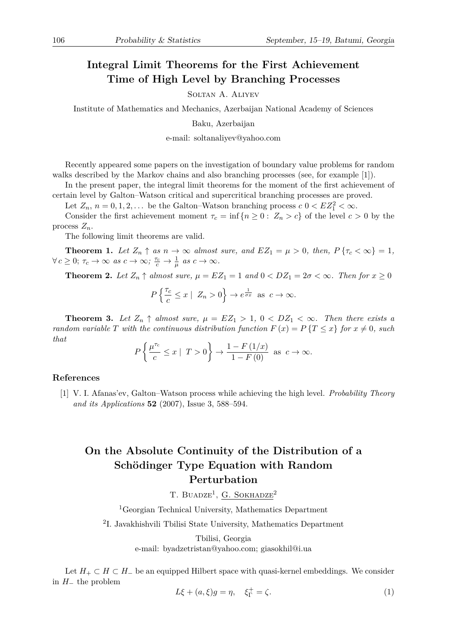### **Integral Limit Theorems for the First Achievement Time of High Level by Branching Processes**

Soltan A. Aliyev

Institute of Mathematics and Mechanics, Azerbaijan National Academy of Sciences

Baku, Azerbaijan

e-mail: soltanaliyev@yahoo.com

Recently appeared some papers on the investigation of boundary value problems for random walks described by the Markov chains and also branching processes (see, for example [1]).

In the present paper, the integral limit theorems for the moment of the first achievement of certain level by Galton–Watson critical and supercritical branching processes are proved.

Let  $Z_n$ ,  $n = 0, 1, 2, \ldots$  be the Galton–Watson branching process  $c \ 0 < EZ_1^2 < \infty$ .

Consider the first achievement moment  $\tau_c = \inf\{n \geq 0: Z_n > c\}$  of the level  $c > 0$  by the process *Zn*.

The following limit theorems are valid.

**Theorem 1.** Let  $Z_n \uparrow as n \to \infty$  almost sure, and  $EZ_1 = \mu > 0$ , then,  $P\{\tau_c < \infty\} = 1$ ,  $\forall c \geq 0; \tau_c \to \infty \text{ as } c \to \infty; \frac{\tau_c}{c} \to \frac{1}{\mu} \text{ as } c \to \infty.$ 

**Theorem 2.** *Let*  $Z_n \uparrow$  *almost sure,*  $\mu = EZ_1 = 1$  *and*  $0 < DZ_1 = 2\sigma < \infty$ *. Then for*  $x \ge 0$ 

$$
P\left\{\frac{\tau_c}{c} \le x \mid Z_n > 0\right\} \to e^{\frac{1}{\sigma x}} \text{ as } c \to \infty.
$$

**Theorem 3.** Let  $Z_n \uparrow$  almost sure,  $\mu = EZ_1 > 1$ ,  $0 < DZ_1 < \infty$ . Then there exists a *random variable T with the continuous distribution function*  $F(x) = P\{T \le x\}$  *for*  $x \ne 0$ *, such that*

$$
P\left\{\frac{\mu^{\tau_c}}{c} \leq x \mid T > 0\right\} \to \frac{1 - F\left(1/x\right)}{1 - F\left(0\right)} \text{ as } c \to \infty.
$$

#### **References**

[1] V. I. Afanas'ev, Galton–Watson process while achieving the high level. *Probability Theory and its Applications* **52** (2007), Issue 3, 588–594.

### **On the Absolute Continuity of the Distribution of a Schödinger Type Equation with Random Perturbation**

T. BUADZE<sup>1</sup>, G. SOKHADZE<sup>2</sup>

<sup>1</sup>Georgian Technical University, Mathematics Department

2 I. Javakhishvili Tbilisi State University, Mathematics Department

Tbilisi, Georgia

e-mail: byadzetristan@yahoo.com; giasokhil@i.ua

Let *H*<sup>+</sup> *⊂ H ⊂ H<sup>−</sup>* be an equipped Hilbert space with quasi-kernel embeddings. We consider in *H<sup>−</sup>* the problem

$$
L\xi + (a, \xi)g = \eta, \quad \xi_{\Gamma}^{+} = \zeta.
$$
 (1)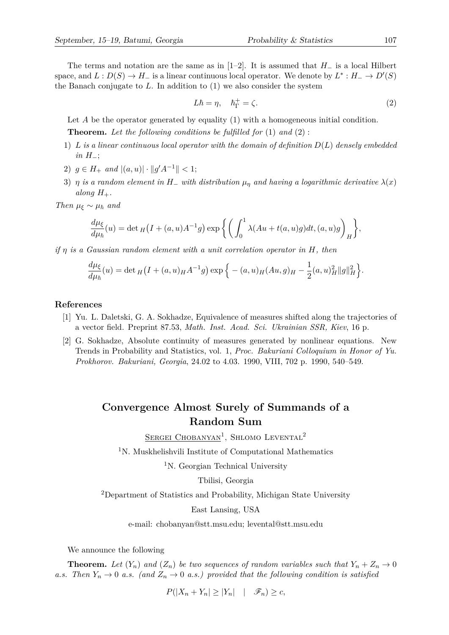The terms and notation are the same as in [1–2]. It is assumed that *H<sup>−</sup>* is a local Hilbert space, and  $L: D(S) \to H_{-}$  is a linear continuous local operator. We denote by  $L^* : H_{-} \to D'(S)$ the Banach conjugate to *L*. In addition to (1) we also consider the system

$$
L\hbar = \eta, \quad \hbar_{\Gamma}^+ = \zeta. \tag{2}
$$

Let A be the operator generated by equality (1) with a homogeneous initial condition.

**Theorem.** *Let the following conditions be fulfilled for* (1) *and* (2) :

- 1) *L is a linear continuous local operator with the domain of definition D*(*L*) *densely embedded in H−*;
- 2)  $g \in H_+$  *and*  $|(a, u)| \cdot ||g'A^{-1}|| < 1;$
- 3) *η is a random element in*  $H_-\omega$  *with distribution*  $\mu_n$  *and having a logarithmic derivative*  $\lambda(x)$  $along H_+.$

*Then*  $\mu_{\xi} \sim \mu_{\hbar}$  *and* 

$$
\frac{d\mu_{\xi}}{d\mu_{\hbar}}(u) = \det_{H}\left(I + (a, u)A^{-1}g\right) \exp\left\{ \left(\int_{0}^{1} \lambda(Au + t(a, u)g)dt, (a, u)g\right)_{H} \right\},\,
$$

*if η is a Gaussian random element with a unit correlation operator in H, then*

$$
\frac{d\mu_{\xi}}{d\mu_{\hbar}}(u) = \det_{H} (I + (a, u)_{H} A^{-1} g) \exp \left\{ - (a, u)_{H} (Au, g)_{H} - \frac{1}{2} (a, u)_{H}^{2} ||g||_{H}^{2} \right\}.
$$

#### **References**

- [1] Yu. L. Daletski, G. A. Sokhadze, Equivalence of measures shifted along the trajectories of a vector field. Preprint 87.53, *Math. Inst. Acad. Sci. Ukrainian SSR, Kiev*, 16 p.
- [2] G. Sokhadze, Absolute continuity of measures generated by nonlinear equations. New Trends in Probability and Statistics, vol. 1, *Proc. Bakuriani Colloquium in Honor of Yu. Prokhorov. Bakuriani, Georgia*, 24.02 to 4.03. 1990, VIII, 702 p. 1990, 540–549.

### **Convergence Almost Surely of Summands of a Random Sum**

SERGEI CHOBANYAN<sup>1</sup>, SHLOMO LEVENTAL<sup>2</sup>

<sup>1</sup>N. Muskhelishvili Institute of Computational Mathematics

<sup>1</sup>N. Georgian Technical University

Tbilisi, Georgia

<sup>2</sup>Department of Statistics and Probability, Michigan State University

East Lansing, USA

e-mail: chobanyan@stt.msu.edu; levental@stt.msu.edu

We announce the following

**Theorem.** Let  $(Y_n)$  and  $(Z_n)$  be two sequences of random variables such that  $Y_n + Z_n \to 0$ *a.s.* Then  $Y_n \to 0$  *a.s.* (and  $Z_n \to 0$  *a.s.) provided that the following condition is satisfied* 

 $P(|X_n + Y_n| > |Y_n| \quad | \quad \mathscr{F}_n) > c,$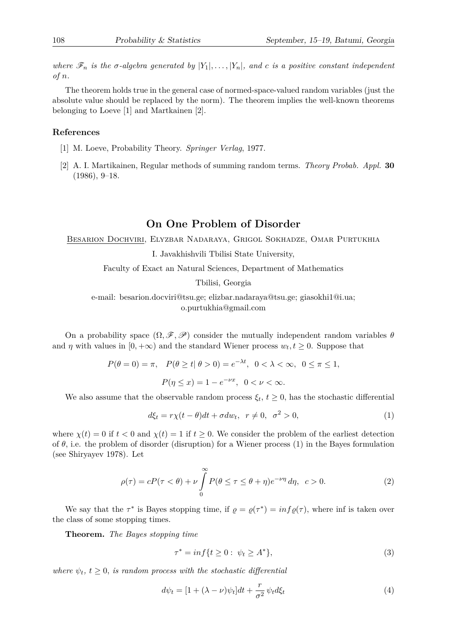*where*  $\mathscr{F}_n$  *is the*  $\sigma$ -algebra generated by  $|Y_1|, \ldots, |Y_n|$ , and c is a positive constant independent *of n.*

The theorem holds true in the general case of normed-space-valued random variables (just the absolute value should be replaced by the norm). The theorem implies the well-known theorems belonging to Loeve [1] and Martkainen [2].

#### **References**

- [1] M. Loeve, Probability Theory. *Springer Verlag*, 1977.
- [2] A. I. Martikainen, Regular methods of summing random terms. *Theory Probab. Appl.* **30**  $(1986), 9-18.$

### **On One Problem of Disorder**

Besarion Dochviri, Elyzbar Nadaraya, Grigol Sokhadze, Omar Purtukhia

I. Javakhishvili Tbilisi State University,

Faculty of Exact an Natural Sciences, Department of Mathematics

Tbilisi, Georgia

e-mail: besarion.docviri@tsu.ge; elizbar.nadaraya@tsu.ge; giasokhi1@i.ua; o.purtukhia@gmail.com

On a probability space  $(\Omega, \mathscr{F}, \mathscr{P})$  consider the mutually independent random variables  $\theta$ and  $\eta$  with values in  $[0, +\infty)$  and the standard Wiener process  $w_t, t \geq 0$ . Suppose that

> $P(\theta = 0) = \pi$ ,  $P(\theta \ge t | \theta > 0) = e^{-\lambda t}$ ,  $0 < \lambda < \infty$ ,  $0 \le \pi \le 1$ ,  $P(\eta \le x) = 1 - e^{-\nu x}, \ \ 0 < \nu < \infty.$

We also assume that the observable random process  $\xi_t$ ,  $t \geq 0$ , has the stochastic differential

$$
d\xi_t = r\chi(t-\theta)dt + \sigma dw_t, \ \ r \neq 0, \ \ \sigma^2 > 0,
$$
\n<sup>(1)</sup>

where  $\chi(t) = 0$  if  $t < 0$  and  $\chi(t) = 1$  if  $t \geq 0$ . We consider the problem of the earliest detection of  $\theta$ , i.e. the problem of disorder (disruption) for a Wiener process (1) in the Bayes formulation (see Shiryayev 1978). Let

$$
\rho(\tau) = cP(\tau < \theta) + \nu \int_{0}^{\infty} P(\theta \le \tau \le \theta + \eta) e^{-\nu \eta} d\eta, \quad c > 0. \tag{2}
$$

We say that the  $\tau^*$  is Bayes stopping time, if  $\rho = \rho(\tau^*) = \inf \rho(\tau)$ , where inf is taken over the class of some stopping times.

**Theorem.** *The Bayes stopping time*

$$
\tau^* = \inf \{ t \ge 0 : \psi_t \ge A^* \},\tag{3}
$$

*where*  $\psi_t$ ,  $t \geq 0$ , *is random process with the stochastic differential* 

$$
d\psi_t = [1 + (\lambda - \nu)\psi_t]dt + \frac{r}{\sigma^2}\psi_t d\xi_t
$$
\n(4)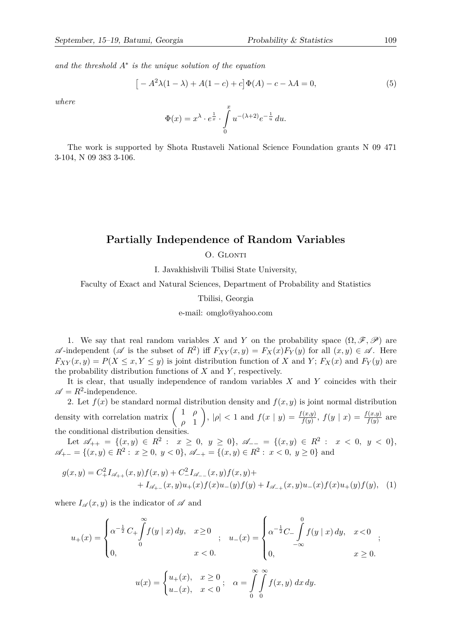*and the threshold A∗ is the unique solution of the equation*

$$
[-A2\lambda(1-\lambda) + A(1-c) + c]\Phi(A) - c - \lambda A = 0,
$$
\n(5)

*where*

$$
\Phi(x) = x^{\lambda} \cdot e^{\frac{1}{x}} \cdot \int_{0}^{x} u^{-(\lambda+2)} e^{-\frac{1}{u}} du.
$$

The work is supported by Shota Rustaveli National Science Foundation grants N 09 471 3-104, N 09 383 3-106.

### **Partially Independence of Random Variables**

### O. GLONTI

I. Javakhishvili Tbilisi State University,

Faculty of Exact and Natural Sciences, Department of Probability and Statistics

#### Tbilisi, Georgia

e-mail: omglo@yahoo.com

1. We say that real random variables *X* and *Y* on the probability space  $(\Omega, \mathcal{F}, \mathcal{P})$  are  $\mathscr A$ -independent ( $\mathscr A$  is the subset of  $R^2$ ) iff  $F_{XY}(x,y) = F_X(x)F_Y(y)$  for all  $(x,y) \in \mathscr A$ . Here  $F_{XY}(x, y) = P(X \le x, Y \le y)$  is joint distribution function of *X* and *Y*;  $F_X(x)$  and  $F_Y(y)$  are the probability distribution functions of *X* and *Y* , respectively.

It is clear, that usually independence of random variables *X* and *Y* coincides with their  $\mathscr{A} = R^2$ -independence.

2. Let  $f(x)$  be standard normal distribution density and  $f(x, y)$  is joint normal distribution density with correlation matrix  $\begin{pmatrix} 1 & \rho \\ 1 & 1 \end{pmatrix}$ *ρ* 1  $\int$ ,  $|\rho|$  < 1 and  $f(x | y) = \frac{f(x, y)}{f(y)}$ ,  $f(y | x) = \frac{f(x, y)}{f(y)}$  are the conditional distribution densities.

 $\text{Let } \mathscr{A}_{++} = \{ (x, y) \in R^2 : x \geq 0, y \geq 0 \}, \mathscr{A}_{--} = \{ (x, y) \in R^2 : x < 0, y < 0 \},$ *<sup>A</sup>*+*<sup>−</sup>* <sup>=</sup> *{*(*x, y*) *<sup>∈</sup> <sup>R</sup>*<sup>2</sup> : *<sup>x</sup> <sup>≥</sup>* <sup>0</sup>*, y <* <sup>0</sup>*}*, *<sup>A</sup>−*<sup>+</sup> <sup>=</sup> *{*(*x, y*) *<sup>∈</sup> <sup>R</sup>*<sup>2</sup> : *x <* 0*, y ≥* 0*}* and

$$
g(x,y) = C_+^2 I_{\mathscr{A}_{++}}(x,y) f(x,y) + C_-^2 I_{\mathscr{A}_{--}}(x,y) f(x,y) ++ I_{\mathscr{A}_{+-}}(x,y) u_+(x) f(x) u_-(y) f(y) + I_{\mathscr{A}_{-+}}(x,y) u_-(x) f(x) u_+(y) f(y), \quad (1)
$$

where  $I_{\mathscr{A}}(x, y)$  is the indicator of  $\mathscr A$  and

$$
u_{+}(x) = \begin{cases} \alpha^{-\frac{1}{2}} C_{+} \int_{0}^{\infty} f(y \mid x) dy, & x \ge 0 \\ 0, & x < 0. \end{cases} ; \quad u_{-}(x) = \begin{cases} \alpha^{-\frac{1}{2}} C_{-} \int_{-\infty}^{0} f(y \mid x) dy, & x < 0 \\ 0, & x \ge 0. \end{cases} ;
$$

$$
u(x) = \begin{cases} u_{+}(x), & x \ge 0 \\ u_{-}(x), & x < 0 \end{cases} ; \quad \alpha = \int_{0}^{\infty} \int_{0}^{\infty} f(x, y) dx dy.
$$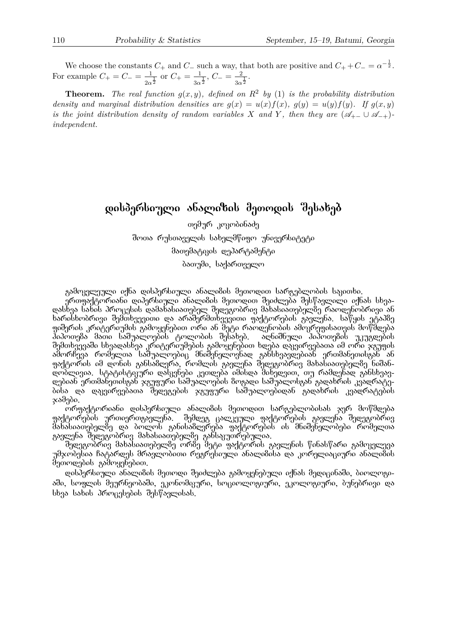We choose the constants  $C_+$  and  $C_-\$  such a way, that both are positive and  $C_+ + C_-\ = \alpha^{-\frac{1}{2}}$ . For example  $C_{+} = C_{-} = \frac{1}{2a}$  $\frac{1}{2\alpha^{\frac{1}{2}}}$  or  $C_{+} = \frac{1}{3\alpha}$  $\frac{1}{3\alpha^{\frac{1}{2}}}, C_{-} = \frac{2}{3\alpha}$  $rac{2}{3\alpha^{\frac{1}{2}}}.$ 

**Theorem.** The real function  $g(x, y)$ , defined on  $R^2$  by (1) is the probability distribution *density and marginal distribution densities are*  $g(x) = u(x)f(x)$ *,*  $g(y) = u(y)f(y)$ *. If*  $g(x, y)$ *is the joint distribution density of random variables X* and *Y*, then they are  $(A_{+-} \cup A_{-+})$ *independent.*

# დისპერსიული ანალიზის მეთოდის შესახებ

്<sub>വി</sub>მურ კოკობინაძე შოთა რუსთაველის სახელმწიფო უნივერსიტეტი მათემატიკის დეპარტამენტი ბათუმი, საქართველო

გამოკვლეული იქნა დისპერსიული ანალიბის მეთოდით სარგებლობის საკითხი.

ერთფაქტორიანი დიპერსიული ანალიმის მეთოდით შეიძლება შესწავლილი იქნას სხვადასხვა სახის პროცესის დამახასიათებელ შედეგობრივ მახასიათებელზე რაოდენობრივი ან ხარისხობრივი შემთხვევითი და არაშერმთხვევითი ფაქტორების გავლენა, საწყის ეტაპმე ფიშერის კრიტერიუმის გამოყენებით ორი ან შეტი რაოდენობის ამოკრეფისათვის მოწმდება ჰიპოთება მათი საშუალოების ტოლობის შესახებ. აღნიშნული ჰიპოთების უკუგდების შემთხვევაში სხვადასხვა კრიტერიუმების გამოყენებით ხდება დაკვირვებათა იმ ორი ჯგუფის ამორჩევა რომელთა საშუალოებიც მნიშვნელოვნად განსხვავდებიან ერთმანეთისგან ან ფაქტორის იმ დონის განსამღვრა, რომლის გავლენა შედეგობრივ მახასიათებელმე ნიშანლიბლივია, სტატისტიკური დასკვნები კეთდება იმისდა მიხედვით, თუ რამდენად განსხვავდებიან ერთმანეთისგან ჯგუფური საშუალოების **ბოგადი საშუალოსგან გადახრის კვადრა**ტებისა და დაკვირვებათა შედეგების ჯგუფური საშუალოებიდან გადახრის კვადრატების  $x$ ამები.

ირფაქტორიანი დისპერსიული ანალი8ის მეთოდით სარგებლობისას ჯერ მოწმღება ფაქტორების ურთიერთგავლენა. შემდეგ ცალკეული ფაქტორების გავლენა შედეგობრივ მახასიათებელზე და ბოლოს განისამღვრება ფაქტორების ის მნიშვნელობები რომელთა გავლენა შედეგობრივ მახასიათებელ8ე განსაკუთრებულია.

შედეგობრივ მახასიათებელბე ორბე მეტი ფაქტორის გავლენის წინასწარი გამოკვლევა უმჯობესია ჩატარდეს მრავლობითი რეგრესიული ანალიშისა და კორელიაციური ანალიშის მეთოდების გამოყენებით.

დისპერსიული ანალიშის მეთოდი შეიძლება გამოყენებული იქნას მედიცინაში, ბიოლოგიაში, სოფლის მეურნეობაში, ეკონომიკური, სოციოლოგიური, ეკოლოგიური, ბუნებრივი და  $\mathbf{b}$ łas  $\mathbf{b}$  babols Jonnandolo dal $\mathcal{F}$ ageolsko.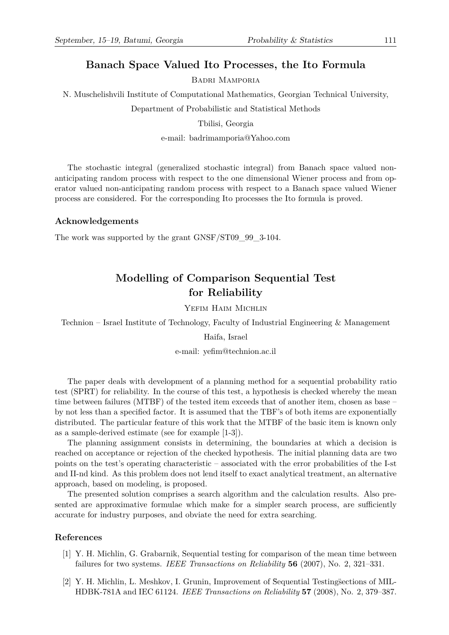### **Banach Space Valued Ito Processes, the Ito Formula**

Badri Mamporia

N. Muschelishvili Institute of Computational Mathematics, Georgian Technical University,

Department of Probabilistic and Statistical Methods

Tbilisi, Georgia

e-mail: badrimamporia@Yahoo.com

The stochastic integral (generalized stochastic integral) from Banach space valued nonanticipating random process with respect to the one dimensional Wiener process and from operator valued non-anticipating random process with respect to a Banach space valued Wiener process are considered. For the corresponding Ito processes the Ito formula is proved.

#### **Acknowledgements**

The work was supported by the grant GNSF/ST09\_99\_3-104.

### **Modelling of Comparison Sequential Test for Reliability**

YEFIM HAIM MICHLIN

Technion – Israel Institute of Technology, Faculty of Industrial Engineering & Management

#### Haifa, Israel

e-mail: yefim@technion.ac.il

The paper deals with development of a planning method for a sequential probability ratio test (SPRT) for reliability. In the course of this test, a hypothesis is checked whereby the mean time between failures (MTBF) of the tested item exceeds that of another item, chosen as base – by not less than a specified factor. It is assumed that the TBF's of both items are exponentially distributed. The particular feature of this work that the MTBF of the basic item is known only as a sample-derived estimate (see for example [1-3]).

The planning assignment consists in determining, the boundaries at which a decision is reached on acceptance or rejection of the checked hypothesis. The initial planning data are two points on the test's operating characteristic – associated with the error probabilities of the I-st and II-nd kind. As this problem does not lend itself to exact analytical treatment, an alternative approach, based on modeling, is proposed.

The presented solution comprises a search algorithm and the calculation results. Also presented are approximative formulae which make for a simpler search process, are sufficiently accurate for industry purposes, and obviate the need for extra searching.

### **References**

- [1] Y. H. Michlin, G. Grabarnik, Sequential testing for comparison of the mean time between failures for two systems. *IEEE Transactions on Reliability* **56** (2007), No. 2, 321–331.
- [2] Y. H. Michlin, L. Meshkov, I. Grunin, Improvement of S̈equential Testings̈ections of MIL-HDBK-781A and IEC 61124. *IEEE Transactions on Reliability* **57** (2008), No. 2, 379–387.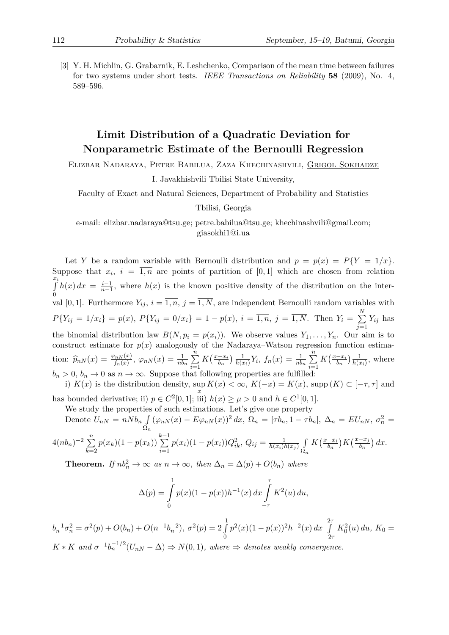[3] Y. H. Michlin, G. Grabarnik, E. Leshchenko, Comparison of the mean time between failures for two systems under short tests. *IEEE Transactions on Reliability* **58** (2009), No. 4, 589–596.

### **Limit Distribution of a Quadratic Deviation for Nonparametric Estimate of the Bernoulli Regression**

Elizbar Nadaraya, Petre Babilua, Zaza Khechinashvili, Grigol Sokhadze

I. Javakhishvili Tbilisi State University,

Faculty of Exact and Natural Sciences, Department of Probability and Statistics

Tbilisi, Georgia

e-mail: elizbar.nadaraya@tsu.ge; petre.babilua@tsu.ge; khechinashvili@gmail.com; giasokhi1@i.ua

Let *Y* be a random variable with Bernoulli distribution and  $p = p(x) = P(Y = 1/x)$ . Suppose that  $x_i$ ,  $i = \overline{1,n}$  are points of partition of  $[0,1]$  which are chosen from relation ∫*xi*  $\boldsymbol{0}$  $h(x) dx = \frac{i-1}{n-1}$  $\frac{i-1}{n-1}$ , where *h*(*x*) is the known positive density of the distribution on the interval [0, 1]. Furthermore  $Y_{ij}$ ,  $i = \overline{1, n}$ ,  $j = \overline{1, N}$ , are independent Bernoulli random variables with  $P{Y_{ij} = 1/x_i} = p(x), P{Y_{ij} = 0/x_i} = 1 - p(x), i = \overline{1,n}, j = \overline{1,N}.$  Then  $Y_i = \sum$ *N j*=1 *Yij* has the binomial distribution law  $B(N, p_i = p(x_i))$ . We observe values  $Y_1, \ldots, Y_n$ . Our aim is to construct estimate for  $p(x)$  analogously of the Nadaraya–Watson regression function estimation:  $\hat{p}_{nN}(x) = \frac{\varphi_{nN}(x)}{f_n(x)}, \ \varphi_{nN}(x) = \frac{1}{nb_n} \sum_{i=1}^{n}$ *i*=1  $K\left(\frac{x-x_i}{b_n}\right) \frac{1}{h(x_i)}$  $\frac{1}{h(x_i)} Y_i$ ,  $f_n(x) = \frac{1}{n b_n} \sum_{i=1}^{n}$ *i*=1  $K\left(\frac{x-x_i}{b_n}\right) \frac{1}{h(x_i)}$  $\frac{1}{h(x_i)}$ , where  $b_n > 0$ ,  $b_n \to 0$  as  $n \to \infty$ . Suppose that following properties are fulfilled: i)  $K(x)$  is the distribution density, sup  $\sup_{x} K(x) < ∞$ ,  $K(-x) = K(x)$ , supp  $(K) \subset [-\tau, \tau]$  and

has bounded derivative; ii)  $p \in C^2[0,1]$ ; iii)  $h(x) \ge \mu > 0$  and  $h \in C^1[0,1]$ .

We study the properties of such estimations. Let's give one property

Denote  $U_{nN} = nNb_n \int$  $\Omega_n$  $(\varphi_{nN}(x) - E\varphi_{nN}(x))^2 dx$ ,  $\Omega_n = [\tau b_n, 1 - \tau b_n]$ ,  $\Delta_n = EU_{nN}, \sigma_n^2 =$ *<sup>−</sup>*<sup>2</sup> <sup>∑</sup>*<sup>n</sup> k* ∑*−*1 1 *x−x<sup>i</sup>* ( *<sup>x</sup>−x<sup>j</sup>*

$$
4(nb_n)^{-2} \sum_{k=2} p(x_k)(1-p(x_k)) \sum_{i=1} p(x_i)(1-p(x_i))Q_{ik}^2, \ Q_{ij} = \frac{1}{h(x_i)h(x_j)} \int_{\Omega_n} K\left(\frac{x-x_i}{b_n}\right) K\left(\frac{x-x_j}{b_n}\right) dx.
$$

**Theorem.** *If*  $nb_n^2 \to \infty$  *as*  $n \to \infty$ *, then*  $\Delta_n = \Delta(p) + O(b_n)$  *where* 

$$
\Delta(p) = \int_{0}^{1} p(x)(1 - p(x))h^{-1}(x) dx \int_{-\tau}^{\tau} K^{2}(u) du,
$$

 $b_n^{-1}\sigma_n^2 = \sigma^2(p) + O(b_n) + O(n^{-1}b_n^{-2}), \sigma^2(p) = 2 \int$ 1 0  $p^2(x)(1-p(x))^2h^{-2}(x) dx$  $\int_{0}^{2\tau} K_0^2(u) du, K_0 =$ *−*2*τ*  $K * K$  *and*  $\sigma^{-1} b_n^{-1/2} (U_{nN} - \Delta) \Rightarrow N(0, 1)$ *, where*  $\Rightarrow$  *denotes weakly convergence.*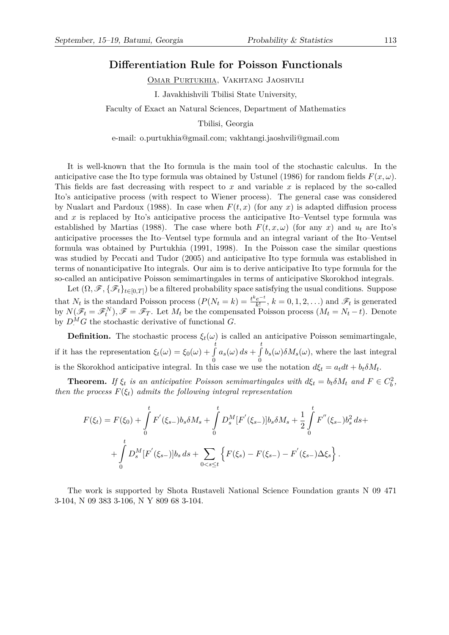### **Differentiation Rule for Poisson Functionals**

Omar Purtukhia, Vakhtang Jaoshvili

I. Javakhishvili Tbilisi State University,

Faculty of Exact an Natural Sciences, Department of Mathematics

Tbilisi, Georgia

e-mail: o.purtukhia@gmail.com; vakhtangi.jaoshvili@gmail.com

It is well-known that the Ito formula is the main tool of the stochastic calculus. In the anticipative case the Ito type formula was obtained by Ustunel (1986) for random fields  $F(x, \omega)$ . This fields are fast decreasing with respect to *x* and variable *x* is replaced by the so-called Ito's anticipative process (with respect to Wiener process). The general case was considered by Nualart and Pardoux (1988). In case when  $F(t, x)$  (for any x) is adapted diffusion process and *x* is replaced by Ito's anticipative process the anticipative Ito–Ventsel type formula was established by Martias (1988). The case where both  $F(t, x, \omega)$  (for any x) and  $u_t$  are Ito's anticipative processes the Ito–Ventsel type formula and an integral variant of the Ito–Ventsel formula was obtained by Purtukhia (1991, 1998). In the Poisson case the similar questions was studied by Peccati and Tudor (2005) and anticipative Ito type formula was established in terms of nonanticipative Ito integrals. Our aim is to derive anticipative Ito type formula for the so-called an anticipative Poisson semimartingales in terms of anticipative Skorokhod integrals.

Let  $(\Omega, \mathscr{F}, \{\mathscr{F}_t\}_{t\in[0,T]})$  be a filtered probability space satisfying the usual conditions. Suppose that  $N_t$  is the standard Poisson process  $(P(N_t = k) = \frac{t^k e^{-t}}{k!})$  $\frac{e^{-t}}{k!}, k = 0, 1, 2, \ldots$  and  $\mathscr{F}_t$  is generated by  $N(\mathscr{F}_t = \mathscr{F}_t^N), \mathscr{F} = \mathscr{F}_T$ . Let  $M_t$  be the compensated Poisson process  $(M_t = N_t - t)$ . Denote by  $D^M$ *G* the stochastic derivative of functional *G*.

**Definition.** The stochastic process  $\xi_t(\omega)$  is called an anticipative Poisson semimartingale, if it has the representation  $\xi_t(\omega) = \xi_0(\omega) + \int$ *t* 0  $a_s(\omega) ds + \int$ *t* 0  $b_s(\omega)\delta M_s(\omega)$ , where the last integral is the Skorokhod anticipative integral. In this case we use the notation  $d\xi_t = a_t dt + b_t \delta M_t$ .

**Theorem.** *If*  $\xi_t$  *is an anticipative Poisson semimartingales with*  $d\xi_t = b_t \delta M_t$  *and*  $F \in C_b^2$ , *then the process*  $F(\xi_t)$  *admits the following integral representation* 

$$
F(\xi_t) = F(\xi_0) + \int_0^t F'(\xi_{s-})b_s \delta M_s + \int_0^t D_s^M [F'(\xi_{s-})]b_s \delta M_s + \frac{1}{2} \int_0^t F''(\xi_{s-})b_s^2 ds + + \int_0^t D_s^M [F'(\xi_{s-})]b_s ds + \sum_{0 < s \le t} \left\{ F(\xi_s) - F(\xi_{s-}) - F'(\xi_{s-})\Delta \xi_s \right\}.
$$

The work is supported by Shota Rustaveli National Science Foundation grants N 09 471 3-104, N 09 383 3-106, N Y 809 68 3-104.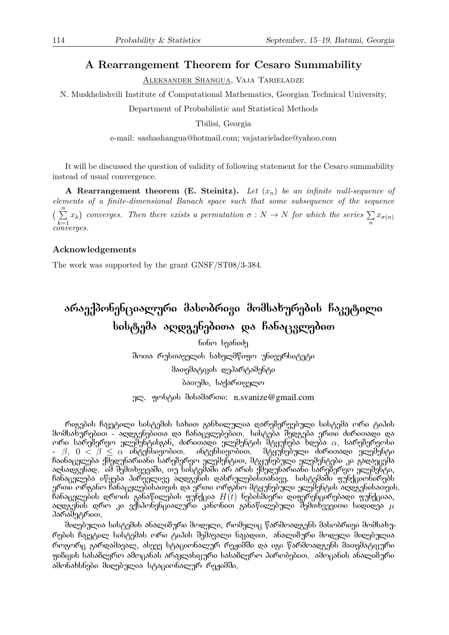### **A Rearrangement Theorem for Cesaro Summability**

Aleksander Shangua, Vaja Tarieladze

N. Muskhelishvili Institute of Computational Mathematics, Georgian Technical University,

Department of Probabilistic and Statistical Methods

Tbilisi, Georgia

e-mail: sashashangua@hotmail.com; vajatarieladze@yahoo.com

It will be discussed the question of validity of following statement for the Cesaro summability instead of usual convergence.

**A Rearrangement theorem (E. Steinitz).** *Let* (*xn*) *be an infinite null-sequence of elements of a finite-dimensional Banach space such that some subsequence of the sequence*  $\left(\begin{array}{c}n\\ \sum\end{array}\right)$ *k*=1  $\{x_k\}$  converges. Then there exists a permutation  $\sigma : N \to N$  for which the series  $\sum$  $\sum_{n} x_{\sigma(n)}$ *converges.*

#### **Acknowledgements**

The work was supported by the grant GNSF/ST08/3-384.

# არაექპონენციალური მასობრივი მომსახურების ჩაკეტილი სისტემა აღდგენებითა და ჩანაცვლებით

 $666$ ო სვანიძე შოთა რუსთაველის სახელმწიფო უნივერსიტეტი მათემატიკის დეპარტამენტი ბათუმი, საქართველო

ელ. ფოსტის მისამართი: n.svanize@gmail.com

რიგების ჩაკეტილი სისტემის სახით განხილულია დარებერვებული სისტემა ორი ტიპის მომსახურებით - აღდგენებითა და ჩანაცვლებებით, სისტება შედგება ერთი ძირითადი და ორი სარემერვო ელემენტისგან, ძირითადი ელემენტის მტყუნება ხდება  $\alpha,$  სარემერვოსი -  $\beta,$   $0<\bar{\beta}\leq\alpha$  ინტენსივობით. ინტენსივობით. მტყუნებული ძირითადი ელემენტი ჩაინაცვლება ქმედუნარიანი სარებერვო ელემენტით, მტყუნებული ელემენტები კი გადაეცემა აღსადგენად. იმ შემთხვევაში, თუ სისტემაში არ არის ქმედუნარიანი სარებერვო ელემენტი, ჩანაცვლება იწყება პირველივე აღდგენის დასრულებისთანავე. სისტემაში ფუნქციონირებს ერთი ორგანო ჩანაცვლებისათვის და ერთი ორგანო მტყუნებული ელემენტის აღდგენისათვის. ჩანაცვლების დროის განაწილების ფუნქცია  $H(t)$  ნებისმიერი დიფერენცირებადი ფუნქციაა,  $\Delta$ დღვენის დრო კი ექსპონენციალური კანონით განაწილებული შემთხვევითი სიდიდეა  $\mu$ პარამეტრით.

მიღებულია სისტემის ანალიმური მოღელი, რომელიც წარმოადგენს მასობრივი მომსახურების ჩაკეტილ სისტემას ორი ტიპის შემავალი ნაკადით. ანალიზური მოღელი მიღებულია როგორც გარდამავალ, ასევე სტაციონალურ რეჟიმში და იგი წარმოადგენს მათემატიკური ფიმიკის სასამღვრო ამოცანას არაკლასიკური სასამღვრო პირობებით, ამოცანის ანალიმური ამონახსნები მიღებულია სტაციონალურ რეჟიმში.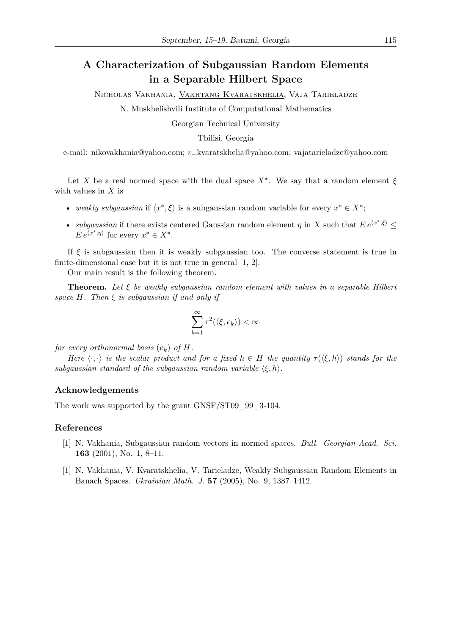### **A Characterization of Subgaussian Random Elements in a Separable Hilbert Space**

Nicholas Vakhania, Vakhtang Kvaratskhelia, Vaja Tarieladze

N. Muskhelishvili Institute of Computational Mathematics

Georgian Technical University

### Tbilisi, Georgia

e-mail: nikovakhania@yahoo.com; *v−*kvaratskhelia@yahoo.com; vajatarieladze@yahoo.com

Let *X* be a real normed space with the dual space  $X^*$ . We say that a random element  $\xi$ with values in *X* is

- *weakly subgaussian* if  $\langle x^*, \xi \rangle$  is a subgaussian random variable for every  $x^* \in X^*$ ;
- *subgaussian* if there exists centered Gaussian random element  $\eta$  in X such that  $E e^{\langle x^*, \xi \rangle} \leq$  $E e^{\langle x^*, \eta \rangle}$  for every  $x^* \in X^*$ .

If *ξ* is subgaussian then it is weakly subgaussian too. The converse statement is true in finite-dimensional case but it is not true in general [1, 2].

Our main result is the following theorem.

**Theorem.** *Let ξ be weakly subgaussian random element with values in a separable Hilbert space H. Then ξ is subgaussian if and only if*

$$
\sum_{k=1}^{\infty} \tau^2(\langle \xi, e_k \rangle) < \infty
$$

*for every orthonormal basis*  $(e_k)$  *of*  $H$ *.* 

*Here*  $\langle \cdot, \cdot \rangle$  *is the scalar product and for a fixed*  $h \in H$  *the quantity*  $\tau(\langle \xi, h \rangle)$  *stands for the subgaussian standard of the subgaussian random variable*  $\langle \xi, h \rangle$ *.* 

### **Acknowledgements**

The work was supported by the grant GNSF/ST09\_99\_3-104.

#### **References**

- [1] N. Vakhania, Subgaussian random vectors in normed spaces. *Bull. Georgian Acad. Sci.* **163** (2001), No. 1, 8–11.
- [1] N. Vakhania, V. Kvaratskhelia, V. Tarieladze, Weakly Subgaussian Random Elements in Banach Spaces. *Ukrainian Math. J.* **57** (2005), No. 9, 1387–1412.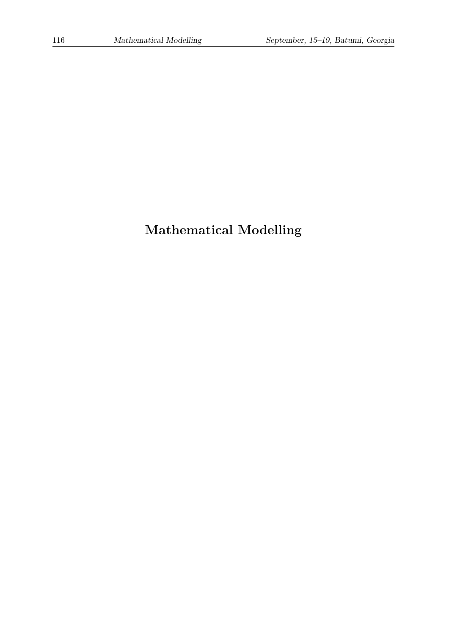# **Mathematical Modelling**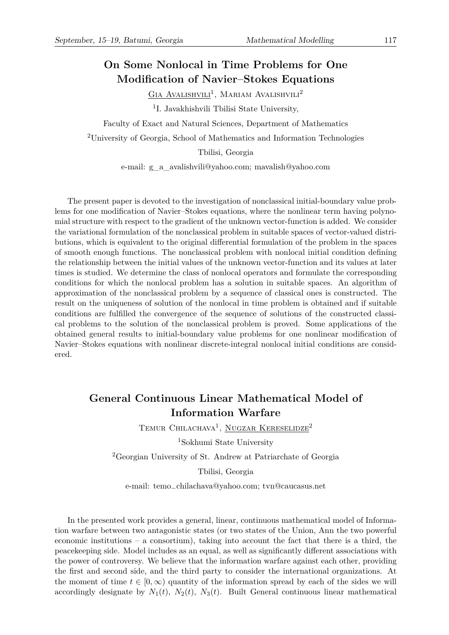### **On Some Nonlocal in Time Problems for One Modification of Navier–Stokes Equations**

 $G$ ia Avalishvili<sup>1</sup>, Mariam Avalishvili<sup>2</sup>

<sup>1</sup>I. Javakhishvili Tbilisi State University,

Faculty of Exact and Natural Sciences, Department of Mathematics

<sup>2</sup>University of Georgia, School of Mathematics and Information Technologies

Tbilisi, Georgia

e-mail: g\_a\_avalishvili@yahoo.com; mavalish@yahoo.com

The present paper is devoted to the investigation of nonclassical initial-boundary value problems for one modification of Navier–Stokes equations, where the nonlinear term having polynomial structure with respect to the gradient of the unknown vector-function is added. We consider the variational formulation of the nonclassical problem in suitable spaces of vector-valued distributions, which is equivalent to the original differential formulation of the problem in the spaces of smooth enough functions. The nonclassical problem with nonlocal initial condition defining the relationship between the initial values of the unknown vector-function and its values at later times is studied. We determine the class of nonlocal operators and formulate the corresponding conditions for which the nonlocal problem has a solution in suitable spaces. An algorithm of approximation of the nonclassical problem by a sequence of classical ones is constructed. The result on the uniqueness of solution of the nonlocal in time problem is obtained and if suitable conditions are fulfilled the convergence of the sequence of solutions of the constructed classical problems to the solution of the nonclassical problem is proved. Some applications of the obtained general results to initial-boundary value problems for one nonlinear modification of Navier–Stokes equations with nonlinear discrete-integral nonlocal initial conditions are considered.

### **General Continuous Linear Mathematical Model of Information Warfare**

TEMUR CHILACHAVA<sup>1</sup>, NUGZAR KERESELIDZE<sup>2</sup>

<sup>1</sup>Sokhumi State University

<sup>2</sup>Georgian University of St. Andrew at Patriarchate of Georgia

Tbilisi, Georgia

e-mail: temo*−*chilachava@yahoo.com; tvn@caucasus.net

In the presented work provides a general, linear, continuous mathematical model of Information warfare between two antagonistic states (or two states of the Union, Ann the two powerful economic institutions – a consortium), taking into account the fact that there is a third, the peacekeeping side. Model includes as an equal, as well as significantly different associations with the power of controversy. We believe that the information warfare against each other, providing the first and second side, and the third party to consider the international organizations. At the moment of time  $t \in [0, \infty)$  quantity of the information spread by each of the sides we will accordingly designate by  $N_1(t)$ ,  $N_2(t)$ ,  $N_3(t)$ . Built General continuous linear mathematical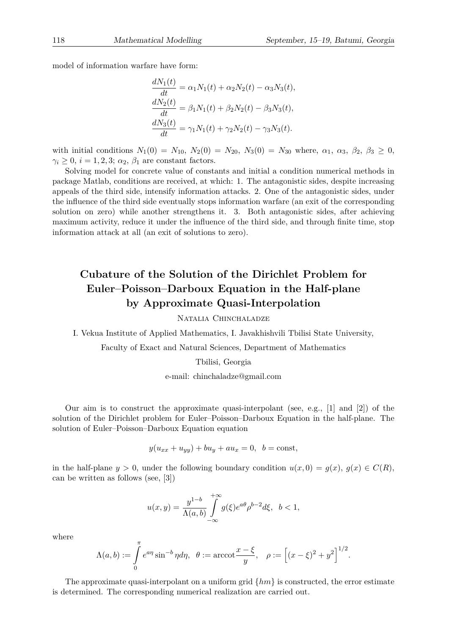model of information warfare have form:

$$
\frac{dN_1(t)}{dt} = \alpha_1 N_1(t) + \alpha_2 N_2(t) - \alpha_3 N_3(t),
$$
  
\n
$$
\frac{dN_2(t)}{dt} = \beta_1 N_1(t) + \beta_2 N_2(t) - \beta_3 N_3(t),
$$
  
\n
$$
\frac{dN_3(t)}{dt} = \gamma_1 N_1(t) + \gamma_2 N_2(t) - \gamma_3 N_3(t).
$$

with initial conditions  $N_1(0) = N_{10}$ ,  $N_2(0) = N_{20}$ ,  $N_3(0) = N_{30}$  where,  $\alpha_1$ ,  $\alpha_3$ ,  $\beta_2$ ,  $\beta_3 \ge 0$ ,  $\gamma_i \geq 0$ ,  $i = 1, 2, 3$ ;  $\alpha_2$ ,  $\beta_1$  are constant factors.

Solving model for concrete value of constants and initial a condition numerical methods in package Matlab, conditions are received, at which: 1. The antagonistic sides, despite increasing appeals of the third side, intensify information attacks. 2. One of the antagonistic sides, under the influence of the third side eventually stops information warfare (an exit of the corresponding solution on zero) while another strengthens it. 3. Both antagonistic sides, after achieving maximum activity, reduce it under the influence of the third side, and through finite time, stop information attack at all (an exit of solutions to zero).

# **Cubature of the Solution of the Dirichlet Problem for Euler–Poisson–Darboux Equation in the Half-plane by Approximate Quasi-Interpolation**

Natalia Chinchaladze

I. Vekua Institute of Applied Mathematics, I. Javakhishvili Tbilisi State University,

Faculty of Exact and Natural Sciences, Department of Mathematics

Tbilisi, Georgia

e-mail: chinchaladze@gmail.com

Our aim is to construct the approximate quasi-interpolant (see, e.g.,  $[1]$  and  $[2]$ ) of the solution of the Dirichlet problem for Euler–Poisson–Darboux Equation in the half-plane. The solution of Euler–Poisson–Darboux Equation equation

$$
y(u_{xx} + u_{yy}) + bu_y + au_x = 0, \ b = \text{const},
$$

in the half-plane  $y > 0$ , under the following boundary condition  $u(x, 0) = g(x), g(x) \in C(R)$ , can be written as follows (see, [3])

$$
u(x,y) = \frac{y^{1-b}}{\Lambda(a,b)} \int_{-\infty}^{+\infty} g(\xi) e^{a\theta} \rho^{b-2} d\xi, \quad b < 1,
$$

where

$$
\Lambda(a, b) := \int_{0}^{\pi} e^{a\eta} \sin^{-b} \eta d\eta, \ \ \theta := \operatorname{arccot} \frac{x - \xi}{y}, \ \ \rho := \left[ (x - \xi)^2 + y^2 \right]^{1/2}.
$$

The approximate quasi-interpolant on a uniform grid *{hm}* is constructed, the error estimate is determined. The corresponding numerical realization are carried out.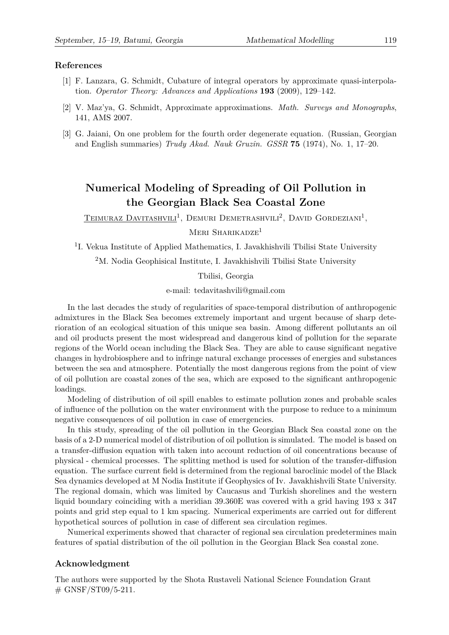#### **References**

- [1] F. Lanzara, G. Schmidt, Cubature of integral operators by approximate quasi-interpolation. *Operator Theory: Advances and Applications* **193** (2009), 129–142.
- [2] V. Maz'ya, G. Schmidt, Approximate approximations. *Math. Surveys and Monographs*, 141, AMS 2007.
- [3] G. Jaiani, On one problem for the fourth order degenerate equation. (Russian, Georgian and English summaries) *Trudy Akad. Nauk Gruzin. GSSR* **75** (1974), No. 1, 17–20.

# **Numerical Modeling of Spreading of Oil Pollution in the Georgian Black Sea Coastal Zone**

 $\text{TEMURAZ DAVITASHVILI}^1$ , DEMURI DEMETRASHVILI<sup>2</sup>, DAVID GORDEZIANI<sup>1</sup>,

### MERI SHARIKADZE<sup>1</sup>

<sup>1</sup>I. Vekua Institute of Applied Mathematics, I. Javakhishvili Tbilisi State University

<sup>2</sup>M. Nodia Geophisical Institute, I. Javakhishvili Tbilisi State University

Tbilisi, Georgia

e-mail: tedavitashvili@gmail.com

In the last decades the study of regularities of space-temporal distribution of anthropogenic admixtures in the Black Sea becomes extremely important and urgent because of sharp deterioration of an ecological situation of this unique sea basin. Among different pollutants an oil and oil products present the most widespread and dangerous kind of pollution for the separate regions of the World ocean including the Black Sea. They are able to cause significant negative changes in hydrobiosphere and to infringe natural exchange processes of energies and substances between the sea and atmosphere. Potentially the most dangerous regions from the point of view of oil pollution are coastal zones of the sea, which are exposed to the significant anthropogenic loadings.

Modeling of distribution of oil spill enables to estimate pollution zones and probable scales of influence of the pollution on the water environment with the purpose to reduce to a minimum negative consequences of oil pollution in case of emergencies.

In this study, spreading of the oil pollution in the Georgian Black Sea coastal zone on the basis of a 2-D numerical model of distribution of oil pollution is simulated. The model is based on a transfer-diffusion equation with taken into account reduction of oil concentrations because of physical - chemical processes. The splitting method is used for solution of the transfer-diffusion equation. The surface current field is determined from the regional baroclinic model of the Black Sea dynamics developed at M Nodia Institute if Geophysics of Iv. Javakhishvili State University. The regional domain, which was limited by Caucasus and Turkish shorelines and the western liquid boundary coinciding with a meridian 39.360E was covered with a grid having 193 x 347 points and grid step equal to 1 km spacing. Numerical experiments are carried out for different hypothetical sources of pollution in case of different sea circulation regimes.

Numerical experiments showed that character of regional sea circulation predetermines main features of spatial distribution of the oil pollution in the Georgian Black Sea coastal zone.

#### **Acknowledgment**

The authors were supported by the Shota Rustaveli National Science Foundation Grant  $\#$  GNSF/ST09/5-211.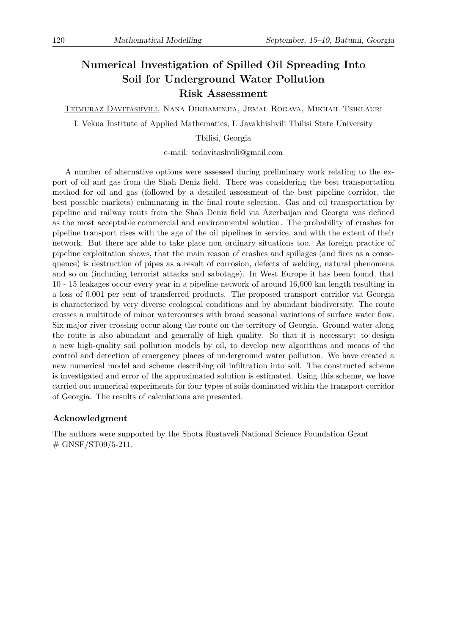# **Numerical Investigation of Spilled Oil Spreading Into Soil for Underground Water Pollution Risk Assessment**

Teimuraz Davitashvili, Nana Dikhaminjia, Jemal Rogava, Mikhail Tsiklauri

I. Vekua Institute of Applied Mathematics, I. Javakhishvili Tbilisi State University

### Tbilisi, Georgia

e-mail: tedavitashvili@gmail.com

A number of alternative options were assessed during preliminary work relating to the export of oil and gas from the Shah Deniz field. There was considering the best transportation method for oil and gas (followed by a detailed assessment of the best pipeline corridor, the best possible markets) culminating in the final route selection. Gas and oil transportation by pipeline and railway routs from the Shah Deniz field via Azerbaijan and Georgia was defined as the most acceptable commercial and environmental solution. The probability of crashes for pipeline transport rises with the age of the oil pipelines in service, and with the extent of their network. But there are able to take place non ordinary situations too. As foreign practice of pipeline exploitation shows, that the main reason of crashes and spillages (and fires as a consequence) is destruction of pipes as a result of corrosion, defects of welding, natural phenomena and so on (including terrorist attacks and sabotage). In West Europe it has been found, that 10 - 15 leakages occur every year in a pipeline network of around 16,000 km length resulting in a loss of 0.001 per sent of transferred products. The proposed transport corridor via Georgia is characterized by very diverse ecological conditions and by abundant biodiversity. The route crosses a multitude of minor watercourses with broad seasonal variations of surface water flow. Six major river crossing occur along the route on the territory of Georgia. Ground water along the route is also abundant and generally of high quality. So that it is necessary: to design a new high-quality soil pollution models by oil, to develop new algorithms and means of the control and detection of emergency places of underground water pollution. We have created a new numerical model and scheme describing oil infiltration into soil. The constructed scheme is investigated and error of the approximated solution is estimated. Using this scheme, we have carried out numerical experiments for four types of soils dominated within the transport corridor of Georgia. The results of calculations are presented.

#### **Acknowledgment**

The authors were supported by the Shota Rustaveli National Science Foundation Grant  $\#$  GNSF/ST09/5-211.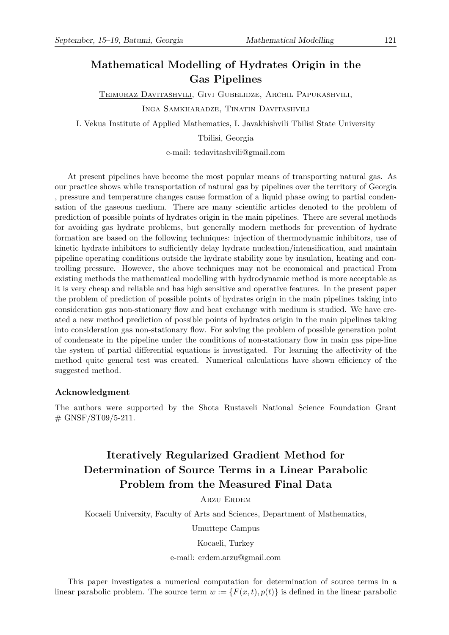### **Mathematical Modelling of Hydrates Origin in the Gas Pipelines**

Teimuraz Davitashvili, Givi Gubelidze, Archil Papukashvili,

Inga Samkharadze, Tinatin Davitashvili

I. Vekua Institute of Applied Mathematics, I. Javakhishvili Tbilisi State University

Tbilisi, Georgia

e-mail: tedavitashvili@gmail.com

At present pipelines have become the most popular means of transporting natural gas. As our practice shows while transportation of natural gas by pipelines over the territory of Georgia , pressure and temperature changes cause formation of a liquid phase owing to partial condensation of the gaseous medium. There are many scientific articles denoted to the problem of prediction of possible points of hydrates origin in the main pipelines. There are several methods for avoiding gas hydrate problems, but generally modern methods for prevention of hydrate formation are based on the following techniques: injection of thermodynamic inhibitors, use of kinetic hydrate inhibitors to sufficiently delay hydrate nucleation/intensification, and maintain pipeline operating conditions outside the hydrate stability zone by insulation, heating and controlling pressure. However, the above techniques may not be economical and practical From existing methods the mathematical modelling with hydrodynamic method is more acceptable as it is very cheap and reliable and has high sensitive and operative features. In the present paper the problem of prediction of possible points of hydrates origin in the main pipelines taking into consideration gas non-stationary flow and heat exchange with medium is studied. We have created a new method prediction of possible points of hydrates origin in the main pipelines taking into consideration gas non-stationary flow. For solving the problem of possible generation point of condensate in the pipeline under the conditions of non-stationary flow in main gas pipe-line the system of partial differential equations is investigated. For learning the affectivity of the method quite general test was created. Numerical calculations have shown efficiency of the suggested method.

#### **Acknowledgment**

The authors were supported by the Shota Rustaveli National Science Foundation Grant  $#$  GNSF/ST09/5-211.

# **Iteratively Regularized Gradient Method for Determination of Source Terms in a Linear Parabolic Problem from the Measured Final Data**

Arzu Erdem

Kocaeli University, Faculty of Arts and Sciences, Department of Mathematics,

Umuttepe Campus

Kocaeli, Turkey

e-mail: erdem.arzu@gmail.com

This paper investigates a numerical computation for determination of source terms in a linear parabolic problem. The source term  $w := \{F(x, t), p(t)\}\$ is defined in the linear parabolic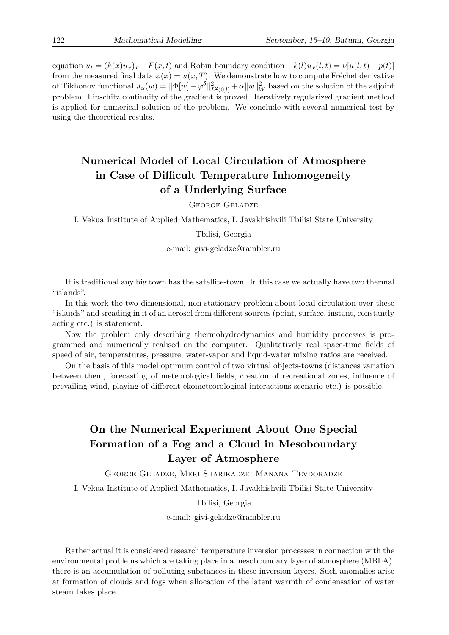equation  $u_t = (k(x)u_x)_x + F(x,t)$  and Robin boundary condition  $-k(l)u_x(l,t) = \nu[u(l,t)-p(t)]$ from the measured final data  $\varphi(x) = u(x, T)$ . We demonstrate how to compute Fréchet derivative  $J_{\alpha}(w) = ||\Phi[w] - \varphi^{\delta}||_{L^{2}(0,l)}^{2} + \alpha ||w||_{W}^{2}$  based on the solution of the adjoint problem. Lipschitz continuity of the gradient is proved. Iteratively regularized gradient method is applied for numerical solution of the problem. We conclude with several numerical test by using the theoretical results.

# **Numerical Model of Local Circulation of Atmosphere in Case of Difficult Temperature Inhomogeneity of a Underlying Surface**

George Geladze

I. Vekua Institute of Applied Mathematics, I. Javakhishvili Tbilisi State University

#### Tbilisi, Georgia

e-mail: givi-geladze@rambler.ru

It is traditional any big town has the satellite-town. In this case we actually have two thermal "islands".

In this work the two-dimensional, non-stationary problem about local circulation over these "islands" and sreading in it of an aerosol from different sources (point, surface, instant, constantly acting etc.) is statement.

Now the problem only describing thermohydrodynamics and humidity processes is programmed and numerically realised on the computer. Qualitatively real space-time fields of speed of air, temperatures, pressure, water-vapor and liquid-water mixing ratios are received.

On the basis of this model optimum control of two virtual objects-towns (distances variation between them, forecasting of meteorological fields, creation of recreational zones, influence of prevailing wind, playing of different ekometeorological interactions scenario etc.) is possible.

# **On the Numerical Experiment About One Special Formation of a Fog and a Cloud in Mesoboundary Layer of Atmosphere**

George Geladze, Meri Sharikadze, Manana Tevdoradze

I. Vekua Institute of Applied Mathematics, I. Javakhishvili Tbilisi State University

Tbilisi, Georgia

e-mail: givi-geladze@rambler.ru

Rather actual it is considered research temperature inversion processes in connection with the environmental problems which are taking place in a mesoboundary layer of atmosphere (MBLA). there is an accumulation of polluting substances in these inversion layers. Such anomalies arise at formation of clouds and fogs when allocation of the latent warmth of condensation of water steam takes place.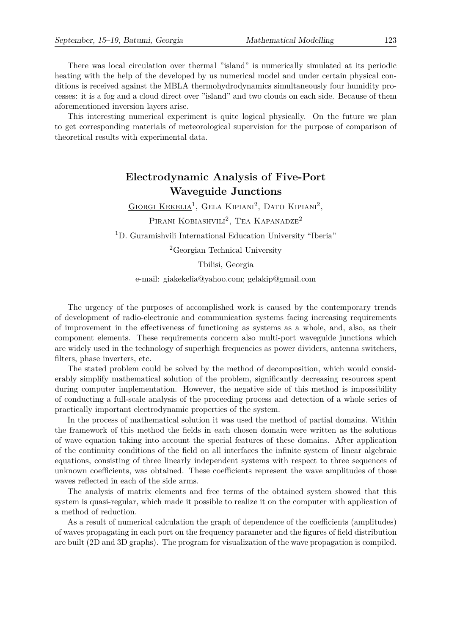There was local circulation over thermal "island" is numerically simulated at its periodic heating with the help of the developed by us numerical model and under certain physical conditions is received against the MBLA thermohydrodynamics simultaneously four humidity processes: it is a fog and a cloud direct over "island" and two clouds on each side. Because of them aforementioned inversion layers arise.

This interesting numerical experiment is quite logical physically. On the future we plan to get corresponding materials of meteorological supervision for the purpose of comparison of theoretical results with experimental data.

# **Electrodynamic Analysis of Five-Port Waveguide Junctions**

GIORGI KEKELIA<sup>1</sup>, GELA KIPIANI<sup>2</sup>, DATO KIPIANI<sup>2</sup>,

PIRANI KOBIASHVILI<sup>2</sup>, TEA KAPANADZE<sup>2</sup>

<sup>1</sup>D. Guramishvili International Education University "Iberia"

<sup>2</sup>Georgian Technical University

Tbilisi, Georgia

e-mail: giakekelia@yahoo.com; gelakip@gmail.com

The urgency of the purposes of accomplished work is caused by the contemporary trends of development of radio-electronic and communication systems facing increasing requirements of improvement in the effectiveness of functioning as systems as a whole, and, also, as their component elements. These requirements concern also multi-port waveguide junctions which are widely used in the technology of superhigh frequencies as power dividers, antenna switchers, filters, phase inverters, etc.

The stated problem could be solved by the method of decomposition, which would considerably simplify mathematical solution of the problem, significantly decreasing resources spent during computer implementation. However, the negative side of this method is impossibility of conducting a full-scale analysis of the proceeding process and detection of a whole series of practically important electrodynamic properties of the system.

In the process of mathematical solution it was used the method of partial domains. Within the framework of this method the fields in each chosen domain were written as the solutions of wave equation taking into account the special features of these domains. After application of the continuity conditions of the field on all interfaces the infinite system of linear algebraic equations, consisting of three linearly independent systems with respect to three sequences of unknown coefficients, was obtained. These coefficients represent the wave amplitudes of those waves reflected in each of the side arms.

The analysis of matrix elements and free terms of the obtained system showed that this system is quasi-regular, which made it possible to realize it on the computer with application of a method of reduction.

As a result of numerical calculation the graph of dependence of the coefficients (amplitudes) of waves propagating in each port on the frequency parameter and the figures of field distribution are built (2D and 3D graphs). The program for visualization of the wave propagation is compiled.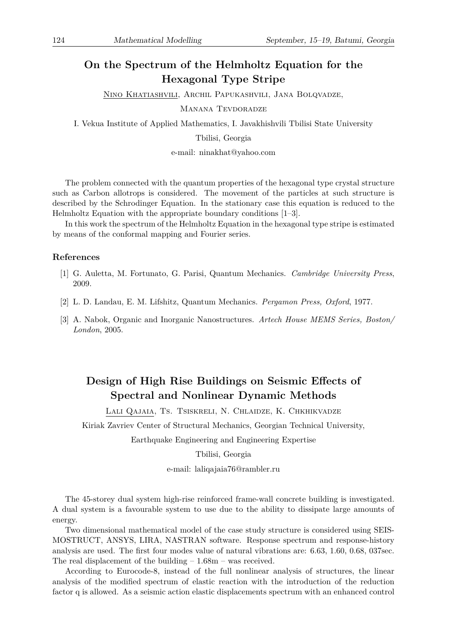### **On the Spectrum of the Helmholtz Equation for the Hexagonal Type Stripe**

Nino Khatiashvili, Archil Papukashvili, Jana Bolqvadze,

MANANA TEVDORADZE

I. Vekua Institute of Applied Mathematics, I. Javakhishvili Tbilisi State University

Tbilisi, Georgia

e-mail: ninakhat@yahoo.com

The problem connected with the quantum properties of the hexagonal type crystal structure such as Carbon allotrops is considered. The movement of the particles at such structure is described by the Schrodinger Equation. In the stationary case this equation is reduced to the Helmholtz Equation with the appropriate boundary conditions [1–3].

In this work the spectrum of the Helmholtz Equation in the hexagonal type stripe is estimated by means of the conformal mapping and Fourier series.

### **References**

- [1] G. Auletta, M. Fortunato, G. Parisi, Quantum Mechanics. *Cambridge University Press*, 2009.
- [2] L. D. Landau, E. M. Lifshitz, Quantum Mechanics. *Pergamon Press, Oxford*, 1977.
- [3] A. Nabok, Organic and Inorganic Nanostructures. *Artech House MEMS Series, Boston/ London*, 2005.

# **Design of High Rise Buildings on Seismic Effects of Spectral and Nonlinear Dynamic Methods**

Lali Qajaia, Ts. Tsiskreli, N. Chlaidze, K. Chkhikvadze

Kiriak Zavriev Center of Structural Mechanics, Georgian Technical University,

Earthquake Engineering and Engineering Expertise

Tbilisi, Georgia

e-mail: laliqajaia76@rambler.ru

The 45-storey dual system high-rise reinforced frame-wall concrete building is investigated. A dual system is a favourable system to use due to the ability to dissipate large amounts of energy.

Two dimensional mathematical model of the case study structure is considered using SEIS-MOSTRUCT, ANSYS, LIRA, NASTRAN software. Response spectrum and response-history analysis are used. The first four modes value of natural vibrations are: 6.63, 1.60, 0.68, 037sec. The real displacement of the building  $-1.68m$  – was received.

According to Eurocode-8, instead of the full nonlinear analysis of structures, the linear analysis of the modified spectrum of elastic reaction with the introduction of the reduction factor q is allowed. As a seismic action elastic displacements spectrum with an enhanced control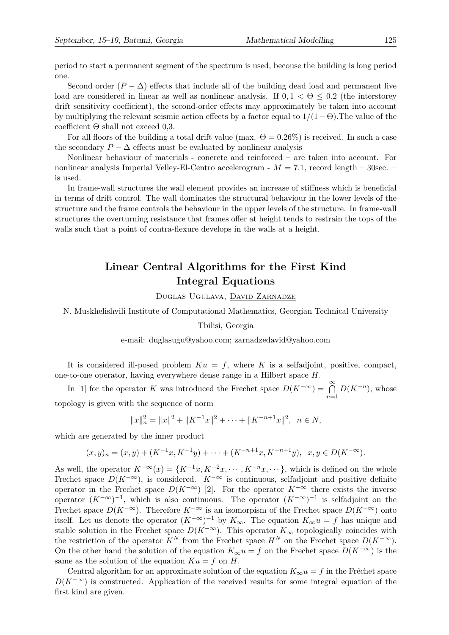period to start a permanent segment of the spectrum is used, becouse the building is long period one.

Second order  $(P - \Delta)$  effects that include all of the building dead load and permanent live load are considered in linear as well as nonlinear analysis. If  $0, 1 < \Theta < 0.2$  (the interstorey drift sensitivity coefficient), the second-order effects may approximately be taken into account by multiplying the relevant seismic action effects by a factor equal to 1/(1*−*Θ).The value of the coefficient  $\Theta$  shall not exceed 0.3.

For all floors of the building a total drift value (max.  $\Theta = 0.26\%$ ) is received. In such a case the secondary  $P - \Delta$  effects must be evaluated by nonlinear analysis

Nonlinear behaviour of materials - concrete and reinforced – are taken into account. For nonlinear analysis Imperial Velley-El-Centro accelerogram - *M* = 7*.*1, record length – 30sec. – is used.

In frame-wall structures the wall element provides an increase of stiffness which is beneficial in terms of drift control. The wall dominates the structural behaviour in the lower levels of the structure and the frame controls the behaviour in the upper levels of the structure. In frame-wall structures the overturning resistance that frames offer at height tends to restrain the tops of the walls such that a point of contra-flexure develops in the walls at a height.

# **Linear Central Algorithms for the First Kind Integral Equations**

Duglas Ugulava, David Zarnadze

N. Muskhelishvili Institute of Computational Mathematics, Georgian Technical University

#### Tbilisi, Georgia

e-mail: duglasugu@yahoo.com; zarnadzedavid@yahoo.com

It is considered ill-posed problem  $Ku = f$ , where *K* is a selfadjoint, positive, compact, one-to-one operator, having everywhere dense range in a Hilbert space *H*.

In [1] for the operator *K* was introduced the Frechet space  $D(K^{-\infty}) = \bigcap^{\infty}$ *n*=1  $D(K^{-n})$ , whose topology is given with the sequence of norm

$$
||x||_n^2 = ||x||^2 + ||K^{-1}x||^2 + \dots + ||K^{-n+1}x||^2, \ \ n \in N,
$$

which are generated by the inner product

$$
(x,y)_n = (x,y) + (K^{-1}x, K^{-1}y) + \cdots + (K^{-n+1}x, K^{-n+1}y), \quad x, y \in D(K^{-\infty}).
$$

As well, the operator  $K^{-\infty}(x) = \{K^{-1}x, K^{-2}x, \cdots, K^{-n}x, \cdots\}$ , which is defined on the whole Frechet space  $D(K^{-\infty})$ , is considered.  $K^{-\infty}$  is continuous, selfadjoint and positive definite operator in the Frechet space  $D(K^{-\infty})$  [2]. For the operator  $K^{-\infty}$  there exists the inverse operator  $(K^{-\infty})^{-1}$ , which is also continuous. The operator  $(K^{-\infty})^{-1}$  is selfadjoint on the Frechet space  $D(K^{-\infty})$ . Therefore  $K^{-\infty}$  is an isomorpism of the Frechet space  $D(K^{-\infty})$  onto itself. Let us denote the operator  $(K^{-\infty})^{-1}$  by  $K_{\infty}$ . The equation  $K_{\infty}u = f$  has unique and stable solution in the Frechet space  $D(K^{-\infty})$ . This operator  $K_{\infty}$  topologically coincides with the restriction of the operator  $K^N$  from the Frechet space  $H^N$  on the Frechet space  $D(K^{-\infty})$ . On the other hand the solution of the equation  $K_\infty u = f$  on the Frechet space  $D(K^{-\infty})$  is the same as the solution of the equation  $Ku = f$  on *H*.

Central algorithm for an approximate solution of the equation  $K_\infty u = f$  in the Fréchet space  $D(K^{-\infty})$  is constructed. Application of the received results for some integral equation of the first kind are given.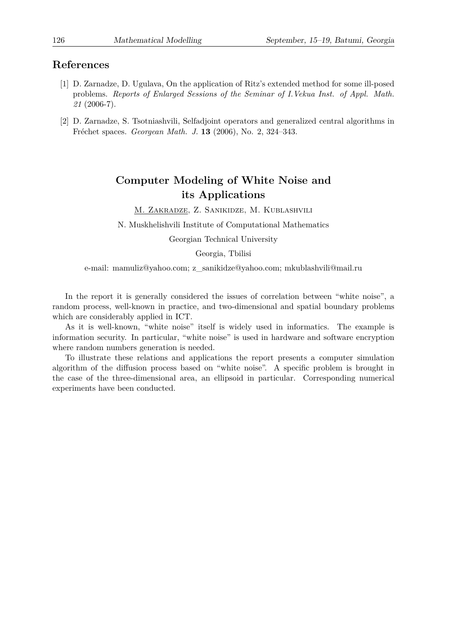### **References**

- [1] D. Zarnadze, D. Ugulava, On the application of Ritz's extended method for some ill-posed problems. *Reports of Enlarged Sessions of the Seminar of I.Vekua Inst. of Appl. Math. 21* (2006-7).
- [2] D. Zarnadze, S. Tsotniashvili, Selfadjoint operators and generalized central algorithms in Fréchet spaces. *Georgean Math. J.* **13** (2006), No. 2, 324–343.

# **Computer Modeling of White Noise and its Applications**

M. Zakradze, Z. Sanikidze, M. Kublashvili

N. Muskhelishvili Institute of Computational Mathematics

Georgian Technical University

Georgia, Tbilisi

e-mail: mamuliz@yahoo.com; z\_sanikidze@yahoo.com; mkublashvili@mail.ru

In the report it is generally considered the issues of correlation between "white noise", a random process, well-known in practice, and two-dimensional and spatial boundary problems which are considerably applied in ICT.

As it is well-known, "white noise" itself is widely used in informatics. The example is information security. In particular, "white noise" is used in hardware and software encryption where random numbers generation is needed.

To illustrate these relations and applications the report presents a computer simulation algorithm of the diffusion process based on "white noise". A specific problem is brought in the case of the three-dimensional area, an ellipsoid in particular. Corresponding numerical experiments have been conducted.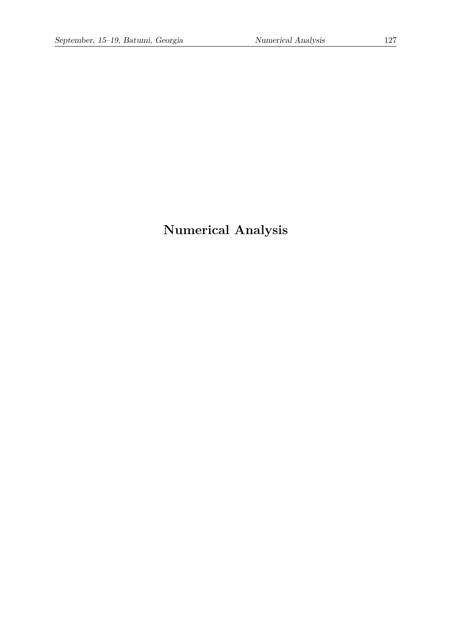# **Numerical Analysis**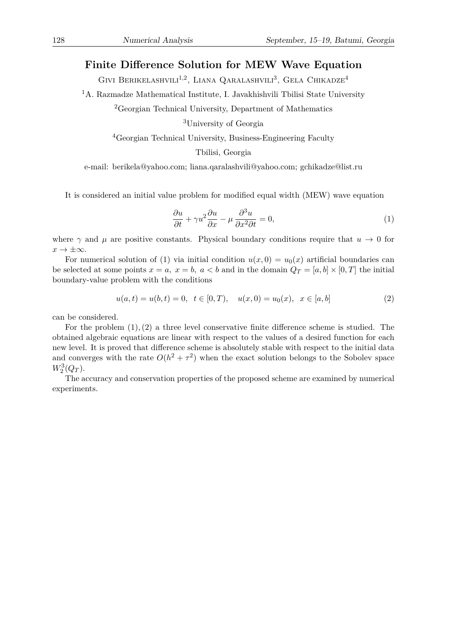### **Finite Difference Solution for MEW Wave Equation**

GIVI BERIKELASHVILI<sup>1,2</sup>, LIANA QARALASHVILI<sup>3</sup>, GELA CHIKADZE<sup>4</sup>

<sup>1</sup>A. Razmadze Mathematical Institute, I. Javakhishvili Tbilisi State University

<sup>2</sup>Georgian Technical University, Department of Mathematics

<sup>3</sup>University of Georgia

<sup>4</sup>Georgian Technical University, Business-Engineering Faculty

Tbilisi, Georgia

e-mail: berikela@yahoo.com; liana.qaralashvili@yahoo.com; gchikadze@list.ru

It is considered an initial value problem for modified equal width (MEW) wave equation

$$
\frac{\partial u}{\partial t} + \gamma u^2 \frac{\partial u}{\partial x} - \mu \frac{\partial^3 u}{\partial x^2 \partial t} = 0,
$$
\n(1)

where  $\gamma$  and  $\mu$  are positive constants. Physical boundary conditions require that  $u \to 0$  for *x → ±∞*.

For numerical solution of (1) via initial condition  $u(x, 0) = u_0(x)$  artificial boundaries can be selected at some points  $x = a, x = b, a < b$  and in the domain  $Q_T = [a, b] \times [0, T]$  the initial boundary-value problem with the conditions

$$
u(a,t) = u(b,t) = 0, \quad t \in [0,T), \quad u(x,0) = u_0(x), \quad x \in [a,b]
$$
 (2)

can be considered.

For the problem  $(1), (2)$  a three level conservative finite difference scheme is studied. The obtained algebraic equations are linear with respect to the values of a desired function for each new level. It is proved that difference scheme is absolutely stable with respect to the initial data and converges with the rate  $O(h^2 + \tau^2)$  when the exact solution belongs to the Sobolev space  $W_2^3(Q_T)$ .

The accuracy and conservation properties of the proposed scheme are examined by numerical experiments.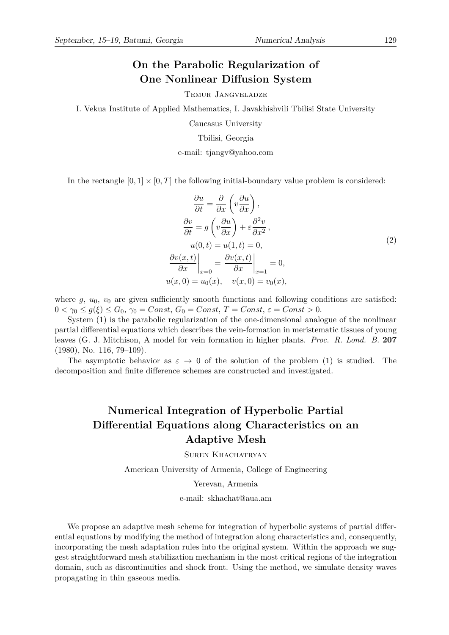### **On the Parabolic Regularization of One Nonlinear Diffusion System**

Temur Jangveladze

I. Vekua Institute of Applied Mathematics, I. Javakhishvili Tbilisi State University

Caucasus University

Tbilisi, Georgia

e-mail: tjangv@yahoo.com

In the rectangle  $[0,1] \times [0,T]$  the following initial-boundary value problem is considered:

$$
\frac{\partial u}{\partial t} = \frac{\partial}{\partial x} \left( v \frac{\partial u}{\partial x} \right),
$$
  

$$
\frac{\partial v}{\partial t} = g \left( v \frac{\partial u}{\partial x} \right) + \varepsilon \frac{\partial^2 v}{\partial x^2},
$$
  

$$
u(0, t) = u(1, t) = 0,
$$
  

$$
\frac{\partial v(x, t)}{\partial x} \Big|_{x=0} = \frac{\partial v(x, t)}{\partial x} \Big|_{x=1} = 0,
$$
  

$$
u(x, 0) = u_0(x), \quad v(x, 0) = v_0(x),
$$
  
(2)

where  $g$ ,  $u_0$ ,  $v_0$  are given sufficiently smooth functions and following conditions are satisfied:  $0 < \gamma_0 \leq g(\xi) \leq G_0$ ,  $\gamma_0 = Const$ ,  $G_0 = Const$ ,  $T = Const$ ,  $\varepsilon = Const > 0$ .

System (1) is the parabolic regularization of the one-dimensional analogue of the nonlinear partial differential equations which describes the vein-formation in meristematic tissues of young leaves (G. J. Mitchison, A model for vein formation in higher plants. *Proc. R. Lond. B.* **207** (1980), No. 116, 79–109).

The asymptotic behavior as  $\varepsilon \to 0$  of the solution of the problem (1) is studied. The decomposition and finite difference schemes are constructed and investigated.

# **Numerical Integration of Hyperbolic Partial Differential Equations along Characteristics on an Adaptive Mesh**

SUREN KHACHATRYAN

American University of Armenia, College of Engineering

Yerevan, Armenia

e-mail: skhachat@aua.am

We propose an adaptive mesh scheme for integration of hyperbolic systems of partial differential equations by modifying the method of integration along characteristics and, consequently, incorporating the mesh adaptation rules into the original system. Within the approach we suggest straightforward mesh stabilization mechanism in the most critical regions of the integration domain, such as discontinuities and shock front. Using the method, we simulate density waves propagating in thin gaseous media.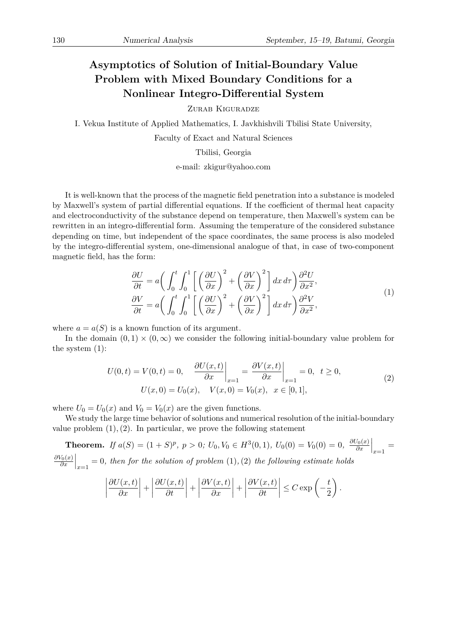# **Asymptotics of Solution of Initial-Boundary Value Problem with Mixed Boundary Conditions for a Nonlinear Integro-Differential System**

Zurab Kiguradze

I. Vekua Institute of Applied Mathematics, I. Javkhishvili Tbilisi State University,

Faculty of Exact and Natural Sciences

Tbilisi, Georgia

e-mail: zkigur@yahoo.com

It is well-known that the process of the magnetic field penetration into a substance is modeled by Maxwell's system of partial differential equations. If the coefficient of thermal heat capacity and electroconductivity of the substance depend on temperature, then Maxwell's system can be rewritten in an integro-differential form. Assuming the temperature of the considered substance depending on time, but independent of the space coordinates, the same process is also modeled by the integro-differential system, one-dimensional analogue of that, in case of two-component magnetic field, has the form:

$$
\frac{\partial U}{\partial t} = a \left( \int_0^t \int_0^1 \left[ \left( \frac{\partial U}{\partial x} \right)^2 + \left( \frac{\partial V}{\partial x} \right)^2 \right] dx \, d\tau \right) \frac{\partial^2 U}{\partial x^2},
$$
\n
$$
\frac{\partial V}{\partial t} = a \left( \int_0^t \int_0^1 \left[ \left( \frac{\partial U}{\partial x} \right)^2 + \left( \frac{\partial V}{\partial x} \right)^2 \right] dx \, d\tau \right) \frac{\partial^2 V}{\partial x^2},
$$
\n(1)

where  $a = a(S)$  is a known function of its argument.

In the domain  $(0,1) \times (0,\infty)$  we consider the following initial-boundary value problem for the system (1):

$$
U(0,t) = V(0,t) = 0, \quad \frac{\partial U(x,t)}{\partial x}\bigg|_{x=1} = \frac{\partial V(x,t)}{\partial x}\bigg|_{x=1} = 0, \quad t \ge 0,
$$
  

$$
U(x,0) = U_0(x), \quad V(x,0) = V_0(x), \quad x \in [0,1],
$$
 (2)

where  $U_0 = U_0(x)$  and  $V_0 = V_0(x)$  are the given functions.

We study the large time behavior of solutions and numerical resolution of the initial-boundary value problem  $(1), (2)$ . In particular, we prove the following statement

**Theorem.** If 
$$
a(S) = (1 + S)^p
$$
,  $p > 0$ ;  $U_0, V_0 \in H^3(0, 1)$ ,  $U_0(0) = V_0(0) = 0$ ,  $\frac{\partial U_0(x)}{\partial x}\Big|_{x=1} = \frac{\partial V_0(x)}{\partial x}\Big|_{x=1} = 0$ , then for the solution of problem (1), (2) the following estimate holds

$$
\left|\frac{\partial U(x,t)}{\partial x}\right| + \left|\frac{\partial U(x,t)}{\partial t}\right| + \left|\frac{\partial V(x,t)}{\partial x}\right| + \left|\frac{\partial V(x,t)}{\partial t}\right| \leq C \exp\left(-\frac{t}{2}\right).
$$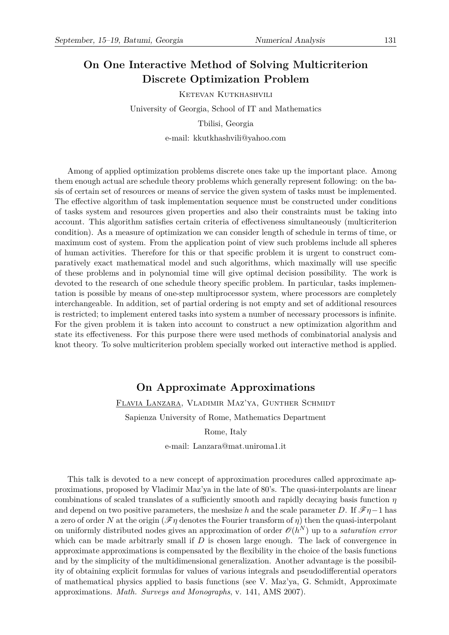### **On One Interactive Method of Solving Multicriterion Discrete Optimization Problem**

KETEVAN KUTKHASHVILI

University of Georgia, School of IT and Mathematics Tbilisi, Georgia e-mail: kkutkhashvili@yahoo.com

Among of applied optimization problems discrete ones take up the important place. Among them enough actual are schedule theory problems which generally represent following: on the basis of certain set of resources or means of service the given system of tasks must be implemented. The effective algorithm of task implementation sequence must be constructed under conditions of tasks system and resources given properties and also their constraints must be taking into account. This algorithm satisfies certain criteria of effectiveness simultaneously (multicriterion condition). As a measure of optimization we can consider length of schedule in terms of time, or maximum cost of system. From the application point of view such problems include all spheres of human activities. Therefore for this or that specific problem it is urgent to construct comparatively exact mathematical model and such algorithms, which maximally will use specific of these problems and in polynomial time will give optimal decision possibility. The work is devoted to the research of one schedule theory specific problem. In particular, tasks implementation is possible by means of one-step multiprocessor system, where processors are completely interchangeable. In addition, set of partial ordering is not empty and set of additional resources is restricted; to implement entered tasks into system a number of necessary processors is infinite. For the given problem it is taken into account to construct a new optimization algorithm and state its effectiveness. For this purpose there were used methods of combinatorial analysis and knot theory. To solve multicriterion problem specially worked out interactive method is applied.

### **On Approximate Approximations**

Flavia Lanzara, Vladimir Maz'ya, Gunther Schmidt

Sapienza University of Rome, Mathematics Department

Rome, Italy

e-mail: Lanzara@mat.uniroma1.it

This talk is devoted to a new concept of approximation procedures called approximate approximations, proposed by Vladimir Maz'ya in the late of 80's. The quasi-interpolants are linear combinations of scaled translates of a sufficiently smooth and rapidly decaying basis function *η* and depend on two positive parameters, the meshsize *h* and the scale parameter *D*. If  $\mathscr{F}\eta-1$  has a zero of order *N* at the origin ( $\mathscr{F}\eta$  denotes the Fourier transform of  $\eta$ ) then the quasi-interpolant on uniformly distributed nodes gives an approximation of order  $\mathscr{O}(h^N)$  up to a *saturation error* which can be made arbitrarly small if *D* is chosen large enough. The lack of convergence in approximate approximations is compensated by the flexibility in the choice of the basis functions and by the simplicity of the multidimensional generalization. Another advantage is the possibility of obtaining explicit formulas for values of various integrals and pseudodifferential operators of mathematical physics applied to basis functions (see V. Maz'ya, G. Schmidt, Approximate approximations. *Math. Surveys and Monographs*, v. 141, AMS 2007).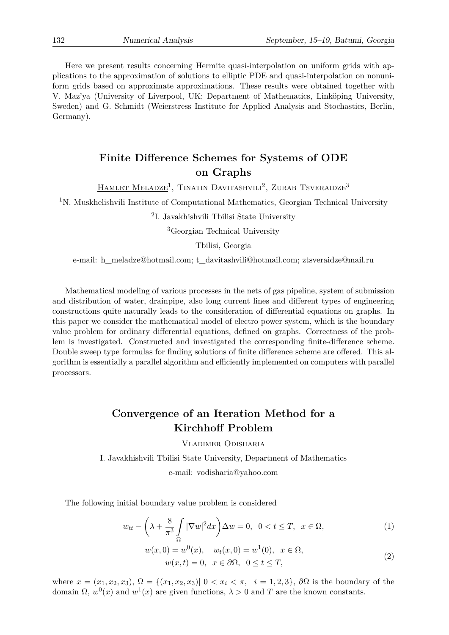Here we present results concerning Hermite quasi-interpolation on uniform grids with applications to the approximation of solutions to elliptic PDE and quasi-interpolation on nonuniform grids based on approximate approximations. These results were obtained together with V. Maz'ya (University of Liverpool, UK; Department of Mathematics, Linköping University, Sweden) and G. Schmidt (Weierstress Institute for Applied Analysis and Stochastics, Berlin, Germany).

### **Finite Difference Schemes for Systems of ODE on Graphs**

 $H$ amlet Meladze<sup>1</sup>, Tinatin Davitashvili<sup>2</sup>, Zurab Tsveraidze<sup>3</sup>

<sup>1</sup>N. Muskhelishvili Institute of Computational Mathematics, Georgian Technical University

<sup>2</sup>I. Javakhishvili Tbilisi State University

<sup>3</sup>Georgian Technical University

Tbilisi, Georgia

e-mail: h\_meladze@hotmail.com; t\_davitashvili@hotmail.com; ztsveraidze@mail.ru

Mathematical modeling of various processes in the nets of gas pipeline, system of submission and distribution of water, drainpipe, also long current lines and different types of engineering constructions quite naturally leads to the consideration of differential equations on graphs. In this paper we consider the mathematical model of electro power system, which is the boundary value problem for ordinary differential equations, defined on graphs. Correctness of the problem is investigated. Constructed and investigated the corresponding finite-difference scheme. Double sweep type formulas for finding solutions of finite difference scheme are offered. This algorithm is essentially a parallel algorithm and efficiently implemented on computers with parallel processors.

### **Convergence of an Iteration Method for a Kirchhoff Problem**

Vladimer Odisharia

I. Javakhishvili Tbilisi State University, Department of Mathematics

e-mail: vodisharia@yahoo.com

The following initial boundary value problem is considered

$$
w_{tt} - \left(\lambda + \frac{8}{\pi^3} \int_{\Omega} |\nabla w|^2 dx\right) \Delta w = 0, \ \ 0 < t \leq T, \ \ x \in \Omega,\tag{1}
$$

$$
w(x, 0) = w^{0}(x), \quad w_{t}(x, 0) = w^{1}(0), \quad x \in \Omega, \n w(x, t) = 0, \quad x \in \partial\Omega, \quad 0 \le t \le T,
$$
\n(2)

where  $x = (x_1, x_2, x_3), \Omega = \{(x_1, x_2, x_3) | 0 < x_i < \pi, i = 1, 2, 3\}, \partial \Omega$  is the boundary of the domain  $\Omega$ ,  $w^0(x)$  and  $w^1(x)$  are given functions,  $\lambda > 0$  and T are the known constants.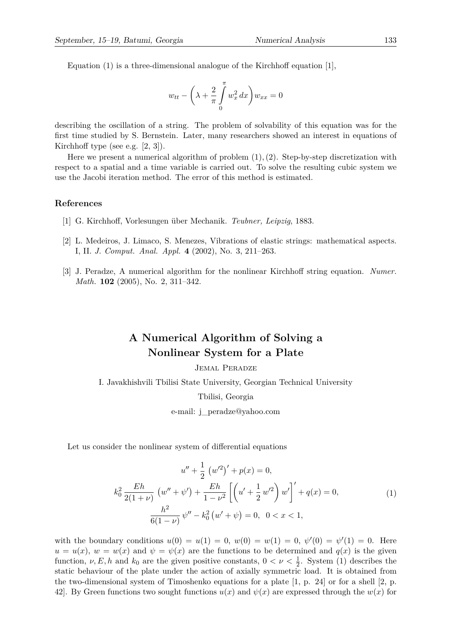Equation (1) is a three-dimensional analogue of the Kirchhoff equation [1],

$$
w_{tt} - \left(\lambda + \frac{2}{\pi} \int\limits_{0}^{\pi} w_x^2 dx\right) w_{xx} = 0
$$

describing the oscillation of a string. The problem of solvability of this equation was for the first time studied by S. Bernstein. Later, many researchers showed an interest in equations of Kirchhoff type (see e.g. [2, 3]).

Here we present a numerical algorithm of problem  $(1), (2)$ . Step-by-step discretization with respect to a spatial and a time variable is carried out. To solve the resulting cubic system we use the Jacobi iteration method. The error of this method is estimated.

#### **References**

- [1] G. Kirchhoff, Vorlesungen über Mechanik. *Teubner, Leipzig*, 1883.
- [2] L. Medeiros, J. Limaco, S. Menezes, Vibrations of elastic strings: mathematical aspects. I, II. *J. Comput. Anal. Appl.* **4** (2002), No. 3, 211–263.
- [3] J. Peradze, A numerical algorithm for the nonlinear Kirchhoff string equation. *Numer. Math.* **102** (2005), No. 2, 311–342.

## **A Numerical Algorithm of Solving a Nonlinear System for a Plate**

Jemal Peradze

I. Javakhishvili Tbilisi State University, Georgian Technical University

Tbilisi, Georgia

e-mail: j\_peradze@yahoo.com

Let us consider the nonlinear system of differential equations

$$
u'' + \frac{1}{2} (w'^2)' + p(x) = 0,
$$
  
\n
$$
k_0^2 \frac{Eh}{2(1+\nu)} (w'' + \psi') + \frac{Eh}{1-\nu^2} \left[ \left( u' + \frac{1}{2} w'^2 \right) w' \right]' + q(x) = 0,
$$
  
\n
$$
\frac{h^2}{6(1-\nu)} \psi'' - k_0^2 (w' + \psi) = 0, \quad 0 < x < 1,
$$
\n(1)

with the boundary conditions  $u(0) = u(1) = 0$ ,  $w(0) = w(1) = 0$ ,  $\psi'(0) = \psi'(1) = 0$ . Here  $u = u(x)$ ,  $w = w(x)$  and  $\psi = \psi(x)$  are the functions to be determined and  $q(x)$  is the given function,  $\nu, E, h$  and  $k_0$  are the given positive constants,  $0 < \nu < \frac{1}{2}$ . System (1) describes the static behaviour of the plate under the action of axially symmetric load. It is obtained from the two-dimensional system of Timoshenko equations for a plate  $[1, p. 24]$  or for a shell  $[2, p. 24]$ 42. By Green functions two sought functions  $u(x)$  and  $\psi(x)$  are expressed through the  $w(x)$  for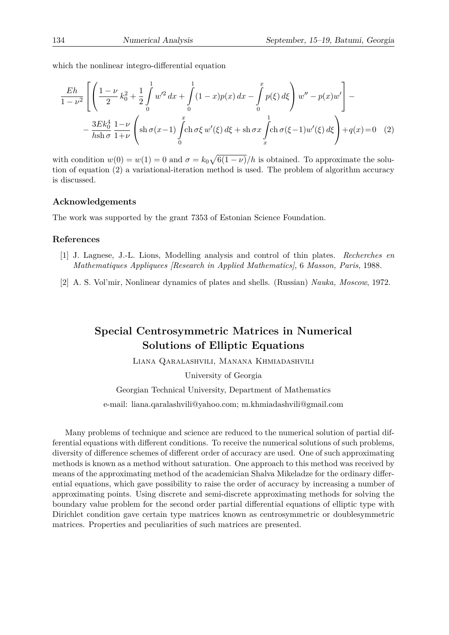which the nonlinear integro-differential equation

$$
\frac{Eh}{1-\nu^2} \left[ \left( \frac{1-\nu}{2} k_0^2 + \frac{1}{2} \int_0^1 w'^2 \, dx + \int_0^1 (1-x)p(x) \, dx - \int_0^x p(\xi) \, d\xi \right) w'' - p(x)w' \right] -
$$
\n
$$
- \frac{3Ek_0^4}{h \sin \sigma} \frac{1-\nu}{1+\nu} \left( \sin \sigma (x-1) \int_0^x \ln \sigma \xi \, w'(\xi) \, d\xi + \sin \sigma x \int_x^1 \ln \sigma (\xi-1) w'(\xi) \, d\xi \right) + q(x) = 0 \quad (2)
$$

with condition  $w(0) = w(1) = 0$  and  $\sigma = k_0 \sqrt{6(1 - \nu)}/h$  is obtained. To approximate the solution of equation (2) a variational-iteration method is used. The problem of algorithm accuracy is discussed.

### **Acknowledgements**

The work was supported by the grant 7353 of Estonian Science Foundation.

#### **References**

- [1] J. Lagnese, J.-L. Lions, Modelling analysis and control of thin plates. *Recherches en Mathematiques Appliquees [Research in Applied Mathematics]*, 6 *Masson, Paris*, 1988.
- [2] A. S. Vol'mir, Nonlinear dynamics of plates and shells. (Russian) *Nauka, Moscow*, 1972.

### **Special Centrosymmetric Matrices in Numerical Solutions of Elliptic Equations**

Liana Qaralashvili, Manana Khmiadashvili

University of Georgia

Georgian Technical University, Department of Mathematics e-mail: liana.qaralashvili@yahoo.com; m.khmiadashvili@gmail.com

Many problems of technique and science are reduced to the numerical solution of partial differential equations with different conditions. To receive the numerical solutions of such problems, diversity of difference schemes of different order of accuracy are used. One of such approximating methods is known as a method without saturation. One approach to this method was received by means of the approximating method of the academician Shalva Mikeladze for the ordinary differential equations, which gave possibility to raise the order of accuracy by increasing a number of approximating points. Using discrete and semi-discrete approximating methods for solving the boundary value problem for the second order partial differential equations of elliptic type with Dirichlet condition gave certain type matrices known as centrosymmetric or doublesymmetric matrices. Properties and peculiarities of such matrices are presented.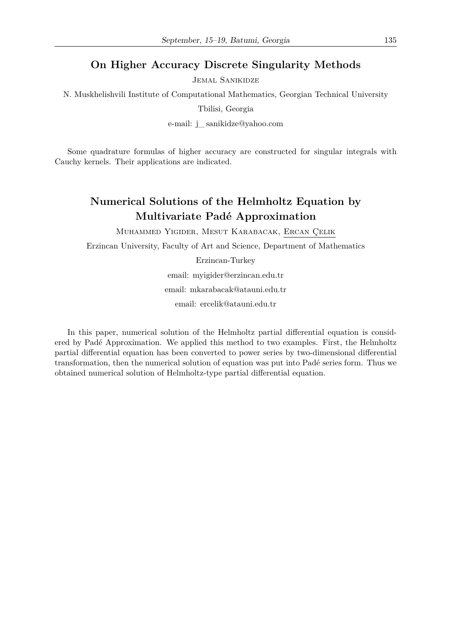# **On Higher Accuracy Discrete Singularity Methods**

Jemal Sanikidze

N. Muskhelishvili Institute of Computational Mathematics, Georgian Technical University

Tbilisi, Georgia

e-mail: j\_ sanikidze@yahoo.com

Some quadrature formulas of higher accuracy are constructed for singular integrals with Cauchy kernels. Their applications are indicated.

### **Numerical Solutions of the Helmholtz Equation by Multivariate Padé Approximation**

Muhammed Yigider, Mesut Karabacak, Ercan Çelik

Erzincan University, Faculty of Art and Science, Department of Mathematics

Erzincan-Turkey

email: myigider@erzincan.edu.tr

email: mkarabacak@atauni.edu.tr

email: ercelik@atauni.edu.tr

In this paper, numerical solution of the Helmholtz partial differential equation is considered by Padé Approximation. We applied this method to two examples. First, the Helmholtz partial differential equation has been converted to power series by two-dimensional differential transformation, then the numerical solution of equation was put into Padé series form. Thus we obtained numerical solution of Helmholtz-type partial differential equation.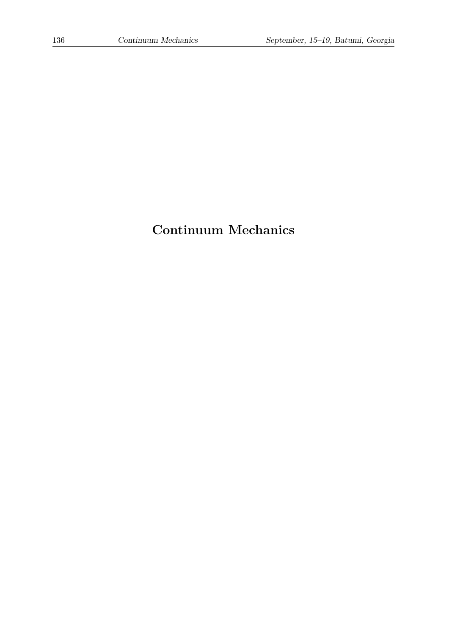# **Continuum Mechanics**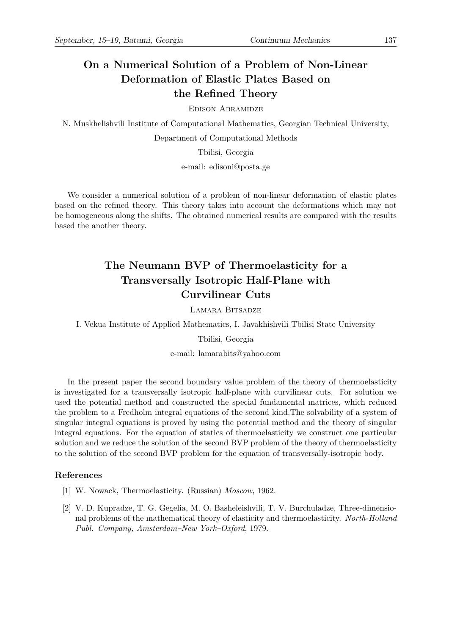# **On a Numerical Solution of a Problem of Non-Linear Deformation of Elastic Plates Based on the Refined Theory**

Edison Abramidze

N. Muskhelishvili Institute of Computational Mathematics, Georgian Technical University,

Department of Computational Methods

Tbilisi, Georgia

e-mail: edisoni@posta.ge

We consider a numerical solution of a problem of non-linear deformation of elastic plates based on the refined theory. This theory takes into account the deformations which may not be homogeneous along the shifts. The obtained numerical results are compared with the results based the another theory.

# **The Neumann BVP of Thermoelasticity for a Transversally Isotropic Half-Plane with Curvilinear Cuts**

Lamara Bitsadze

I. Vekua Institute of Applied Mathematics, I. Javakhishvili Tbilisi State University

Tbilisi, Georgia

e-mail: lamarabits@yahoo.com

In the present paper the second boundary value problem of the theory of thermoelasticity is investigated for a transversally isotropic half-plane with curvilinear cuts. For solution we used the potential method and constructed the special fundamental matrices, which reduced the problem to a Fredholm integral equations of the second kind.The solvability of a system of singular integral equations is proved by using the potential method and the theory of singular integral equations. For the equation of statics of thermoelasticity we construct one particular solution and we reduce the solution of the second BVP problem of the theory of thermoelasticity to the solution of the second BVP problem for the equation of transversally-isotropic body.

### **References**

- [1] W. Nowack, Thermoelasticity. (Russian) *Moscow*, 1962.
- [2] V. D. Kupradze, T. G. Gegelia, M. O. Basheleishvili, T. V. Burchuladze, Three-dimensional problems of the mathematical theory of elasticity and thermoelasticity. *North-Holland Publ. Company, Amsterdam–New York–Oxford*, 1979.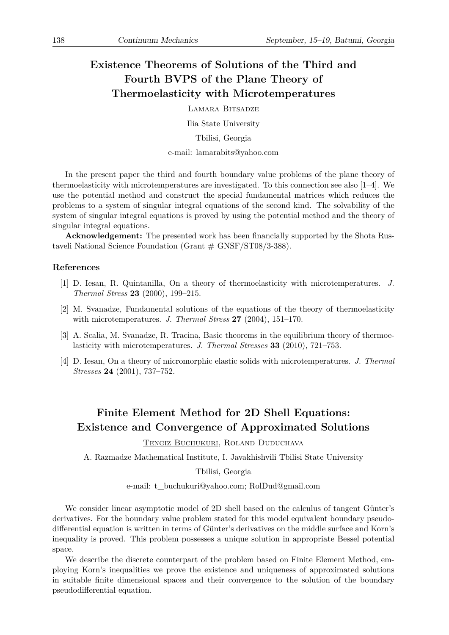# **Existence Theorems of Solutions of the Third and Fourth BVPS of the Plane Theory of Thermoelasticity with Microtemperatures**

Lamara Bitsadze

Ilia State University

Tbilisi, Georgia

e-mail: lamarabits@yahoo.com

In the present paper the third and fourth boundary value problems of the plane theory of thermoelasticity with microtemperatures are investigated. To this connection see also [1–4]. We use the potential method and construct the special fundamental matrices which reduces the problems to a system of singular integral equations of the second kind. The solvability of the system of singular integral equations is proved by using the potential method and the theory of singular integral equations.

**Acknowledgement:** The presented work has been financially supported by the Shota Rustaveli National Science Foundation (Grant # GNSF/ST08/3-388).

### **References**

- [1] D. Iesan, R. Quintanilla, On a theory of thermoelasticity with microtemperatures. *J. Thermal Stress* **23** (2000), 199–215.
- [2] M. Svanadze, Fundamental solutions of the equations of the theory of thermoelasticity with microtemperatures. *J. Thermal Stress* **27** (2004), 151–170.
- [3] A. Scalia, M. Svanadze, R. Tracina, Basic theorems in the equilibrium theory of thermoelasticity with microtemperatures. *J. Thermal Stresses* **33** (2010), 721–753.
- [4] D. Iesan, On a theory of micromorphic elastic solids with microtemperatures. *J. Thermal Stresses* **24** (2001), 737–752.

### **Finite Element Method for 2D Shell Equations: Existence and Convergence of Approximated Solutions**

Tengiz Buchukuri, Roland Duduchava

A. Razmadze Mathematical Institute, I. Javakhishvili Tbilisi State University

#### Tbilisi, Georgia

e-mail: t\_buchukuri@yahoo.com; RolDud@gmail.com

We consider linear asymptotic model of 2D shell based on the calculus of tangent Günter's derivatives. For the boundary value problem stated for this model equivalent boundary pseudodifferential equation is written in terms of Günter's derivatives on the middle surface and Korn's inequality is proved. This problem possesses a unique solution in appropriate Bessel potential space.

We describe the discrete counterpart of the problem based on Finite Element Method, employing Korn's inequalities we prove the existence and uniqueness of approximated solutions in suitable finite dimensional spaces and their convergence to the solution of the boundary pseudodifferential equation.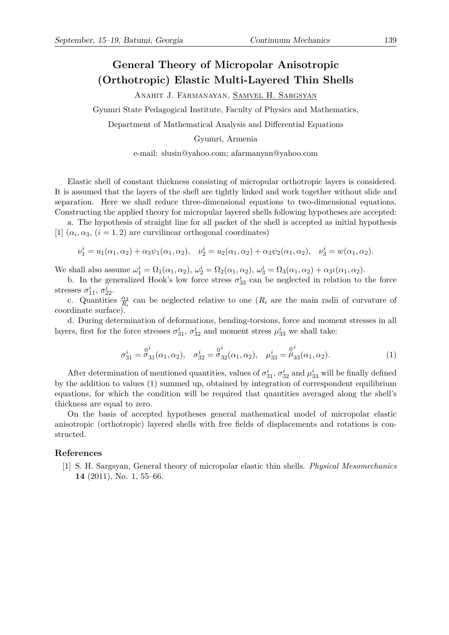# **General Theory of Micropolar Anisotropic (Orthotropic) Elastic Multi-Layered Thin Shells**

Anahit J. Farmanayan, Samvel H. Sargsyan

Gyumri State Pedagogical Institute, Faculty of Physics and Mathematics,

Department of Mathematical Analysis and Differential Equations

#### Gyumri, Armenia

e-mail: slusin@yahoo.com; afarmanyan@yahoo.com

Elastic shell of constant thickness consisting of micropular orthotropic layers is considered. It is assumed that the layers of the shell are tightly linked and work together without slide and separation. Here we shall reduce three-dimensional equations to two-dimensional equations. Constructing the applied theory for micropular layered shells following hypotheses are accepted:

a. The hypothesis of straight line for all packet of the shell is accepted as initial hypothesis [1]  $(\alpha_i, \alpha_3, (i = 1, 2)$  are curvilinear orthogonal coordinates)

$$
\nu_1^i = u_1(\alpha_1, \alpha_2) + \alpha_3 \psi_1(\alpha_1, \alpha_2), \quad \nu_2^i = u_2(\alpha_1, \alpha_2) + \alpha_3 \psi_2(\alpha_1, \alpha_2), \quad \nu_3^i = w(\alpha_1, \alpha_2).
$$

We shall also assume  $\omega_1^i = \Omega_1(\alpha_1, \alpha_2), \omega_2^i = \Omega_2(\alpha_1, \alpha_2), \omega_3^i = \Omega_3(\alpha_1, \alpha_2) + \alpha_3 \iota(\alpha_1, \alpha_2).$ 

b. In the generalized Hook's low force stress  $\sigma_{33}^i$  can be neglected in relation to the force stresses  $\sigma_{11}^i$ ,  $\sigma_{22}^i$ .

c. Quantities  $\frac{\alpha_3}{R_i}$  can be neglected relative to one  $(R_i$  are the main radii of curvature of coordinate surface).

d. During determination of deformations, bending-torsions, force and moment stresses in all layers, first for the force stresses  $\sigma_{31}^i$ ,  $\sigma_{32}^i$  and moment stress  $\mu_{33}^i$  we shall take:

$$
\sigma_{31}^i = \overset{0}{\sigma}_{31}^i(\alpha_1, \alpha_2), \quad \sigma_{32}^i = \overset{0}{\sigma}_{32}^i(\alpha_1, \alpha_2), \quad \mu_{33}^i = \overset{0}{\mu}_{33}^i(\alpha_1, \alpha_2). \tag{1}
$$

After determination of mentioned quantities, values of  $\sigma_{31}^i$ ,  $\sigma_{32}^i$  and  $\mu_{33}^i$  will be finally defined by the addition to values (1) summed up, obtained by integration of correspondent equilibrium equations, for which the condition will be required that quantities averaged along the shell's thickness are equal to zero.

On the basis of accepted hypotheses general mathematical model of micropolar elastic anisotropic (orthotropic) layered shells with free fields of displacements and rotations is constructed.

#### **References**

[1] S. H. Sargsyan, General theory of micropolar elastic thin shells. *Physical Mesomechanics* **14** (2011), No. 1, 55–66.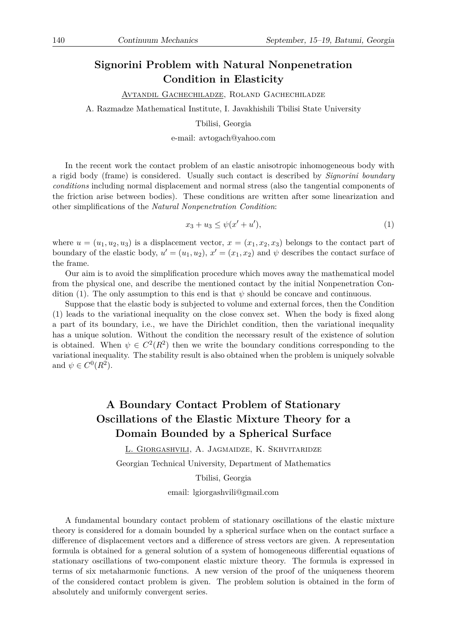### **Signorini Problem with Natural Nonpenetration Condition in Elasticity**

Avtandil Gachechiladze, Roland Gachechiladze

A. Razmadze Mathematical Institute, I. Javakhishili Tbilisi State University

#### Tbilisi, Georgia

e-mail: avtogach@yahoo.com

In the recent work the contact problem of an elastic anisotropic inhomogeneous body with a rigid body (frame) is considered. Usually such contact is described by *Signorini boundary conditions* including normal displacement and normal stress (also the tangential components of the friction arise between bodies). These conditions are written after some linearization and other simplifications of the *Natural Nonpenetration Condition*:

$$
x_3 + u_3 \le \psi(x' + u'), \tag{1}
$$

where  $u = (u_1, u_2, u_3)$  is a displacement vector,  $x = (x_1, x_2, x_3)$  belongs to the contact part of boundary of the elastic body,  $u' = (u_1, u_2)$ ,  $x' = (x_1, x_2)$  and  $\psi$  describes the contact surface of the frame.

Our aim is to avoid the simplification procedure which moves away the mathematical model from the physical one, and describe the mentioned contact by the initial Nonpenetration Condition (1). The only assumption to this end is that  $\psi$  should be concave and continuous.

Suppose that the elastic body is subjected to volume and external forces, then the Condition (1) leads to the variational inequality on the close convex set. When the body is fixed along a part of its boundary, i.e., we have the Dirichlet condition, then the variational inequality has a unique solution. Without the condition the necessary result of the existence of solution is obtained. When  $\psi \in C^2(R^2)$  then we write the boundary conditions corresponding to the variational inequality. The stability result is also obtained when the problem is uniquely solvable and  $\psi \in C^0(R^2)$ .

# **A Boundary Contact Problem of Stationary Oscillations of the Elastic Mixture Theory for a Domain Bounded by a Spherical Surface**

L. Giorgashvili, A. Jagmaidze, K. Skhvitaridze

Georgian Technical University, Department of Mathematics

Tbilisi, Georgia

email: lgiorgashvili@gmail.com

A fundamental boundary contact problem of stationary oscillations of the elastic mixture theory is considered for a domain bounded by a spherical surface when on the contact surface a difference of displacement vectors and a difference of stress vectors are given. A representation formula is obtained for a general solution of a system of homogeneous differential equations of stationary oscillations of two-component elastic mixture theory. The formula is expressed in terms of six metaharmonic functions. A new version of the proof of the uniqueness theorem of the considered contact problem is given. The problem solution is obtained in the form of absolutely and uniformly convergent series.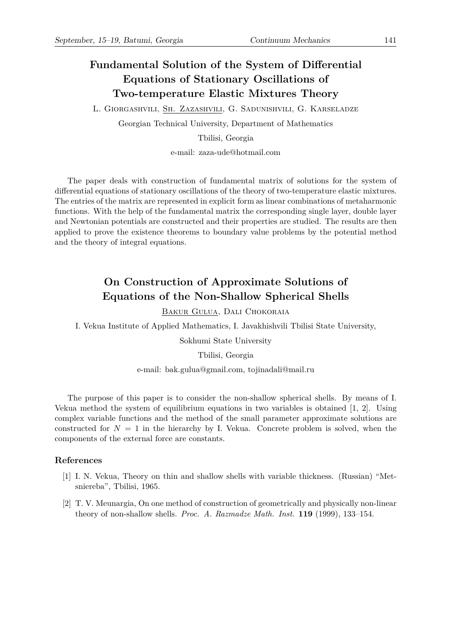# **Fundamental Solution of the System of Differential Equations of Stationary Oscillations of Two-temperature Elastic Mixtures Theory**

L. Giorgashvili, Sh. Zazashvili, G. Sadunishvili, G. Karseladze

Georgian Technical University, Department of Mathematics

Tbilisi, Georgia

e-mail: zaza-ude@hotmail.com

The paper deals with construction of fundamental matrix of solutions for the system of differential equations of stationary oscillations of the theory of two-temperature elastic mixtures. The entries of the matrix are represented in explicit form as linear combinations of metaharmonic functions. With the help of the fundamental matrix the corresponding single layer, double layer and Newtonian potentials are constructed and their properties are studied. The results are then applied to prove the existence theorems to boundary value problems by the potential method and the theory of integral equations.

### **On Construction of Approximate Solutions of Equations of the Non-Shallow Spherical Shells**

Bakur Gulua, Dali Chokoraia

I. Vekua Institute of Applied Mathematics, I. Javakhishvili Tbilisi State University,

Sokhumi State University

Tbilisi, Georgia

e-mail: bak.gulua@gmail.com, tojinadali@mail.ru

The purpose of this paper is to consider the non-shallow spherical shells. By means of I. Vekua method the system of equilibrium equations in two variables is obtained [1, 2]. Using complex variable functions and the method of the small parameter approximate solutions are constructed for  $N = 1$  in the hierarchy by I. Vekua. Concrete problem is solved, when the components of the external force are constants.

#### **References**

- [1] I. N. Vekua, Theory on thin and shallow shells with variable thickness. (Russian) "Metsniereba", Tbilisi, 1965.
- [2] T. V. Meunargia, On one method of construction of geometrically and physically non-linear theory of non-shallow shells. *Proc. A. Razmadze Math. Inst.* **119** (1999), 133–154.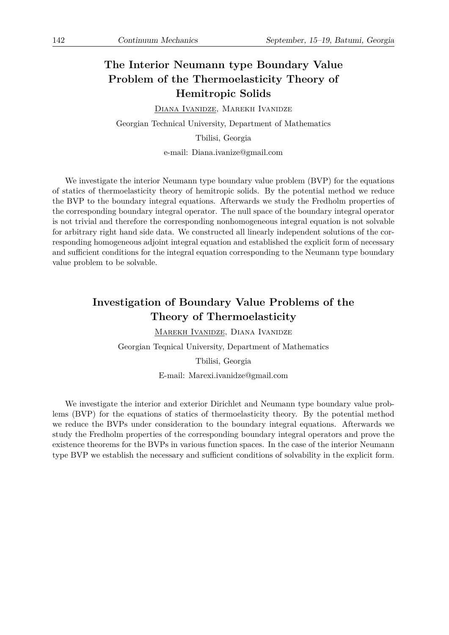# **The Interior Neumann type Boundary Value Problem of the Thermoelasticity Theory of Hemitropic Solids**

Diana Ivanidze, Marekh Ivanidze Georgian Technical University, Department of Mathematics Tbilisi, Georgia

e-mail: Diana.ivanize@gmail.com

We investigate the interior Neumann type boundary value problem (BVP) for the equations of statics of thermoelasticity theory of hemitropic solids. By the potential method we reduce the BVP to the boundary integral equations. Afterwards we study the Fredholm properties of the corresponding boundary integral operator. The null space of the boundary integral operator is not trivial and therefore the corresponding nonhomogeneous integral equation is not solvable for arbitrary right hand side data. We constructed all linearly independent solutions of the corresponding homogeneous adjoint integral equation and established the explicit form of necessary and sufficient conditions for the integral equation corresponding to the Neumann type boundary value problem to be solvable.

## **Investigation of Boundary Value Problems of the Theory of Thermoelasticity**

Marekh Ivanidze, Diana Ivanidze Georgian Teqnical University, Department of Mathematics Tbilisi, Georgia E-mail: Marexi.ivanidze@gmail.com

We investigate the interior and exterior Dirichlet and Neumann type boundary value problems (BVP) for the equations of statics of thermoelasticity theory. By the potential method we reduce the BVPs under consideration to the boundary integral equations. Afterwards we study the Fredholm properties of the corresponding boundary integral operators and prove the existence theorems for the BVPs in various function spaces. In the case of the interior Neumann type BVP we establish the necessary and sufficient conditions of solvability in the explicit form.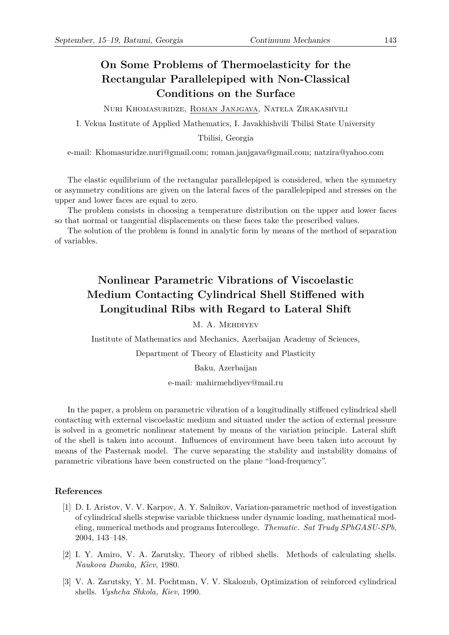# **On Some Problems of Thermoelasticity for the Rectangular Parallelepiped with Non-Classical Conditions on the Surface**

Nuri Khomasuridze, Roman Janjgava, Natela Zirakashvili

I. Vekua Institute of Applied Mathematics, I. Javakhishvili Tbilisi State University

Tbilisi, Georgia

e-mail: Khomasuridze.nuri@gmail.com; roman.janjgava@gmail.com; natzira@yahoo.com

The elastic equilibrium of the rectangular parallelepiped is considered, when the symmetry or asymmetry conditions are given on the lateral faces of the parallelepiped and stresses on the upper and lower faces are equal to zero.

The problem consists in choosing a temperature distribution on the upper and lower faces so that normal or tangential displacements on these faces take the prescribed values.

The solution of the problem is found in analytic form by means of the method of separation of variables.

# **Nonlinear Parametric Vibrations of Viscoelastic Medium Contacting Cylindrical Shell Stiffened with Longitudinal Ribs with Regard to Lateral Shift**

M. A. MEHDIYEV

Institute of Mathematics and Mechanics, Azerbaijan Academy of Sciences,

Department of Theory of Elasticity and Plasticity

Baku, Azerbaijan

e-mail: mahirmehdiyev@mail.ru

In the paper, a problem on parametric vibration of a longitudinally stiffened cylindrical shell contacting with external viscoelastic medium and situated under the action of external pressure is solved in a geometric nonlinear statement by means of the variation principle. Lateral shift of the shell is taken into account. Influences of environment have been taken into account by means of the Pasternak model. The curve separating the stability and instability domains of parametric vibrations have been constructed on the plane "load-frequency".

### **References**

- [1] D. I. Aristov, V. V. Karpov, A. Y. Salnikov, Variation-parametric method of investigation of cylindrical shells stepwise variable thickness under dynamic loading, mathematical modeling, numerical methods and programs Intercollege. *Thematic. Sat Trudy SPbGASU-SPb*, 2004, 143–148.
- [2] I. Y. Amiro, V. A. Zarutsky, Theory of ribbed shells. Methods of calculating shells. *Naukova Dumka, Kiev*, 1980.
- [3] V. A. Zarutsky, Y. M. Pochtman, V. V. Skalozub, Optimization of reinforced cylindrical shells. *Vyshcha Shkola, Kiev*, 1990.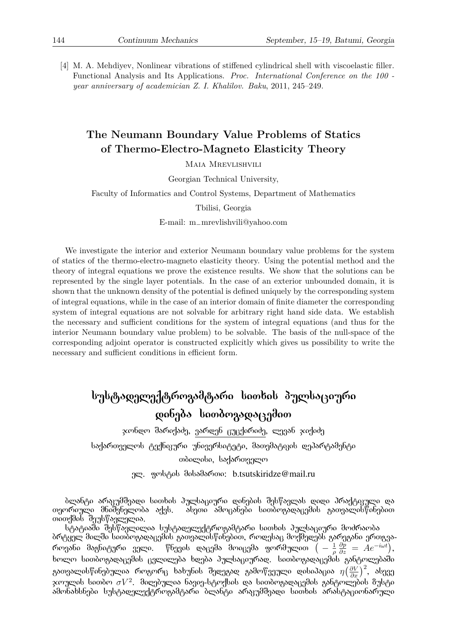[4] M. A. Mehdiyev, Nonlinear vibrations of stiffened cylindrical shell with viscoelastic filler. Functional Analysis and Its Applications. *Proc. International Conference on the 100 year anniversary of academician Z. I. Khalilov. Baku*, 2011, 245–249.

# **The Neumann Boundary Value Problems of Statics of Thermo-Electro-Magneto Elasticity Theory**

Maia Mrevlishvili

Georgian Technical University,

Faculty of Informatics and Control Systems, Department of Mathematics

Tbilisi, Georgia

E-mail: m*−*mrevlishvili@yahoo.com

We investigate the interior and exterior Neumann boundary value problems for the system of statics of the thermo-electro-magneto elasticity theory. Using the potential method and the theory of integral equations we prove the existence results. We show that the solutions can be represented by the single layer potentials. In the case of an exterior unbounded domain, it is shown that the unknown density of the potential is defined uniquely by the corresponding system of integral equations, while in the case of an interior domain of finite diameter the corresponding system of integral equations are not solvable for arbitrary right hand side data. We establish the necessary and sufficient conditions for the system of integral equations (and thus for the interior Neumann boundary value problem) to be solvable. The basis of the null-space of the corresponding adjoint operator is constructed explicitly which gives us possibility to write the necessary and sufficient conditions in efficient form.

# სუსტადელექტროგამტარი სითხის პულსაციური  $\phi$ დინება სითბოგადაცემით

 $\infty$ რნდო შარიქაძე, ვარდენ ცუცქირიძე, ლევან  $\infty$ ექიძე საქართველოს ტექნიკური უნივერსიტეტი, მათემატიკის დეპარტამენტი mongolo, bodomango

ელ. ფოსტის მისამართი: b.tsutskiridze@mail.ru

ձლანტი არაკუმშვადი სითხის პულსაციური დინების შესწავლას დიდი პრაქტიკული და<br>თეორიული მნიშვნელობა აქვს, ასეთი ამოცანები სითბოგადაცემის გათვალისწინებით ÈÄÏÒÉÖËÉ ÌÍÉÛÅÍÄËÏÁÀ ÀØÅÓ. ÀÓÄÈÉ ÀÌÏÝÀÍÄÁÉ ÓÉÈÁÏÂÀÃÀÝÄÌÉÓ ÂÀÈÅÀËÉÓßÉÍÄÁÉÈ onongol de despondent

სტატიაში შესწავლილია სუსტადელექტროგამტარი სითხის პულსაციური მოძრაობა ბრტყელ მილში სითბოგადაცემის გათვალისწინებით, როდესაც მოქმედებს გარეგანი ერთგვაროვანი მაგნიტური ველი. წნევის დაცემა მოიცემა ფორმულით ( — <u>4</u> *ρ ∂p ∂z* = *Ae−iωt*) , <u>ხოლო სითბოგადაცემის ცვლილება ხღება პულსაციურად. სითბოგადაცემის განტოლებაში</u> გათვალისწინებულია როგორც ხახუნის შეღეგად გამოწვეული დისიპაცია  $\eta(\frac{\partial V}{\partial x})^2$ , ასევე  $\bm{{z}}$ ოულის სითბო  $\sigma V^2$ . მიღებულია ნავიე-სტოქსის და სითბოგადაცემის განტოლების ზუსტი ِ ამონახსნები სუსტადელექტროგამტარი ბლანტი არაყუმშვადი სითხის არასტაციონარული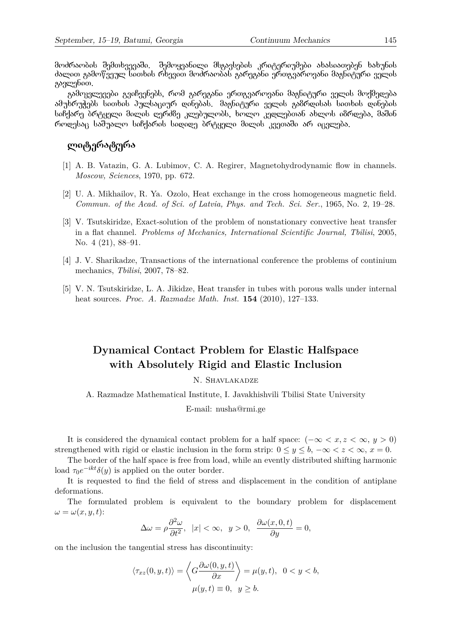ীოძრაობის შემთხვევაში. შემოყვანილი მსგავსების კრიტერიუმები ახასიათებენ ხახუნის <u>ძალით გამოწვეულ სითხის რხევით მოძრაობას გ</u>არეგანი ერთგვაროვანი მაგნიტური ველის  $\beta$ ბვლეხით.

გამოკვლევები გვიჩვენებს, რომ გარეგანი ერთგვაროვანი მაგნიტური ველის მოქმეღება ამუხრუჭებს სითხის პულსაციურ დინებას. მაგნიტური ველის გამრდისას სითხის დინების სიჩქარე ბრტყელი მილის ღერძზე კლებულობს, ხოლო კედლებთან ახლოს იმრღება, მაშინ როღესაც საშუალო სიჩქარის სიღიღე ბრტყელი მილის კვეთაში არ იცვლება.

### ლიტერატურა

- [1] A. B. Vatazin, G. A. Lubimov, C. A. Regirer, Magnetohydrodynamic flow in channels. *Moscow, Sciences*, 1970, pp. 672.
- [2] U. A. Mikhailov, R. Ya. Ozolo, Heat exchange in the cross homogeneous magnetic field. *Commun. of the Acad. of Sci. of Latvia, Phys. and Tech. Sci. Ser.*, 1965, No. 2, 19–28.
- [3] V. Tsutskiridze, Exact-solution of the problem of nonstationary convective heat transfer in a flat channel. *Problems of Mechanics, International Scientific Journal, Tbilisi*, 2005, No. 4 (21), 88-91.
- [4] J. V. Sharikadze, Transactions of the international conference the problems of continium mechanics, *Tbilisi*, 2007, 78–82.
- [5] V. N. Tsutskiridze, L. A. Jikidze, Heat transfer in tubes with porous walls under internal heat sources. *Proc. A. Razmadze Math. Inst.* **154** (2010), 127–133.

## **Dynamical Contact Problem for Elastic Halfspace with Absolutely Rigid and Elastic Inclusion**

N. Shavlakadze

A. Razmadze Mathematical Institute, I. Javakhishvili Tbilisi State University

E-mail: nusha@rmi.ge

It is considered the dynamical contact problem for a half space:  $(-\infty < x, z < \infty, y > 0)$ strengthened with rigid or elastic inclusion in the form strip:  $0 \le y \le b$ ,  $-\infty < z < \infty$ ,  $x = 0$ .

The border of the half space is free from load, while an evently distributed shifting harmonic load  $\tau_0 e^{-ikt} \delta(y)$  is applied on the outer border.

It is requested to find the field of stress and displacement in the condition of antiplane deformations.

The formulated problem is equivalent to the boundary problem for displacement  $\omega = \omega(x, y, t)$ :

$$
\Delta \omega = \rho \frac{\partial^2 \omega}{\partial t^2}, \ \ |x| < \infty, \ \ y > 0, \ \ \frac{\partial \omega(x, 0, t)}{\partial y} = 0,
$$

on the inclusion the tangential stress has discontinuity:

$$
\langle \tau_{xz}(0, y, t) \rangle = \left\langle G \frac{\partial \omega(0, y, t)}{\partial x} \right\rangle = \mu(y, t), \ \ 0 < y < b,
$$
\n
$$
\mu(y, t) \equiv 0, \ \ y \ge b.
$$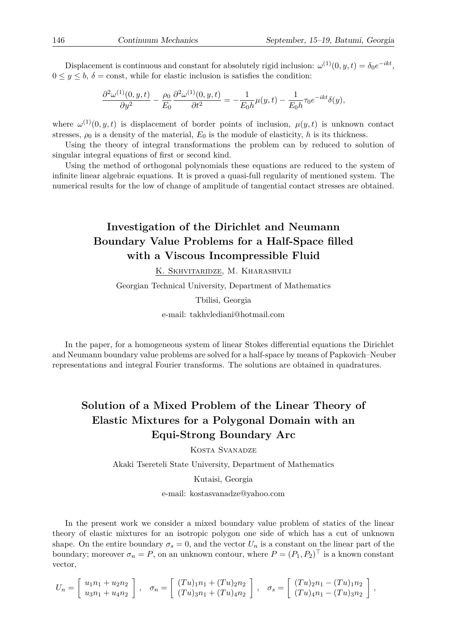Displacement is continuous and constant for absolutely rigid inclusion:  $\omega^{(1)}(0, y, t) = \delta_0 e^{-ikt}$ ,  $0 \leq y \leq b$ ,  $\delta$  = const, while for elastic inclusion is satisfies the condition:

$$
\frac{\partial^2 \omega^{(1)}(0, y, t)}{\partial y^2} - \frac{\rho_0}{E_0} \frac{\partial^2 \omega^{(1)}(0, y, t)}{\partial t^2} = -\frac{1}{E_0 h} \mu(y, t) - \frac{1}{E_0 h} \tau_0 e^{-ikt} \delta(y),
$$

where  $\omega^{(1)}(0, y, t)$  is displacement of border points of inclusion,  $\mu(y, t)$  is unknown contact stresses,  $\rho_0$  is a density of the material,  $E_0$  is the module of elasticity, *h* is its thickness.

Using the theory of integral transformations the problem can by reduced to solution of singular integral equations of first or second kind.

Using the method of orthogonal polynomials these equations are reduced to the system of infinite linear algebraic equations. It is proved a quasi-full regularity of mentioned system. The numerical results for the low of change of amplitude of tangential contact stresses are obtained.

## **Investigation of the Dirichlet and Neumann Boundary Value Problems for a Half-Space filled with a Viscous Incompressible Fluid**

K. Skhvitaridze, M. Kharashvili

Georgian Technical University, Department of Mathematics

Tbilisi, Georgia

e-mail: takhvlediani@hotmail.com

In the paper, for a homogeneous system of linear Stokes differential equations the Dirichlet and Neumann boundary value problems are solved for a half-space by means of Papkovich–Neuber representations and integral Fourier transforms. The solutions are obtained in quadratures.

## **Solution of a Mixed Problem of the Linear Theory of Elastic Mixtures for a Polygonal Domain with an Equi-Strong Boundary Arc**

KOSTA SVANADZE

Akaki Tsereteli State University, Department of Mathematics

Kutaisi, Georgia

e-mail: kostasvanadze@yahoo.com

In the present work we consider a mixed boundary value problem of statics of the linear theory of elastic mixtures for an isotropic polygon one side of which has a cut of unknown shape. On the entire boundary  $\sigma_s = 0$ , and the vector  $U_n$  is a constant on the linear part of the boundary; moreover  $\sigma_n = P$ , on an unknown contour, where  $P = (P_1, P_2)^\top$  is a known constant vector,

$$
U_n = \begin{bmatrix} u_1 n_1 + u_2 n_2 \\ u_3 n_1 + u_4 n_2 \end{bmatrix}, \quad \sigma_n = \begin{bmatrix} (Tu)_1 n_1 + (Tu)_2 n_2 \\ (Tu)_3 n_1 + (Tu)_4 n_2 \end{bmatrix}, \quad \sigma_s = \begin{bmatrix} (Tu)_2 n_1 - (Tu)_1 n_2 \\ (Tu)_4 n_1 - (Tu)_3 n_2 \end{bmatrix},
$$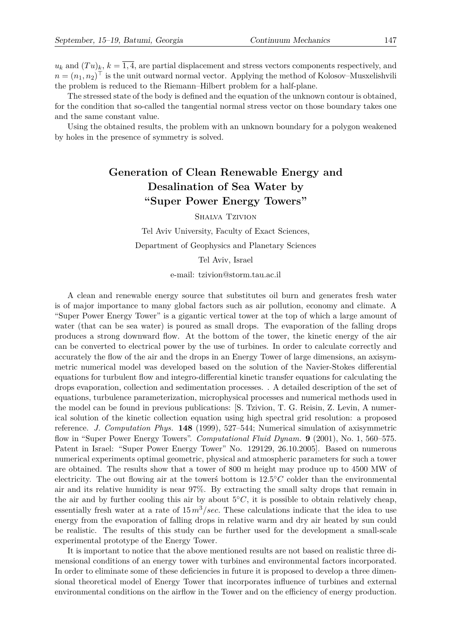$u_k$  and  $(Tu)_k$ ,  $k = \overline{1, 4}$ , are partial displacement and stress vectors components respectively, and  $n = (n_1, n_2)^+$  is the unit outward normal vector. Applying the method of Kolosov–Musxelishvili the problem is reduced to the Riemann–Hilbert problem for a half-plane.

The stressed state of the body is defined and the equation of the unknown contour is obtained, for the condition that so-called the tangential normal stress vector on those boundary takes one and the same constant value.

Using the obtained results, the problem with an unknown boundary for a polygon weakened by holes in the presence of symmetry is solved.

## **Generation of Clean Renewable Energy and Desalination of Sea Water by "Super Power Energy Towers"**

### SHALVA TZIVION

Tel Aviv University, Faculty of Exact Sciences,

Department of Geophysics and Planetary Sciences

#### Tel Aviv, Israel

e-mail: tzivion@storm.tau.ac.il

A clean and renewable energy source that substitutes oil burn and generates fresh water is of major importance to many global factors such as air pollution, economy and climate. A "Super Power Energy Tower" is a gigantic vertical tower at the top of which a large amount of water (that can be sea water) is poured as small drops. The evaporation of the falling drops produces a strong downward flow. At the bottom of the tower, the kinetic energy of the air can be converted to electrical power by the use of turbines. In order to calculate correctly and accurately the flow of the air and the drops in an Energy Tower of large dimensions, an axisymmetric numerical model was developed based on the solution of the Navier-Stokes differential equations for turbulent flow and integro-differential kinetic transfer equations for calculating the drops evaporation, collection and sedimentation processes. . A detailed description of the set of equations, turbulence parameterization, microphysical processes and numerical methods used in the model can be found in previous publications: [S. Tzivion, T. G. Reisin, Z. Levin, A numerical solution of the kinetic collection equation using high spectral grid resolution: a proposed reference. *J. Computation Phys.* **148** (1999), 527–544; Numerical simulation of axisymmetric flow in "Super Power Energy Towers". *Computational Fluid Dynam.* **9** (2001), No. 1, 560–575. Patent in Israel: "Super Power Energy Tower" No. 129129, 26.10.2005]. Based on numerous numerical experiments optimal geometric, physical and atmospheric parameters for such a tower are obtained. The results show that a tower of 800 m height may produce up to 4500 MW of electricity. The out flowing air at the towerś bottom is 12*.*5 *◦C* colder than the environmental air and its relative humidity is near 97%. By extracting the small salty drops that remain in the air and by further cooling this air by about  $5^{\circ}C$ , it is possible to obtain relatively cheap, essentially fresh water at a rate of  $15 \, m^3/sec$ . These calculations indicate that the idea to use energy from the evaporation of falling drops in relative warm and dry air heated by sun could be realistic. The results of this study can be further used for the development a small-scale experimental prototype of the Energy Tower.

It is important to notice that the above mentioned results are not based on realistic three dimensional conditions of an energy tower with turbines and environmental factors incorporated. In order to eliminate some of these deficiencies in future it is proposed to develop a three dimensional theoretical model of Energy Tower that incorporates influence of turbines and external environmental conditions on the airflow in the Tower and on the efficiency of energy production.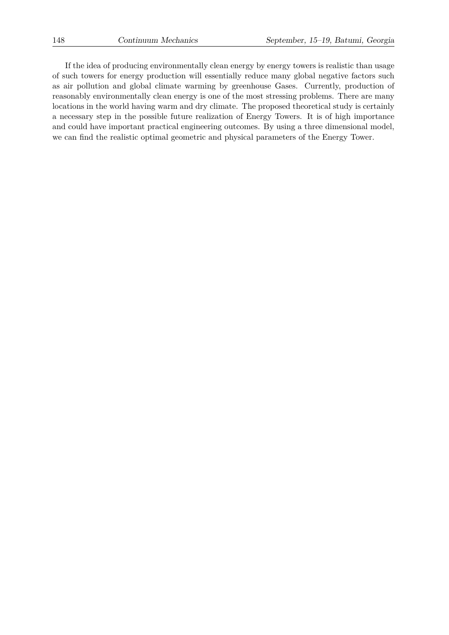If the idea of producing environmentally clean energy by energy towers is realistic than usage of such towers for energy production will essentially reduce many global negative factors such as air pollution and global climate warming by greenhouse Gases. Currently, production of reasonably environmentally clean energy is one of the most stressing problems. There are many locations in the world having warm and dry climate. The proposed theoretical study is certainly a necessary step in the possible future realization of Energy Towers. It is of high importance and could have important practical engineering outcomes. By using a three dimensional model, we can find the realistic optimal geometric and physical parameters of the Energy Tower.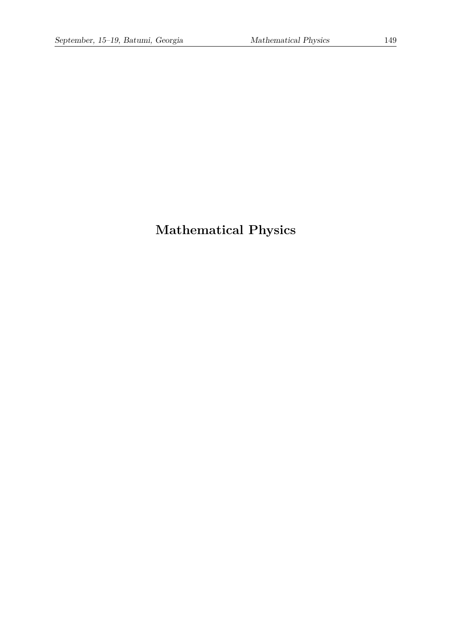# **Mathematical Physics**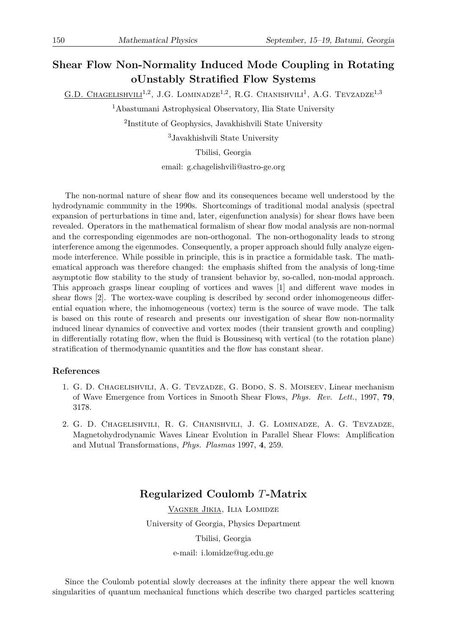### **Shear Flow Non-Normality Induced Mode Coupling in Rotating oUnstably Stratified Flow Systems**

G.D. Chagelishvili<sup>1,2</sup>, J.G. Lominadze<sup>1,2</sup>, R.G. Chanishvili<sup>1</sup>, A.G. Tevzadze<sup>1,3</sup>

<sup>1</sup>Abastumani Astrophysical Observatory, Ilia State University

2 Institute of Geophysics, Javakhishvili State University

<sup>3</sup>Javakhishvili State University

Tbilisi, Georgia

email: g.chagelishvili@astro-ge.org

The non-normal nature of shear flow and its consequences became well understood by the hydrodynamic community in the 1990s. Shortcomings of traditional modal analysis (spectral expansion of perturbations in time and, later, eigenfunction analysis) for shear flows have been revealed. Operators in the mathematical formalism of shear flow modal analysis are non-normal and the corresponding eigenmodes are non-orthogonal. The non-orthogonality leads to strong interference among the eigenmodes. Consequently, a proper approach should fully analyze eigenmode interference. While possible in principle, this is in practice a formidable task. The mathematical approach was therefore changed: the emphasis shifted from the analysis of long-time asymptotic flow stability to the study of transient behavior by, so-called, non-modal approach. This approach grasps linear coupling of vortices and waves [1] and different wave modes in shear flows [2]. The wortex-wave coupling is described by second order inhomogeneous differential equation where, the inhomogeneous (vortex) term is the source of wave mode. The talk is based on this route of research and presents our investigation of shear flow non-normality induced linear dynamics of convective and vortex modes (their transient growth and coupling) in differentially rotating flow, when the fluid is Boussinesq with vertical (to the rotation plane) stratification of thermodynamic quantities and the flow has constant shear.

### **References**

- 1. G. D. Chagelishvili, A. G. Tevzadze, G. Bodo, S. S. Moiseev, Linear mechanism of Wave Emergence from Vortices in Smooth Shear Flows, *Phys. Rev. Lett.*, 1997, **79**, 3178.
- 2. G. D. Chagelishvili, R. G. Chanishvili, J. G. Lominadze, A. G. Tevzadze, Magnetohydrodynamic Waves Linear Evolution in Parallel Shear Flows: Amplification and Mutual Transformations, *Phys. Plasmas* 1997, **4**, 259.

### **Regularized Coulomb** *T***-Matrix**

Vagner Jikia, Ilia Lomidze University of Georgia, Physics Department Tbilisi, Georgia e-mail: i.lomidze@ug.edu.ge

Since the Coulomb potential slowly decreases at the infinity there appear the well known singularities of quantum mechanical functions which describe two charged particles scattering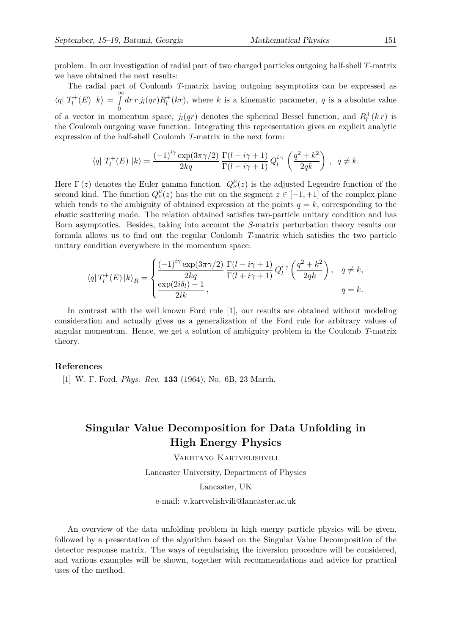problem. In our investigation of radial part of two charged particles outgoing half-shell *T*-matrix we have obtained the next results:

The radial part of Coulomb *T*-matrix having outgoing asymptotics can be expressed as  $\langle q | T_l^+$  $\int_l^{\cdot +}(E) |k\rangle = \int_l^{\infty}$  $\boldsymbol{0}$  $dr r j_l(qr) R_l^+$  $l_l^+(kr)$ , where *k* is a kinematic parameter, *q* is a absolute value of a vector in momentum space,  $j_l(qr)$  denotes the spherical Bessel function, and  $R_l^+$  $\eta_l^+(k r)$  is the Coulomb outgoing wave function. Integrating this representation gives en explicit analytic expression of the half-shell Coulomb *T*-matrix in the next form:

$$
\langle q|T_l^+(E)|k\rangle = \frac{(-1)^{i\gamma}\exp(3\pi\gamma/2)}{2kq}\frac{\Gamma(l-i\gamma+1)}{\Gamma(l+i\gamma+1)}Q_l^{i\gamma}\left(\frac{q^2+k^2}{2qk}\right), q \neq k.
$$

Here  $\Gamma(z)$  denotes the Euler gamma function.  $Q^{\mu}_{\nu}(z)$  is the adjusted Legendre function of the second kind. The function  $Q^{\mu}_{\nu}(z)$  has the cut on the segment  $z \in [-1, +1]$  of the complex plane which tends to the ambiguity of obtained expression at the points  $q = k$ , corresponding to the elastic scattering mode. The relation obtained satisfies two-particle unitary condition and has Born asymptotics. Besides, taking into account the *S*-matrix perturbation theory results our formula allows us to find out the regular Coulomb *T*-matrix which satisfies the two particle unitary condition everywhere in the momentum space:

$$
\langle q|T_l^+(E)|k\rangle_R = \begin{cases} \frac{(-1)^{i\gamma} \exp(3\pi\gamma/2)}{2kq} \frac{\Gamma(l-i\gamma+1)}{\Gamma(l+i\gamma+1)} Q_l^{i\gamma} \left(\frac{q^2+k^2}{2qk}\right), & q \neq k, \\ \frac{\exp(2i\delta_l)-1}{2ik}, & q = k. \end{cases}
$$

In contrast with the well known Ford rule [1], our results are obtained without modeling consideration and actually gives us a generalization of the Ford rule for arbitrary values of angular momentum. Hence, we get a solution of ambiguity problem in the Coulomb *T*-matrix theory.

### **References**

[1] W. F. Ford, *Phys. Rev.* **133** (1964), No. 6B, 23 March.

## **Singular Value Decomposition for Data Unfolding in High Energy Physics**

Vakhtang Kartvelishvili

Lancaster University, Department of Physics

Lancaster, UK

e-mail: v.kartvelishvili@lancaster.ac.uk

An overview of the data unfolding problem in high energy particle physics will be given, followed by a presentation of the algorithm based on the Singular Value Decomposition of the detector response matrix. The ways of regularising the inversion procedure will be considered, and various examples will be shown, together with recommendations and advice for practical uses of the method.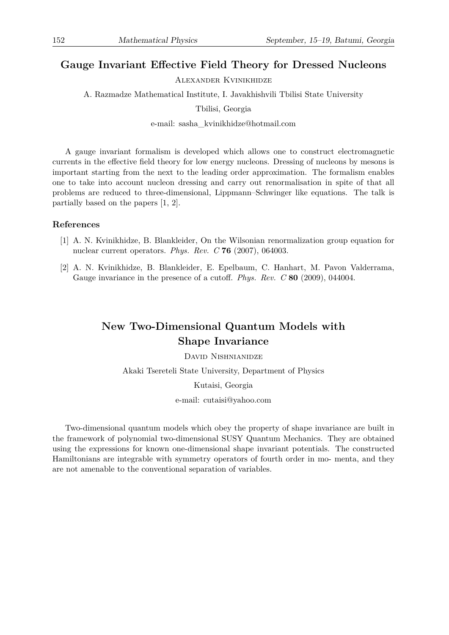### **Gauge Invariant Effective Field Theory for Dressed Nucleons**

Alexander Kvinikhidze

A. Razmadze Mathematical Institute, I. Javakhishvili Tbilisi State University

Tbilisi, Georgia

e-mail: sasha\_kvinikhidze@hotmail.com

A gauge invariant formalism is developed which allows one to construct electromagnetic currents in the effective field theory for low energy nucleons. Dressing of nucleons by mesons is important starting from the next to the leading order approximation. The formalism enables one to take into account nucleon dressing and carry out renormalisation in spite of that all problems are reduced to three-dimensional, Lippmann–Schwinger like equations. The talk is partially based on the papers [1, 2].

#### **References**

- [1] A. N. Kvinikhidze, B. Blankleider, On the Wilsonian renormalization group equation for nuclear current operators. *Phys. Rev. C* **76** (2007), 064003.
- [2] A. N. Kvinikhidze, B. Blankleider, E. Epelbaum, C. Hanhart, M. Pavon Valderrama, Gauge invariance in the presence of a cutoff. *Phys. Rev. C* **80** (2009), 044004.

## **New Two-Dimensional Quantum Models with Shape Invariance**

David Nishnianidze

Akaki Tsereteli State University, Department of Physics

Kutaisi, Georgia

e-mail: cutaisi@yahoo.com

Two-dimensional quantum models which obey the property of shape invariance are built in the framework of polynomial two-dimensional SUSY Quantum Mechanics. They are obtained using the expressions for known one-dimensional shape invariant potentials. The constructed Hamiltonians are integrable with symmetry operators of fourth order in mo- menta, and they are not amenable to the conventional separation of variables.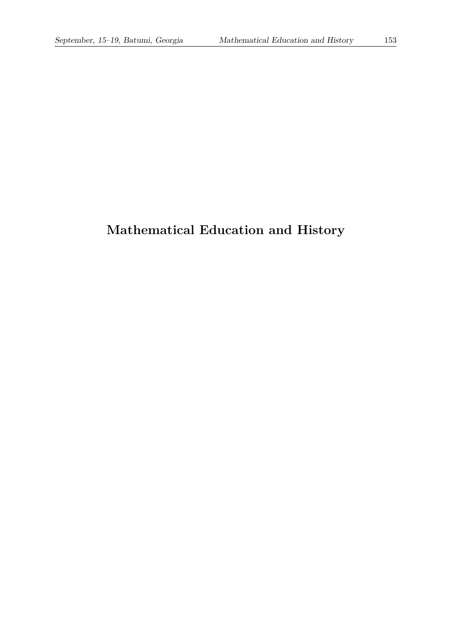# **Mathematical Education and History**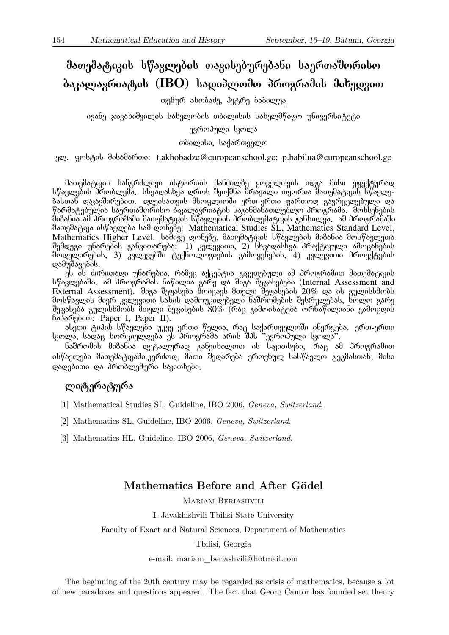## მათემატიკის სწავლების თავისებურებანი საერთაშორისო  $\delta$ პკალავრიატის (IBO) სადიპლომო პროგრამის მიხედვით

თემურ ახობაძე, პეტრე ბაბილუა

ივანე ჯავახიშვილის სახელობის თბილისის სახელმწიფო უნივერსიტეტი

ევროპული სკოლა

თბილისი, საქართველო

ელ. ფოსტის მისამართი: t.akhobadze@europeanschool.ge; p.babilua@europeanschool.ge

მათემატიკის ხანგრძლივი ისტორიის მანძილმე ყოველთვის იდგა მისი ეფექტურად სწავლების პრობლემა. სხვადასხვა დროს შეიქმნა მრავალი თეორია მათემატიკის სწავლეdolonob conoglomachino composito de designation alemanta and alemante as distrigation cos წარმატებულია საერთაშორისო ბაკალავრიატის საგანმანათლებლო პროგრამა. მოხსენების <u>მიმანია ამ პროგრამაში მათემატიკის სწავლე</u>ბის პრობლემატიკის განხილვა. ამ პროგრაშაში dsongdsტიკა ისწავლება სამ დონეზე: Mathematical Studies SL, Mathematics Standard Level, Mathematics Higher Level. *bdo3* gembg8g, dsongds gand b baggengool do83603 dmb baggengoos შემდეგი უნარების განვითარება: 1) კვლევითი, 2) სხვადასხვა პრაქტიკული ამოცანების მოდელირების, 3) კვლევებში ტექნოლოგიების გამოყენების, 4) კვლევითი პროექტების დამუშავების.

ეს ის ძირითადი უნარებია, რამეც აქცენტია გაკეთებული ამ პროგრამით მათემატიკის სწავლებაში. ამ პროგრამის ნაწილია გარე და შიგა შეფასებები (Internal Assessment and  $\rm{External\,\,\,Assessment)}$ . შიგა შეფასება მოიცავს მთელი შეფასების 20% და ის გულისხმობს მოსწავლის მიერ კვლევითი სახის დამოუკიდებელი ნაშრომების შესრულებას, ხოლო გარე შეფასება გულისხმობს შთელი შეფასების  $80\%$  (რაც გამოიხატება ორნაწილიანი გამოცდის ჩაბარებით: Paper I, Paper II).

ასეთი ტიპის სწავლება უკვე ერთი წელია, რაც საქართველოში ინერგება. ერთ-ერთი lყოლა, სადაც ხორციელღება ეს პროგრამა არის შპს "ევროპული სკოლა".

 $6$ აშრომის მიმანია ღეტალურად განვიხილოთ ის საკითხები, რაც ამ პროგრამით ისწავლება მათემატიკაში.კერძოდ, მათი შედარება ეროვნულ სასწავლო გეგმასთან; მისი coscadoono co dénodeadano basoobado.

### ლიტერატურა

- [1] Mathematical Studies SL, Guideline, IBO 2006, *Geneva, Switzerland*.
- [2] Mathematics SL, Guideline, IBO 2006, *Geneva, Switzerland*.
- [3] Mathematics HL, Guideline, IBO 2006, *Geneva, Switzerland*.

### **Mathematics Before and After Gödel**

Mariam Beriashvili

I. Javakhishvili Tbilisi State University

Faculty of Exact and Natural Sciences, Department of Mathematics

Tbilisi, Georgia

e-mail: mariam\_beriashvili@hotmail.com

The beginning of the 20th century may be regarded as crisis of mathematics, because a lot of new paradoxes and questions appeared. The fact that Georg Cantor has founded set theory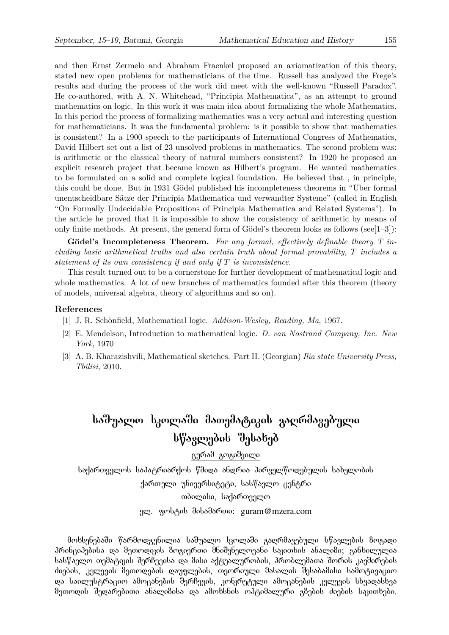and then Ernst Zermelo and Abraham Fraenkel proposed an axiomatization of this theory, stated new open problems for mathematicians of the time. Russell has analyzed the Frege's results and during the process of the work did meet with the well-known "Russell Paradox". He co-authored, with A. N. Whitehead, "Principia Mathematica", as an attempt to ground mathematics on logic. In this work it was main idea about formalizing the whole Mathematics. In this period the process of formalizing mathematics was a very actual and interesting question for mathematicians. It was the fundamental problem: is it possible to show that mathematics is consistent? In a 1900 speech to the participants of International Congress of Mathematics, David Hilbert set out a list of 23 unsolved problems in mathematics. The second problem was: is arithmetic or the classical theory of natural numbers consistent? In 1920 he proposed an explicit research project that became known as Hilbert's program. He wanted mathematics to be formulated on a solid and complete logical foundation. He believed that , in principle, this could be done. But in 1931 Gödel published his incompleteness theorems in "Über formal unentscheidbare Sätze der Principia Mathematica und verwandter Systeme" (called in English "On Formally Undecidable Propositions of Principia Mathematica and Related Systems"). In the article he proved that it is impossible to show the consistency of arithmetic by means of only finite methods. At present, the general form of Gödel's theorem looks as follows (see[1–3]):

**Gödel's Incompleteness Theorem.** *For any formal, effectively definable theory T including basic arithmetical truths and also certain truth about formal provability, T includes a statement of its own consistency if and only if T is inconsistence.*

This result turned out to be a cornerstone for further development of mathematical logic and whole mathematics. A lot of new branches of mathematics founded after this theorem (theory of models, universal algebra, theory of algorithms and so on).

### **References**

- [1] J. R. Schönfield, Mathematical logic. *Addison-Wesley, Reading, Ma*, 1967.
- [2] E. Mendelson, Introduction to mathematical logic. *D. van Nostrand Company, Inc. New York*, 1970
- [3] A. B. Kharazishvili, Mathematical sketches. Part II. (Georgian) *Ilia state University Press, Tbilisi*, 2010.

## საშუალო სკოლაში მათემატიკის გაღრმავებული bhagmadol dalsbad

გურამ გოგიშვილი

საქართველოს საპატრიარქოს წმიდა ანდრია პირველწოდებულის სახელობის ქართული უნივერსიტეტი, სასწავლო ცენტრი moomolo, badamongmen ელ. ფოსტის მისამართი: guram@mzera.com

მოხსენებაში წარმოდგენილია საშუალო სკოლაში გაღრმავებული სწავლების ბოგადი პრინციპებისა და მეთოდიკის ზოგიერთი მნიშვნელოვანი საკითხის ანალიზი; განხილულია სასწავლო თემატიკის შერჩევისა და მისი აქტუალურობის, პრობლემათა შორის კავშირების ժიების, კვლევის მეთოდების დაუფლების, თეორიული მასალის შესაბამისი სამოტივაციო და საილუსტრაციო ამოცანების შერჩევის, კონკრეტული ამოცანების კვლევის სხვადასხვა შეთოდის შედარებითი ანალიზისა და ამოხსნის ოპტიმალური გზების ძიების საკითხები.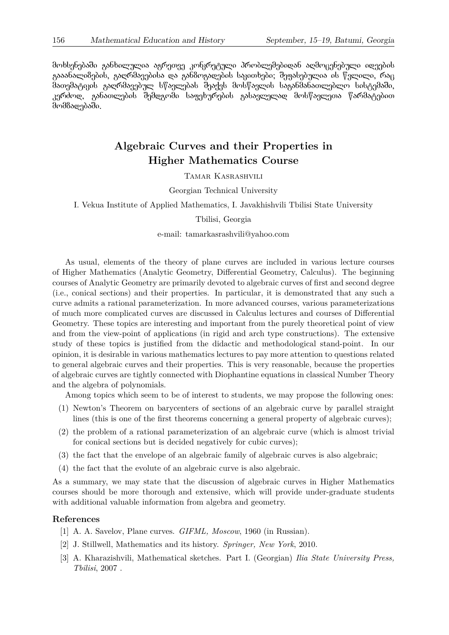<u>მოხსენებაში განხილულია აგრეთვე კონკრეტულ</u>ი პრობ<u>ლე</u>მებიდან აღმოცენებული იღეების გააანალიზების, გაღრმავებისა და გან**ბოგადების საკითხები; შეფასებულია ის წ**ვლილი, რაც მათემატიკის გაღრმავებულ სწავლებას შეაქვს მოსწავლის საგანმანათლებლო სისტემაში,  $\lambda$ ერძოდ, განათლების შემდგომი საფეხურების გასავლელად მოსწავლეთა წარმატებით მომბადებაში.

## **Algebraic Curves and their Properties in Higher Mathematics Course**

Tamar Kasrashvili

Georgian Technical University

I. Vekua Institute of Applied Mathematics, I. Javakhishvili Tbilisi State University

Tbilisi, Georgia

e-mail: tamarkasrashvili@yahoo.com

As usual, elements of the theory of plane curves are included in various lecture courses of Higher Mathematics (Analytic Geometry, Differential Geometry, Calculus). The beginning courses of Analytic Geometry are primarily devoted to algebraic curves of first and second degree (i.e., conical sections) and their properties. In particular, it is demonstrated that any such a curve admits a rational parameterization. In more advanced courses, various parameterizations of much more complicated curves are discussed in Calculus lectures and courses of Differential Geometry. These topics are interesting and important from the purely theoretical point of view and from the view-point of applications (in rigid and arch type constructions). The extensive study of these topics is justified from the didactic and methodological stand-point. In our opinion, it is desirable in various mathematics lectures to pay more attention to questions related to general algebraic curves and their properties. This is very reasonable, because the properties of algebraic curves are tightly connected with Diophantine equations in classical Number Theory and the algebra of polynomials.

Among topics which seem to be of interest to students, we may propose the following ones:

- (1) Newton's Theorem on barycenters of sections of an algebraic curve by parallel straight lines (this is one of the first theorems concerning a general property of algebraic curves);
- (2) the problem of a rational parameterization of an algebraic curve (which is almost trivial for conical sections but is decided negatively for cubic curves);
- (3) the fact that the envelope of an algebraic family of algebraic curves is also algebraic;
- (4) the fact that the evolute of an algebraic curve is also algebraic.

As a summary, we may state that the discussion of algebraic curves in Higher Mathematics courses should be more thorough and extensive, which will provide under-graduate students with additional valuable information from algebra and geometry.

#### **References**

- [1] A. A. Savelov, Plane curves. *GIFML, Moscow*, 1960 (in Russian).
- [2] J. Stillwell, Mathematics and its history. *Springer, New York*, 2010.
- [3] A. Kharazishvili, Mathematical sketches. Part I. (Georgian) *Ilia State University Press, Tbilisi*, 2007 .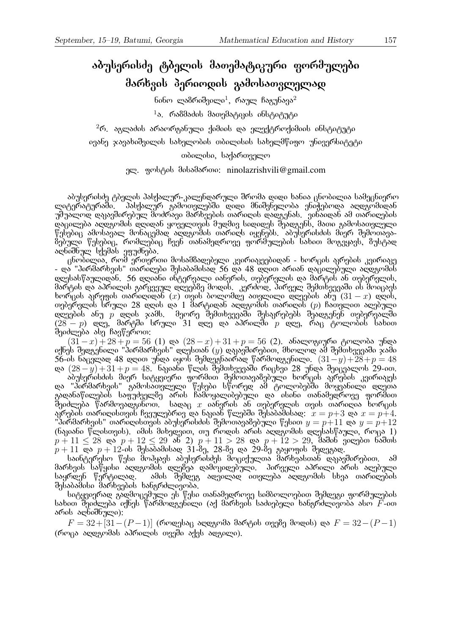## აბუსერისძე ტაბელის მათემატიკური ფორმულები  $\partial$ პრხვის პერიოდის გამოსათვლელად

 $\rm\,$ ნინო ლამრიშვილი $^1$ , რაულ ჩაგუნავა $^2$ 

 $^1$ ა. რაზმაძის მათემატიკის ინსტიტუტი

 $2$ რ. აგლაძის არაორგანული ქიმიის და ელექტროქიმიის ინსტიტუტი

éებნე ჯავახიშვილის სახელობის თბილისის სახელმწიფო უნივერსიტეტი

### moomolo, badamonggmen

### age. grobeol dobsdsmoo: ninolazrishvili@gmail.com

 $\delta$ ბუსერისძე ტბელის პასქალურ-კალენდარული შრომა დიდი ხანია ცნობილია სამეცნიერო ლიტერატურაში. პასქალურ გამოთვლებში დიდი მნიშვნელობა ენიჭებოდა აღდგომიდან უშუალოდ დაკაეშირებულ მოძრავი მარხვების თარიღის დადგენას, ვინაიდან ამ თარიღების დაცილება აღდგომის დღიდან ყოველთვის მუდმივ სიდიდეს შეადგენს, მათი გამოსათვლელი წესებიც ამოსავალ მონაცემად აღღგომის თარიღს იყენებს. აბუსერისძის მიერ შემოთავაგებული წესებიც, რომლებიც ჩვენ თანამედროვე ფორმულების სახით მოგვყავს, ბუსტად აღნიშნულ სქემას ეფუძნება.

ცნობილია, რომ ერთერთი მოსამზაღებელი კვირიაკეებიდან - ხორცის აკრების კვირიაკე - და "პირმარხვის" თარიღები შესაბამისად 56 და 48 დღით არიან დაცილებული აღდგომის დღესასწაულიდან. 56 დღიანი ინტერვალი იანვრის, თებერვლის და მარტის ან თებერვლის,  $\partial \mathbf{K}$ ტის და აპრილის გარკვეულ ღღეებზე მოღის, კერძოდ, პირველ შემთხვევაში ის შოიცავს ხორცის აკრეფის თარიღიდან  $(x)$  თვის ბოლომდე ათვლილი დღეების ანუ  $(31 - x)$  დღის, თებერვლის სრული 28 დღის და 1 მარტიდან აღდგომის თარიღის ( $p$ ) ჩათვლით აღებული დღეების ანუ  $p$  დღის ჯამს. მეორე შემთხვევაში შესაკრებებს შეადგენენ თებერვალში  $(28-p)$  დღე, მარტში სრული 31 დღე და აპრილში  $p$  დღე, რაც ტოლობის სახით  $\mathcal{O}_1$   $\mathcal{O}_2$   $\mathcal{O}_3$   $\mathcal{O}_4$   $\mathcal{O}_5$   $\mathcal{O}_5$   $\mathcal{O}_6$   $\mathcal{O}_7$   $\mathcal{O}_8$   $\mathcal{O}_7$   $\mathcal{O}_8$   $\mathcal{O}_7$   $\mathcal{O}_8$   $\mathcal{O}_7$   $\mathcal{O}_8$   $\mathcal{O}_9$   $\mathcal{O}_8$   $\mathcal{O}_9$   $\mathcal{O}_9$   $\mathcal{O}_9$   $\mathcal{O}_9$   $\mathcal{O}_9$ 

 $(3\overline{1} - x) + 28 + p = 56$  (1) და  $(28 - x) + 31 + p = 56$  (2). ანალოგიური ტოლობა უნდა იქნეს შედგენილი "პირმარხვის" დღესთან ( $y$ ) დაკავშირებით, მხოლოდ ამ შემთხვევაში ჯამი  $5$ ნ-ის ნაცვლად 48 დღით უნდა იყოს შემდეგნაირად წარმოდგენილი.  $(31\!-\!y)\!+\!28\!+\!p = 48$ და  $(28−y)+31+p = 48$ . ნაკიანი წლის შემთხვევაში რიცხვი 28 უნდა შეიცვალოს 29-ით.

აბუსერისძის მიერ სიტყვიერი ფორმით შემოთავამებული ხორცის აკრების კვირიაკეს და "პირმარხვის" გამოსათვლელი წესები სწორედ ამ ტოლობებში მოყვანილი დღეთა გადანაწილების საფუძველმე არის ჩამოყალიბებული და ისინი თანამედროვე ფორმით შეიძლება წარმოვადგინოთ, სადაც  $x$  იანვრის ან თებერვლის თვის თარიღია ხორცის  $\Delta$  $\sum$  "პირმარხვის" თარიღისთვის აბუსერისძის შემოთავამებული წესით  $y = p+11$  და  $y = p+12$ (ნაკიანი წლისთვის). იმის მიხედვით, თუ როდის არის აღდგომის დღესასწაული, როცა 1)  $p+11 \leq 28$  და  $p+12 \leq 29$  ან 2)  $p+11 > 28$  და  $p+12 > 29$ , შაშინ ვიღებთ ნაშთს  $p+11$  და  $p+12$ -ის შესაბამისად 31-**გე, 28-**8ე და 29-8ე გაყოფის შედეგად.

საინტერესო წესი მოჰყავს აბუსერისძეს მოციქულთა მარხვასთან დაკავშირებით. ამ პარხვის საწყისი ალღგომის დღებეა დამოკილებული, პირველი აპრილი არის აღებული<br>საყრღენ წერტილად, ამის შემდეგ ადვილად ითვლება აღდგომის სხვა თარიღების óმის შემდეგ ადვილად ითვლება აღდგომის სხვა თარიღების შესაბაშისი შარხვების ხანგრძლივობა.

სიტყვიერად გადმოცემული ეს წესი თანამედროვე სიმბოლოებით შემდეგი ფორმულების სახით შეიძლება იქნეს წარმოდგენილი (აქ მარხვის საძიებელი ხანგრძლივობა ასო  $\bar{F}$ -ით არის აღნიშნული):

 $F = 32+[31-(P-1)]$  (როღესაც აღღგომა მარტის თვეზე მოდის) და  $F = 32-(P-1)$  $($ როცა აღდგომას აპრილის თვეში აქვს ადგილი).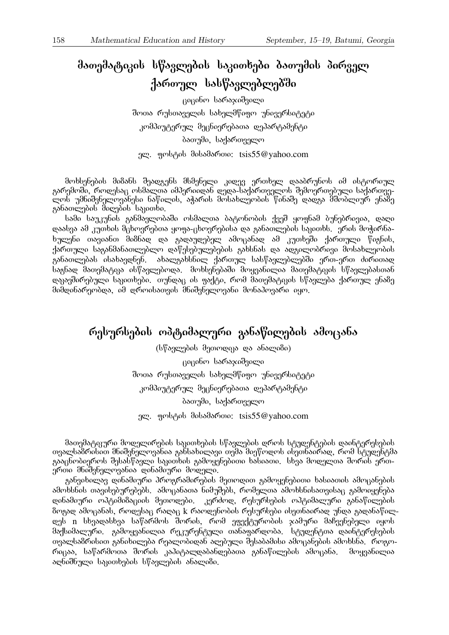## ীათემატიკის სწავლების საკითხები ბათუმის პირველ  $\beta$ პრთულ სასწავლებლებში

 $\beta$ იცინო სარაჯიშვილი შოთა რუსთაველის სახელმწიფო უნივერსიტეტი კომპიუტერულ მეცნიერებათა დეპარტამენტი ბათუმი, საქართველო age. groughou dolsdsmoo: tsis55@vahoo.com

მოხსენების მი8ანს შეადგენს მსმენელი კიდევ ერთხელ დააბრუნოს იმ ისტორიულ გარემოში, როდესაც ოსმალთა იმპერიიდან დედა-საქართველოს შემოერთებული საქართველოს უმნიშვნელოვანესი ნაწილის, აჭარის მოსახლეობის წინაშე დადგა მშობლიურ ენა**მ**ე  $\alpha$ განათლების მიღების საკითხი

სამი საუკუნის განმავლობაში ოსმალთა ბატონობის ქვეშ ყოფნამ ბუნებრივია, დაღი <u>დაასვა ამ კუთხის მცხოვრებთა ყოფა-ცხოვრებისა და განათლების საკითხს. ერის მოჭირნა-</u> ხულენი თავიანთ მიმნად და გადაუდებელ ამოცანად ამ კუთხეში ქართული წიგნის,  $A$ ό το τρατούδε το δέπρει το δίνα της διαδευάλειας διαδευέα το δεν διαδευται διαδευγή λοι განათლებას ისახავდნენ ახალგახსნილ ქართულ სასწავლებლებში ერთ-ერთ ძირითად საგნად მათემატიკა ისწავლებოდა. მოხსენებაში მოყვანილია მათემატიკის სწავლებასთან დაკავშირებული საკითხები, თუნდაც ის ფაქტი, რომ მათემატიკის სწავლება ქართულ ენამე მიმდინარეობდა, იმ დროისათვის მნიშვნელოვანი მონაპოვარი იყო.

## რესურსების ოპტიმალური განაწილების ამოცანა

 $(b\mathcal{F}$ ბვლების მეთოდიკა და ანალიში)  $\beta$ <sub>130</sub> $\beta$ 660 Ushoxodaemo შოთა რუსთაველის სახელმწიფო უნივერსიტეტი კომპიუტერულ მეცნიერებათა დეპარტამენტი domalo, badamongnom am. geologol dolsdsmoo: tsis55@yahoo.com

მათემატიკური მოღელირების საკითხების სწავლების ღროს სტუღენტების დაინტერესების <u>თვალსაშრისით მნიშვნელოვანია განსახილავი თემა მიეწოდოს ისეთნაირად, რომ სტუდენტმა</u> გააცნობიეროს შესასწავლი საკითხის გამოყენებითი ხასიათი. სხვა მოღელთა შორის ერთjრთი მნიშვნელოვანია დინამიური მოდელი.

განვიხილავ დინამიური პროგრამირების მეთოდით გამოყენებითი ხასიათის ამოცანების  $\delta$ პრხსნის თავისებურებებს. ამოცანათა ნიმუშებს, რომელთა ამოხსნისათვისაც გამოიყენება დინამიური ოპტიმიზაციის მეთოღები. კერძოდ, რესურსების ოპტიმალური განაწილების  $\delta$ ოგად ამოცანას, როდესაც რაღაც k რაოდენობის რესურსები ისეთნაირად უნდა გადანაწილ- $\alpha$ ეს n სხვადასხვა საწარმოს შორის, რომ ეფექტურობის ჯამური მაჩვენებელი იყოს მაქსიმალური. გამოყვანილია რეკურენტული თანაფარდობა. სტუდენტთა დაინტერესების <u>თვალსა</u>გრისით განიხილება რეალობიდან აღებული შესაბამისი ამოცანების ამოხსნა. როგორიცაა, საწარმოთა შორის კაპიტალდაბანდებათა განაწილების ამოცანა, მოყვანილია sgbodbygo bajoobydob bhaggood sbsgodo.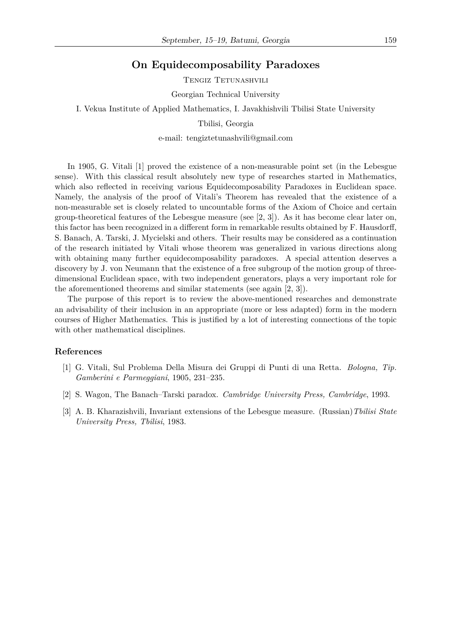### **On Equidecomposability Paradoxes**

TENGIZ TETUNASHVILI

Georgian Technical University

I. Vekua Institute of Applied Mathematics, I. Javakhishvili Tbilisi State University

Tbilisi, Georgia

e-mail: tengiztetunashvili@gmail.com

In 1905, G. Vitali [1] proved the existence of a non-measurable point set (in the Lebesgue sense). With this classical result absolutely new type of researches started in Mathematics, which also reflected in receiving various Equidecomposability Paradoxes in Euclidean space. Namely, the analysis of the proof of Vitali's Theorem has revealed that the existence of a non-measurable set is closely related to uncountable forms of the Axiom of Choice and certain group-theoretical features of the Lebesgue measure (see [2, 3]). As it has become clear later on, this factor has been recognized in a different form in remarkable results obtained by F. Hausdorff, S. Banach, A. Tarski, J. Mycielski and others. Their results may be considered as a continuation of the research initiated by Vitali whose theorem was generalized in various directions along with obtaining many further equidecomposability paradoxes. A special attention deserves a discovery by J. von Neumann that the existence of a free subgroup of the motion group of threedimensional Euclidean space, with two independent generators, plays a very important role for the aforementioned theorems and similar statements (see again [2, 3]).

The purpose of this report is to review the above-mentioned researches and demonstrate an advisability of their inclusion in an appropriate (more or less adapted) form in the modern courses of Higher Mathematics. This is justified by a lot of interesting connections of the topic with other mathematical disciplines.

#### **References**

- [1] G. Vitali, Sul Problema Della Misura dei Gruppi di Punti di una Retta. *Bologna, Tip. Gamberini e Parmeggiani*, 1905, 231–235.
- [2] S. Wagon, The Banach–Tarski paradox. *Cambridge University Press, Cambridge*, 1993.
- [3] A. B. Kharazishvili, Invariant extensions of the Lebesgue measure. (Russian)*Tbilisi State University Press, Tbilisi*, 1983.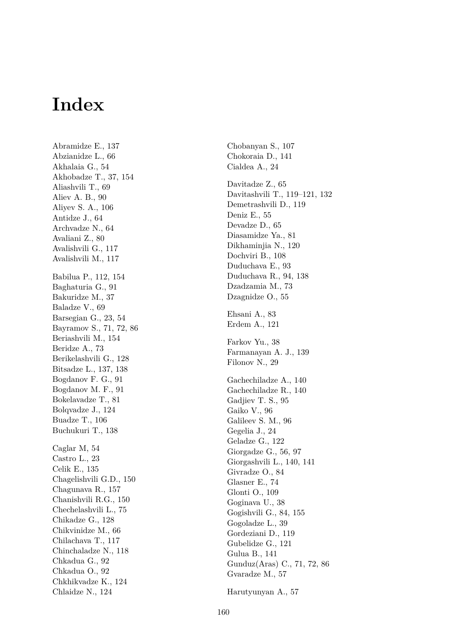# **Index**

Abramidze E., 137 Abzianidze L., 66 Akhalaia G., 54 Akhobadze T., 37, 154 Aliashvili T., 69 Aliev A. B., 90 Aliyev S. A., 106 Antidze J., 64 Archvadze N., 64 Avaliani Z., 80 Avalishvili G., 117 Avalishvili M., 117 Babilua P., 112, 154 Baghaturia G., 91 Bakuridze M., 37 Baladze V., 69 Barsegian G., 23, 54 Bayramov S., 71, 72, 86 Beriashvili M., 154 Beridze A., 73 Berikelashvili G., 128 Bitsadze L., 137, 138 Bogdanov F. G., 91 Bogdanov M. F., 91 Bokelavadze T., 81 Bolqvadze J., 124 Buadze T., 106 Buchukuri T., 138 Caglar M, 54 Castro L., 23 Celik E., 135 Chagelishvili G.D., 150 Chagunava R., 157 Chanishvili R.G., 150 Chechelashvili L., 75 Chikadze G., 128 Chikvinidze M., 66 Chilachava T., 117 Chinchaladze N., 118 Chkadua G., 92 Chkadua O., 92 Chkhikvadze K., 124 Chlaidze N., 124

Chobanyan S., 107 Chokoraia D., 141 Cialdea A., 24 Davitadze Z., 65 Davitashvili T., 119–121, 132 Demetrashvili D., 119 Deniz E., 55 Devadze D., 65 Diasamidze Ya., 81 Dikhaminjia N., 120 Dochviri B., 108 Duduchava E., 93 Duduchava R., 94, 138 Dzadzamia M., 73 Dzagnidze O., 55 Ehsani A., 83 Erdem A., 121 Farkov Yu., 38 Farmanayan A. J., 139 Filonov N., 29 Gachechiladze A., 140 Gachechiladze R., 140 Gadjiev T. S., 95 Gaiko V., 96 Galileev S. M., 96 Gegelia J., 24 Geladze G., 122 Giorgadze G., 56, 97 Giorgashvili L., 140, 141 Givradze O., 84 Glasner E., 74 Glonti O., 109 Goginava U., 38 Gogishvili G., 84, 155 Gogoladze L., 39 Gordeziani D., 119 Gubelidze G., 121 Gulua B., 141 Gunduz(Aras) C., 71, 72, 86 Gvaradze M., 57

Harutyunyan A., 57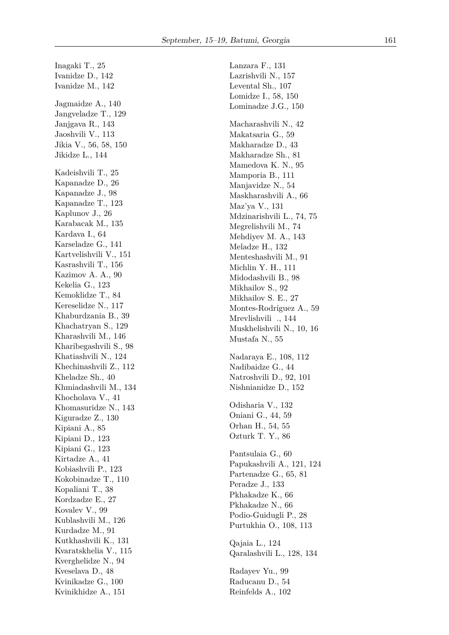Inagaki T., 25 Ivanidze D., 142 Ivanidze M., 142 Jagmaidze A., 140 Jangveladze T., 129 Janjgava R., 143 Jaoshvili V., 113 Jikia V., 56, 58, 150 Jikidze L., 144 Kadeishvili T., 25 Kapanadze D., 26 Kapanadze J., 98 Kapanadze T., 123 Kaplunov J., 26 Karabacak M., 135 Kardava I., 64 Karseladze G., 141 Kartvelishvili V., 151 Kasrashvili T., 156 Kazimov A. A., 90 Kekelia G., 123 Kemoklidze T., 84 Kereselidze N., 117 Khaburdzania B., 39 Khachatryan S., 129 Kharashvili M., 146 Kharibegashvili S., 98 Khatiashvili N., 124 Khechinashvili Z., 112 Kheladze Sh., 40 Khmiadashvili M., 134 Khocholava V., 41 Khomasuridze N., 143 Kiguradze Z., 130 Kipiani A., 85 Kipiani D., 123 Kipiani G., 123 Kirtadze A., 41 Kobiashvili P., 123 Kokobinadze T., 110 Kopaliani T., 38 Kordzadze E., 27 Kovalev V., 99 Kublashvili M., 126 Kurdadze M., 91 Kutkhashvili K., 131 Kvaratskhelia V., 115 Kverghelidze N., 94 Kveselava D., 48 Kvinikadze G., 100 Kvinikhidze A., 151

Lanzara F., 131 Lazrishvili N., 157 Levental Sh., 107 Lomidze I., 58, 150 Lominadze J.G., 150 Macharashvili N., 42 Makatsaria G., 59 Makharadze D., 43 Makharadze Sh., 81 Mamedova K. N., 95 Mamporia B., 111 Manjavidze N., 54 Maskharashvili A., 66 Maz'ya V., 131 Mdzinarishvili L., 74, 75 Megrelishvili M., 74 Mehdiyev M. A., 143 Meladze H., 132 Menteshashvili M., 91 Michlin Y. H., 111 Midodashvili B., 98 Mikhailov S., 92 Mikhailov S. E., 27 Montes-Rodríguez A., 59 Mrevlishvili ., 144 Muskhelishvili N., 10, 16 Mustafa N., 55 Nadaraya E., 108, 112 Nadibaidze G., 44 Natroshvili D., 92, 101 Nishnianidze D., 152 Odisharia V., 132 Oniani G., 44, 59 Orhan H., 54, 55 Ozturk T. Y., 86 Pantsulaia G., 60 Papukashvili A., 121, 124 Partenadze G., 65, 81 Peradze J., 133 Pkhakadze K., 66 Pkhakadze N., 66 Podio-Guidugli P., 28 Purtukhia O., 108, 113 Qajaia L., 124 Qaralashvili L., 128, 134 Radayev Yu., 99 Raducanu D., 54 Reinfelds A., 102